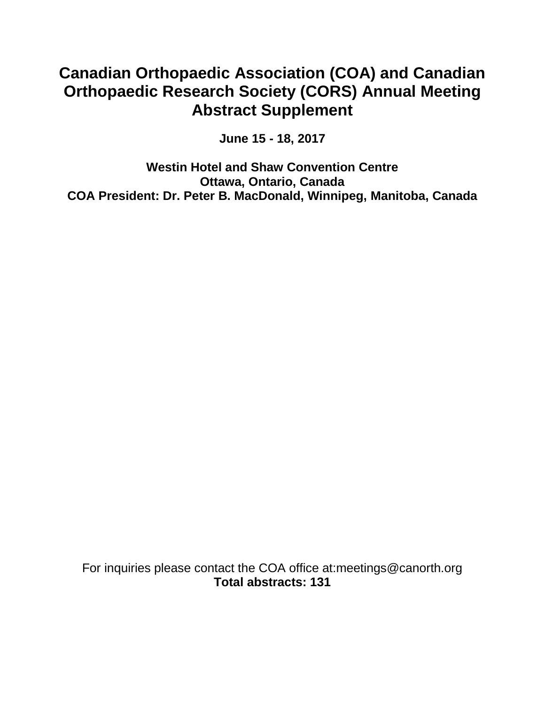# **Canadian Orthopaedic Association (COA) and Canadian Orthopaedic Research Society (CORS) Annual Meeting Abstract Supplement**

**June 15 - 18, 2017**

**Westin Hotel and Shaw Convention Centre Ottawa, Ontario, Canada COA President: Dr. Peter B. MacDonald, Winnipeg, Manitoba, Canada**

For inquiries please contact the COA office at:meetings@canorth.org **Total abstracts: 131**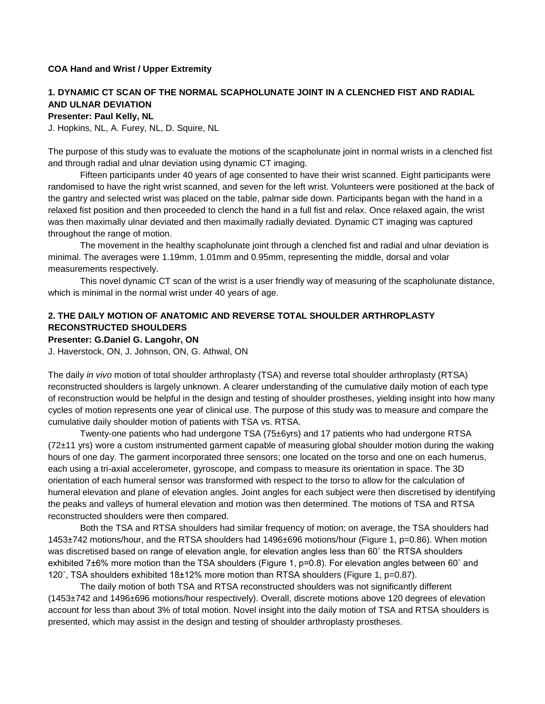#### **COA Hand and Wrist / Upper Extremity**

### **1. DYNAMIC CT SCAN OF THE NORMAL SCAPHOLUNATE JOINT IN A CLENCHED FIST AND RADIAL AND ULNAR DEVIATION**

**Presenter: Paul Kelly, NL**

J. Hopkins, NL, A. Furey, NL, D. Squire, NL

The purpose of this study was to evaluate the motions of the scapholunate joint in normal wrists in a clenched fist and through radial and ulnar deviation using dynamic CT imaging.

Fifteen participants under 40 years of age consented to have their wrist scanned. Eight participants were randomised to have the right wrist scanned, and seven for the left wrist. Volunteers were positioned at the back of the gantry and selected wrist was placed on the table, palmar side down. Participants began with the hand in a relaxed fist position and then proceeded to clench the hand in a full fist and relax. Once relaxed again, the wrist was then maximally ulnar deviated and then maximally radially deviated. Dynamic CT imaging was captured throughout the range of motion.

The movement in the healthy scapholunate joint through a clenched fist and radial and ulnar deviation is minimal. The averages were 1.19mm, 1.01mm and 0.95mm, representing the middle, dorsal and volar measurements respectively.

This novel dynamic CT scan of the wrist is a user friendly way of measuring of the scapholunate distance, which is minimal in the normal wrist under 40 years of age.

### **2. THE DAILY MOTION OF ANATOMIC AND REVERSE TOTAL SHOULDER ARTHROPLASTY RECONSTRUCTED SHOULDERS**

#### **Presenter: G.Daniel G. Langohr, ON**

J. Haverstock, ON, J. Johnson, ON, G. Athwal, ON

The daily *in vivo* motion of total shoulder arthroplasty (TSA) and reverse total shoulder arthroplasty (RTSA) reconstructed shoulders is largely unknown. A clearer understanding of the cumulative daily motion of each type of reconstruction would be helpful in the design and testing of shoulder prostheses, yielding insight into how many cycles of motion represents one year of clinical use. The purpose of this study was to measure and compare the cumulative daily shoulder motion of patients with TSA vs. RTSA.

Twenty-one patients who had undergone TSA (75±6yrs) and 17 patients who had undergone RTSA (72±11 yrs) wore a custom instrumented garment capable of measuring global shoulder motion during the waking hours of one day. The garment incorporated three sensors; one located on the torso and one on each humerus, each using a tri-axial accelerometer, gyroscope, and compass to measure its orientation in space. The 3D orientation of each humeral sensor was transformed with respect to the torso to allow for the calculation of humeral elevation and plane of elevation angles. Joint angles for each subject were then discretised by identifying the peaks and valleys of humeral elevation and motion was then determined. The motions of TSA and RTSA reconstructed shoulders were then compared.

Both the TSA and RTSA shoulders had similar frequency of motion; on average, the TSA shoulders had 1453±742 motions/hour, and the RTSA shoulders had 1496±696 motions/hour (Figure 1, p=0.86). When motion was discretised based on range of elevation angle, for elevation angles less than 60˚ the RTSA shoulders exhibited 7±6% more motion than the TSA shoulders (Figure 1, p=0.8). For elevation angles between 60˚ and 120˚, TSA shoulders exhibited 18±12% more motion than RTSA shoulders (Figure 1, p=0.87).

The daily motion of both TSA and RTSA reconstructed shoulders was not significantly different (1453±742 and 1496±696 motions/hour respectively). Overall, discrete motions above 120 degrees of elevation account for less than about 3% of total motion. Novel insight into the daily motion of TSA and RTSA shoulders is presented, which may assist in the design and testing of shoulder arthroplasty prostheses.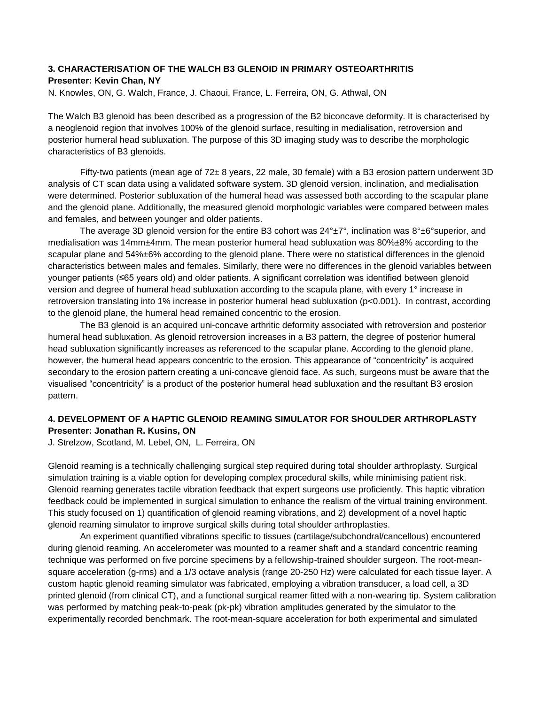### **3. CHARACTERISATION OF THE WALCH B3 GLENOID IN PRIMARY OSTEOARTHRITIS Presenter: Kevin Chan, NY**

N. Knowles, ON, G. Walch, France, J. Chaoui, France, L. Ferreira, ON, G. Athwal, ON

The Walch B3 glenoid has been described as a progression of the B2 biconcave deformity. It is characterised by a neoglenoid region that involves 100% of the glenoid surface, resulting in medialisation, retroversion and posterior humeral head subluxation. The purpose of this 3D imaging study was to describe the morphologic characteristics of B3 glenoids.

Fifty-two patients (mean age of 72± 8 years, 22 male, 30 female) with a B3 erosion pattern underwent 3D analysis of CT scan data using a validated software system. 3D glenoid version, inclination, and medialisation were determined. Posterior subluxation of the humeral head was assessed both according to the scapular plane and the glenoid plane. Additionally, the measured glenoid morphologic variables were compared between males and females, and between younger and older patients.

The average 3D glenoid version for the entire B3 cohort was  $24^{\circ} \pm 7^{\circ}$ , inclination was  $8^{\circ} \pm 6^{\circ}$ superior, and medialisation was 14mm±4mm. The mean posterior humeral head subluxation was 80%±8% according to the scapular plane and 54%±6% according to the glenoid plane. There were no statistical differences in the glenoid characteristics between males and females. Similarly, there were no differences in the glenoid variables between younger patients (≤65 years old) and older patients. A significant correlation was identified between glenoid version and degree of humeral head subluxation according to the scapula plane, with every 1° increase in retroversion translating into 1% increase in posterior humeral head subluxation (p<0.001). In contrast, according to the glenoid plane, the humeral head remained concentric to the erosion.

The B3 glenoid is an acquired uni-concave arthritic deformity associated with retroversion and posterior humeral head subluxation. As glenoid retroversion increases in a B3 pattern, the degree of posterior humeral head subluxation significantly increases as referenced to the scapular plane. According to the glenoid plane, however, the humeral head appears concentric to the erosion. This appearance of "concentricity" is acquired secondary to the erosion pattern creating a uni-concave glenoid face. As such, surgeons must be aware that the visualised "concentricity" is a product of the posterior humeral head subluxation and the resultant B3 erosion pattern.

### **4. DEVELOPMENT OF A HAPTIC GLENOID REAMING SIMULATOR FOR SHOULDER ARTHROPLASTY Presenter: Jonathan R. Kusins, ON**

J. Strelzow, Scotland, M. Lebel, ON, L. Ferreira, ON

Glenoid reaming is a technically challenging surgical step required during total shoulder arthroplasty. Surgical simulation training is a viable option for developing complex procedural skills, while minimising patient risk. Glenoid reaming generates tactile vibration feedback that expert surgeons use proficiently. This haptic vibration feedback could be implemented in surgical simulation to enhance the realism of the virtual training environment. This study focused on 1) quantification of glenoid reaming vibrations, and 2) development of a novel haptic glenoid reaming simulator to improve surgical skills during total shoulder arthroplasties.

An experiment quantified vibrations specific to tissues (cartilage/subchondral/cancellous) encountered during glenoid reaming. An accelerometer was mounted to a reamer shaft and a standard concentric reaming technique was performed on five porcine specimens by a fellowship-trained shoulder surgeon. The root-meansquare acceleration (g-rms) and a 1/3 octave analysis (range 20-250 Hz) were calculated for each tissue layer. A custom haptic glenoid reaming simulator was fabricated, employing a vibration transducer, a load cell, a 3D printed glenoid (from clinical CT), and a functional surgical reamer fitted with a non-wearing tip. System calibration was performed by matching peak-to-peak (pk-pk) vibration amplitudes generated by the simulator to the experimentally recorded benchmark. The root-mean-square acceleration for both experimental and simulated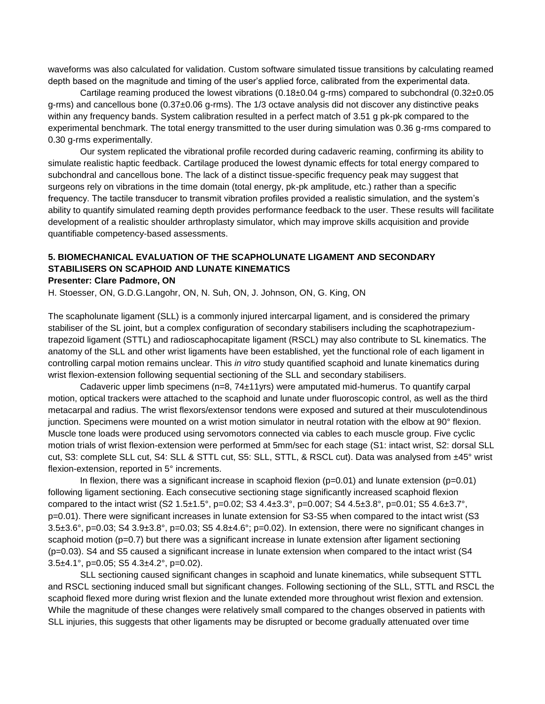waveforms was also calculated for validation. Custom software simulated tissue transitions by calculating reamed depth based on the magnitude and timing of the user's applied force, calibrated from the experimental data.

Cartilage reaming produced the lowest vibrations (0.18±0.04 g-rms) compared to subchondral (0.32±0.05 g-rms) and cancellous bone (0.37±0.06 g-rms). The 1/3 octave analysis did not discover any distinctive peaks within any frequency bands. System calibration resulted in a perfect match of 3.51 g pk-pk compared to the experimental benchmark. The total energy transmitted to the user during simulation was 0.36 g-rms compared to 0.30 g-rms experimentally.

Our system replicated the vibrational profile recorded during cadaveric reaming, confirming its ability to simulate realistic haptic feedback. Cartilage produced the lowest dynamic effects for total energy compared to subchondral and cancellous bone. The lack of a distinct tissue-specific frequency peak may suggest that surgeons rely on vibrations in the time domain (total energy, pk-pk amplitude, etc.) rather than a specific frequency. The tactile transducer to transmit vibration profiles provided a realistic simulation, and the system's ability to quantify simulated reaming depth provides performance feedback to the user. These results will facilitate development of a realistic shoulder arthroplasty simulator, which may improve skills acquisition and provide quantifiable competency-based assessments.

## **5. BIOMECHANICAL EVALUATION OF THE SCAPHOLUNATE LIGAMENT AND SECONDARY STABILISERS ON SCAPHOID AND LUNATE KINEMATICS**

#### **Presenter: Clare Padmore, ON**

H. Stoesser, ON, G.D.G.Langohr, ON, N. Suh, ON, J. Johnson, ON, G. King, ON

The scapholunate ligament (SLL) is a commonly injured intercarpal ligament, and is considered the primary stabiliser of the SL joint, but a complex configuration of secondary stabilisers including the scaphotrapeziumtrapezoid ligament (STTL) and radioscaphocapitate ligament (RSCL) may also contribute to SL kinematics. The anatomy of the SLL and other wrist ligaments have been established, yet the functional role of each ligament in controlling carpal motion remains unclear. This *in vitro* study quantified scaphoid and lunate kinematics during wrist flexion-extension following sequential sectioning of the SLL and secondary stabilisers.

Cadaveric upper limb specimens (n=8, 74±11yrs) were amputated mid-humerus. To quantify carpal motion, optical trackers were attached to the scaphoid and lunate under fluoroscopic control, as well as the third metacarpal and radius. The wrist flexors/extensor tendons were exposed and sutured at their musculotendinous junction. Specimens were mounted on a wrist motion simulator in neutral rotation with the elbow at 90° flexion. Muscle tone loads were produced using servomotors connected via cables to each muscle group. Five cyclic motion trials of wrist flexion-extension were performed at 5mm/sec for each stage (S1: intact wrist, S2: dorsal SLL cut, S3: complete SLL cut, S4: SLL & STTL cut, S5: SLL, STTL, & RSCL cut). Data was analysed from ±45° wrist flexion-extension, reported in 5° increments.

In flexion, there was a significant increase in scaphoid flexion ( $p=0.01$ ) and lunate extension ( $p=0.01$ ) following ligament sectioning. Each consecutive sectioning stage significantly increased scaphoid flexion compared to the intact wrist  $(S2 1.5 \pm 1.5^{\circ}, p=0.02; S3 4.4 \pm 3.3^{\circ}, p=0.007; S4 4.5 \pm 3.8^{\circ}, p=0.01; S5 4.6 \pm 3.7^{\circ}$ p=0.01). There were significant increases in lunate extension for S3-S5 when compared to the intact wrist (S3 3.5±3.6°, p=0.03; S4 3.9±3.8°, p=0.03; S5 4.8±4.6°; p=0.02). In extension, there were no significant changes in scaphoid motion (p=0.7) but there was a significant increase in lunate extension after ligament sectioning (p=0.03). S4 and S5 caused a significant increase in lunate extension when compared to the intact wrist (S4 3.5 $\pm$ 4.1°, p=0.05; S5 4.3 $\pm$ 4.2°, p=0.02).

SLL sectioning caused significant changes in scaphoid and lunate kinematics, while subsequent STTL and RSCL sectioning induced small but significant changes. Following sectioning of the SLL, STTL and RSCL the scaphoid flexed more during wrist flexion and the lunate extended more throughout wrist flexion and extension. While the magnitude of these changes were relatively small compared to the changes observed in patients with SLL injuries, this suggests that other ligaments may be disrupted or become gradually attenuated over time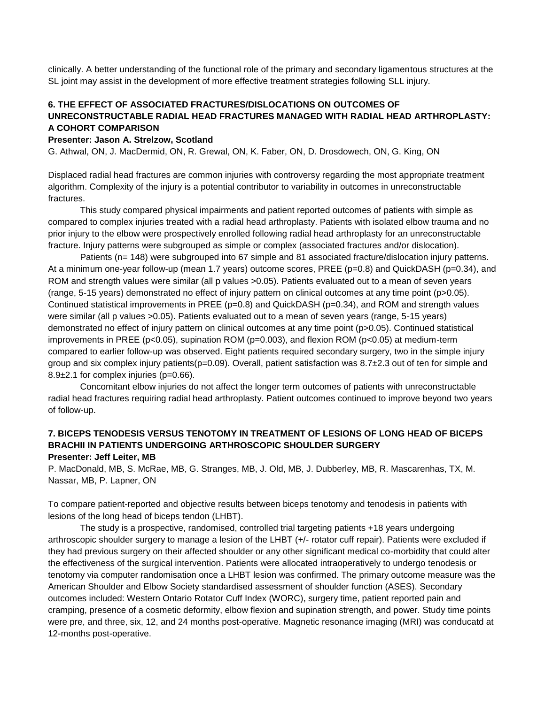clinically. A better understanding of the functional role of the primary and secondary ligamentous structures at the SL joint may assist in the development of more effective treatment strategies following SLL injury.

### **6. THE EFFECT OF ASSOCIATED FRACTURES/DISLOCATIONS ON OUTCOMES OF UNRECONSTRUCTABLE RADIAL HEAD FRACTURES MANAGED WITH RADIAL HEAD ARTHROPLASTY: A COHORT COMPARISON**

#### **Presenter: Jason A. Strelzow, Scotland**

G. Athwal, ON, J. MacDermid, ON, R. Grewal, ON, K. Faber, ON, D. Drosdowech, ON, G. King, ON

Displaced radial head fractures are common injuries with controversy regarding the most appropriate treatment algorithm. Complexity of the injury is a potential contributor to variability in outcomes in unreconstructable fractures.

This study compared physical impairments and patient reported outcomes of patients with simple as compared to complex injuries treated with a radial head arthroplasty. Patients with isolated elbow trauma and no prior injury to the elbow were prospectively enrolled following radial head arthroplasty for an unreconstructable fracture. Injury patterns were subgrouped as simple or complex (associated fractures and/or dislocation).

Patients (n= 148) were subgrouped into 67 simple and 81 associated fracture/dislocation injury patterns. At a minimum one-year follow-up (mean 1.7 years) outcome scores, PREE (p=0.8) and QuickDASH (p=0.34), and ROM and strength values were similar (all p values >0.05). Patients evaluated out to a mean of seven years (range, 5-15 years) demonstrated no effect of injury pattern on clinical outcomes at any time point (p>0.05). Continued statistical improvements in PREE ( $p=0.8$ ) and QuickDASH ( $p=0.34$ ), and ROM and strength values were similar (all p values >0.05). Patients evaluated out to a mean of seven years (range, 5-15 years) demonstrated no effect of injury pattern on clinical outcomes at any time point (p>0.05). Continued statistical improvements in PREE (p<0.05), supination ROM (p=0.003), and flexion ROM (p<0.05) at medium-term compared to earlier follow-up was observed. Eight patients required secondary surgery, two in the simple injury group and six complex injury patients( $p=0.09$ ). Overall, patient satisfaction was  $8.7\pm2.3$  out of ten for simple and 8.9±2.1 for complex injuries (p=0.66).

Concomitant elbow injuries do not affect the longer term outcomes of patients with unreconstructable radial head fractures requiring radial head arthroplasty. Patient outcomes continued to improve beyond two years of follow-up.

#### **7. BICEPS TENODESIS VERSUS TENOTOMY IN TREATMENT OF LESIONS OF LONG HEAD OF BICEPS BRACHII IN PATIENTS UNDERGOING ARTHROSCOPIC SHOULDER SURGERY Presenter: Jeff Leiter, MB**

P. MacDonald, MB, S. McRae, MB, G. Stranges, MB, J. Old, MB, J. Dubberley, MB, R. Mascarenhas, TX, M. Nassar, MB, P. Lapner, ON

To compare patient-reported and objective results between biceps tenotomy and tenodesis in patients with lesions of the long head of biceps tendon (LHBT).

The study is a prospective, randomised, controlled trial targeting patients +18 years undergoing arthroscopic shoulder surgery to manage a lesion of the LHBT (+/- rotator cuff repair). Patients were excluded if they had previous surgery on their affected shoulder or any other significant medical co-morbidity that could alter the effectiveness of the surgical intervention. Patients were allocated intraoperatively to undergo tenodesis or tenotomy via computer randomisation once a LHBT lesion was confirmed. The primary outcome measure was the American Shoulder and Elbow Society standardised assessment of shoulder function (ASES). Secondary outcomes included: Western Ontario Rotator Cuff Index (WORC), surgery time, patient reported pain and cramping, presence of a cosmetic deformity, elbow flexion and supination strength, and power. Study time points were pre, and three, six, 12, and 24 months post-operative. Magnetic resonance imaging (MRI) was conducatd at 12-months post-operative.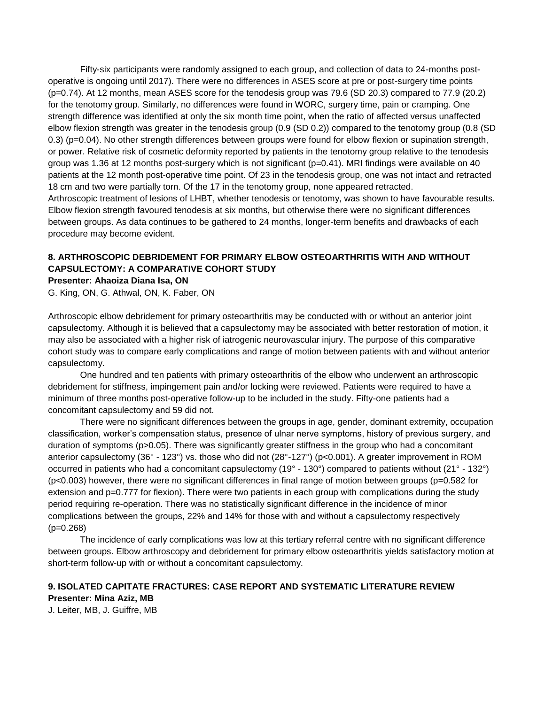Fifty-six participants were randomly assigned to each group, and collection of data to 24-months postoperative is ongoing until 2017). There were no differences in ASES score at pre or post-surgery time points (p=0.74). At 12 months, mean ASES score for the tenodesis group was 79.6 (SD 20.3) compared to 77.9 (20.2) for the tenotomy group. Similarly, no differences were found in WORC, surgery time, pain or cramping. One strength difference was identified at only the six month time point, when the ratio of affected versus unaffected elbow flexion strength was greater in the tenodesis group (0.9 (SD 0.2)) compared to the tenotomy group (0.8 (SD 0.3) (p=0.04). No other strength differences between groups were found for elbow flexion or supination strength, or power. Relative risk of cosmetic deformity reported by patients in the tenotomy group relative to the tenodesis group was 1.36 at 12 months post-surgery which is not significant (p=0.41). MRI findings were available on 40 patients at the 12 month post-operative time point. Of 23 in the tenodesis group, one was not intact and retracted 18 cm and two were partially torn. Of the 17 in the tenotomy group, none appeared retracted. Arthroscopic treatment of lesions of LHBT, whether tenodesis or tenotomy, was shown to have favourable results. Elbow flexion strength favoured tenodesis at six months, but otherwise there were no significant differences between groups. As data continues to be gathered to 24 months, longer-term benefits and drawbacks of each procedure may become evident.

### **8. ARTHROSCOPIC DEBRIDEMENT FOR PRIMARY ELBOW OSTEOARTHRITIS WITH AND WITHOUT CAPSULECTOMY: A COMPARATIVE COHORT STUDY**

**Presenter: Ahaoiza Diana Isa, ON**

G. King, ON, G. Athwal, ON, K. Faber, ON

Arthroscopic elbow debridement for primary osteoarthritis may be conducted with or without an anterior joint capsulectomy. Although it is believed that a capsulectomy may be associated with better restoration of motion, it may also be associated with a higher risk of iatrogenic neurovascular injury. The purpose of this comparative cohort study was to compare early complications and range of motion between patients with and without anterior capsulectomy.

One hundred and ten patients with primary osteoarthritis of the elbow who underwent an arthroscopic debridement for stiffness, impingement pain and/or locking were reviewed. Patients were required to have a minimum of three months post-operative follow-up to be included in the study. Fifty-one patients had a concomitant capsulectomy and 59 did not.

There were no significant differences between the groups in age, gender, dominant extremity, occupation classification, worker's compensation status, presence of ulnar nerve symptoms, history of previous surgery, and duration of symptoms (p>0.05). There was significantly greater stiffness in the group who had a concomitant anterior capsulectomy (36° - 123°) vs. those who did not (28°-127°) (p<0.001). A greater improvement in ROM occurred in patients who had a concomitant capsulectomy (19° - 130°) compared to patients without (21° - 132°) (p<0.003) however, there were no significant differences in final range of motion between groups (p=0.582 for extension and p=0.777 for flexion). There were two patients in each group with complications during the study period requiring re-operation. There was no statistically significant difference in the incidence of minor complications between the groups, 22% and 14% for those with and without a capsulectomy respectively (p=0.268)

The incidence of early complications was low at this tertiary referral centre with no significant difference between groups. Elbow arthroscopy and debridement for primary elbow osteoarthritis yields satisfactory motion at short-term follow-up with or without a concomitant capsulectomy.

### **9. ISOLATED CAPITATE FRACTURES: CASE REPORT AND SYSTEMATIC LITERATURE REVIEW**

**Presenter: Mina Aziz, MB** J. Leiter, MB, J. Guiffre, MB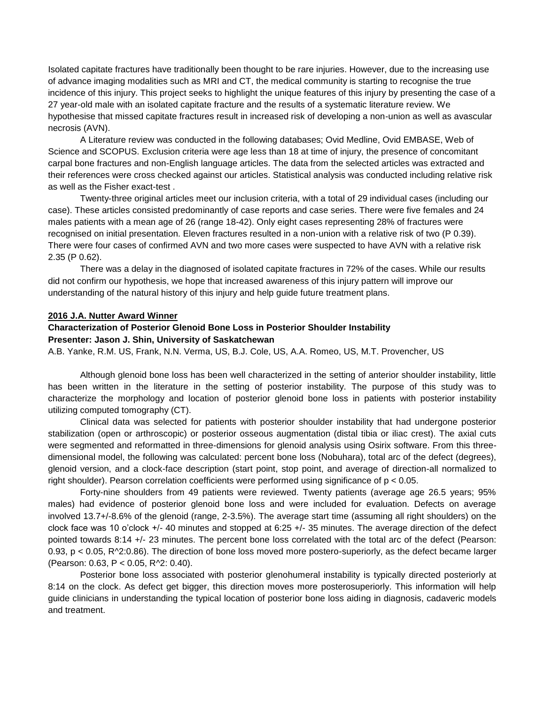Isolated capitate fractures have traditionally been thought to be rare injuries. However, due to the increasing use of advance imaging modalities such as MRI and CT, the medical community is starting to recognise the true incidence of this injury. This project seeks to highlight the unique features of this injury by presenting the case of a 27 year-old male with an isolated capitate fracture and the results of a systematic literature review. We hypothesise that missed capitate fractures result in increased risk of developing a non-union as well as avascular necrosis (AVN).

A Literature review was conducted in the following databases; Ovid Medline, Ovid EMBASE, Web of Science and SCOPUS. Exclusion criteria were age less than 18 at time of injury, the presence of concomitant carpal bone fractures and non-English language articles. The data from the selected articles was extracted and their references were cross checked against our articles. Statistical analysis was conducted including relative risk as well as the Fisher exact-test .

Twenty-three original articles meet our inclusion criteria, with a total of 29 individual cases (including our case). These articles consisted predominantly of case reports and case series. There were five females and 24 males patients with a mean age of 26 (range 18-42). Only eight cases representing 28% of fractures were recognised on initial presentation. Eleven fractures resulted in a non-union with a relative risk of two (P 0.39). There were four cases of confirmed AVN and two more cases were suspected to have AVN with a relative risk 2.35 (P 0.62).

There was a delay in the diagnosed of isolated capitate fractures in 72% of the cases. While our results did not confirm our hypothesis, we hope that increased awareness of this injury pattern will improve our understanding of the natural history of this injury and help guide future treatment plans.

#### **2016 J.A. Nutter Award Winner**

#### **Characterization of Posterior Glenoid Bone Loss in Posterior Shoulder Instability Presenter: Jason J. Shin, University of Saskatchewan**

A.B. Yanke, R.M. US, Frank, N.N. Verma, US, B.J. Cole, US, A.A. Romeo, US, M.T. Provencher, US

Although glenoid bone loss has been well characterized in the setting of anterior shoulder instability, little has been written in the literature in the setting of posterior instability. The purpose of this study was to characterize the morphology and location of posterior glenoid bone loss in patients with posterior instability utilizing computed tomography (CT).

Clinical data was selected for patients with posterior shoulder instability that had undergone posterior stabilization (open or arthroscopic) or posterior osseous augmentation (distal tibia or iliac crest). The axial cuts were segmented and reformatted in three-dimensions for glenoid analysis using Osirix software. From this threedimensional model, the following was calculated: percent bone loss (Nobuhara), total arc of the defect (degrees), glenoid version, and a clock-face description (start point, stop point, and average of direction-all normalized to right shoulder). Pearson correlation coefficients were performed using significance of p < 0.05.

Forty-nine shoulders from 49 patients were reviewed. Twenty patients (average age 26.5 years; 95% males) had evidence of posterior glenoid bone loss and were included for evaluation. Defects on average involved 13.7+/-8.6% of the glenoid (range, 2-3.5%). The average start time (assuming all right shoulders) on the clock face was 10 o'clock +/- 40 minutes and stopped at 6:25 +/- 35 minutes. The average direction of the defect pointed towards 8:14 +/- 23 minutes. The percent bone loss correlated with the total arc of the defect (Pearson: 0.93,  $p < 0.05$ ,  $R^2/2.0.86$ ). The direction of bone loss moved more postero-superiorly, as the defect became larger (Pearson: 0.63, P < 0.05, R^2: 0.40).

Posterior bone loss associated with posterior glenohumeral instability is typically directed posteriorly at 8:14 on the clock. As defect get bigger, this direction moves more posterosuperiorly. This information will help guide clinicians in understanding the typical location of posterior bone loss aiding in diagnosis, cadaveric models and treatment.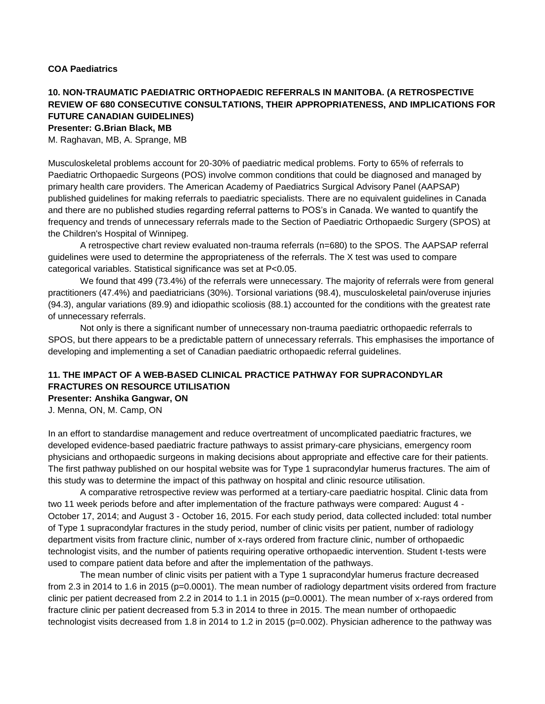### **10. NON-TRAUMATIC PAEDIATRIC ORTHOPAEDIC REFERRALS IN MANITOBA. (A RETROSPECTIVE REVIEW OF 680 CONSECUTIVE CONSULTATIONS, THEIR APPROPRIATENESS, AND IMPLICATIONS FOR FUTURE CANADIAN GUIDELINES) Presenter: G.Brian Black, MB**

M. Raghavan, MB, A. Sprange, MB

Musculoskeletal problems account for 20-30% of paediatric medical problems. Forty to 65% of referrals to Paediatric Orthopaedic Surgeons (POS) involve common conditions that could be diagnosed and managed by primary health care providers. The American Academy of Paediatrics Surgical Advisory Panel (AAPSAP) published guidelines for making referrals to paediatric specialists. There are no equivalent guidelines in Canada and there are no published studies regarding referral patterns to POS's in Canada. We wanted to quantify the frequency and trends of unnecessary referrals made to the Section of Paediatric Orthopaedic Surgery (SPOS) at the Children's Hospital of Winnipeg.

A retrospective chart review evaluated non-trauma referrals (n=680) to the SPOS. The AAPSAP referral guidelines were used to determine the appropriateness of the referrals. The X test was used to compare categorical variables. Statistical significance was set at P<0.05.

We found that 499 (73.4%) of the referrals were unnecessary. The majority of referrals were from general practitioners (47.4%) and paediatricians (30%). Torsional variations (98.4), musculoskeletal pain/overuse injuries (94.3), angular variations (89.9) and idiopathic scoliosis (88.1) accounted for the conditions with the greatest rate of unnecessary referrals.

Not only is there a significant number of unnecessary non-trauma paediatric orthopaedic referrals to SPOS, but there appears to be a predictable pattern of unnecessary referrals. This emphasises the importance of developing and implementing a set of Canadian paediatric orthopaedic referral guidelines.

### **11. THE IMPACT OF A WEB-BASED CLINICAL PRACTICE PATHWAY FOR SUPRACONDYLAR FRACTURES ON RESOURCE UTILISATION**

**Presenter: Anshika Gangwar, ON**

J. Menna, ON, M. Camp, ON

In an effort to standardise management and reduce overtreatment of uncomplicated paediatric fractures, we developed evidence-based paediatric fracture pathways to assist primary-care physicians, emergency room physicians and orthopaedic surgeons in making decisions about appropriate and effective care for their patients. The first pathway published on our hospital website was for Type 1 supracondylar humerus fractures. The aim of this study was to determine the impact of this pathway on hospital and clinic resource utilisation.

A comparative retrospective review was performed at a tertiary-care paediatric hospital. Clinic data from two 11 week periods before and after implementation of the fracture pathways were compared: August 4 - October 17, 2014; and August 3 - October 16, 2015. For each study period, data collected included: total number of Type 1 supracondylar fractures in the study period, number of clinic visits per patient, number of radiology department visits from fracture clinic, number of x-rays ordered from fracture clinic, number of orthopaedic technologist visits, and the number of patients requiring operative orthopaedic intervention. Student t-tests were used to compare patient data before and after the implementation of the pathways.

The mean number of clinic visits per patient with a Type 1 supracondylar humerus fracture decreased from 2.3 in 2014 to 1.6 in 2015 (p=0.0001). The mean number of radiology department visits ordered from fracture clinic per patient decreased from 2.2 in 2014 to 1.1 in 2015 (p=0.0001). The mean number of x-rays ordered from fracture clinic per patient decreased from 5.3 in 2014 to three in 2015. The mean number of orthopaedic technologist visits decreased from 1.8 in 2014 to 1.2 in 2015 (p=0.002). Physician adherence to the pathway was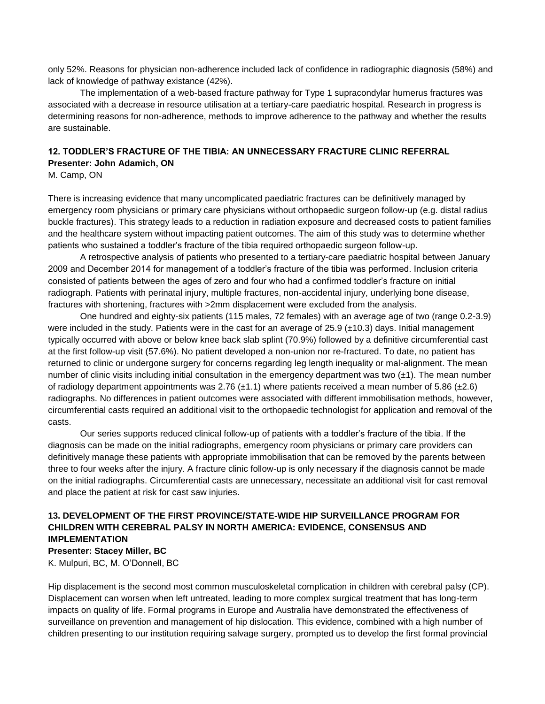only 52%. Reasons for physician non-adherence included lack of confidence in radiographic diagnosis (58%) and lack of knowledge of pathway existance (42%).

The implementation of a web-based fracture pathway for Type 1 supracondylar humerus fractures was associated with a decrease in resource utilisation at a tertiary-care paediatric hospital. Research in progress is determining reasons for non-adherence, methods to improve adherence to the pathway and whether the results are sustainable.

### **12. TODDLER'S FRACTURE OF THE TIBIA: AN UNNECESSARY FRACTURE CLINIC REFERRAL Presenter: John Adamich, ON**

M. Camp, ON

There is increasing evidence that many uncomplicated paediatric fractures can be definitively managed by emergency room physicians or primary care physicians without orthopaedic surgeon follow-up (e.g. distal radius buckle fractures). This strategy leads to a reduction in radiation exposure and decreased costs to patient families and the healthcare system without impacting patient outcomes. The aim of this study was to determine whether patients who sustained a toddler's fracture of the tibia required orthopaedic surgeon follow-up.

A retrospective analysis of patients who presented to a tertiary-care paediatric hospital between January 2009 and December 2014 for management of a toddler's fracture of the tibia was performed. Inclusion criteria consisted of patients between the ages of zero and four who had a confirmed toddler's fracture on initial radiograph. Patients with perinatal injury, multiple fractures, non-accidental injury, underlying bone disease, fractures with shortening, fractures with >2mm displacement were excluded from the analysis.

One hundred and eighty-six patients (115 males, 72 females) with an average age of two (range 0.2-3.9) were included in the study. Patients were in the cast for an average of 25.9 (±10.3) days. Initial management typically occurred with above or below knee back slab splint (70.9%) followed by a definitive circumferential cast at the first follow-up visit (57.6%). No patient developed a non-union nor re-fractured. To date, no patient has returned to clinic or undergone surgery for concerns regarding leg length inequality or mal-alignment. The mean number of clinic visits including initial consultation in the emergency department was two  $(\pm 1)$ . The mean number of radiology department appointments was 2.76  $(\pm 1.1)$  where patients received a mean number of 5.86  $(\pm 2.6)$ radiographs. No differences in patient outcomes were associated with different immobilisation methods, however, circumferential casts required an additional visit to the orthopaedic technologist for application and removal of the casts.

Our series supports reduced clinical follow-up of patients with a toddler's fracture of the tibia. If the diagnosis can be made on the initial radiographs, emergency room physicians or primary care providers can definitively manage these patients with appropriate immobilisation that can be removed by the parents between three to four weeks after the injury. A fracture clinic follow-up is only necessary if the diagnosis cannot be made on the initial radiographs. Circumferential casts are unnecessary, necessitate an additional visit for cast removal and place the patient at risk for cast saw injuries.

### **13. DEVELOPMENT OF THE FIRST PROVINCE/STATE-WIDE HIP SURVEILLANCE PROGRAM FOR CHILDREN WITH CEREBRAL PALSY IN NORTH AMERICA: EVIDENCE, CONSENSUS AND IMPLEMENTATION**

**Presenter: Stacey Miller, BC**

K. Mulpuri, BC, M. O'Donnell, BC

Hip displacement is the second most common musculoskeletal complication in children with cerebral palsy (CP). Displacement can worsen when left untreated, leading to more complex surgical treatment that has long-term impacts on quality of life. Formal programs in Europe and Australia have demonstrated the effectiveness of surveillance on prevention and management of hip dislocation. This evidence, combined with a high number of children presenting to our institution requiring salvage surgery, prompted us to develop the first formal provincial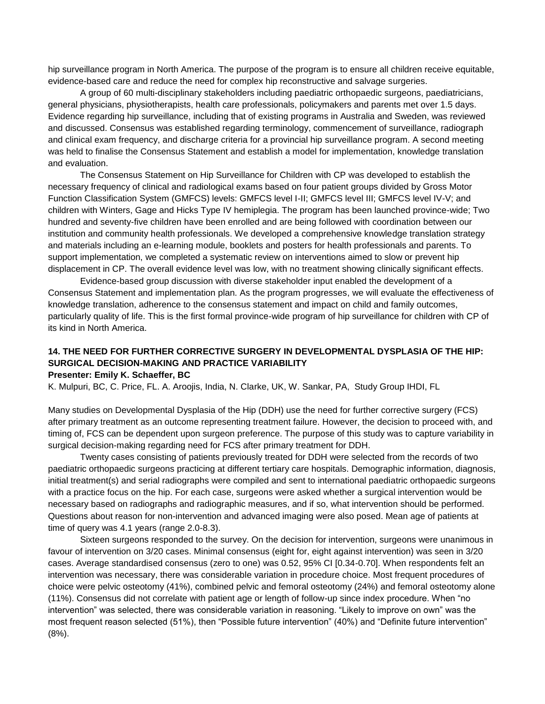hip surveillance program in North America. The purpose of the program is to ensure all children receive equitable, evidence-based care and reduce the need for complex hip reconstructive and salvage surgeries.

A group of 60 multi-disciplinary stakeholders including paediatric orthopaedic surgeons, paediatricians, general physicians, physiotherapists, health care professionals, policymakers and parents met over 1.5 days. Evidence regarding hip surveillance, including that of existing programs in Australia and Sweden, was reviewed and discussed. Consensus was established regarding terminology, commencement of surveillance, radiograph and clinical exam frequency, and discharge criteria for a provincial hip surveillance program. A second meeting was held to finalise the Consensus Statement and establish a model for implementation, knowledge translation and evaluation.

The Consensus Statement on Hip Surveillance for Children with CP was developed to establish the necessary frequency of clinical and radiological exams based on four patient groups divided by Gross Motor Function Classification System (GMFCS) levels: GMFCS level I-II; GMFCS level III; GMFCS level IV-V; and children with Winters, Gage and Hicks Type IV hemiplegia. The program has been launched province-wide; Two hundred and seventy-five children have been enrolled and are being followed with coordination between our institution and community health professionals. We developed a comprehensive knowledge translation strategy and materials including an e-learning module, booklets and posters for health professionals and parents. To support implementation, we completed a systematic review on interventions aimed to slow or prevent hip displacement in CP. The overall evidence level was low, with no treatment showing clinically significant effects.

Evidence-based group discussion with diverse stakeholder input enabled the development of a Consensus Statement and implementation plan. As the program progresses, we will evaluate the effectiveness of knowledge translation, adherence to the consensus statement and impact on child and family outcomes, particularly quality of life. This is the first formal province-wide program of hip surveillance for children with CP of its kind in North America.

# **14. THE NEED FOR FURTHER CORRECTIVE SURGERY IN DEVELOPMENTAL DYSPLASIA OF THE HIP: SURGICAL DECISION-MAKING AND PRACTICE VARIABILITY**

**Presenter: Emily K. Schaeffer, BC**

K. Mulpuri, BC, C. Price, FL. A. Aroojis, India, N. Clarke, UK, W. Sankar, PA, Study Group IHDI, FL

Many studies on Developmental Dysplasia of the Hip (DDH) use the need for further corrective surgery (FCS) after primary treatment as an outcome representing treatment failure. However, the decision to proceed with, and timing of, FCS can be dependent upon surgeon preference. The purpose of this study was to capture variability in surgical decision-making regarding need for FCS after primary treatment for DDH.

Twenty cases consisting of patients previously treated for DDH were selected from the records of two paediatric orthopaedic surgeons practicing at different tertiary care hospitals. Demographic information, diagnosis, initial treatment(s) and serial radiographs were compiled and sent to international paediatric orthopaedic surgeons with a practice focus on the hip. For each case, surgeons were asked whether a surgical intervention would be necessary based on radiographs and radiographic measures, and if so, what intervention should be performed. Questions about reason for non-intervention and advanced imaging were also posed. Mean age of patients at time of query was 4.1 years (range 2.0-8.3).

Sixteen surgeons responded to the survey. On the decision for intervention, surgeons were unanimous in favour of intervention on 3/20 cases. Minimal consensus (eight for, eight against intervention) was seen in 3/20 cases. Average standardised consensus (zero to one) was 0.52, 95% CI [0.34-0.70]. When respondents felt an intervention was necessary, there was considerable variation in procedure choice. Most frequent procedures of choice were pelvic osteotomy (41%), combined pelvic and femoral osteotomy (24%) and femoral osteotomy alone (11%). Consensus did not correlate with patient age or length of follow-up since index procedure. When "no intervention" was selected, there was considerable variation in reasoning. "Likely to improve on own" was the most frequent reason selected (51%), then "Possible future intervention" (40%) and "Definite future intervention" (8%).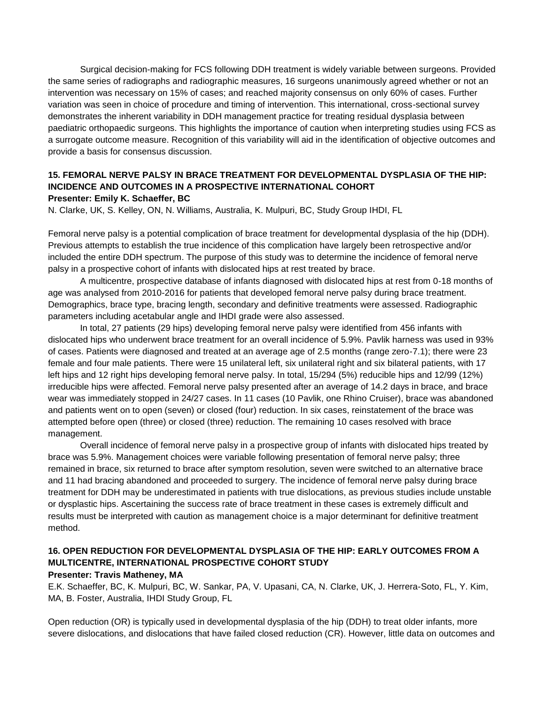Surgical decision-making for FCS following DDH treatment is widely variable between surgeons. Provided the same series of radiographs and radiographic measures, 16 surgeons unanimously agreed whether or not an intervention was necessary on 15% of cases; and reached majority consensus on only 60% of cases. Further variation was seen in choice of procedure and timing of intervention. This international, cross-sectional survey demonstrates the inherent variability in DDH management practice for treating residual dysplasia between paediatric orthopaedic surgeons. This highlights the importance of caution when interpreting studies using FCS as a surrogate outcome measure. Recognition of this variability will aid in the identification of objective outcomes and provide a basis for consensus discussion.

#### **15. FEMORAL NERVE PALSY IN BRACE TREATMENT FOR DEVELOPMENTAL DYSPLASIA OF THE HIP: INCIDENCE AND OUTCOMES IN A PROSPECTIVE INTERNATIONAL COHORT Presenter: Emily K. Schaeffer, BC**

N. Clarke, UK, S. Kelley, ON, N. Williams, Australia, K. Mulpuri, BC, Study Group IHDI, FL

Femoral nerve palsy is a potential complication of brace treatment for developmental dysplasia of the hip (DDH). Previous attempts to establish the true incidence of this complication have largely been retrospective and/or included the entire DDH spectrum. The purpose of this study was to determine the incidence of femoral nerve palsy in a prospective cohort of infants with dislocated hips at rest treated by brace.

A multicentre, prospective database of infants diagnosed with dislocated hips at rest from 0-18 months of age was analysed from 2010-2016 for patients that developed femoral nerve palsy during brace treatment. Demographics, brace type, bracing length, secondary and definitive treatments were assessed. Radiographic parameters including acetabular angle and IHDI grade were also assessed.

In total, 27 patients (29 hips) developing femoral nerve palsy were identified from 456 infants with dislocated hips who underwent brace treatment for an overall incidence of 5.9%. Pavlik harness was used in 93% of cases. Patients were diagnosed and treated at an average age of 2.5 months (range zero-7.1); there were 23 female and four male patients. There were 15 unilateral left, six unilateral right and six bilateral patients, with 17 left hips and 12 right hips developing femoral nerve palsy. In total, 15/294 (5%) reducible hips and 12/99 (12%) irreducible hips were affected. Femoral nerve palsy presented after an average of 14.2 days in brace, and brace wear was immediately stopped in 24/27 cases. In 11 cases (10 Pavlik, one Rhino Cruiser), brace was abandoned and patients went on to open (seven) or closed (four) reduction. In six cases, reinstatement of the brace was attempted before open (three) or closed (three) reduction. The remaining 10 cases resolved with brace management.

Overall incidence of femoral nerve palsy in a prospective group of infants with dislocated hips treated by brace was 5.9%. Management choices were variable following presentation of femoral nerve palsy; three remained in brace, six returned to brace after symptom resolution, seven were switched to an alternative brace and 11 had bracing abandoned and proceeded to surgery. The incidence of femoral nerve palsy during brace treatment for DDH may be underestimated in patients with true dislocations, as previous studies include unstable or dysplastic hips. Ascertaining the success rate of brace treatment in these cases is extremely difficult and results must be interpreted with caution as management choice is a major determinant for definitive treatment method.

### **16. OPEN REDUCTION FOR DEVELOPMENTAL DYSPLASIA OF THE HIP: EARLY OUTCOMES FROM A MULTICENTRE, INTERNATIONAL PROSPECTIVE COHORT STUDY**

### **Presenter: Travis Matheney, MA**

E.K. Schaeffer, BC, K. Mulpuri, BC, W. Sankar, PA, V. Upasani, CA, N. Clarke, UK, J. Herrera-Soto, FL, Y. Kim, MA, B. Foster, Australia, IHDI Study Group, FL

Open reduction (OR) is typically used in developmental dysplasia of the hip (DDH) to treat older infants, more severe dislocations, and dislocations that have failed closed reduction (CR). However, little data on outcomes and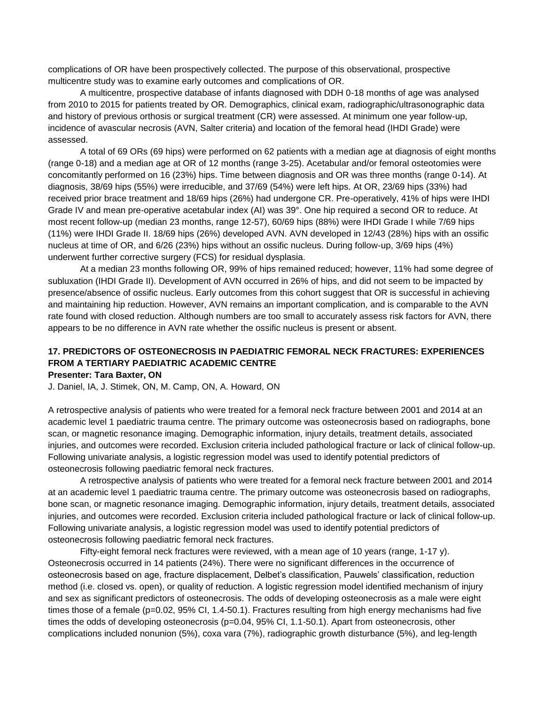complications of OR have been prospectively collected. The purpose of this observational, prospective multicentre study was to examine early outcomes and complications of OR.

A multicentre, prospective database of infants diagnosed with DDH 0-18 months of age was analysed from 2010 to 2015 for patients treated by OR. Demographics, clinical exam, radiographic/ultrasonographic data and history of previous orthosis or surgical treatment (CR) were assessed. At minimum one year follow-up, incidence of avascular necrosis (AVN, Salter criteria) and location of the femoral head (IHDI Grade) were assessed.

A total of 69 ORs (69 hips) were performed on 62 patients with a median age at diagnosis of eight months (range 0-18) and a median age at OR of 12 months (range 3-25). Acetabular and/or femoral osteotomies were concomitantly performed on 16 (23%) hips. Time between diagnosis and OR was three months (range 0-14). At diagnosis, 38/69 hips (55%) were irreducible, and 37/69 (54%) were left hips. At OR, 23/69 hips (33%) had received prior brace treatment and 18/69 hips (26%) had undergone CR. Pre-operatively, 41% of hips were IHDI Grade IV and mean pre-operative acetabular index (AI) was 39°. One hip required a second OR to reduce. At most recent follow-up (median 23 months, range 12-57), 60/69 hips (88%) were IHDI Grade I while 7/69 hips (11%) were IHDI Grade II. 18/69 hips (26%) developed AVN. AVN developed in 12/43 (28%) hips with an ossific nucleus at time of OR, and 6/26 (23%) hips without an ossific nucleus. During follow-up, 3/69 hips (4%) underwent further corrective surgery (FCS) for residual dysplasia.

At a median 23 months following OR, 99% of hips remained reduced; however, 11% had some degree of subluxation (IHDI Grade II). Development of AVN occurred in 26% of hips, and did not seem to be impacted by presence/absence of ossific nucleus. Early outcomes from this cohort suggest that OR is successful in achieving and maintaining hip reduction. However, AVN remains an important complication, and is comparable to the AVN rate found with closed reduction. Although numbers are too small to accurately assess risk factors for AVN, there appears to be no difference in AVN rate whether the ossific nucleus is present or absent.

### **17. PREDICTORS OF OSTEONECROSIS IN PAEDIATRIC FEMORAL NECK FRACTURES: EXPERIENCES FROM A TERTIARY PAEDIATRIC ACADEMIC CENTRE**

#### **Presenter: Tara Baxter, ON**

J. Daniel, IA, J. Stimek, ON, M. Camp, ON, A. Howard, ON

A retrospective analysis of patients who were treated for a femoral neck fracture between 2001 and 2014 at an academic level 1 paediatric trauma centre. The primary outcome was osteonecrosis based on radiographs, bone scan, or magnetic resonance imaging. Demographic information, injury details, treatment details, associated injuries, and outcomes were recorded. Exclusion criteria included pathological fracture or lack of clinical follow-up. Following univariate analysis, a logistic regression model was used to identify potential predictors of osteonecrosis following paediatric femoral neck fractures.

A retrospective analysis of patients who were treated for a femoral neck fracture between 2001 and 2014 at an academic level 1 paediatric trauma centre. The primary outcome was osteonecrosis based on radiographs, bone scan, or magnetic resonance imaging. Demographic information, injury details, treatment details, associated injuries, and outcomes were recorded. Exclusion criteria included pathological fracture or lack of clinical follow-up. Following univariate analysis, a logistic regression model was used to identify potential predictors of osteonecrosis following paediatric femoral neck fractures.

Fifty-eight femoral neck fractures were reviewed, with a mean age of 10 years (range, 1-17 y). Osteonecrosis occurred in 14 patients (24%). There were no significant differences in the occurrence of osteonecrosis based on age, fracture displacement, Delbet's classification, Pauwels' classification, reduction method (i.e. closed vs. open), or quality of reduction. A logistic regression model identified mechanism of injury and sex as significant predictors of osteonecrosis. The odds of developing osteonecrosis as a male were eight times those of a female (p=0.02, 95% CI, 1.4-50.1). Fractures resulting from high energy mechanisms had five times the odds of developing osteonecrosis (p=0.04, 95% CI, 1.1-50.1). Apart from osteonecrosis, other complications included nonunion (5%), coxa vara (7%), radiographic growth disturbance (5%), and leg-length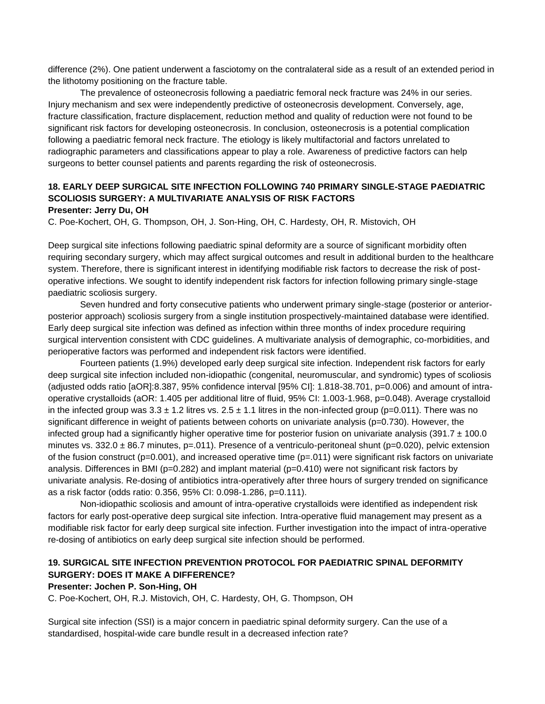difference (2%). One patient underwent a fasciotomy on the contralateral side as a result of an extended period in the lithotomy positioning on the fracture table.

The prevalence of osteonecrosis following a paediatric femoral neck fracture was 24% in our series. Injury mechanism and sex were independently predictive of osteonecrosis development. Conversely, age, fracture classification, fracture displacement, reduction method and quality of reduction were not found to be significant risk factors for developing osteonecrosis. In conclusion, osteonecrosis is a potential complication following a paediatric femoral neck fracture. The etiology is likely multifactorial and factors unrelated to radiographic parameters and classifications appear to play a role. Awareness of predictive factors can help surgeons to better counsel patients and parents regarding the risk of osteonecrosis.

### **18. EARLY DEEP SURGICAL SITE INFECTION FOLLOWING 740 PRIMARY SINGLE-STAGE PAEDIATRIC SCOLIOSIS SURGERY: A MULTIVARIATE ANALYSIS OF RISK FACTORS Presenter: Jerry Du, OH**

C. Poe-Kochert, OH, G. Thompson, OH, J. Son-Hing, OH, C. Hardesty, OH, R. Mistovich, OH

Deep surgical site infections following paediatric spinal deformity are a source of significant morbidity often requiring secondary surgery, which may affect surgical outcomes and result in additional burden to the healthcare system. Therefore, there is significant interest in identifying modifiable risk factors to decrease the risk of postoperative infections. We sought to identify independent risk factors for infection following primary single-stage paediatric scoliosis surgery.

Seven hundred and forty consecutive patients who underwent primary single-stage (posterior or anteriorposterior approach) scoliosis surgery from a single institution prospectively-maintained database were identified. Early deep surgical site infection was defined as infection within three months of index procedure requiring surgical intervention consistent with CDC guidelines. A multivariate analysis of demographic, co-morbidities, and perioperative factors was performed and independent risk factors were identified.

Fourteen patients (1.9%) developed early deep surgical site infection. Independent risk factors for early deep surgical site infection included non-idiopathic (congenital, neuromuscular, and syndromic) types of scoliosis (adjusted odds ratio [aOR]:8.387, 95% confidence interval [95% CI]: 1.818-38.701, p=0.006) and amount of intraoperative crystalloids (aOR: 1.405 per additional litre of fluid, 95% CI: 1.003-1.968, p=0.048). Average crystalloid in the infected group was  $3.3 \pm 1.2$  litres vs.  $2.5 \pm 1.1$  litres in the non-infected group (p=0.011). There was no significant difference in weight of patients between cohorts on univariate analysis (p=0.730). However, the infected group had a significantly higher operative time for posterior fusion on univariate analysis (391.7  $\pm$  100.0 minutes vs. 332.0  $\pm$  86.7 minutes, p=.011). Presence of a ventriculo-peritoneal shunt (p=0.020), pelvic extension of the fusion construct ( $p=0.001$ ), and increased operative time ( $p=.011$ ) were significant risk factors on univariate analysis. Differences in BMI (p=0.282) and implant material (p=0.410) were not significant risk factors by univariate analysis. Re-dosing of antibiotics intra-operatively after three hours of surgery trended on significance as a risk factor (odds ratio: 0.356, 95% CI: 0.098-1.286, p=0.111).

Non-idiopathic scoliosis and amount of intra-operative crystalloids were identified as independent risk factors for early post-operative deep surgical site infection. Intra-operative fluid management may present as a modifiable risk factor for early deep surgical site infection. Further investigation into the impact of intra-operative re-dosing of antibiotics on early deep surgical site infection should be performed.

### **19. SURGICAL SITE INFECTION PREVENTION PROTOCOL FOR PAEDIATRIC SPINAL DEFORMITY SURGERY: DOES IT MAKE A DIFFERENCE?**

#### **Presenter: Jochen P. Son-Hing, OH**

C. Poe-Kochert, OH, R.J. Mistovich, OH, C. Hardesty, OH, G. Thompson, OH

Surgical site infection (SSI) is a major concern in paediatric spinal deformity surgery. Can the use of a standardised, hospital-wide care bundle result in a decreased infection rate?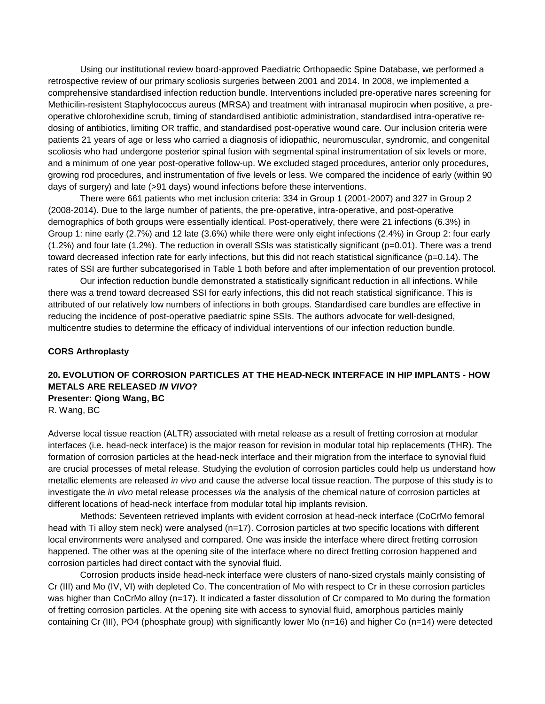Using our institutional review board-approved Paediatric Orthopaedic Spine Database, we performed a retrospective review of our primary scoliosis surgeries between 2001 and 2014. In 2008, we implemented a comprehensive standardised infection reduction bundle. Interventions included pre-operative nares screening for Methicilin-resistent Staphylococcus aureus (MRSA) and treatment with intranasal mupirocin when positive, a preoperative chlorohexidine scrub, timing of standardised antibiotic administration, standardised intra-operative redosing of antibiotics, limiting OR traffic, and standardised post-operative wound care. Our inclusion criteria were patients 21 years of age or less who carried a diagnosis of idiopathic, neuromuscular, syndromic, and congenital scoliosis who had undergone posterior spinal fusion with segmental spinal instrumentation of six levels or more, and a minimum of one year post-operative follow-up. We excluded staged procedures, anterior only procedures, growing rod procedures, and instrumentation of five levels or less. We compared the incidence of early (within 90 days of surgery) and late (>91 days) wound infections before these interventions.

There were 661 patients who met inclusion criteria: 334 in Group 1 (2001-2007) and 327 in Group 2 (2008-2014). Due to the large number of patients, the pre-operative, intra-operative, and post-operative demographics of both groups were essentially identical. Post-operatively, there were 21 infections (6.3%) in Group 1: nine early (2.7%) and 12 late (3.6%) while there were only eight infections (2.4%) in Group 2: four early  $(1.2%)$  and four late  $(1.2%)$ . The reduction in overall SSIs was statistically significant ( $p=0.01$ ). There was a trend toward decreased infection rate for early infections, but this did not reach statistical significance (p=0.14). The rates of SSI are further subcategorised in Table 1 both before and after implementation of our prevention protocol.

Our infection reduction bundle demonstrated a statistically significant reduction in all infections. While there was a trend toward decreased SSI for early infections, this did not reach statistical significance. This is attributed of our relatively low numbers of infections in both groups. Standardised care bundles are effective in reducing the incidence of post-operative paediatric spine SSIs. The authors advocate for well-designed, multicentre studies to determine the efficacy of individual interventions of our infection reduction bundle.

#### **CORS Arthroplasty**

### **20. EVOLUTION OF CORROSION PARTICLES AT THE HEAD-NECK INTERFACE IN HIP IMPLANTS - HOW METALS ARE RELEASED** *IN VIVO***? Presenter: Qiong Wang, BC**

R. Wang, BC

Adverse local tissue reaction (ALTR) associated with metal release as a result of fretting corrosion at modular interfaces (i.e. head-neck interface) is the major reason for revision in modular total hip replacements (THR). The formation of corrosion particles at the head-neck interface and their migration from the interface to synovial fluid are crucial processes of metal release. Studying the evolution of corrosion particles could help us understand how metallic elements are released *in vivo* and cause the adverse local tissue reaction. The purpose of this study is to investigate the *in vivo* metal release processes *via* the analysis of the chemical nature of corrosion particles at different locations of head-neck interface from modular total hip implants revision.

Methods: Seventeen retrieved implants with evident corrosion at head-neck interface (CoCrMo femoral head with Ti alloy stem neck) were analysed (n=17). Corrosion particles at two specific locations with different local environments were analysed and compared. One was inside the interface where direct fretting corrosion happened. The other was at the opening site of the interface where no direct fretting corrosion happened and corrosion particles had direct contact with the synovial fluid.

Corrosion products inside head-neck interface were clusters of nano-sized crystals mainly consisting of Cr (III) and Mo (IV, VI) with depleted Co. The concentration of Mo with respect to Cr in these corrosion particles was higher than CoCrMo alloy (n=17). It indicated a faster dissolution of Cr compared to Mo during the formation of fretting corrosion particles. At the opening site with access to synovial fluid, amorphous particles mainly containing Cr (III), PO4 (phosphate group) with significantly lower Mo (n=16) and higher Co (n=14) were detected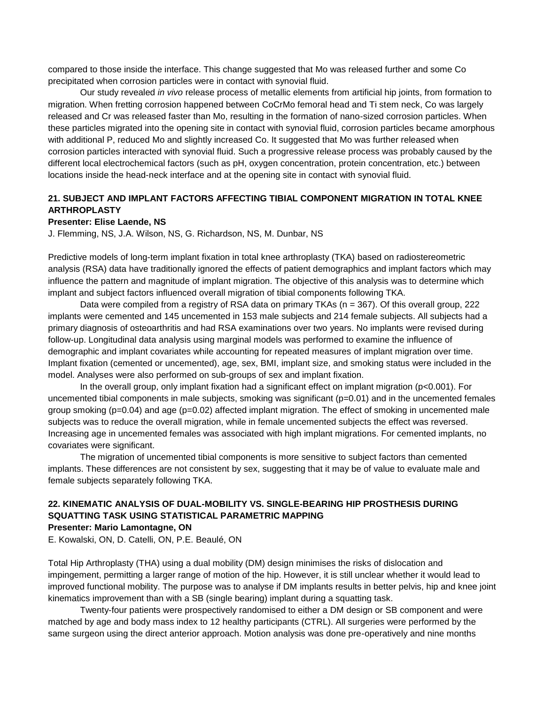compared to those inside the interface. This change suggested that Mo was released further and some Co precipitated when corrosion particles were in contact with synovial fluid.

Our study revealed *in vivo* release process of metallic elements from artificial hip joints, from formation to migration. When fretting corrosion happened between CoCrMo femoral head and Ti stem neck, Co was largely released and Cr was released faster than Mo, resulting in the formation of nano-sized corrosion particles. When these particles migrated into the opening site in contact with synovial fluid, corrosion particles became amorphous with additional P, reduced Mo and slightly increased Co. It suggested that Mo was further released when corrosion particles interacted with synovial fluid. Such a progressive release process was probably caused by the different local electrochemical factors (such as pH, oxygen concentration, protein concentration, etc.) between locations inside the head-neck interface and at the opening site in contact with synovial fluid.

### **21. SUBJECT AND IMPLANT FACTORS AFFECTING TIBIAL COMPONENT MIGRATION IN TOTAL KNEE ARTHROPLASTY**

#### **Presenter: Elise Laende, NS**

J. Flemming, NS, J.A. Wilson, NS, G. Richardson, NS, M. Dunbar, NS

Predictive models of long-term implant fixation in total knee arthroplasty (TKA) based on radiostereometric analysis (RSA) data have traditionally ignored the effects of patient demographics and implant factors which may influence the pattern and magnitude of implant migration. The objective of this analysis was to determine which implant and subject factors influenced overall migration of tibial components following TKA.

Data were compiled from a registry of RSA data on primary TKAs (n = 367). Of this overall group, 222 implants were cemented and 145 uncemented in 153 male subjects and 214 female subjects. All subjects had a primary diagnosis of osteoarthritis and had RSA examinations over two years. No implants were revised during follow-up. Longitudinal data analysis using marginal models was performed to examine the influence of demographic and implant covariates while accounting for repeated measures of implant migration over time. Implant fixation (cemented or uncemented), age, sex, BMI, implant size, and smoking status were included in the model. Analyses were also performed on sub-groups of sex and implant fixation.

In the overall group, only implant fixation had a significant effect on implant migration (p<0.001). For uncemented tibial components in male subjects, smoking was significant (p=0.01) and in the uncemented females group smoking (p=0.04) and age (p=0.02) affected implant migration. The effect of smoking in uncemented male subjects was to reduce the overall migration, while in female uncemented subjects the effect was reversed. Increasing age in uncemented females was associated with high implant migrations. For cemented implants, no covariates were significant.

The migration of uncemented tibial components is more sensitive to subject factors than cemented implants. These differences are not consistent by sex, suggesting that it may be of value to evaluate male and female subjects separately following TKA.

### **22. KINEMATIC ANALYSIS OF DUAL-MOBILITY VS. SINGLE-BEARING HIP PROSTHESIS DURING SQUATTING TASK USING STATISTICAL PARAMETRIC MAPPING Presenter: Mario Lamontagne, ON**

E. Kowalski, ON, D. Catelli, ON, P.E. Beaulé, ON

Total Hip Arthroplasty (THA) using a dual mobility (DM) design minimises the risks of dislocation and impingement, permitting a larger range of motion of the hip. However, it is still unclear whether it would lead to improved functional mobility. The purpose was to analyse if DM implants results in better pelvis, hip and knee joint kinematics improvement than with a SB (single bearing) implant during a squatting task.

Twenty-four patients were prospectively randomised to either a DM design or SB component and were matched by age and body mass index to 12 healthy participants (CTRL). All surgeries were performed by the same surgeon using the direct anterior approach. Motion analysis was done pre-operatively and nine months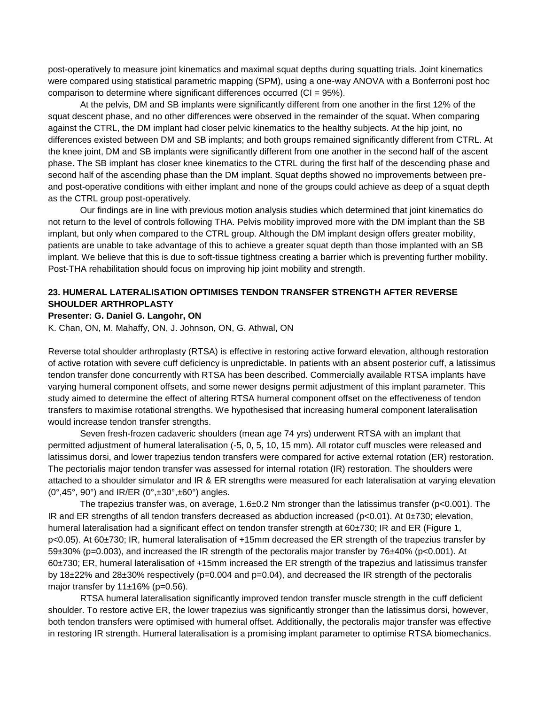post-operatively to measure joint kinematics and maximal squat depths during squatting trials. Joint kinematics were compared using statistical parametric mapping (SPM), using a one-way ANOVA with a Bonferroni post hoc comparison to determine where significant differences occurred (CI = 95%).

At the pelvis, DM and SB implants were significantly different from one another in the first 12% of the squat descent phase, and no other differences were observed in the remainder of the squat. When comparing against the CTRL, the DM implant had closer pelvic kinematics to the healthy subjects. At the hip joint, no differences existed between DM and SB implants; and both groups remained significantly different from CTRL. At the knee joint, DM and SB implants were significantly different from one another in the second half of the ascent phase. The SB implant has closer knee kinematics to the CTRL during the first half of the descending phase and second half of the ascending phase than the DM implant. Squat depths showed no improvements between preand post-operative conditions with either implant and none of the groups could achieve as deep of a squat depth as the CTRL group post-operatively.

Our findings are in line with previous motion analysis studies which determined that joint kinematics do not return to the level of controls following THA. Pelvis mobility improved more with the DM implant than the SB implant, but only when compared to the CTRL group. Although the DM implant design offers greater mobility, patients are unable to take advantage of this to achieve a greater squat depth than those implanted with an SB implant. We believe that this is due to soft-tissue tightness creating a barrier which is preventing further mobility. Post-THA rehabilitation should focus on improving hip joint mobility and strength.

### **23. HUMERAL LATERALISATION OPTIMISES TENDON TRANSFER STRENGTH AFTER REVERSE SHOULDER ARTHROPLASTY**

#### **Presenter: G. Daniel G. Langohr, ON**

K. Chan, ON, M. Mahaffy, ON, J. Johnson, ON, G. Athwal, ON

Reverse total shoulder arthroplasty (RTSA) is effective in restoring active forward elevation, although restoration of active rotation with severe cuff deficiency is unpredictable. In patients with an absent posterior cuff, a latissimus tendon transfer done concurrently with RTSA has been described. Commercially available RTSA implants have varying humeral component offsets, and some newer designs permit adjustment of this implant parameter. This study aimed to determine the effect of altering RTSA humeral component offset on the effectiveness of tendon transfers to maximise rotational strengths. We hypothesised that increasing humeral component lateralisation would increase tendon transfer strengths.

Seven fresh-frozen cadaveric shoulders (mean age 74 yrs) underwent RTSA with an implant that permitted adjustment of humeral lateralisation (-5, 0, 5, 10, 15 mm). All rotator cuff muscles were released and latissimus dorsi, and lower trapezius tendon transfers were compared for active external rotation (ER) restoration. The pectorialis major tendon transfer was assessed for internal rotation (IR) restoration. The shoulders were attached to a shoulder simulator and IR & ER strengths were measured for each lateralisation at varying elevation  $(0^{\circ}, 45^{\circ}, 90^{\circ})$  and IR/ER  $(0^{\circ}, \pm 30^{\circ}, \pm 60^{\circ})$  angles.

The trapezius transfer was, on average,  $1.6\pm0.2$  Nm stronger than the latissimus transfer (p<0.001). The IR and ER strengths of all tendon transfers decreased as abduction increased (p<0.01). At 0±730; elevation, humeral lateralisation had a significant effect on tendon transfer strength at 60±730; IR and ER (Figure 1, p<0.05). At 60±730; IR, humeral lateralisation of +15mm decreased the ER strength of the trapezius transfer by 59±30% (p=0.003), and increased the IR strength of the pectoralis major transfer by 76±40% (p<0.001). At 60±730; ER, humeral lateralisation of +15mm increased the ER strength of the trapezius and latissimus transfer by 18 $\pm$ 22% and 28 $\pm$ 30% respectively (p=0.004 and p=0.04), and decreased the IR strength of the pectoralis major transfer by  $11±16%$  (p=0.56).

RTSA humeral lateralisation significantly improved tendon transfer muscle strength in the cuff deficient shoulder. To restore active ER, the lower trapezius was significantly stronger than the latissimus dorsi, however, both tendon transfers were optimised with humeral offset. Additionally, the pectoralis major transfer was effective in restoring IR strength. Humeral lateralisation is a promising implant parameter to optimise RTSA biomechanics.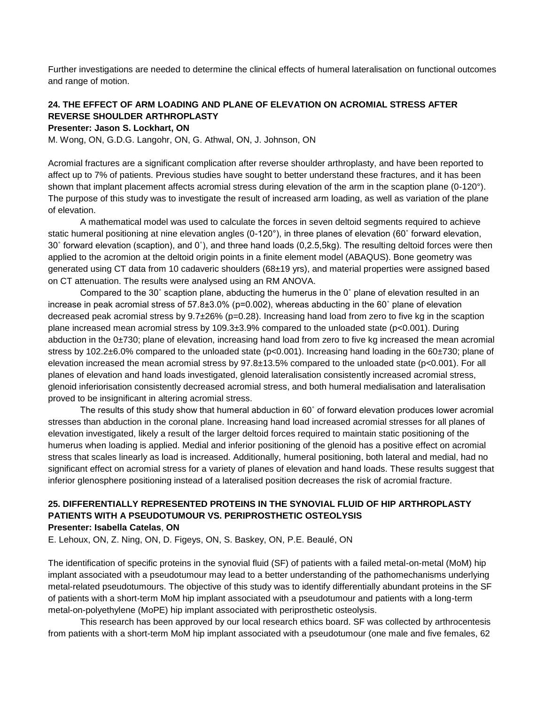Further investigations are needed to determine the clinical effects of humeral lateralisation on functional outcomes and range of motion.

### **24. THE EFFECT OF ARM LOADING AND PLANE OF ELEVATION ON ACROMIAL STRESS AFTER REVERSE SHOULDER ARTHROPLASTY**

**Presenter: Jason S. Lockhart, ON**

M. Wong, ON, G.D.G. Langohr, ON, G. Athwal, ON, J. Johnson, ON

Acromial fractures are a significant complication after reverse shoulder arthroplasty, and have been reported to affect up to 7% of patients. Previous studies have sought to better understand these fractures, and it has been shown that implant placement affects acromial stress during elevation of the arm in the scaption plane (0-120°). The purpose of this study was to investigate the result of increased arm loading, as well as variation of the plane of elevation.

A mathematical model was used to calculate the forces in seven deltoid segments required to achieve static humeral positioning at nine elevation angles (0-120°), in three planes of elevation (60˚ forward elevation, 30˚ forward elevation (scaption), and 0˚), and three hand loads (0,2.5,5kg). The resulting deltoid forces were then applied to the acromion at the deltoid origin points in a finite element model (ABAQUS). Bone geometry was generated using CT data from 10 cadaveric shoulders (68±19 yrs), and material properties were assigned based on CT attenuation. The results were analysed using an RM ANOVA.

Compared to the 30˚ scaption plane, abducting the humerus in the 0˚ plane of elevation resulted in an increase in peak acromial stress of  $57.8\pm3.0\%$  (p=0.002), whereas abducting in the 60° plane of elevation decreased peak acromial stress by 9.7±26% (p=0.28). Increasing hand load from zero to five kg in the scaption plane increased mean acromial stress by 109.3±3.9% compared to the unloaded state (p<0.001). During abduction in the 0±730; plane of elevation, increasing hand load from zero to five kg increased the mean acromial stress by 102.2±6.0% compared to the unloaded state (p<0.001). Increasing hand loading in the 60±730; plane of elevation increased the mean acromial stress by 97.8±13.5% compared to the unloaded state (p<0.001). For all planes of elevation and hand loads investigated, glenoid lateralisation consistently increased acromial stress, glenoid inferiorisation consistently decreased acromial stress, and both humeral medialisation and lateralisation proved to be insignificant in altering acromial stress.

The results of this study show that humeral abduction in 60˚ of forward elevation produces lower acromial stresses than abduction in the coronal plane. Increasing hand load increased acromial stresses for all planes of elevation investigated, likely a result of the larger deltoid forces required to maintain static positioning of the humerus when loading is applied. Medial and inferior positioning of the glenoid has a positive effect on acromial stress that scales linearly as load is increased. Additionally, humeral positioning, both lateral and medial, had no significant effect on acromial stress for a variety of planes of elevation and hand loads. These results suggest that inferior glenosphere positioning instead of a lateralised position decreases the risk of acromial fracture.

### **25. DIFFERENTIALLY REPRESENTED PROTEINS IN THE SYNOVIAL FLUID OF HIP ARTHROPLASTY PATIENTS WITH A PSEUDOTUMOUR VS. PERIPROSTHETIC OSTEOLYSIS Presenter: Isabella Catelas**, **ON**

E. Lehoux, ON, Z. Ning, ON, D. Figeys, ON, S. Baskey, ON, P.E. Beaulé, ON

The identification of specific proteins in the synovial fluid (SF) of patients with a failed metal-on-metal (MoM) hip implant associated with a pseudotumour may lead to a better understanding of the pathomechanisms underlying metal-related pseudotumours. The objective of this study was to identify differentially abundant proteins in the SF of patients with a short-term MoM hip implant associated with a pseudotumour and patients with a long-term metal-on-polyethylene (MoPE) hip implant associated with periprosthetic osteolysis.

This research has been approved by our local research ethics board. SF was collected by arthrocentesis from patients with a short-term MoM hip implant associated with a pseudotumour (one male and five females, 62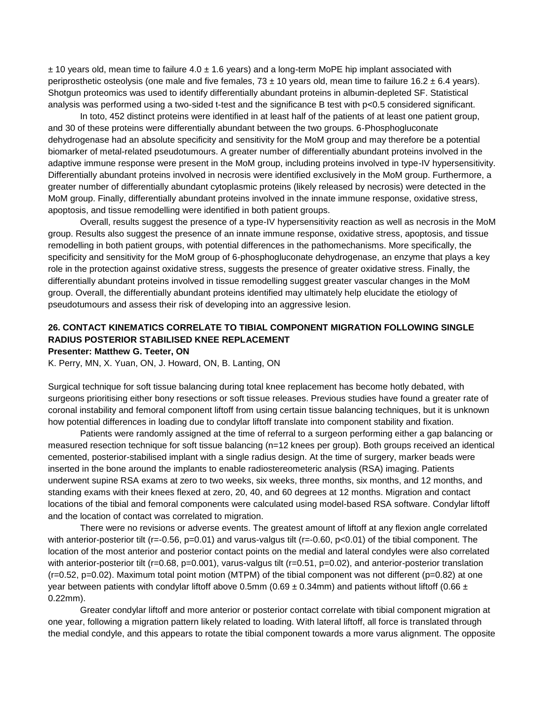$± 10$  years old, mean time to failure  $4.0 ± 1.6$  years) and a long-term MoPE hip implant associated with periprosthetic osteolysis (one male and five females,  $73 \pm 10$  years old, mean time to failure 16.2  $\pm$  6.4 years). Shotgun proteomics was used to identify differentially abundant proteins in albumin-depleted SF. Statistical analysis was performed using a two-sided t-test and the significance B test with p<0.5 considered significant.

In toto, 452 distinct proteins were identified in at least half of the patients of at least one patient group, and 30 of these proteins were differentially abundant between the two groups. 6-Phosphogluconate dehydrogenase had an absolute specificity and sensitivity for the MoM group and may therefore be a potential biomarker of metal-related pseudotumours. A greater number of differentially abundant proteins involved in the adaptive immune response were present in the MoM group, including proteins involved in type-IV hypersensitivity. Differentially abundant proteins involved in necrosis were identified exclusively in the MoM group. Furthermore, a greater number of differentially abundant cytoplasmic proteins (likely released by necrosis) were detected in the MoM group. Finally, differentially abundant proteins involved in the innate immune response, oxidative stress, apoptosis, and tissue remodelling were identified in both patient groups.

Overall, results suggest the presence of a type-IV hypersensitivity reaction as well as necrosis in the MoM group. Results also suggest the presence of an innate immune response, oxidative stress, apoptosis, and tissue remodelling in both patient groups, with potential differences in the pathomechanisms. More specifically, the specificity and sensitivity for the MoM group of 6-phosphogluconate dehydrogenase, an enzyme that plays a key role in the protection against oxidative stress, suggests the presence of greater oxidative stress. Finally, the differentially abundant proteins involved in tissue remodelling suggest greater vascular changes in the MoM group. Overall, the differentially abundant proteins identified may ultimately help elucidate the etiology of pseudotumours and assess their risk of developing into an aggressive lesion.

### **26. CONTACT KINEMATICS CORRELATE TO TIBIAL COMPONENT MIGRATION FOLLOWING SINGLE RADIUS POSTERIOR STABILISED KNEE REPLACEMENT**

#### **Presenter: Matthew G. Teeter, ON**

K. Perry, MN, X. Yuan, ON, J. Howard, ON, B. Lanting, ON

Surgical technique for soft tissue balancing during total knee replacement has become hotly debated, with surgeons prioritising either bony resections or soft tissue releases. Previous studies have found a greater rate of coronal instability and femoral component liftoff from using certain tissue balancing techniques, but it is unknown how potential differences in loading due to condylar liftoff translate into component stability and fixation.

Patients were randomly assigned at the time of referral to a surgeon performing either a gap balancing or measured resection technique for soft tissue balancing (n=12 knees per group). Both groups received an identical cemented, posterior-stabilised implant with a single radius design. At the time of surgery, marker beads were inserted in the bone around the implants to enable radiostereometeric analysis (RSA) imaging. Patients underwent supine RSA exams at zero to two weeks, six weeks, three months, six months, and 12 months, and standing exams with their knees flexed at zero, 20, 40, and 60 degrees at 12 months. Migration and contact locations of the tibial and femoral components were calculated using model-based RSA software. Condylar liftoff and the location of contact was correlated to migration.

There were no revisions or adverse events. The greatest amount of liftoff at any flexion angle correlated with anterior-posterior tilt (r=-0.56, p=0.01) and varus-valgus tilt (r=-0.60, p<0.01) of the tibial component. The location of the most anterior and posterior contact points on the medial and lateral condyles were also correlated with anterior-posterior tilt ( $r=0.68$ ,  $p=0.001$ ), varus-valgus tilt ( $r=0.51$ ,  $p=0.02$ ), and anterior-posterior translation  $(r=0.52, p=0.02)$ . Maximum total point motion (MTPM) of the tibial component was not different ( $p=0.82$ ) at one year between patients with condylar liftoff above 0.5mm (0.69  $\pm$  0.34mm) and patients without liftoff (0.66  $\pm$ 0.22mm).

Greater condylar liftoff and more anterior or posterior contact correlate with tibial component migration at one year, following a migration pattern likely related to loading. With lateral liftoff, all force is translated through the medial condyle, and this appears to rotate the tibial component towards a more varus alignment. The opposite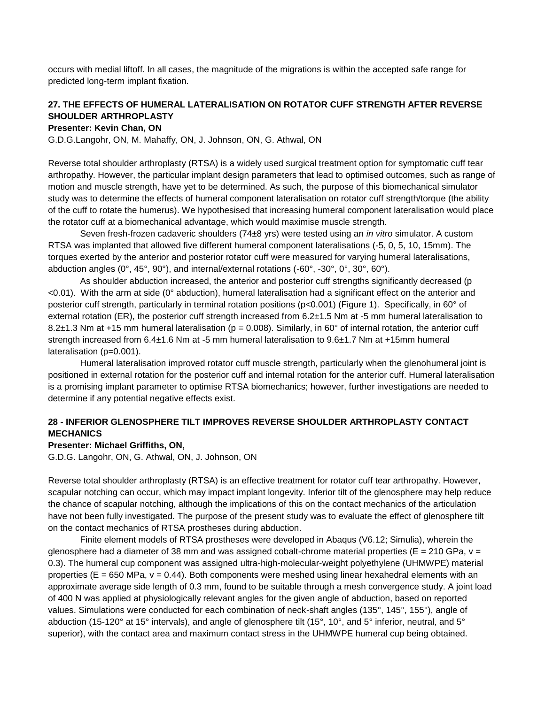occurs with medial liftoff. In all cases, the magnitude of the migrations is within the accepted safe range for predicted long-term implant fixation.

### **27. THE EFFECTS OF HUMERAL LATERALISATION ON ROTATOR CUFF STRENGTH AFTER REVERSE SHOULDER ARTHROPLASTY**

#### **Presenter: Kevin Chan, ON**

G.D.G.Langohr, ON, M. Mahaffy, ON, J. Johnson, ON, G. Athwal, ON

Reverse total shoulder arthroplasty (RTSA) is a widely used surgical treatment option for symptomatic cuff tear arthropathy. However, the particular implant design parameters that lead to optimised outcomes, such as range of motion and muscle strength, have yet to be determined. As such, the purpose of this biomechanical simulator study was to determine the effects of humeral component lateralisation on rotator cuff strength/torque (the ability of the cuff to rotate the humerus). We hypothesised that increasing humeral component lateralisation would place the rotator cuff at a biomechanical advantage, which would maximise muscle strength.

Seven fresh-frozen cadaveric shoulders (74±8 yrs) were tested using an *in vitro* simulator. A custom RTSA was implanted that allowed five different humeral component lateralisations (-5, 0, 5, 10, 15mm). The torques exerted by the anterior and posterior rotator cuff were measured for varying humeral lateralisations, abduction angles (0°, 45°, 90°), and internal/external rotations (-60°, -30°, 0°, 30°, 60°).

As shoulder abduction increased, the anterior and posterior cuff strengths significantly decreased (p <0.01). With the arm at side (0° abduction), humeral lateralisation had a significant effect on the anterior and posterior cuff strength, particularly in terminal rotation positions (p<0.001) (Figure 1). Specifically, in 60° of external rotation (ER), the posterior cuff strength increased from 6.2±1.5 Nm at -5 mm humeral lateralisation to 8.2 $\pm$ 1.3 Nm at +15 mm humeral lateralisation (p = 0.008). Similarly, in 60° of internal rotation, the anterior cuff strength increased from 6.4±1.6 Nm at -5 mm humeral lateralisation to 9.6±1.7 Nm at +15mm humeral lateralisation (p=0.001).

Humeral lateralisation improved rotator cuff muscle strength, particularly when the glenohumeral joint is positioned in external rotation for the posterior cuff and internal rotation for the anterior cuff. Humeral lateralisation is a promising implant parameter to optimise RTSA biomechanics; however, further investigations are needed to determine if any potential negative effects exist.

### **28 - INFERIOR GLENOSPHERE TILT IMPROVES REVERSE SHOULDER ARTHROPLASTY CONTACT MECHANICS**

#### **Presenter: Michael Griffiths, ON,**

G.D.G. Langohr, ON, G. Athwal, ON, J. Johnson, ON

Reverse total shoulder arthroplasty (RTSA) is an effective treatment for rotator cuff tear arthropathy. However, scapular notching can occur, which may impact implant longevity. Inferior tilt of the glenosphere may help reduce the chance of scapular notching, although the implications of this on the contact mechanics of the articulation have not been fully investigated. The purpose of the present study was to evaluate the effect of glenosphere tilt on the contact mechanics of RTSA prostheses during abduction.

Finite element models of RTSA prostheses were developed in Abaqus (V6.12; Simulia), wherein the glenosphere had a diameter of 38 mm and was assigned cobalt-chrome material properties ( $E = 210$  GPa,  $v =$ 0.3). The humeral cup component was assigned ultra-high-molecular-weight polyethylene (UHMWPE) material properties ( $E = 650$  MPa,  $v = 0.44$ ). Both components were meshed using linear hexahedral elements with an approximate average side length of 0.3 mm, found to be suitable through a mesh convergence study. A joint load of 400 N was applied at physiologically relevant angles for the given angle of abduction, based on reported values. Simulations were conducted for each combination of neck-shaft angles (135°, 145°, 155°), angle of abduction (15-120° at 15° intervals), and angle of glenosphere tilt (15°, 10°, and 5° inferior, neutral, and 5° superior), with the contact area and maximum contact stress in the UHMWPE humeral cup being obtained.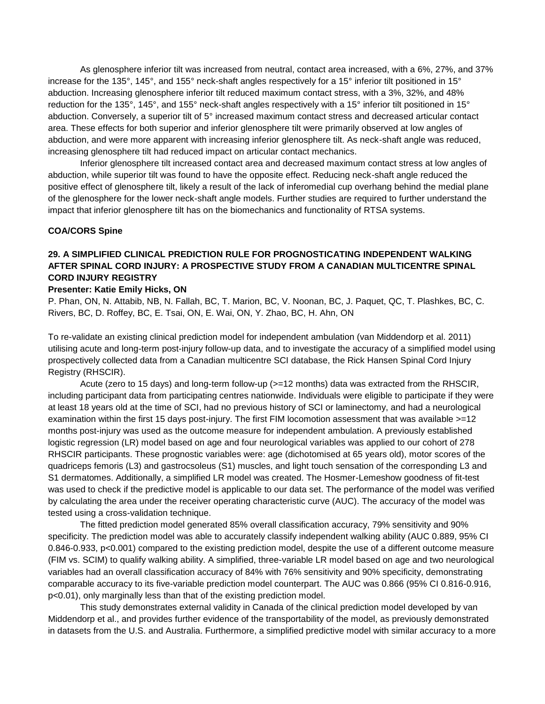As glenosphere inferior tilt was increased from neutral, contact area increased, with a 6%, 27%, and 37% increase for the 135°, 145°, and 155° neck-shaft angles respectively for a 15° inferior tilt positioned in 15° abduction. Increasing glenosphere inferior tilt reduced maximum contact stress, with a 3%, 32%, and 48% reduction for the 135°, 145°, and 155° neck-shaft angles respectively with a 15° inferior tilt positioned in 15° abduction. Conversely, a superior tilt of 5° increased maximum contact stress and decreased articular contact area. These effects for both superior and inferior glenosphere tilt were primarily observed at low angles of abduction, and were more apparent with increasing inferior glenosphere tilt. As neck-shaft angle was reduced, increasing glenosphere tilt had reduced impact on articular contact mechanics.

Inferior glenosphere tilt increased contact area and decreased maximum contact stress at low angles of abduction, while superior tilt was found to have the opposite effect. Reducing neck-shaft angle reduced the positive effect of glenosphere tilt, likely a result of the lack of inferomedial cup overhang behind the medial plane of the glenosphere for the lower neck-shaft angle models. Further studies are required to further understand the impact that inferior glenosphere tilt has on the biomechanics and functionality of RTSA systems.

#### **COA/CORS Spine**

### **29. A SIMPLIFIED CLINICAL PREDICTION RULE FOR PROGNOSTICATING INDEPENDENT WALKING AFTER SPINAL CORD INJURY: A PROSPECTIVE STUDY FROM A CANADIAN MULTICENTRE SPINAL CORD INJURY REGISTRY**

#### **Presenter: Katie Emily Hicks, ON**

P. Phan, ON, N. Attabib, NB, N. Fallah, BC, T. Marion, BC, V. Noonan, BC, J. Paquet, QC, T. Plashkes, BC, C. Rivers, BC, D. Roffey, BC, E. Tsai, ON, E. Wai, ON, Y. Zhao, BC, H. Ahn, ON

To re-validate an existing clinical prediction model for independent ambulation (van Middendorp et al. 2011) utilising acute and long-term post-injury follow-up data, and to investigate the accuracy of a simplified model using prospectively collected data from a Canadian multicentre SCI database, the Rick Hansen Spinal Cord Injury Registry (RHSCIR).

Acute (zero to 15 days) and long-term follow-up (>=12 months) data was extracted from the RHSCIR, including participant data from participating centres nationwide. Individuals were eligible to participate if they were at least 18 years old at the time of SCI, had no previous history of SCI or laminectomy, and had a neurological examination within the first 15 days post-injury. The first FIM locomotion assessment that was available >=12 months post-injury was used as the outcome measure for independent ambulation. A previously established logistic regression (LR) model based on age and four neurological variables was applied to our cohort of 278 RHSCIR participants. These prognostic variables were: age (dichotomised at 65 years old), motor scores of the quadriceps femoris (L3) and gastrocsoleus (S1) muscles, and light touch sensation of the corresponding L3 and S1 dermatomes. Additionally, a simplified LR model was created. The Hosmer-Lemeshow goodness of fit-test was used to check if the predictive model is applicable to our data set. The performance of the model was verified by calculating the area under the receiver operating characteristic curve (AUC). The accuracy of the model was tested using a cross-validation technique.

The fitted prediction model generated 85% overall classification accuracy, 79% sensitivity and 90% specificity. The prediction model was able to accurately classify independent walking ability (AUC 0.889, 95% CI 0.846-0.933, p<0.001) compared to the existing prediction model, despite the use of a different outcome measure (FIM vs. SCIM) to qualify walking ability. A simplified, three-variable LR model based on age and two neurological variables had an overall classification accuracy of 84% with 76% sensitivity and 90% specificity, demonstrating comparable accuracy to its five-variable prediction model counterpart. The AUC was 0.866 (95% CI 0.816-0.916, p<0.01), only marginally less than that of the existing prediction model.

This study demonstrates external validity in Canada of the clinical prediction model developed by van Middendorp et al., and provides further evidence of the transportability of the model, as previously demonstrated in datasets from the U.S. and Australia. Furthermore, a simplified predictive model with similar accuracy to a more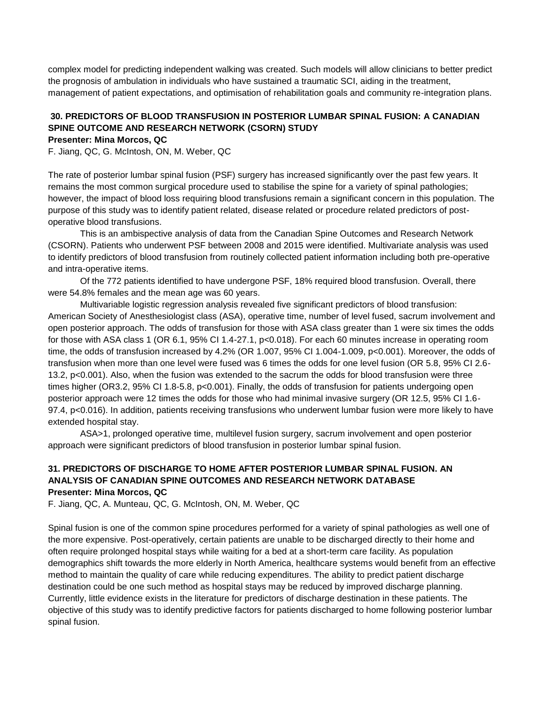complex model for predicting independent walking was created. Such models will allow clinicians to better predict the prognosis of ambulation in individuals who have sustained a traumatic SCI, aiding in the treatment, management of patient expectations, and optimisation of rehabilitation goals and community re-integration plans.

#### **30. PREDICTORS OF BLOOD TRANSFUSION IN POSTERIOR LUMBAR SPINAL FUSION: A CANADIAN SPINE OUTCOME AND RESEARCH NETWORK (CSORN) STUDY Presenter: Mina Morcos, QC**

F. Jiang, QC, G. McIntosh, ON, M. Weber, QC

The rate of posterior lumbar spinal fusion (PSF) surgery has increased significantly over the past few years. It remains the most common surgical procedure used to stabilise the spine for a variety of spinal pathologies; however, the impact of blood loss requiring blood transfusions remain a significant concern in this population. The purpose of this study was to identify patient related, disease related or procedure related predictors of postoperative blood transfusions.

This is an ambispective analysis of data from the Canadian Spine Outcomes and Research Network (CSORN). Patients who underwent PSF between 2008 and 2015 were identified. Multivariate analysis was used to identify predictors of blood transfusion from routinely collected patient information including both pre-operative and intra-operative items.

Of the 772 patients identified to have undergone PSF, 18% required blood transfusion. Overall, there were 54.8% females and the mean age was 60 years.

Multivariable logistic regression analysis revealed five significant predictors of blood transfusion: American Society of Anesthesiologist class (ASA), operative time, number of level fused, sacrum involvement and open posterior approach. The odds of transfusion for those with ASA class greater than 1 were six times the odds for those with ASA class 1 (OR 6.1, 95% CI 1.4-27.1, p<0.018). For each 60 minutes increase in operating room time, the odds of transfusion increased by 4.2% (OR 1.007, 95% CI 1.004-1.009, p<0.001). Moreover, the odds of transfusion when more than one level were fused was 6 times the odds for one level fusion (OR 5.8, 95% CI 2.6- 13.2, p<0.001). Also, when the fusion was extended to the sacrum the odds for blood transfusion were three times higher (OR3.2, 95% CI 1.8-5.8, p<0.001). Finally, the odds of transfusion for patients undergoing open posterior approach were 12 times the odds for those who had minimal invasive surgery (OR 12.5, 95% CI 1.6- 97.4, p<0.016). In addition, patients receiving transfusions who underwent lumbar fusion were more likely to have extended hospital stay.

ASA>1, prolonged operative time, multilevel fusion surgery, sacrum involvement and open posterior approach were significant predictors of blood transfusion in posterior lumbar spinal fusion.

### **31. PREDICTORS OF DISCHARGE TO HOME AFTER POSTERIOR LUMBAR SPINAL FUSION. AN ANALYSIS OF CANADIAN SPINE OUTCOMES AND RESEARCH NETWORK DATABASE Presenter: Mina Morcos, QC**

F. Jiang, QC, A. Munteau, QC, G. McIntosh, ON, M. Weber, QC

Spinal fusion is one of the common spine procedures performed for a variety of spinal pathologies as well one of the more expensive. Post-operatively, certain patients are unable to be discharged directly to their home and often require prolonged hospital stays while waiting for a bed at a short-term care facility. As population demographics shift towards the more elderly in North America, healthcare systems would benefit from an effective method to maintain the quality of care while reducing expenditures. The ability to predict patient discharge destination could be one such method as hospital stays may be reduced by improved discharge planning. Currently, little evidence exists in the literature for predictors of discharge destination in these patients. The objective of this study was to identify predictive factors for patients discharged to home following posterior lumbar spinal fusion.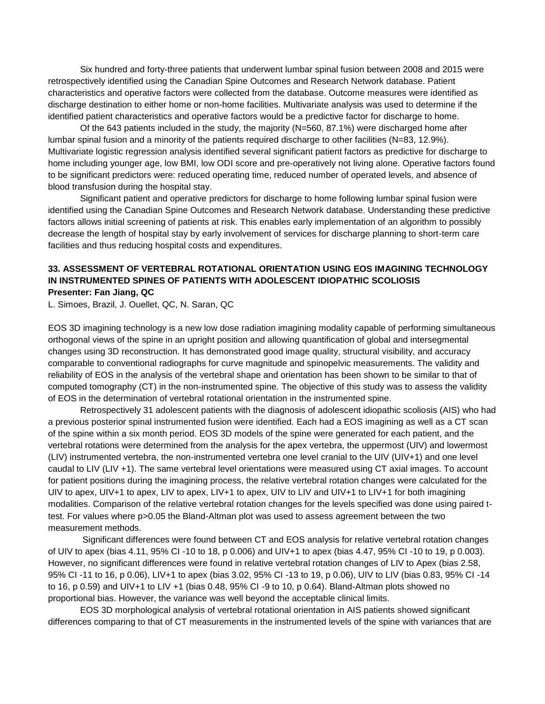Six hundred and forty-three patients that underwent lumbar spinal fusion between 2008 and 2015 were retrospectively identified using the Canadian Spine Outcomes and Research Network database. Patient characteristics and operative factors were collected from the database. Outcome measures were identified as discharge destination to either home or non-home facilities. Multivariate analysis was used to determine if the identified patient characteristics and operative factors would be a predictive factor for discharge to home.

Of the 643 patients included in the study, the majority (N=560, 87.1%) were discharged home after lumbar spinal fusion and a minority of the patients required discharge to other facilities (N=83, 12.9%). Multivariate logistic regression analysis identified several significant patient factors as predictive for discharge to home including younger age, low BMI, low ODI score and pre-operatively not living alone. Operative factors found to be significant predictors were: reduced operating time, reduced number of operated levels, and absence of blood transfusion during the hospital stay.

Significant patient and operative predictors for discharge to home following lumbar spinal fusion were identified using the Canadian Spine Outcomes and Research Network database. Understanding these predictive factors allows initial screening of patients at risk. This enables early implementation of an algorithm to possibly decrease the length of hospital stay by early involvement of services for discharge planning to short-term care facilities and thus reducing hospital costs and expenditures.

### **33. ASSESSMENT OF VERTEBRAL ROTATIONAL ORIENTATION USING EOS IMAGINING TECHNOLOGY IN INSTRUMENTED SPINES OF PATIENTS WITH ADOLESCENT IDIOPATHIC SCOLIOSIS Presenter: Fan Jiang, QC**

L. Simoes, Brazil, J. Ouellet, QC, N. Saran, QC

EOS 3D imagining technology is a new low dose radiation imagining modality capable of performing simultaneous orthogonal views of the spine in an upright position and allowing quantification of global and intersegmental changes using 3D reconstruction. It has demonstrated good image quality, structural visibility, and accuracy comparable to conventional radiographs for curve magnitude and spinopelvic measurements. The validity and reliability of EOS in the analysis of the vertebral shape and orientation has been shown to be similar to that of computed tomography (CT) in the non-instrumented spine. The objective of this study was to assess the validity of EOS in the determination of vertebral rotational orientation in the instrumented spine.

Retrospectively 31 adolescent patients with the diagnosis of adolescent idiopathic scoliosis (AIS) who had a previous posterior spinal instrumented fusion were identified. Each had a EOS imagining as well as a CT scan of the spine within a six month period. EOS 3D models of the spine were generated for each patient, and the vertebral rotations were determined from the analysis for the apex vertebra, the uppermost (UIV) and lowermost (LIV) instrumented vertebra, the non-instrumented vertebra one level cranial to the UIV (UIV+1) and one level caudal to LIV (LIV +1). The same vertebral level orientations were measured using CT axial images. To account for patient positions during the imagining process, the relative vertebral rotation changes were calculated for the UIV to apex, UIV+1 to apex, LIV to apex, LIV+1 to apex, UIV to LIV and UIV+1 to LIV+1 for both imagining modalities. Comparison of the relative vertebral rotation changes for the levels specified was done using paired ttest. For values where p>0.05 the Bland-Altman plot was used to assess agreement between the two measurement methods.

Significant differences were found between CT and EOS analysis for relative vertebral rotation changes of UIV to apex (bias 4.11, 95% CI -10 to 18, p 0.006) and UIV+1 to apex (bias 4.47, 95% CI -10 to 19, p 0.003). However, no significant differences were found in relative vertebral rotation changes of LIV to Apex (bias 2.58, 95% CI -11 to 16, p 0.06), LIV+1 to apex (bias 3.02, 95% CI -13 to 19, p 0.06), UIV to LIV (bias 0.83, 95% CI -14 to 16, p 0.59) and UIV+1 to LIV +1 (bias 0.48, 95% CI -9 to 10, p 0.64). Bland-Altman plots showed no proportional bias. However, the variance was well beyond the acceptable clinical limits.

EOS 3D morphological analysis of vertebral rotational orientation in AIS patients showed significant differences comparing to that of CT measurements in the instrumented levels of the spine with variances that are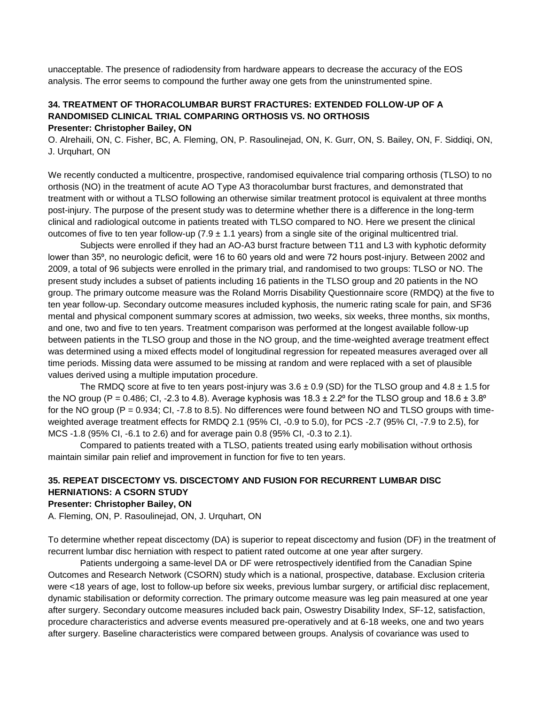unacceptable. The presence of radiodensity from hardware appears to decrease the accuracy of the EOS analysis. The error seems to compound the further away one gets from the uninstrumented spine.

### **34. TREATMENT OF THORACOLUMBAR BURST FRACTURES: EXTENDED FOLLOW-UP OF A RANDOMISED CLINICAL TRIAL COMPARING ORTHOSIS VS. NO ORTHOSIS Presenter: Christopher Bailey, ON**

O. Alrehaili, ON, C. Fisher, BC, A. Fleming, ON, P. Rasoulinejad, ON, K. Gurr, ON, S. Bailey, ON, F. Siddiqi, ON, J. Urquhart, ON

We recently conducted a multicentre, prospective, randomised equivalence trial comparing orthosis (TLSO) to no orthosis (NO) in the treatment of acute AO Type A3 thoracolumbar burst fractures, and demonstrated that treatment with or without a TLSO following an otherwise similar treatment protocol is equivalent at three months post-injury. The purpose of the present study was to determine whether there is a difference in the long-term clinical and radiological outcome in patients treated with TLSO compared to NO. Here we present the clinical outcomes of five to ten year follow-up (7.9  $\pm$  1.1 years) from a single site of the original multicentred trial.

Subjects were enrolled if they had an AO-A3 burst fracture between T11 and L3 with kyphotic deformity lower than 35<sup>o</sup>, no neurologic deficit, were 16 to 60 years old and were 72 hours post-injury. Between 2002 and 2009, a total of 96 subjects were enrolled in the primary trial, and randomised to two groups: TLSO or NO. The present study includes a subset of patients including 16 patients in the TLSO group and 20 patients in the NO group. The primary outcome measure was the Roland Morris Disability Questionnaire score (RMDQ) at the five to ten year follow-up. Secondary outcome measures included kyphosis, the numeric rating scale for pain, and SF36 mental and physical component summary scores at admission, two weeks, six weeks, three months, six months, and one, two and five to ten years. Treatment comparison was performed at the longest available follow-up between patients in the TLSO group and those in the NO group, and the time-weighted average treatment effect was determined using a mixed effects model of longitudinal regression for repeated measures averaged over all time periods. Missing data were assumed to be missing at random and were replaced with a set of plausible values derived using a multiple imputation procedure.

The RMDQ score at five to ten years post-injury was  $3.6 \pm 0.9$  (SD) for the TLSO group and  $4.8 \pm 1.5$  for the NO group (P = 0.486; CI, -2.3 to 4.8). Average kyphosis was  $18.3 \pm 2.2^{\circ}$  for the TLSO group and  $18.6 \pm 3.8^{\circ}$ for the NO group ( $P = 0.934$ ; CI, -7.8 to 8.5). No differences were found between NO and TLSO groups with timeweighted average treatment effects for RMDQ 2.1 (95% CI, -0.9 to 5.0), for PCS -2.7 (95% CI, -7.9 to 2.5), for MCS -1.8 (95% CI, -6.1 to 2.6) and for average pain 0.8 (95% CI, -0.3 to 2.1).

Compared to patients treated with a TLSO, patients treated using early mobilisation without orthosis maintain similar pain relief and improvement in function for five to ten years.

### **35. REPEAT DISCECTOMY VS. DISCECTOMY AND FUSION FOR RECURRENT LUMBAR DISC HERNIATIONS: A CSORN STUDY**

#### **Presenter: Christopher Bailey, ON**

A. Fleming, ON, P. Rasoulinejad, ON, J. Urquhart, ON

To determine whether repeat discectomy (DA) is superior to repeat discectomy and fusion (DF) in the treatment of recurrent lumbar disc herniation with respect to patient rated outcome at one year after surgery.

Patients undergoing a same-level DA or DF were retrospectively identified from the Canadian Spine Outcomes and Research Network (CSORN) study which is a national, prospective, database. Exclusion criteria were <18 years of age, lost to follow-up before six weeks, previous lumbar surgery, or artificial disc replacement, dynamic stabilisation or deformity correction. The primary outcome measure was leg pain measured at one year after surgery. Secondary outcome measures included back pain, Oswestry Disability Index, SF-12, satisfaction, procedure characteristics and adverse events measured pre-operatively and at 6-18 weeks, one and two years after surgery. Baseline characteristics were compared between groups. Analysis of covariance was used to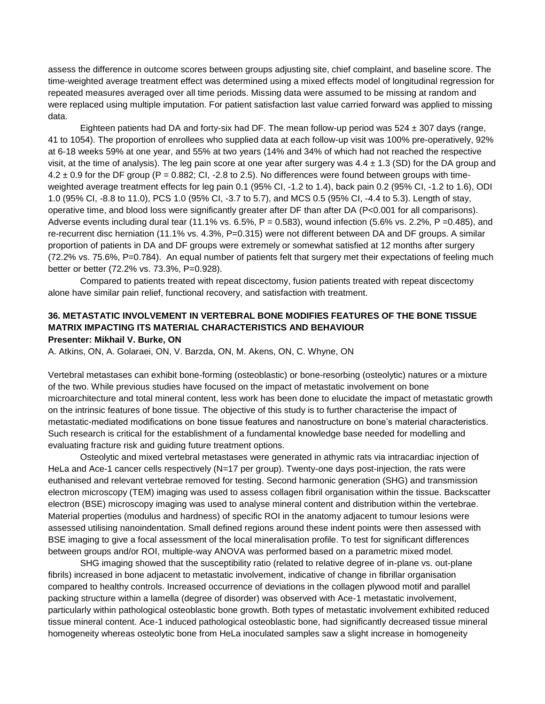assess the difference in outcome scores between groups adjusting site, chief complaint, and baseline score. The time-weighted average treatment effect was determined using a mixed effects model of longitudinal regression for repeated measures averaged over all time periods. Missing data were assumed to be missing at random and were replaced using multiple imputation. For patient satisfaction last value carried forward was applied to missing data.

Eighteen patients had DA and forty-six had DF. The mean follow-up period was  $524 \pm 307$  days (range, 41 to 1054). The proportion of enrollees who supplied data at each follow-up visit was 100% pre-operatively, 92% at 6-18 weeks 59% at one year, and 55% at two years (14% and 34% of which had not reached the respective visit, at the time of analysis). The leg pain score at one year after surgery was  $4.4 \pm 1.3$  (SD) for the DA group and  $4.2 \pm 0.9$  for the DF group (P = 0.882; CI, -2.8 to 2.5). No differences were found between groups with timeweighted average treatment effects for leg pain 0.1 (95% CI, -1.2 to 1.4), back pain 0.2 (95% CI, -1.2 to 1.6), ODI 1.0 (95% CI, -8.8 to 11.0), PCS 1.0 (95% CI, -3.7 to 5.7), and MCS 0.5 (95% CI, -4.4 to 5.3). Length of stay, operative time, and blood loss were significantly greater after DF than after DA (P<0.001 for all comparisons). Adverse events including dural tear (11.1% vs. 6.5%,  $P = 0.583$ ), wound infection (5.6% vs. 2.2%,  $P = 0.485$ ), and re-recurrent disc herniation (11.1% vs. 4.3%, P=0.315) were not different between DA and DF groups. A similar proportion of patients in DA and DF groups were extremely or somewhat satisfied at 12 months after surgery (72.2% vs. 75.6%, P=0.784). An equal number of patients felt that surgery met their expectations of feeling much better or better (72.2% vs. 73.3%, P=0.928).

Compared to patients treated with repeat discectomy, fusion patients treated with repeat discectomy alone have similar pain relief, functional recovery, and satisfaction with treatment.

#### **36. METASTATIC INVOLVEMENT IN VERTEBRAL BONE MODIFIES FEATURES OF THE BONE TISSUE MATRIX IMPACTING ITS MATERIAL CHARACTERISTICS AND BEHAVIOUR Presenter: Mikhail V. Burke, ON**

A. Atkins, ON, A. Golaraei, ON, V. Barzda, ON, M. Akens, ON, C. Whyne, ON

Vertebral metastases can exhibit bone-forming (osteoblastic) or bone-resorbing (osteolytic) natures or a mixture of the two. While previous studies have focused on the impact of metastatic involvement on bone microarchitecture and total mineral content, less work has been done to elucidate the impact of metastatic growth on the intrinsic features of bone tissue. The objective of this study is to further characterise the impact of metastatic-mediated modifications on bone tissue features and nanostructure on bone's material characteristics. Such research is critical for the establishment of a fundamental knowledge base needed for modelling and evaluating fracture risk and guiding future treatment options.

Osteolytic and mixed vertebral metastases were generated in athymic rats via intracardiac injection of HeLa and Ace-1 cancer cells respectively (N=17 per group). Twenty-one days post-injection, the rats were euthanised and relevant vertebrae removed for testing. Second harmonic generation (SHG) and transmission electron microscopy (TEM) imaging was used to assess collagen fibril organisation within the tissue. Backscatter electron (BSE) microscopy imaging was used to analyse mineral content and distribution within the vertebrae. Material properties (modulus and hardness) of specific ROI in the anatomy adjacent to tumour lesions were assessed utilising nanoindentation. Small defined regions around these indent points were then assessed with BSE imaging to give a focal assessment of the local mineralisation profile. To test for significant differences between groups and/or ROI, multiple-way ANOVA was performed based on a parametric mixed model.

SHG imaging showed that the susceptibility ratio (related to relative degree of in-plane vs. out-plane fibrils) increased in bone adjacent to metastatic involvement, indicative of change in fibrillar organisation compared to healthy controls. Increased occurrence of deviations in the collagen plywood motif and parallel packing structure within a lamella (degree of disorder) was observed with Ace-1 metastatic involvement, particularly within pathological osteoblastic bone growth. Both types of metastatic involvement exhibited reduced tissue mineral content. Ace-1 induced pathological osteoblastic bone, had significantly decreased tissue mineral homogeneity whereas osteolytic bone from HeLa inoculated samples saw a slight increase in homogeneity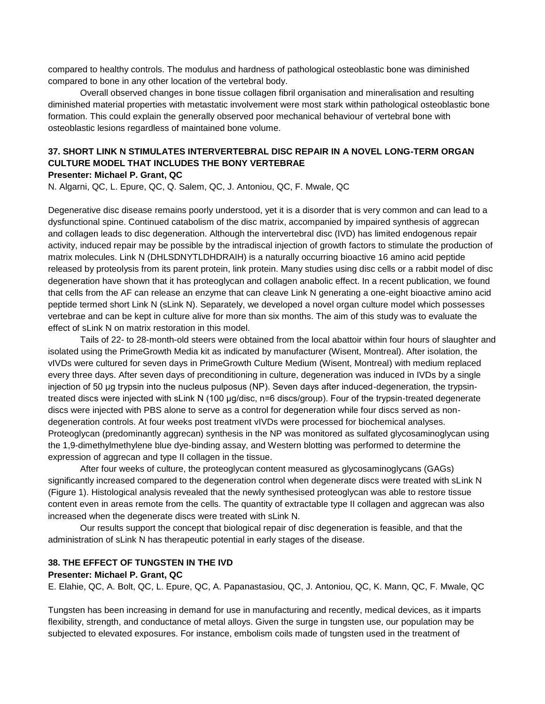compared to healthy controls. The modulus and hardness of pathological osteoblastic bone was diminished compared to bone in any other location of the vertebral body.

Overall observed changes in bone tissue collagen fibril organisation and mineralisation and resulting diminished material properties with metastatic involvement were most stark within pathological osteoblastic bone formation. This could explain the generally observed poor mechanical behaviour of vertebral bone with osteoblastic lesions regardless of maintained bone volume.

# **37. SHORT LINK N STIMULATES INTERVERTEBRAL DISC REPAIR IN A NOVEL LONG-TERM ORGAN CULTURE MODEL THAT INCLUDES THE BONY VERTEBRAE**

#### **Presenter: Michael P. Grant, QC**

N. Algarni, QC, L. Epure, QC, Q. Salem, QC, J. Antoniou, QC, F. Mwale, QC

Degenerative disc disease remains poorly understood, yet it is a disorder that is very common and can lead to a dysfunctional spine. Continued catabolism of the disc matrix, accompanied by impaired synthesis of aggrecan and collagen leads to disc degeneration. Although the intervertebral disc (IVD) has limited endogenous repair activity, induced repair may be possible by the intradiscal injection of growth factors to stimulate the production of matrix molecules. Link N (DHLSDNYTLDHDRAIH) is a naturally occurring bioactive 16 amino acid peptide released by proteolysis from its parent protein, link protein. Many studies using disc cells or a rabbit model of disc degeneration have shown that it has proteoglycan and collagen anabolic effect. In a recent publication, we found that cells from the AF can release an enzyme that can cleave Link N generating a one-eight bioactive amino acid peptide termed short Link N (sLink N). Separately, we developed a novel organ culture model which possesses vertebrae and can be kept in culture alive for more than six months. The aim of this study was to evaluate the effect of sLink N on matrix restoration in this model.

Tails of 22- to 28-month-old steers were obtained from the local abattoir within four hours of slaughter and isolated using the PrimeGrowth Media kit as indicated by manufacturer (Wisent, Montreal). After isolation, the vIVDs were cultured for seven days in PrimeGrowth Culture Medium (Wisent, Montreal) with medium replaced every three days. After seven days of preconditioning in culture, degeneration was induced in IVDs by a single injection of 50 μg trypsin into the nucleus pulposus (NP). Seven days after induced-degeneration, the trypsintreated discs were injected with sLink N (100 μg/disc, n=6 discs/group). Four of the trypsin-treated degenerate discs were injected with PBS alone to serve as a control for degeneration while four discs served as nondegeneration controls. At four weeks post treatment vIVDs were processed for biochemical analyses. Proteoglycan (predominantly aggrecan) synthesis in the NP was monitored as sulfated glycosaminoglycan using the 1,9-dimethylmethylene blue dye-binding assay, and Western blotting was performed to determine the expression of aggrecan and type II collagen in the tissue.

After four weeks of culture, the proteoglycan content measured as glycosaminoglycans (GAGs) significantly increased compared to the degeneration control when degenerate discs were treated with sLink N (Figure 1). Histological analysis revealed that the newly synthesised proteoglycan was able to restore tissue content even in areas remote from the cells. The quantity of extractable type II collagen and aggrecan was also increased when the degenerate discs were treated with sLink N.

Our results support the concept that biological repair of disc degeneration is feasible, and that the administration of sLink N has therapeutic potential in early stages of the disease.

#### **38. THE EFFECT OF TUNGSTEN IN THE IVD**

#### **Presenter: Michael P. Grant, QC**

E. Elahie, QC, A. Bolt, QC, L. Epure, QC, A. Papanastasiou, QC, J. Antoniou, QC, K. Mann, QC, F. Mwale, QC

Tungsten has been increasing in demand for use in manufacturing and recently, medical devices, as it imparts flexibility, strength, and conductance of metal alloys. Given the surge in tungsten use, our population may be subjected to elevated exposures. For instance, embolism coils made of tungsten used in the treatment of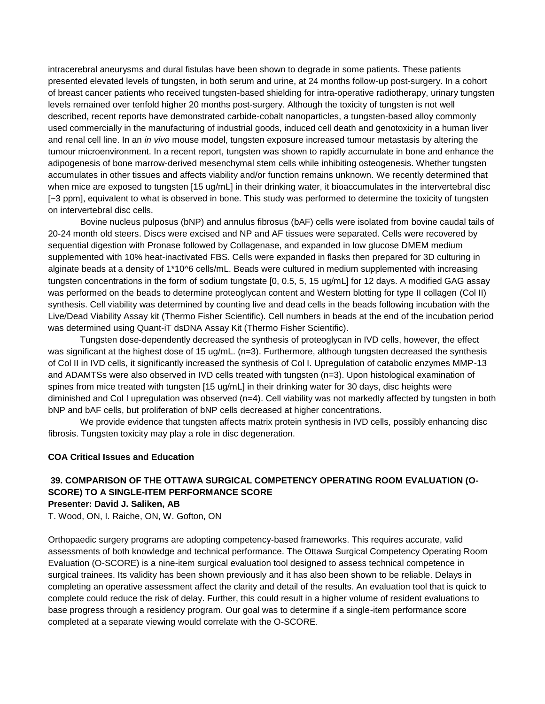intracerebral aneurysms and dural fistulas have been shown to degrade in some patients. These patients presented elevated levels of tungsten, in both serum and urine, at 24 months follow-up post-surgery. In a cohort of breast cancer patients who received tungsten-based shielding for intra-operative radiotherapy, urinary tungsten levels remained over tenfold higher 20 months post-surgery. Although the toxicity of tungsten is not well described, recent reports have demonstrated carbide-cobalt nanoparticles, a tungsten-based alloy commonly used commercially in the manufacturing of industrial goods, induced cell death and genotoxicity in a human liver and renal cell line. In an *in vivo* mouse model, tungsten exposure increased tumour metastasis by altering the tumour microenvironment. In a recent report, tungsten was shown to rapidly accumulate in bone and enhance the adipogenesis of bone marrow-derived mesenchymal stem cells while inhibiting osteogenesis. Whether tungsten accumulates in other tissues and affects viability and/or function remains unknown. We recently determined that when mice are exposed to tungsten [15 ug/mL] in their drinking water, it bioaccumulates in the intervertebral disc [~3 ppm], equivalent to what is observed in bone. This study was performed to determine the toxicity of tungsten on intervertebral disc cells.

Bovine nucleus pulposus (bNP) and annulus fibrosus (bAF) cells were isolated from bovine caudal tails of 20-24 month old steers. Discs were excised and NP and AF tissues were separated. Cells were recovered by sequential digestion with Pronase followed by Collagenase, and expanded in low glucose DMEM medium supplemented with 10% heat-inactivated FBS. Cells were expanded in flasks then prepared for 3D culturing in alginate beads at a density of 1\*10^6 cells/mL. Beads were cultured in medium supplemented with increasing tungsten concentrations in the form of sodium tungstate [0, 0.5, 5, 15 ug/mL] for 12 days. A modified GAG assay was performed on the beads to determine proteoglycan content and Western blotting for type II collagen (Col II) synthesis. Cell viability was determined by counting live and dead cells in the beads following incubation with the Live/Dead Viability Assay kit (Thermo Fisher Scientific). Cell numbers in beads at the end of the incubation period was determined using Quant-iT dsDNA Assay Kit (Thermo Fisher Scientific).

Tungsten dose-dependently decreased the synthesis of proteoglycan in IVD cells, however, the effect was significant at the highest dose of 15 ug/mL. (n=3). Furthermore, although tungsten decreased the synthesis of Col II in IVD cells, it significantly increased the synthesis of Col I. Upregulation of catabolic enzymes MMP-13 and ADAMTSs were also observed in IVD cells treated with tungsten (n=3). Upon histological examination of spines from mice treated with tungsten [15 ug/mL] in their drinking water for 30 days, disc heights were diminished and Col I upregulation was observed (n=4). Cell viability was not markedly affected by tungsten in both bNP and bAF cells, but proliferation of bNP cells decreased at higher concentrations.

We provide evidence that tungsten affects matrix protein synthesis in IVD cells, possibly enhancing disc fibrosis. Tungsten toxicity may play a role in disc degeneration.

#### **COA Critical Issues and Education**

### **39. COMPARISON OF THE OTTAWA SURGICAL COMPETENCY OPERATING ROOM EVALUATION (O-SCORE) TO A SINGLE-ITEM PERFORMANCE SCORE**

#### **Presenter: David J. Saliken, AB**

T. Wood, ON, I. Raiche, ON, W. Gofton, ON

Orthopaedic surgery programs are adopting competency-based frameworks. This requires accurate, valid assessments of both knowledge and technical performance. The Ottawa Surgical Competency Operating Room Evaluation (O-SCORE) is a nine-item surgical evaluation tool designed to assess technical competence in surgical trainees. Its validity has been shown previously and it has also been shown to be reliable. Delays in completing an operative assessment affect the clarity and detail of the results. An evaluation tool that is quick to complete could reduce the risk of delay. Further, this could result in a higher volume of resident evaluations to base progress through a residency program. Our goal was to determine if a single-item performance score completed at a separate viewing would correlate with the O-SCORE.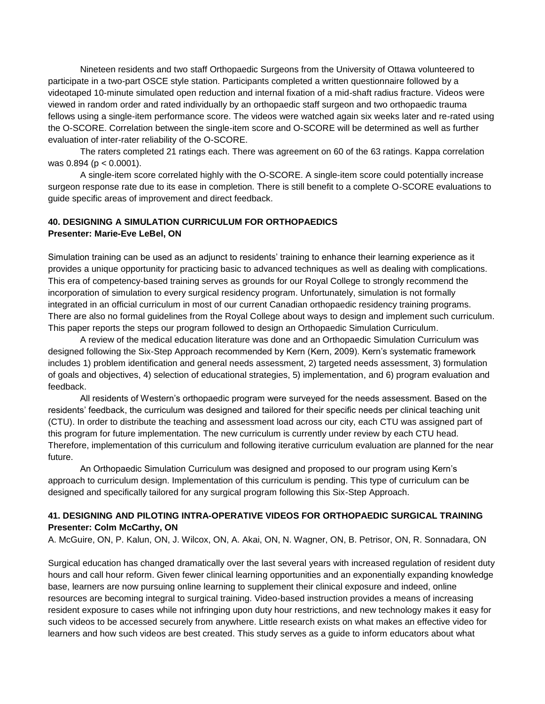Nineteen residents and two staff Orthopaedic Surgeons from the University of Ottawa volunteered to participate in a two-part OSCE style station. Participants completed a written questionnaire followed by a videotaped 10-minute simulated open reduction and internal fixation of a mid-shaft radius fracture. Videos were viewed in random order and rated individually by an orthopaedic staff surgeon and two orthopaedic trauma fellows using a single-item performance score. The videos were watched again six weeks later and re-rated using the O-SCORE. Correlation between the single-item score and O-SCORE will be determined as well as further evaluation of inter-rater reliability of the O-SCORE.

The raters completed 21 ratings each. There was agreement on 60 of the 63 ratings. Kappa correlation was 0.894 (p < 0.0001).

A single-item score correlated highly with the O-SCORE. A single-item score could potentially increase surgeon response rate due to its ease in completion. There is still benefit to a complete O-SCORE evaluations to guide specific areas of improvement and direct feedback.

#### **40. DESIGNING A SIMULATION CURRICULUM FOR ORTHOPAEDICS Presenter: Marie-Eve LeBel, ON**

Simulation training can be used as an adjunct to residents' training to enhance their learning experience as it provides a unique opportunity for practicing basic to advanced techniques as well as dealing with complications. This era of competency-based training serves as grounds for our Royal College to strongly recommend the incorporation of simulation to every surgical residency program. Unfortunately, simulation is not formally integrated in an official curriculum in most of our current Canadian orthopaedic residency training programs. There are also no formal guidelines from the Royal College about ways to design and implement such curriculum. This paper reports the steps our program followed to design an Orthopaedic Simulation Curriculum.

A review of the medical education literature was done and an Orthopaedic Simulation Curriculum was designed following the Six-Step Approach recommended by Kern (Kern, 2009). Kern's systematic framework includes 1) problem identification and general needs assessment, 2) targeted needs assessment, 3) formulation of goals and objectives, 4) selection of educational strategies, 5) implementation, and 6) program evaluation and feedback.

All residents of Western's orthopaedic program were surveyed for the needs assessment. Based on the residents' feedback, the curriculum was designed and tailored for their specific needs per clinical teaching unit (CTU). In order to distribute the teaching and assessment load across our city, each CTU was assigned part of this program for future implementation. The new curriculum is currently under review by each CTU head. Therefore, implementation of this curriculum and following iterative curriculum evaluation are planned for the near future.

An Orthopaedic Simulation Curriculum was designed and proposed to our program using Kern's approach to curriculum design. Implementation of this curriculum is pending. This type of curriculum can be designed and specifically tailored for any surgical program following this Six-Step Approach.

### **41. DESIGNING AND PILOTING INTRA-OPERATIVE VIDEOS FOR ORTHOPAEDIC SURGICAL TRAINING Presenter: Colm McCarthy, ON**

A. McGuire, ON, P. Kalun, ON, J. Wilcox, ON, A. Akai, ON, N. Wagner, ON, B. Petrisor, ON, R. Sonnadara, ON

Surgical education has changed dramatically over the last several years with increased regulation of resident duty hours and call hour reform. Given fewer clinical learning opportunities and an exponentially expanding knowledge base, learners are now pursuing online learning to supplement their clinical exposure and indeed, online resources are becoming integral to surgical training. Video-based instruction provides a means of increasing resident exposure to cases while not infringing upon duty hour restrictions, and new technology makes it easy for such videos to be accessed securely from anywhere. Little research exists on what makes an effective video for learners and how such videos are best created. This study serves as a guide to inform educators about what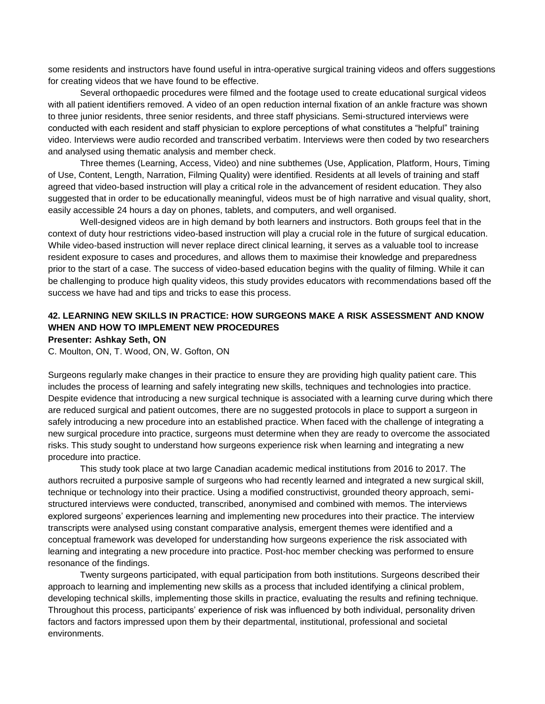some residents and instructors have found useful in intra-operative surgical training videos and offers suggestions for creating videos that we have found to be effective.

Several orthopaedic procedures were filmed and the footage used to create educational surgical videos with all patient identifiers removed. A video of an open reduction internal fixation of an ankle fracture was shown to three junior residents, three senior residents, and three staff physicians. Semi-structured interviews were conducted with each resident and staff physician to explore perceptions of what constitutes a "helpful" training video. Interviews were audio recorded and transcribed verbatim. Interviews were then coded by two researchers and analysed using thematic analysis and member check.

Three themes (Learning, Access, Video) and nine subthemes (Use, Application, Platform, Hours, Timing of Use, Content, Length, Narration, Filming Quality) were identified. Residents at all levels of training and staff agreed that video-based instruction will play a critical role in the advancement of resident education. They also suggested that in order to be educationally meaningful, videos must be of high narrative and visual quality, short, easily accessible 24 hours a day on phones, tablets, and computers, and well organised.

Well-designed videos are in high demand by both learners and instructors. Both groups feel that in the context of duty hour restrictions video-based instruction will play a crucial role in the future of surgical education. While video-based instruction will never replace direct clinical learning, it serves as a valuable tool to increase resident exposure to cases and procedures, and allows them to maximise their knowledge and preparedness prior to the start of a case. The success of video-based education begins with the quality of filming. While it can be challenging to produce high quality videos, this study provides educators with recommendations based off the success we have had and tips and tricks to ease this process.

### **42. LEARNING NEW SKILLS IN PRACTICE: HOW SURGEONS MAKE A RISK ASSESSMENT AND KNOW WHEN AND HOW TO IMPLEMENT NEW PROCEDURES**

**Presenter: Ashkay Seth, ON**

C. Moulton, ON, T. Wood, ON, W. Gofton, ON

Surgeons regularly make changes in their practice to ensure they are providing high quality patient care. This includes the process of learning and safely integrating new skills, techniques and technologies into practice. Despite evidence that introducing a new surgical technique is associated with a learning curve during which there are reduced surgical and patient outcomes, there are no suggested protocols in place to support a surgeon in safely introducing a new procedure into an established practice. When faced with the challenge of integrating a new surgical procedure into practice, surgeons must determine when they are ready to overcome the associated risks. This study sought to understand how surgeons experience risk when learning and integrating a new procedure into practice.

This study took place at two large Canadian academic medical institutions from 2016 to 2017. The authors recruited a purposive sample of surgeons who had recently learned and integrated a new surgical skill, technique or technology into their practice. Using a modified constructivist, grounded theory approach, semistructured interviews were conducted, transcribed, anonymised and combined with memos. The interviews explored surgeons' experiences learning and implementing new procedures into their practice. The interview transcripts were analysed using constant comparative analysis, emergent themes were identified and a conceptual framework was developed for understanding how surgeons experience the risk associated with learning and integrating a new procedure into practice. Post-hoc member checking was performed to ensure resonance of the findings.

Twenty surgeons participated, with equal participation from both institutions. Surgeons described their approach to learning and implementing new skills as a process that included identifying a clinical problem, developing technical skills, implementing those skills in practice, evaluating the results and refining technique. Throughout this process, participants' experience of risk was influenced by both individual, personality driven factors and factors impressed upon them by their departmental, institutional, professional and societal environments.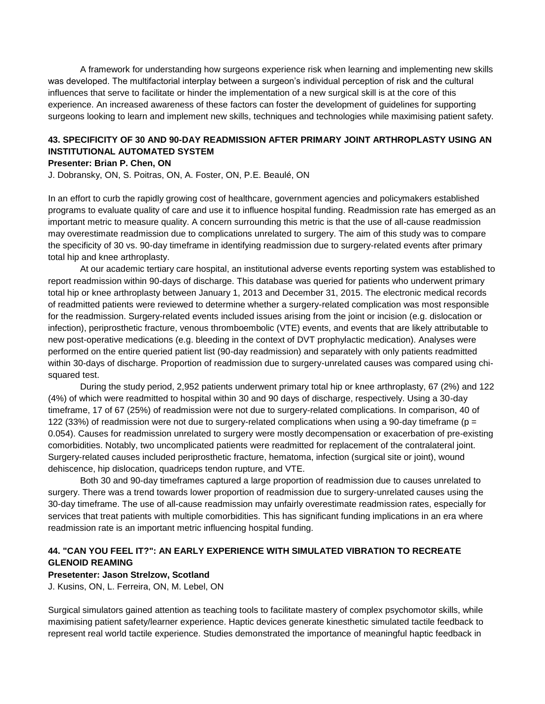A framework for understanding how surgeons experience risk when learning and implementing new skills was developed. The multifactorial interplay between a surgeon's individual perception of risk and the cultural influences that serve to facilitate or hinder the implementation of a new surgical skill is at the core of this experience. An increased awareness of these factors can foster the development of guidelines for supporting surgeons looking to learn and implement new skills, techniques and technologies while maximising patient safety.

### **43. SPECIFICITY OF 30 AND 90-DAY READMISSION AFTER PRIMARY JOINT ARTHROPLASTY USING AN INSTITUTIONAL AUTOMATED SYSTEM**

#### **Presenter: Brian P. Chen, ON**

J. Dobransky, ON, S. Poitras, ON, A. Foster, ON, P.E. Beaulé, ON

In an effort to curb the rapidly growing cost of healthcare, government agencies and policymakers established programs to evaluate quality of care and use it to influence hospital funding. Readmission rate has emerged as an important metric to measure quality. A concern surrounding this metric is that the use of all-cause readmission may overestimate readmission due to complications unrelated to surgery. The aim of this study was to compare the specificity of 30 vs. 90-day timeframe in identifying readmission due to surgery-related events after primary total hip and knee arthroplasty.

At our academic tertiary care hospital, an institutional adverse events reporting system was established to report readmission within 90-days of discharge. This database was queried for patients who underwent primary total hip or knee arthroplasty between January 1, 2013 and December 31, 2015. The electronic medical records of readmitted patients were reviewed to determine whether a surgery-related complication was most responsible for the readmission. Surgery-related events included issues arising from the joint or incision (e.g. dislocation or infection), periprosthetic fracture, venous thromboembolic (VTE) events, and events that are likely attributable to new post-operative medications (e.g. bleeding in the context of DVT prophylactic medication). Analyses were performed on the entire queried patient list (90-day readmission) and separately with only patients readmitted within 30-days of discharge. Proportion of readmission due to surgery-unrelated causes was compared using chisquared test.

During the study period, 2,952 patients underwent primary total hip or knee arthroplasty, 67 (2%) and 122 (4%) of which were readmitted to hospital within 30 and 90 days of discharge, respectively. Using a 30-day timeframe, 17 of 67 (25%) of readmission were not due to surgery-related complications. In comparison, 40 of 122 (33%) of readmission were not due to surgery-related complications when using a 90-day timeframe ( $p =$ 0.054). Causes for readmission unrelated to surgery were mostly decompensation or exacerbation of pre-existing comorbidities. Notably, two uncomplicated patients were readmitted for replacement of the contralateral joint. Surgery-related causes included periprosthetic fracture, hematoma, infection (surgical site or joint), wound dehiscence, hip dislocation, quadriceps tendon rupture, and VTE.

Both 30 and 90-day timeframes captured a large proportion of readmission due to causes unrelated to surgery. There was a trend towards lower proportion of readmission due to surgery-unrelated causes using the 30-day timeframe. The use of all-cause readmission may unfairly overestimate readmission rates, especially for services that treat patients with multiple comorbidities. This has significant funding implications in an era where readmission rate is an important metric influencing hospital funding.

### **44. "CAN YOU FEEL IT?": AN EARLY EXPERIENCE WITH SIMULATED VIBRATION TO RECREATE GLENOID REAMING**

#### **Presetenter: Jason Strelzow, Scotland**

J. Kusins, ON, L. Ferreira, ON, M. Lebel, ON

Surgical simulators gained attention as teaching tools to facilitate mastery of complex psychomotor skills, while maximising patient safety/learner experience. Haptic devices generate kinesthetic simulated tactile feedback to represent real world tactile experience. Studies demonstrated the importance of meaningful haptic feedback in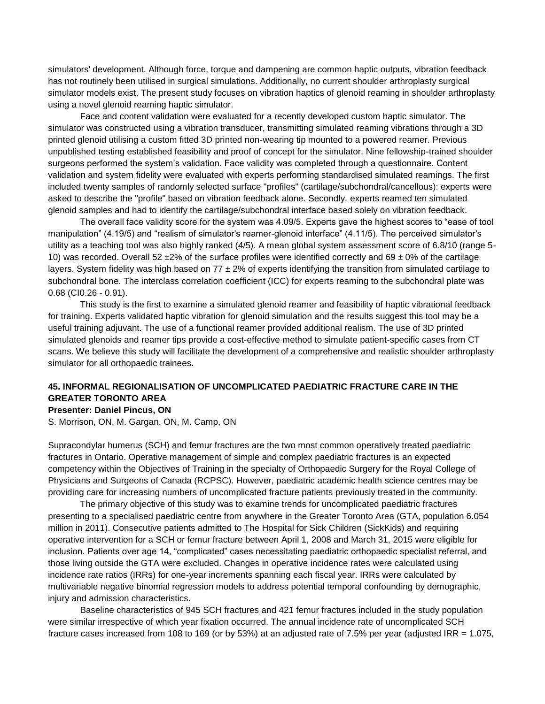simulators' development. Although force, torque and dampening are common haptic outputs, vibration feedback has not routinely been utilised in surgical simulations. Additionally, no current shoulder arthroplasty surgical simulator models exist. The present study focuses on vibration haptics of glenoid reaming in shoulder arthroplasty using a novel glenoid reaming haptic simulator.

Face and content validation were evaluated for a recently developed custom haptic simulator. The simulator was constructed using a vibration transducer, transmitting simulated reaming vibrations through a 3D printed glenoid utilising a custom fitted 3D printed non-wearing tip mounted to a powered reamer. Previous unpublished testing established feasibility and proof of concept for the simulator. Nine fellowship-trained shoulder surgeons performed the system's validation. Face validity was completed through a questionnaire. Content validation and system fidelity were evaluated with experts performing standardised simulated reamings. The first included twenty samples of randomly selected surface "profiles" (cartilage/subchondral/cancellous): experts were asked to describe the "profile" based on vibration feedback alone. Secondly, experts reamed ten simulated glenoid samples and had to identify the cartilage/subchondral interface based solely on vibration feedback.

The overall face validity score for the system was 4.09/5. Experts gave the highest scores to "ease of tool manipulation" (4.19/5) and "realism of simulator's reamer-glenoid interface" (4.11/5). The perceived simulator's utility as a teaching tool was also highly ranked (4/5). A mean global system assessment score of 6.8/10 (range 5- 10) was recorded. Overall 52  $\pm$ 2% of the surface profiles were identified correctly and 69  $\pm$  0% of the cartilage layers. System fidelity was high based on  $77 \pm 2\%$  of experts identifying the transition from simulated cartilage to subchondral bone. The interclass correlation coefficient (ICC) for experts reaming to the subchondral plate was 0.68 (CI0.26 - 0.91).

This study is the first to examine a simulated glenoid reamer and feasibility of haptic vibrational feedback for training. Experts validated haptic vibration for glenoid simulation and the results suggest this tool may be a useful training adjuvant. The use of a functional reamer provided additional realism. The use of 3D printed simulated glenoids and reamer tips provide a cost-effective method to simulate patient-specific cases from CT scans. We believe this study will facilitate the development of a comprehensive and realistic shoulder arthroplasty simulator for all orthopaedic trainees.

# **45. INFORMAL REGIONALISATION OF UNCOMPLICATED PAEDIATRIC FRACTURE CARE IN THE GREATER TORONTO AREA**

**Presenter: Daniel Pincus, ON**

S. Morrison, ON, M. Gargan, ON, M. Camp, ON

Supracondylar humerus (SCH) and femur fractures are the two most common operatively treated paediatric fractures in Ontario. Operative management of simple and complex paediatric fractures is an expected competency within the Objectives of Training in the specialty of Orthopaedic Surgery for the Royal College of Physicians and Surgeons of Canada (RCPSC). However, paediatric academic health science centres may be providing care for increasing numbers of uncomplicated fracture patients previously treated in the community.

The primary objective of this study was to examine trends for uncomplicated paediatric fractures presenting to a specialised paediatric centre from anywhere in the Greater Toronto Area (GTA, population 6.054 million in 2011). Consecutive patients admitted to The Hospital for Sick Children (SickKids) and requiring operative intervention for a SCH or femur fracture between April 1, 2008 and March 31, 2015 were eligible for inclusion. Patients over age 14, "complicated" cases necessitating paediatric orthopaedic specialist referral, and those living outside the GTA were excluded. Changes in operative incidence rates were calculated using incidence rate ratios (IRRs) for one-year increments spanning each fiscal year. IRRs were calculated by multivariable negative binomial regression models to address potential temporal confounding by demographic, injury and admission characteristics.

Baseline characteristics of 945 SCH fractures and 421 femur fractures included in the study population were similar irrespective of which year fixation occurred. The annual incidence rate of uncomplicated SCH fracture cases increased from 108 to 169 (or by 53%) at an adjusted rate of 7.5% per year (adjusted IRR = 1.075,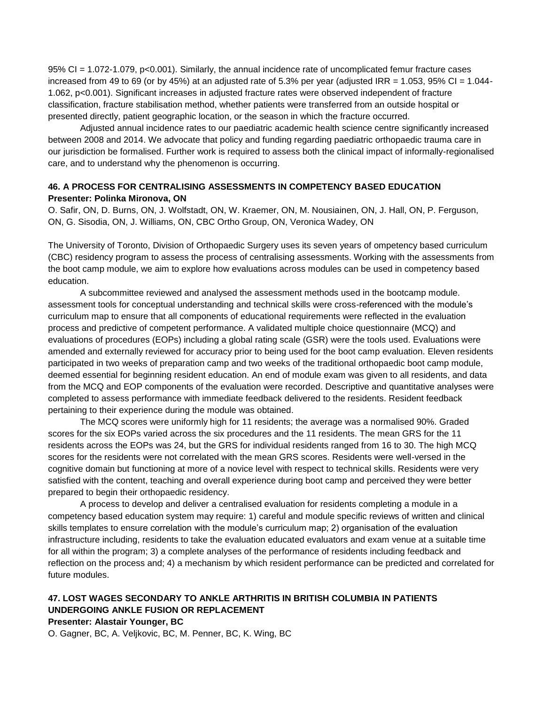95% CI = 1.072-1.079, p<0.001). Similarly, the annual incidence rate of uncomplicated femur fracture cases increased from 49 to 69 (or by 45%) at an adjusted rate of 5.3% per year (adjusted IRR = 1.053, 95% CI = 1.044-1.062, p<0.001). Significant increases in adjusted fracture rates were observed independent of fracture classification, fracture stabilisation method, whether patients were transferred from an outside hospital or presented directly, patient geographic location, or the season in which the fracture occurred.

Adjusted annual incidence rates to our paediatric academic health science centre significantly increased between 2008 and 2014. We advocate that policy and funding regarding paediatric orthopaedic trauma care in our jurisdiction be formalised. Further work is required to assess both the clinical impact of informally-regionalised care, and to understand why the phenomenon is occurring.

### **46. A PROCESS FOR CENTRALISING ASSESSMENTS IN COMPETENCY BASED EDUCATION Presenter: Polinka Mironova, ON**

O. Safir, ON, D. Burns, ON, J. Wolfstadt, ON, W. Kraemer, ON, M. Nousiainen, ON, J. Hall, ON, P. Ferguson, ON, G. Sisodia, ON, J. Williams, ON, CBC Ortho Group, ON, Veronica Wadey, ON

The University of Toronto, Division of Orthopaedic Surgery uses its seven years of ompetency based curriculum (CBC) residency program to assess the process of centralising assessments. Working with the assessments from the boot camp module, we aim to explore how evaluations across modules can be used in competency based education.

A subcommittee reviewed and analysed the assessment methods used in the bootcamp module. assessment tools for conceptual understanding and technical skills were cross-referenced with the module's curriculum map to ensure that all components of educational requirements were reflected in the evaluation process and predictive of competent performance. A validated multiple choice questionnaire (MCQ) and evaluations of procedures (EOPs) including a global rating scale (GSR) were the tools used. Evaluations were amended and externally reviewed for accuracy prior to being used for the boot camp evaluation. Eleven residents participated in two weeks of preparation camp and two weeks of the traditional orthopaedic boot camp module, deemed essential for beginning resident education. An end of module exam was given to all residents, and data from the MCQ and EOP components of the evaluation were recorded. Descriptive and quantitative analyses were completed to assess performance with immediate feedback delivered to the residents. Resident feedback pertaining to their experience during the module was obtained.

The MCQ scores were uniformly high for 11 residents; the average was a normalised 90%. Graded scores for the six EOPs varied across the six procedures and the 11 residents. The mean GRS for the 11 residents across the EOPs was 24, but the GRS for individual residents ranged from 16 to 30. The high MCQ scores for the residents were not correlated with the mean GRS scores. Residents were well-versed in the cognitive domain but functioning at more of a novice level with respect to technical skills. Residents were very satisfied with the content, teaching and overall experience during boot camp and perceived they were better prepared to begin their orthopaedic residency.

A process to develop and deliver a centralised evaluation for residents completing a module in a competency based education system may require: 1) careful and module specific reviews of written and clinical skills templates to ensure correlation with the module's curriculum map; 2) organisation of the evaluation infrastructure including, residents to take the evaluation educated evaluators and exam venue at a suitable time for all within the program; 3) a complete analyses of the performance of residents including feedback and reflection on the process and; 4) a mechanism by which resident performance can be predicted and correlated for future modules.

# **47. LOST WAGES SECONDARY TO ANKLE ARTHRITIS IN BRITISH COLUMBIA IN PATIENTS UNDERGOING ANKLE FUSION OR REPLACEMENT**

#### **Presenter: Alastair Younger, BC**

O. Gagner, BC, A. Veljkovic, BC, M. Penner, BC, K. Wing, BC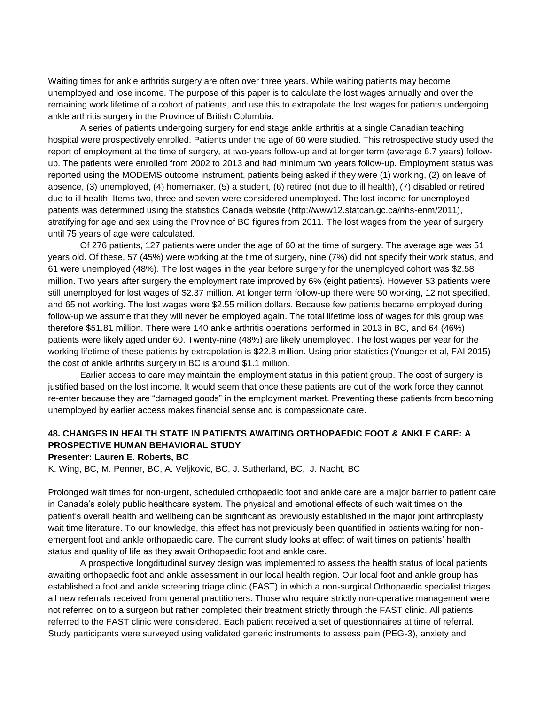Waiting times for ankle arthritis surgery are often over three years. While waiting patients may become unemployed and lose income. The purpose of this paper is to calculate the lost wages annually and over the remaining work lifetime of a cohort of patients, and use this to extrapolate the lost wages for patients undergoing ankle arthritis surgery in the Province of British Columbia.

A series of patients undergoing surgery for end stage ankle arthritis at a single Canadian teaching hospital were prospectively enrolled. Patients under the age of 60 were studied. This retrospective study used the report of employment at the time of surgery, at two-years follow-up and at longer term (average 6.7 years) followup. The patients were enrolled from 2002 to 2013 and had minimum two years follow-up. Employment status was reported using the MODEMS outcome instrument, patients being asked if they were (1) working, (2) on leave of absence, (3) unemployed, (4) homemaker, (5) a student, (6) retired (not due to ill health), (7) disabled or retired due to ill health. Items two, three and seven were considered unemployed. The lost income for unemployed patients was determined using the statistics Canada website (http://www12.statcan.gc.ca/nhs-enm/2011), stratifying for age and sex using the Province of BC figures from 2011. The lost wages from the year of surgery until 75 years of age were calculated.

Of 276 patients, 127 patients were under the age of 60 at the time of surgery. The average age was 51 years old. Of these, 57 (45%) were working at the time of surgery, nine (7%) did not specify their work status, and 61 were unemployed (48%). The lost wages in the year before surgery for the unemployed cohort was \$2.58 million. Two years after surgery the employment rate improved by 6% (eight patients). However 53 patients were still unemployed for lost wages of \$2.37 million. At longer term follow-up there were 50 working, 12 not specified, and 65 not working. The lost wages were \$2.55 million dollars. Because few patients became employed during follow-up we assume that they will never be employed again. The total lifetime loss of wages for this group was therefore \$51.81 million. There were 140 ankle arthritis operations performed in 2013 in BC, and 64 (46%) patients were likely aged under 60. Twenty-nine (48%) are likely unemployed. The lost wages per year for the working lifetime of these patients by extrapolation is \$22.8 million. Using prior statistics (Younger et al, FAI 2015) the cost of ankle arthritis surgery in BC is around \$1.1 million.

Earlier access to care may maintain the employment status in this patient group. The cost of surgery is justified based on the lost income. It would seem that once these patients are out of the work force they cannot re-enter because they are "damaged goods" in the employment market. Preventing these patients from becoming unemployed by earlier access makes financial sense and is compassionate care.

### **48. CHANGES IN HEALTH STATE IN PATIENTS AWAITING ORTHOPAEDIC FOOT & ANKLE CARE: A PROSPECTIVE HUMAN BEHAVIORAL STUDY**

#### **Presenter: Lauren E. Roberts, BC**

K. Wing, BC, M. Penner, BC, A. Veljkovic, BC, J. Sutherland, BC, J. Nacht, BC

Prolonged wait times for non-urgent, scheduled orthopaedic foot and ankle care are a major barrier to patient care in Canada's solely public healthcare system. The physical and emotional effects of such wait times on the patient's overall health and wellbeing can be significant as previously established in the major joint arthroplasty wait time literature. To our knowledge, this effect has not previously been quantified in patients waiting for nonemergent foot and ankle orthopaedic care. The current study looks at effect of wait times on patients' health status and quality of life as they await Orthopaedic foot and ankle care.

A prospective longditudinal survey design was implemented to assess the health status of local patients awaiting orthopaedic foot and ankle assessment in our local health region. Our local foot and ankle group has established a foot and ankle screening triage clinic (FAST) in which a non-surgical Orthopaedic specialist triages all new referrals received from general practitioners. Those who require strictly non-operative management were not referred on to a surgeon but rather completed their treatment strictly through the FAST clinic. All patients referred to the FAST clinic were considered. Each patient received a set of questionnaires at time of referral. Study participants were surveyed using validated generic instruments to assess pain (PEG-3), anxiety and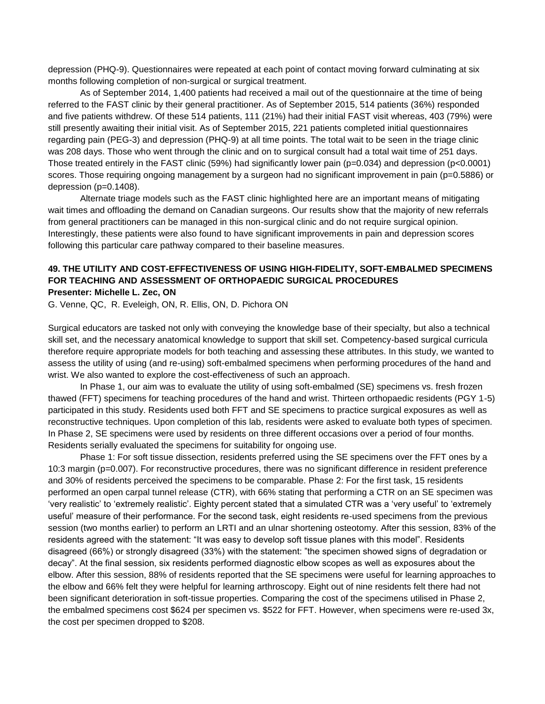depression (PHQ-9). Questionnaires were repeated at each point of contact moving forward culminating at six months following completion of non-surgical or surgical treatment.

As of September 2014, 1,400 patients had received a mail out of the questionnaire at the time of being referred to the FAST clinic by their general practitioner. As of September 2015, 514 patients (36%) responded and five patients withdrew. Of these 514 patients, 111 (21%) had their initial FAST visit whereas, 403 (79%) were still presently awaiting their initial visit. As of September 2015, 221 patients completed initial questionnaires regarding pain (PEG-3) and depression (PHQ-9) at all time points. The total wait to be seen in the triage clinic was 208 days. Those who went through the clinic and on to surgical consult had a total wait time of 251 days. Those treated entirely in the FAST clinic (59%) had significantly lower pain ( $p=0.034$ ) and depression ( $p<0.0001$ ) scores. Those requiring ongoing management by a surgeon had no significant improvement in pain (p=0.5886) or depression (p=0.1408).

Alternate triage models such as the FAST clinic highlighted here are an important means of mitigating wait times and offloading the demand on Canadian surgeons. Our results show that the majority of new referrals from general practitioners can be managed in this non-surgical clinic and do not require surgical opinion. Interestingly, these patients were also found to have significant improvements in pain and depression scores following this particular care pathway compared to their baseline measures.

#### **49. THE UTILITY AND COST-EFFECTIVENESS OF USING HIGH-FIDELITY, SOFT-EMBALMED SPECIMENS FOR TEACHING AND ASSESSMENT OF ORTHOPAEDIC SURGICAL PROCEDURES Presenter: Michelle L. Zec, ON**

G. Venne, QC, R. Eveleigh, ON, R. Ellis, ON, D. Pichora ON

Surgical educators are tasked not only with conveying the knowledge base of their specialty, but also a technical skill set, and the necessary anatomical knowledge to support that skill set. Competency-based surgical curricula therefore require appropriate models for both teaching and assessing these attributes. In this study, we wanted to assess the utility of using (and re-using) soft-embalmed specimens when performing procedures of the hand and wrist. We also wanted to explore the cost-effectiveness of such an approach.

In Phase 1, our aim was to evaluate the utility of using soft-embalmed (SE) specimens vs. fresh frozen thawed (FFT) specimens for teaching procedures of the hand and wrist. Thirteen orthopaedic residents (PGY 1-5) participated in this study. Residents used both FFT and SE specimens to practice surgical exposures as well as reconstructive techniques. Upon completion of this lab, residents were asked to evaluate both types of specimen. In Phase 2, SE specimens were used by residents on three different occasions over a period of four months. Residents serially evaluated the specimens for suitability for ongoing use.

Phase 1: For soft tissue dissection, residents preferred using the SE specimens over the FFT ones by a 10:3 margin (p=0.007). For reconstructive procedures, there was no significant difference in resident preference and 30% of residents perceived the specimens to be comparable. Phase 2: For the first task, 15 residents performed an open carpal tunnel release (CTR), with 66% stating that performing a CTR on an SE specimen was 'very realistic' to 'extremely realistic'. Eighty percent stated that a simulated CTR was a 'very useful' to 'extremely useful' measure of their performance. For the second task, eight residents re-used specimens from the previous session (two months earlier) to perform an LRTI and an ulnar shortening osteotomy. After this session, 83% of the residents agreed with the statement: "It was easy to develop soft tissue planes with this model". Residents disagreed (66%) or strongly disagreed (33%) with the statement: "the specimen showed signs of degradation or decay". At the final session, six residents performed diagnostic elbow scopes as well as exposures about the elbow. After this session, 88% of residents reported that the SE specimens were useful for learning approaches to the elbow and 66% felt they were helpful for learning arthroscopy. Eight out of nine residents felt there had not been significant deterioration in soft-tissue properties. Comparing the cost of the specimens utilised in Phase 2, the embalmed specimens cost \$624 per specimen vs. \$522 for FFT. However, when specimens were re-used 3x, the cost per specimen dropped to \$208.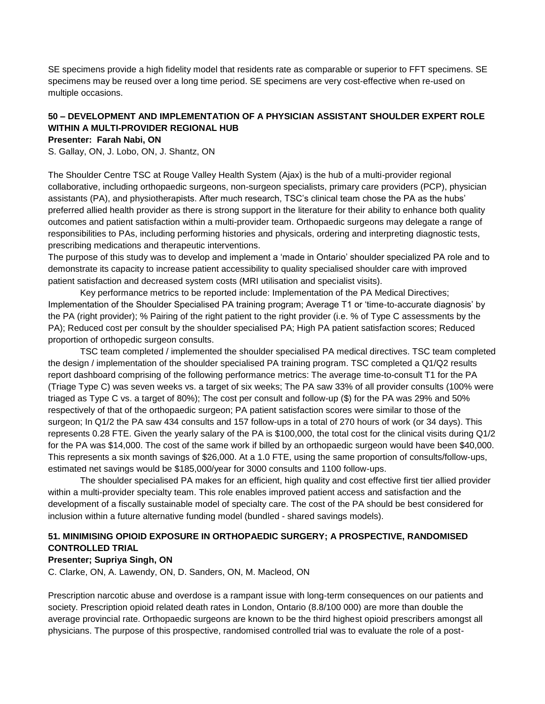SE specimens provide a high fidelity model that residents rate as comparable or superior to FFT specimens. SE specimens may be reused over a long time period. SE specimens are very cost-effective when re-used on multiple occasions.

### **50 – DEVELOPMENT AND IMPLEMENTATION OF A PHYSICIAN ASSISTANT SHOULDER EXPERT ROLE WITHIN A MULTI-PROVIDER REGIONAL HUB**

### **Presenter: Farah Nabi, ON**

S. Gallay, ON, J. Lobo, ON, J. Shantz, ON

The Shoulder Centre TSC at Rouge Valley Health System (Ajax) is the hub of a multi-provider regional collaborative, including orthopaedic surgeons, non-surgeon specialists, primary care providers (PCP), physician assistants (PA), and physiotherapists. After much research, TSC's clinical team chose the PA as the hubs' preferred allied health provider as there is strong support in the literature for their ability to enhance both quality outcomes and patient satisfaction within a multi-provider team. Orthopaedic surgeons may delegate a range of responsibilities to PAs, including performing histories and physicals, ordering and interpreting diagnostic tests, prescribing medications and therapeutic interventions.

The purpose of this study was to develop and implement a 'made in Ontario' shoulder specialized PA role and to demonstrate its capacity to increase patient accessibility to quality specialised shoulder care with improved patient satisfaction and decreased system costs (MRI utilisation and specialist visits).

Key performance metrics to be reported include: Implementation of the PA Medical Directives; Implementation of the Shoulder Specialised PA training program; Average T1 or 'time-to-accurate diagnosis' by the PA (right provider); % Pairing of the right patient to the right provider (i.e. % of Type C assessments by the PA); Reduced cost per consult by the shoulder specialised PA; High PA patient satisfaction scores; Reduced proportion of orthopedic surgeon consults.

TSC team completed / implemented the shoulder specialised PA medical directives. TSC team completed the design / implementation of the shoulder specialised PA training program. TSC completed a Q1/Q2 results report dashboard comprising of the following performance metrics: The average time-to-consult T1 for the PA (Triage Type C) was seven weeks vs. a target of six weeks; The PA saw 33% of all provider consults (100% were triaged as Type C vs. a target of 80%); The cost per consult and follow-up (\$) for the PA was 29% and 50% respectively of that of the orthopaedic surgeon; PA patient satisfaction scores were similar to those of the surgeon; In Q1/2 the PA saw 434 consults and 157 follow-ups in a total of 270 hours of work (or 34 days). This represents 0.28 FTE. Given the yearly salary of the PA is \$100,000, the total cost for the clinical visits during Q1/2 for the PA was \$14,000. The cost of the same work if billed by an orthopaedic surgeon would have been \$40,000. This represents a six month savings of \$26,000. At a 1.0 FTE, using the same proportion of consults/follow-ups, estimated net savings would be \$185,000/year for 3000 consults and 1100 follow-ups.

The shoulder specialised PA makes for an efficient, high quality and cost effective first tier allied provider within a multi-provider specialty team. This role enables improved patient access and satisfaction and the development of a fiscally sustainable model of specialty care. The cost of the PA should be best considered for inclusion within a future alternative funding model (bundled - shared savings models).

### **51. MINIMISING OPIOID EXPOSURE IN ORTHOPAEDIC SURGERY; A PROSPECTIVE, RANDOMISED CONTROLLED TRIAL**

#### **Presenter; Supriya Singh, ON**

C. Clarke, ON, A. Lawendy, ON, D. Sanders, ON, M. Macleod, ON

Prescription narcotic abuse and overdose is a rampant issue with long-term consequences on our patients and society. Prescription opioid related death rates in London, Ontario (8.8/100 000) are more than double the average provincial rate. Orthopaedic surgeons are known to be the third highest opioid prescribers amongst all physicians. The purpose of this prospective, randomised controlled trial was to evaluate the role of a post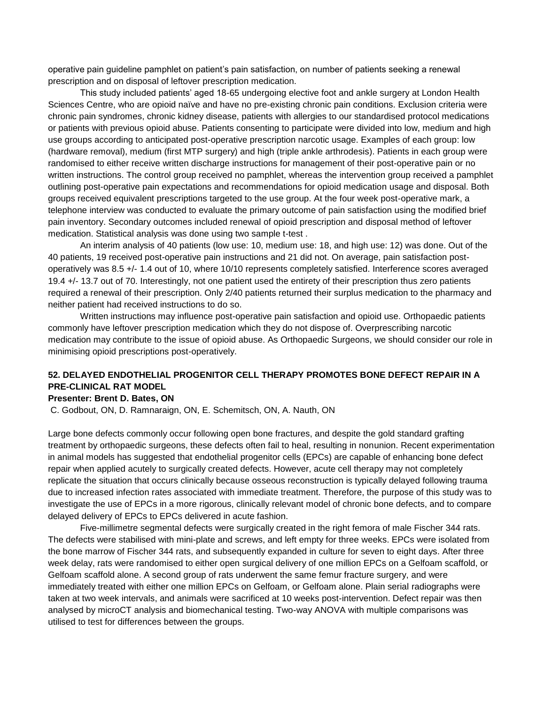operative pain guideline pamphlet on patient's pain satisfaction, on number of patients seeking a renewal prescription and on disposal of leftover prescription medication.

This study included patients' aged 18-65 undergoing elective foot and ankle surgery at London Health Sciences Centre, who are opioid naïve and have no pre-existing chronic pain conditions. Exclusion criteria were chronic pain syndromes, chronic kidney disease, patients with allergies to our standardised protocol medications or patients with previous opioid abuse. Patients consenting to participate were divided into low, medium and high use groups according to anticipated post-operative prescription narcotic usage. Examples of each group: low (hardware removal), medium (first MTP surgery) and high (triple ankle arthrodesis). Patients in each group were randomised to either receive written discharge instructions for management of their post-operative pain or no written instructions. The control group received no pamphlet, whereas the intervention group received a pamphlet outlining post-operative pain expectations and recommendations for opioid medication usage and disposal. Both groups received equivalent prescriptions targeted to the use group. At the four week post-operative mark, a telephone interview was conducted to evaluate the primary outcome of pain satisfaction using the modified brief pain inventory. Secondary outcomes included renewal of opioid prescription and disposal method of leftover medication. Statistical analysis was done using two sample t-test .

An interim analysis of 40 patients (low use: 10, medium use: 18, and high use: 12) was done. Out of the 40 patients, 19 received post-operative pain instructions and 21 did not. On average, pain satisfaction postoperatively was 8.5 +/- 1.4 out of 10, where 10/10 represents completely satisfied. Interference scores averaged 19.4 +/- 13.7 out of 70. Interestingly, not one patient used the entirety of their prescription thus zero patients required a renewal of their prescription. Only 2/40 patients returned their surplus medication to the pharmacy and neither patient had received instructions to do so.

Written instructions may influence post-operative pain satisfaction and opioid use. Orthopaedic patients commonly have leftover prescription medication which they do not dispose of. Overprescribing narcotic medication may contribute to the issue of opioid abuse. As Orthopaedic Surgeons, we should consider our role in minimising opioid prescriptions post-operatively.

### **52. DELAYED ENDOTHELIAL PROGENITOR CELL THERAPY PROMOTES BONE DEFECT REPAIR IN A PRE-CLINICAL RAT MODEL**

#### **Presenter: Brent D. Bates, ON**

C. Godbout, ON, D. Ramnaraign, ON, E. Schemitsch, ON, A. Nauth, ON

Large bone defects commonly occur following open bone fractures, and despite the gold standard grafting treatment by orthopaedic surgeons, these defects often fail to heal, resulting in nonunion. Recent experimentation in animal models has suggested that endothelial progenitor cells (EPCs) are capable of enhancing bone defect repair when applied acutely to surgically created defects. However, acute cell therapy may not completely replicate the situation that occurs clinically because osseous reconstruction is typically delayed following trauma due to increased infection rates associated with immediate treatment. Therefore, the purpose of this study was to investigate the use of EPCs in a more rigorous, clinically relevant model of chronic bone defects, and to compare delayed delivery of EPCs to EPCs delivered in acute fashion.

Five-millimetre segmental defects were surgically created in the right femora of male Fischer 344 rats. The defects were stabilised with mini-plate and screws, and left empty for three weeks. EPCs were isolated from the bone marrow of Fischer 344 rats, and subsequently expanded in culture for seven to eight days. After three week delay, rats were randomised to either open surgical delivery of one million EPCs on a Gelfoam scaffold, or Gelfoam scaffold alone. A second group of rats underwent the same femur fracture surgery, and were immediately treated with either one million EPCs on Gelfoam, or Gelfoam alone. Plain serial radiographs were taken at two week intervals, and animals were sacrificed at 10 weeks post-intervention. Defect repair was then analysed by microCT analysis and biomechanical testing. Two-way ANOVA with multiple comparisons was utilised to test for differences between the groups.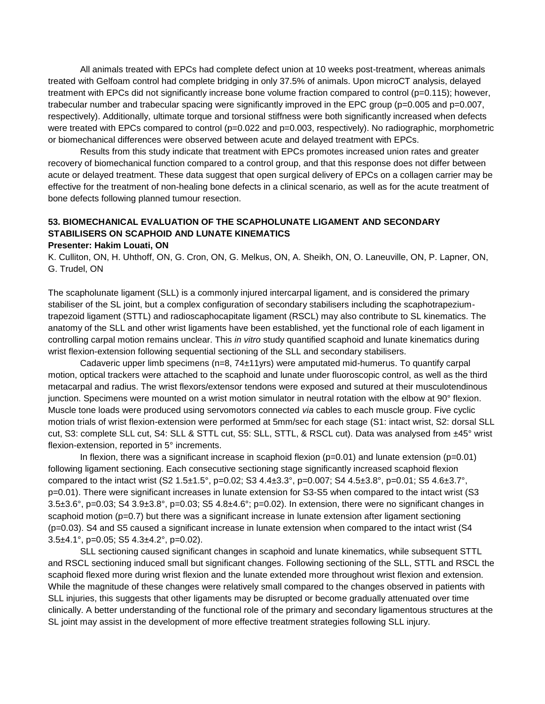All animals treated with EPCs had complete defect union at 10 weeks post-treatment, whereas animals treated with Gelfoam control had complete bridging in only 37.5% of animals. Upon microCT analysis, delayed treatment with EPCs did not significantly increase bone volume fraction compared to control (p=0.115); however, trabecular number and trabecular spacing were significantly improved in the EPC group ( $p=0.005$  and  $p=0.007$ , respectively). Additionally, ultimate torque and torsional stiffness were both significantly increased when defects were treated with EPCs compared to control (p=0.022 and p=0.003, respectively). No radiographic, morphometric or biomechanical differences were observed between acute and delayed treatment with EPCs.

Results from this study indicate that treatment with EPCs promotes increased union rates and greater recovery of biomechanical function compared to a control group, and that this response does not differ between acute or delayed treatment. These data suggest that open surgical delivery of EPCs on a collagen carrier may be effective for the treatment of non-healing bone defects in a clinical scenario, as well as for the acute treatment of bone defects following planned tumour resection.

### **53. BIOMECHANICAL EVALUATION OF THE SCAPHOLUNATE LIGAMENT AND SECONDARY STABILISERS ON SCAPHOID AND LUNATE KINEMATICS**

#### **Presenter: Hakim Louati, ON**

K. Culliton, ON, H. Uhthoff, ON, G. Cron, ON, G. Melkus, ON, A. Sheikh, ON, O. Laneuville, ON, P. Lapner, ON, G. Trudel, ON

The scapholunate ligament (SLL) is a commonly injured intercarpal ligament, and is considered the primary stabiliser of the SL joint, but a complex configuration of secondary stabilisers including the scaphotrapeziumtrapezoid ligament (STTL) and radioscaphocapitate ligament (RSCL) may also contribute to SL kinematics. The anatomy of the SLL and other wrist ligaments have been established, yet the functional role of each ligament in controlling carpal motion remains unclear. This *in vitro* study quantified scaphoid and lunate kinematics during wrist flexion-extension following sequential sectioning of the SLL and secondary stabilisers.

Cadaveric upper limb specimens (n=8, 74±11yrs) were amputated mid-humerus. To quantify carpal motion, optical trackers were attached to the scaphoid and lunate under fluoroscopic control, as well as the third metacarpal and radius. The wrist flexors/extensor tendons were exposed and sutured at their musculotendinous junction. Specimens were mounted on a wrist motion simulator in neutral rotation with the elbow at 90° flexion. Muscle tone loads were produced using servomotors connected *via* cables to each muscle group. Five cyclic motion trials of wrist flexion-extension were performed at 5mm/sec for each stage (S1: intact wrist, S2: dorsal SLL cut, S3: complete SLL cut, S4: SLL & STTL cut, S5: SLL, STTL, & RSCL cut). Data was analysed from ±45° wrist flexion-extension, reported in 5° increments.

In flexion, there was a significant increase in scaphoid flexion ( $p=0.01$ ) and lunate extension ( $p=0.01$ ) following ligament sectioning. Each consecutive sectioning stage significantly increased scaphoid flexion compared to the intact wrist  $(S2 1.5 \pm 1.5^\circ, p=0.02; S3 4.4 \pm 3.3^\circ, p=0.007; S4 4.5 \pm 3.8^\circ, p=0.01; S5 4.6 \pm 3.7^\circ$ , p=0.01). There were significant increases in lunate extension for S3-S5 when compared to the intact wrist (S3 3.5 $\pm$ 3.6°, p=0.03; S4 3.9 $\pm$ 3.8°, p=0.03; S5 4.8 $\pm$ 4.6°; p=0.02). In extension, there were no significant changes in scaphoid motion (p=0.7) but there was a significant increase in lunate extension after ligament sectioning (p=0.03). S4 and S5 caused a significant increase in lunate extension when compared to the intact wrist (S4 3.5 $\pm$ 4.1°, p=0.05; S5 4.3 $\pm$ 4.2°, p=0.02).

SLL sectioning caused significant changes in scaphoid and lunate kinematics, while subsequent STTL and RSCL sectioning induced small but significant changes. Following sectioning of the SLL, STTL and RSCL the scaphoid flexed more during wrist flexion and the lunate extended more throughout wrist flexion and extension. While the magnitude of these changes were relatively small compared to the changes observed in patients with SLL injuries, this suggests that other ligaments may be disrupted or become gradually attenuated over time clinically. A better understanding of the functional role of the primary and secondary ligamentous structures at the SL joint may assist in the development of more effective treatment strategies following SLL injury.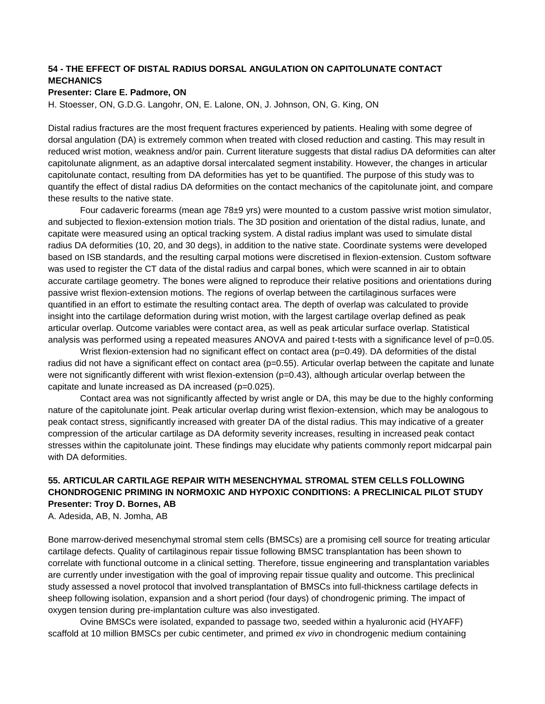# **54 - THE EFFECT OF DISTAL RADIUS DORSAL ANGULATION ON CAPITOLUNATE CONTACT MECHANICS**

### **Presenter: Clare E. Padmore, ON**

H. Stoesser, ON, G.D.G. Langohr, ON, E. Lalone, ON, J. Johnson, ON, G. King, ON

Distal radius fractures are the most frequent fractures experienced by patients. Healing with some degree of dorsal angulation (DA) is extremely common when treated with closed reduction and casting. This may result in reduced wrist motion, weakness and/or pain. Current literature suggests that distal radius DA deformities can alter capitolunate alignment, as an adaptive dorsal intercalated segment instability. However, the changes in articular capitolunate contact, resulting from DA deformities has yet to be quantified. The purpose of this study was to quantify the effect of distal radius DA deformities on the contact mechanics of the capitolunate joint, and compare these results to the native state.

Four cadaveric forearms (mean age 78±9 yrs) were mounted to a custom passive wrist motion simulator, and subjected to flexion-extension motion trials. The 3D position and orientation of the distal radius, lunate, and capitate were measured using an optical tracking system. A distal radius implant was used to simulate distal radius DA deformities (10, 20, and 30 degs), in addition to the native state. Coordinate systems were developed based on ISB standards, and the resulting carpal motions were discretised in flexion-extension. Custom software was used to register the CT data of the distal radius and carpal bones, which were scanned in air to obtain accurate cartilage geometry. The bones were aligned to reproduce their relative positions and orientations during passive wrist flexion-extension motions. The regions of overlap between the cartilaginous surfaces were quantified in an effort to estimate the resulting contact area. The depth of overlap was calculated to provide insight into the cartilage deformation during wrist motion, with the largest cartilage overlap defined as peak articular overlap. Outcome variables were contact area, as well as peak articular surface overlap. Statistical analysis was performed using a repeated measures ANOVA and paired t-tests with a significance level of p=0.05.

Wrist flexion-extension had no significant effect on contact area ( $p=0.49$ ). DA deformities of the distal radius did not have a significant effect on contact area (p=0.55). Articular overlap between the capitate and lunate were not significantly different with wrist flexion-extension (p=0.43), although articular overlap between the capitate and lunate increased as DA increased (p=0.025).

Contact area was not significantly affected by wrist angle or DA, this may be due to the highly conforming nature of the capitolunate joint. Peak articular overlap during wrist flexion-extension, which may be analogous to peak contact stress, significantly increased with greater DA of the distal radius. This may indicative of a greater compression of the articular cartilage as DA deformity severity increases, resulting in increased peak contact stresses within the capitolunate joint. These findings may elucidate why patients commonly report midcarpal pain with DA deformities.

# **55. ARTICULAR CARTILAGE REPAIR WITH MESENCHYMAL STROMAL STEM CELLS FOLLOWING CHONDROGENIC PRIMING IN NORMOXIC AND HYPOXIC CONDITIONS: A PRECLINICAL PILOT STUDY Presenter: Troy D. Bornes, AB**

A. Adesida, AB, N. Jomha, AB

Bone marrow-derived mesenchymal stromal stem cells (BMSCs) are a promising cell source for treating articular cartilage defects. Quality of cartilaginous repair tissue following BMSC transplantation has been shown to correlate with functional outcome in a clinical setting. Therefore, tissue engineering and transplantation variables are currently under investigation with the goal of improving repair tissue quality and outcome. This preclinical study assessed a novel protocol that involved transplantation of BMSCs into full-thickness cartilage defects in sheep following isolation, expansion and a short period (four days) of chondrogenic priming. The impact of oxygen tension during pre-implantation culture was also investigated.

Ovine BMSCs were isolated, expanded to passage two, seeded within a hyaluronic acid (HYAFF) scaffold at 10 million BMSCs per cubic centimeter, and primed *ex vivo* in chondrogenic medium containing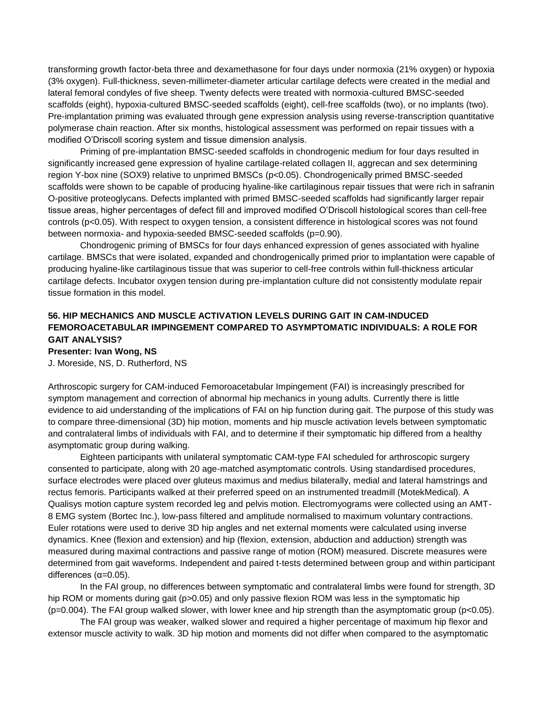transforming growth factor-beta three and dexamethasone for four days under normoxia (21% oxygen) or hypoxia (3% oxygen). Full-thickness, seven-millimeter-diameter articular cartilage defects were created in the medial and lateral femoral condyles of five sheep. Twenty defects were treated with normoxia-cultured BMSC-seeded scaffolds (eight), hypoxia-cultured BMSC-seeded scaffolds (eight), cell-free scaffolds (two), or no implants (two). Pre-implantation priming was evaluated through gene expression analysis using reverse-transcription quantitative polymerase chain reaction. After six months, histological assessment was performed on repair tissues with a modified O'Driscoll scoring system and tissue dimension analysis.

Priming of pre-implantation BMSC-seeded scaffolds in chondrogenic medium for four days resulted in significantly increased gene expression of hyaline cartilage-related collagen II, aggrecan and sex determining region Y-box nine (SOX9) relative to unprimed BMSCs (p<0.05). Chondrogenically primed BMSC-seeded scaffolds were shown to be capable of producing hyaline-like cartilaginous repair tissues that were rich in safranin O-positive proteoglycans. Defects implanted with primed BMSC-seeded scaffolds had significantly larger repair tissue areas, higher percentages of defect fill and improved modified O'Driscoll histological scores than cell-free controls (p<0.05). With respect to oxygen tension, a consistent difference in histological scores was not found between normoxia- and hypoxia-seeded BMSC-seeded scaffolds (p=0.90).

Chondrogenic priming of BMSCs for four days enhanced expression of genes associated with hyaline cartilage. BMSCs that were isolated, expanded and chondrogenically primed prior to implantation were capable of producing hyaline-like cartilaginous tissue that was superior to cell-free controls within full-thickness articular cartilage defects. Incubator oxygen tension during pre-implantation culture did not consistently modulate repair tissue formation in this model.

# **56. HIP MECHANICS AND MUSCLE ACTIVATION LEVELS DURING GAIT IN CAM-INDUCED FEMOROACETABULAR IMPINGEMENT COMPARED TO ASYMPTOMATIC INDIVIDUALS: A ROLE FOR GAIT ANALYSIS?**

**Presenter: Ivan Wong, NS**

J. Moreside, NS, D. Rutherford, NS

Arthroscopic surgery for CAM-induced Femoroacetabular Impingement (FAI) is increasingly prescribed for symptom management and correction of abnormal hip mechanics in young adults. Currently there is little evidence to aid understanding of the implications of FAI on hip function during gait. The purpose of this study was to compare three-dimensional (3D) hip motion, moments and hip muscle activation levels between symptomatic and contralateral limbs of individuals with FAI, and to determine if their symptomatic hip differed from a healthy asymptomatic group during walking.

Eighteen participants with unilateral symptomatic CAM-type FAI scheduled for arthroscopic surgery consented to participate, along with 20 age-matched asymptomatic controls. Using standardised procedures, surface electrodes were placed over gluteus maximus and medius bilaterally, medial and lateral hamstrings and rectus femoris. Participants walked at their preferred speed on an instrumented treadmill (MotekMedical). A Qualisys motion capture system recorded leg and pelvis motion. Electromyograms were collected using an AMT-8 EMG system (Bortec Inc.), low-pass filtered and amplitude normalised to maximum voluntary contractions. Euler rotations were used to derive 3D hip angles and net external moments were calculated using inverse dynamics. Knee (flexion and extension) and hip (flexion, extension, abduction and adduction) strength was measured during maximal contractions and passive range of motion (ROM) measured. Discrete measures were determined from gait waveforms. Independent and paired t-tests determined between group and within participant differences  $(α=0.05)$ .

In the FAI group, no differences between symptomatic and contralateral limbs were found for strength, 3D hip ROM or moments during gait (p>0.05) and only passive flexion ROM was less in the symptomatic hip  $(p=0.004)$ . The FAI group walked slower, with lower knee and hip strength than the asymptomatic group ( $p<0.05$ ).

The FAI group was weaker, walked slower and required a higher percentage of maximum hip flexor and extensor muscle activity to walk. 3D hip motion and moments did not differ when compared to the asymptomatic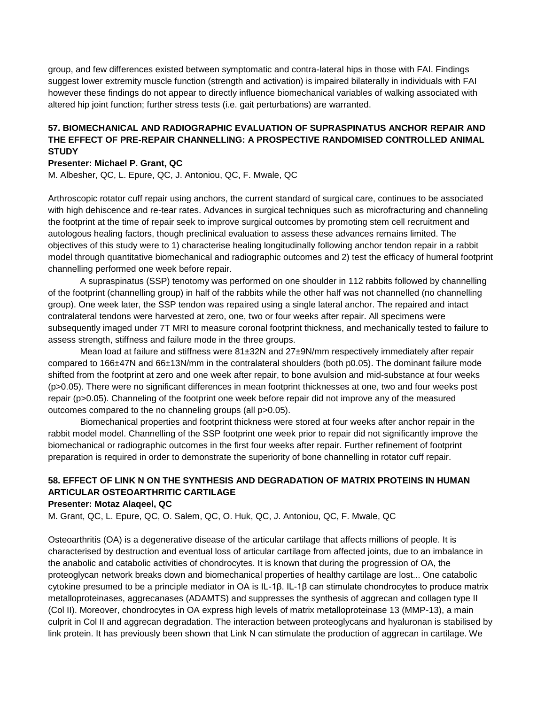group, and few differences existed between symptomatic and contra-lateral hips in those with FAI. Findings suggest lower extremity muscle function (strength and activation) is impaired bilaterally in individuals with FAI however these findings do not appear to directly influence biomechanical variables of walking associated with altered hip joint function; further stress tests (i.e. gait perturbations) are warranted.

# **57. BIOMECHANICAL AND RADIOGRAPHIC EVALUATION OF SUPRASPINATUS ANCHOR REPAIR AND THE EFFECT OF PRE-REPAIR CHANNELLING: A PROSPECTIVE RANDOMISED CONTROLLED ANIMAL STUDY**

### **Presenter: Michael P. Grant, QC**

M. Albesher, QC, L. Epure, QC, J. Antoniou, QC, F. Mwale, QC

Arthroscopic rotator cuff repair using anchors, the current standard of surgical care, continues to be associated with high dehiscence and re-tear rates. Advances in surgical techniques such as microfracturing and channeling the footprint at the time of repair seek to improve surgical outcomes by promoting stem cell recruitment and autologous healing factors, though preclinical evaluation to assess these advances remains limited. The objectives of this study were to 1) characterise healing longitudinally following anchor tendon repair in a rabbit model through quantitative biomechanical and radiographic outcomes and 2) test the efficacy of humeral footprint channelling performed one week before repair.

A supraspinatus (SSP) tenotomy was performed on one shoulder in 112 rabbits followed by channelling of the footprint (channelling group) in half of the rabbits while the other half was not channelled (no channelling group). One week later, the SSP tendon was repaired using a single lateral anchor. The repaired and intact contralateral tendons were harvested at zero, one, two or four weeks after repair. All specimens were subsequently imaged under 7T MRI to measure coronal footprint thickness, and mechanically tested to failure to assess strength, stiffness and failure mode in the three groups.

Mean load at failure and stiffness were 81±32N and 27±9N/mm respectively immediately after repair compared to 166±47N and 66±13N/mm in the contralateral shoulders (both p0.05). The dominant failure mode shifted from the footprint at zero and one week after repair, to bone avulsion and mid-substance at four weeks (p>0.05). There were no significant differences in mean footprint thicknesses at one, two and four weeks post repair (p>0.05). Channeling of the footprint one week before repair did not improve any of the measured outcomes compared to the no channeling groups (all p>0.05).

Biomechanical properties and footprint thickness were stored at four weeks after anchor repair in the rabbit model model. Channelling of the SSP footprint one week prior to repair did not significantly improve the biomechanical or radiographic outcomes in the first four weeks after repair. Further refinement of footprint preparation is required in order to demonstrate the superiority of bone channelling in rotator cuff repair.

# **58. EFFECT OF LINK N ON THE SYNTHESIS AND DEGRADATION OF MATRIX PROTEINS IN HUMAN ARTICULAR OSTEOARTHRITIC CARTILAGE**

### **Presenter: Motaz Alaqeel, QC**

M. Grant, QC, L. Epure, QC, O. Salem, QC, O. Huk, QC, J. Antoniou, QC, F. Mwale, QC

Osteoarthritis (OA) is a degenerative disease of the articular cartilage that affects millions of people. It is characterised by destruction and eventual loss of articular cartilage from affected joints, due to an imbalance in the anabolic and catabolic activities of chondrocytes. It is known that during the progression of OA, the proteoglycan network breaks down and biomechanical properties of healthy cartilage are lost... One catabolic cytokine presumed to be a principle mediator in OA is IL-1β. IL-1β can stimulate chondrocytes to produce matrix metalloproteinases, aggrecanases (ADAMTS) and suppresses the synthesis of aggrecan and collagen type II (Col II). Moreover, chondrocytes in OA express high levels of matrix metalloproteinase 13 (MMP-13), a main culprit in Col II and aggrecan degradation. The interaction between proteoglycans and hyaluronan is stabilised by link protein. It has previously been shown that Link N can stimulate the production of aggrecan in cartilage. We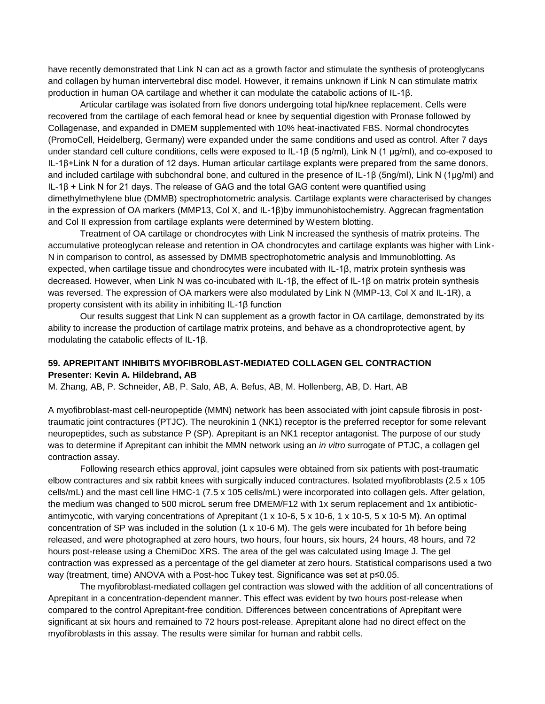have recently demonstrated that Link N can act as a growth factor and stimulate the synthesis of proteoglycans and collagen by human intervertebral disc model. However, it remains unknown if Link N can stimulate matrix production in human OA cartilage and whether it can modulate the catabolic actions of IL-1β.

Articular cartilage was isolated from five donors undergoing total hip/knee replacement. Cells were recovered from the cartilage of each femoral head or knee by sequential digestion with Pronase followed by Collagenase, and expanded in DMEM supplemented with 10% heat-inactivated FBS. Normal chondrocytes (PromoCell, Heidelberg, Germany) were expanded under the same conditions and used as control. After 7 days under standard cell culture conditions, cells were exposed to IL-1β (5 ng/ml), Link N (1 μg/ml), and co-exposed to IL-1β+Link N for a duration of 12 days. Human articular cartilage explants were prepared from the same donors, and included cartilage with subchondral bone, and cultured in the presence of IL-1β (5ng/ml), Link N (1μg/ml) and IL-1β + Link N for 21 days. The release of GAG and the total GAG content were quantified using dimethylmethylene blue (DMMB) spectrophotometric analysis. Cartilage explants were characterised by changes in the expression of OA markers (MMP13, Col X, and IL-1β)by immunohistochemistry. Aggrecan fragmentation and Col II expression from cartilage explants were determined by Western blotting.

Treatment of OA cartilage or chondrocytes with Link N increased the synthesis of matrix proteins. The accumulative proteoglycan release and retention in OA chondrocytes and cartilage explants was higher with Link-N in comparison to control, as assessed by DMMB spectrophotometric analysis and Immunoblotting. As expected, when cartilage tissue and chondrocytes were incubated with IL-1β, matrix protein synthesis was decreased. However, when Link N was co-incubated with IL-1β, the effect of IL-1β on matrix protein synthesis was reversed. The expression of OA markers were also modulated by Link N (MMP-13, Col X and IL-1R), a property consistent with its ability in inhibiting IL-1β function

Our results suggest that Link N can supplement as a growth factor in OA cartilage, demonstrated by its ability to increase the production of cartilage matrix proteins, and behave as a chondroprotective agent, by modulating the catabolic effects of IL-1β.

## **59. APREPITANT INHIBITS MYOFIBROBLAST-MEDIATED COLLAGEN GEL CONTRACTION Presenter: Kevin A. Hildebrand, AB**

M. Zhang, AB, P. Schneider, AB, P. Salo, AB, A. Befus, AB, M. Hollenberg, AB, D. Hart, AB

A myofibroblast-mast cell-neuropeptide (MMN) network has been associated with joint capsule fibrosis in posttraumatic joint contractures (PTJC). The neurokinin 1 (NK1) receptor is the preferred receptor for some relevant neuropeptides, such as substance P (SP). Aprepitant is an NK1 receptor antagonist. The purpose of our study was to determine if Aprepitant can inhibit the MMN network using an *in vitro* surrogate of PTJC, a collagen gel contraction assay.

Following research ethics approval, joint capsules were obtained from six patients with post-traumatic elbow contractures and six rabbit knees with surgically induced contractures. Isolated myofibroblasts (2.5 x 105 cells/mL) and the mast cell line HMC-1 (7.5 x 105 cells/mL) were incorporated into collagen gels. After gelation, the medium was changed to 500 microL serum free DMEM/F12 with 1x serum replacement and 1x antibioticantimycotic, with varying concentrations of Aprepitant (1 x 10-6, 5 x 10-6, 1 x 10-5, 5 x 10-5 M). An optimal concentration of SP was included in the solution (1 x 10-6 M). The gels were incubated for 1h before being released, and were photographed at zero hours, two hours, four hours, six hours, 24 hours, 48 hours, and 72 hours post-release using a ChemiDoc XRS. The area of the gel was calculated using Image J. The gel contraction was expressed as a percentage of the gel diameter at zero hours. Statistical comparisons used a two way (treatment, time) ANOVA with a Post-hoc Tukey test. Significance was set at p≤0.05.

The myofibroblast-mediated collagen gel contraction was slowed with the addition of all concentrations of Aprepitant in a concentration-dependent manner. This effect was evident by two hours post-release when compared to the control Aprepitant-free condition. Differences between concentrations of Aprepitant were significant at six hours and remained to 72 hours post-release. Aprepitant alone had no direct effect on the myofibroblasts in this assay. The results were similar for human and rabbit cells.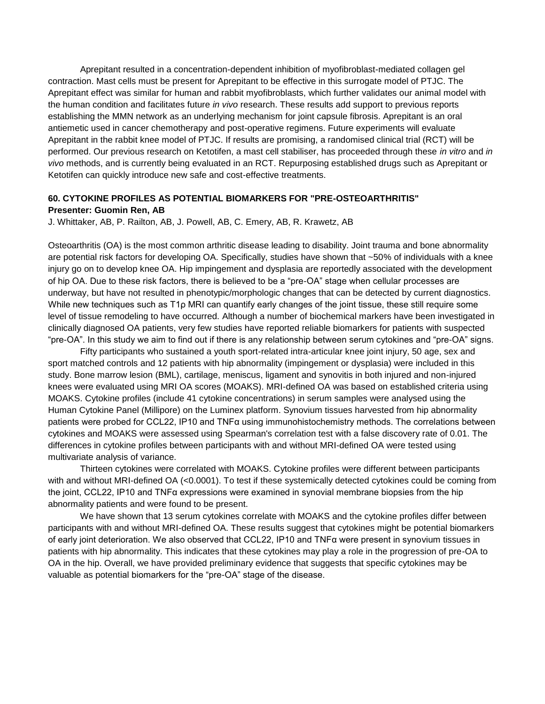Aprepitant resulted in a concentration-dependent inhibition of myofibroblast-mediated collagen gel contraction. Mast cells must be present for Aprepitant to be effective in this surrogate model of PTJC. The Aprepitant effect was similar for human and rabbit myofibroblasts, which further validates our animal model with the human condition and facilitates future *in vivo* research. These results add support to previous reports establishing the MMN network as an underlying mechanism for joint capsule fibrosis. Aprepitant is an oral antiemetic used in cancer chemotherapy and post-operative regimens. Future experiments will evaluate Aprepitant in the rabbit knee model of PTJC. If results are promising, a randomised clinical trial (RCT) will be performed. Our previous research on Ketotifen, a mast cell stabiliser, has proceeded through these *in vitro* and *in vivo* methods, and is currently being evaluated in an RCT. Repurposing established drugs such as Aprepitant or Ketotifen can quickly introduce new safe and cost-effective treatments.

## **60. CYTOKINE PROFILES AS POTENTIAL BIOMARKERS FOR "PRE-OSTEOARTHRITIS" Presenter: Guomin Ren, AB**

J. Whittaker, AB, P. Railton, AB, J. Powell, AB, C. Emery, AB, R. Krawetz, AB

Osteoarthritis (OA) is the most common arthritic disease leading to disability. Joint trauma and bone abnormality are potential risk factors for developing OA. Specifically, studies have shown that ~50% of individuals with a knee injury go on to develop knee OA. Hip impingement and dysplasia are reportedly associated with the development of hip OA. Due to these risk factors, there is believed to be a "pre-OA" stage when cellular processes are underway, but have not resulted in phenotypic/morphologic changes that can be detected by current diagnostics. While new techniques such as T1p MRI can quantify early changes of the joint tissue, these still require some level of tissue remodeling to have occurred. Although a number of biochemical markers have been investigated in clinically diagnosed OA patients, very few studies have reported reliable biomarkers for patients with suspected "pre-OA". In this study we aim to find out if there is any relationship between serum cytokines and "pre-OA" signs.

Fifty participants who sustained a youth sport-related intra-articular knee joint injury, 50 age, sex and sport matched controls and 12 patients with hip abnormality (impingement or dysplasia) were included in this study. Bone marrow lesion (BML), cartilage, meniscus, ligament and synovitis in both injured and non-injured knees were evaluated using MRI OA scores (MOAKS). MRI-defined OA was based on established criteria using MOAKS. Cytokine profiles (include 41 cytokine concentrations) in serum samples were analysed using the Human Cytokine Panel (Millipore) on the Luminex platform. Synovium tissues harvested from hip abnormality patients were probed for CCL22, IP10 and TNFα using immunohistochemistry methods. The correlations between cytokines and MOAKS were assessed using Spearman's correlation test with a false discovery rate of 0.01. The differences in cytokine profiles between participants with and without MRI-defined OA were tested using multivariate analysis of variance.

Thirteen cytokines were correlated with MOAKS. Cytokine profiles were different between participants with and without MRI-defined OA (<0.0001). To test if these systemically detected cytokines could be coming from the joint, CCL22, IP10 and TNFα expressions were examined in synovial membrane biopsies from the hip abnormality patients and were found to be present.

We have shown that 13 serum cytokines correlate with MOAKS and the cytokine profiles differ between participants with and without MRI-defined OA. These results suggest that cytokines might be potential biomarkers of early joint deterioration. We also observed that CCL22, IP10 and TNFα were present in synovium tissues in patients with hip abnormality. This indicates that these cytokines may play a role in the progression of pre-OA to OA in the hip. Overall, we have provided preliminary evidence that suggests that specific cytokines may be valuable as potential biomarkers for the "pre-OA" stage of the disease.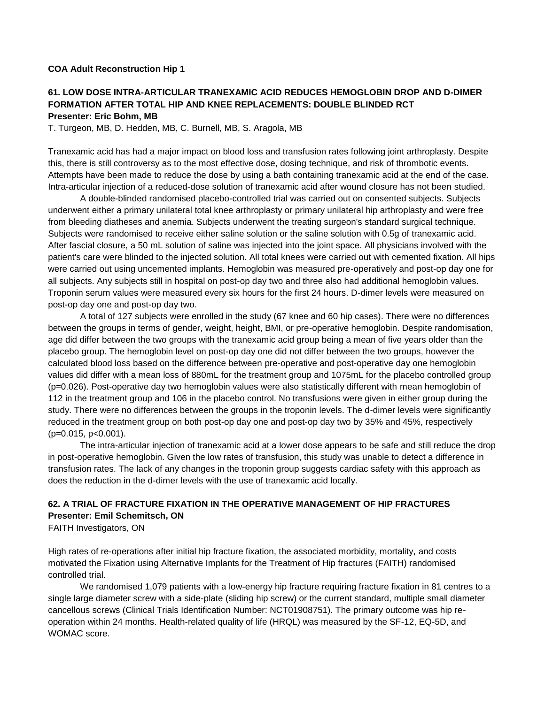### **COA Adult Reconstruction Hip 1**

### **61. LOW DOSE INTRA-ARTICULAR TRANEXAMIC ACID REDUCES HEMOGLOBIN DROP AND D-DIMER FORMATION AFTER TOTAL HIP AND KNEE REPLACEMENTS: DOUBLE BLINDED RCT Presenter: Eric Bohm, MB**

T. Turgeon, MB, D. Hedden, MB, C. Burnell, MB, S. Aragola, MB

Tranexamic acid has had a major impact on blood loss and transfusion rates following joint arthroplasty. Despite this, there is still controversy as to the most effective dose, dosing technique, and risk of thrombotic events. Attempts have been made to reduce the dose by using a bath containing tranexamic acid at the end of the case. Intra-articular injection of a reduced-dose solution of tranexamic acid after wound closure has not been studied.

A double-blinded randomised placebo-controlled trial was carried out on consented subjects. Subjects underwent either a primary unilateral total knee arthroplasty or primary unilateral hip arthroplasty and were free from bleeding diatheses and anemia. Subjects underwent the treating surgeon's standard surgical technique. Subjects were randomised to receive either saline solution or the saline solution with 0.5g of tranexamic acid. After fascial closure, a 50 mL solution of saline was injected into the joint space. All physicians involved with the patient's care were blinded to the injected solution. All total knees were carried out with cemented fixation. All hips were carried out using uncemented implants. Hemoglobin was measured pre-operatively and post-op day one for all subjects. Any subjects still in hospital on post-op day two and three also had additional hemoglobin values. Troponin serum values were measured every six hours for the first 24 hours. D-dimer levels were measured on post-op day one and post-op day two.

A total of 127 subjects were enrolled in the study (67 knee and 60 hip cases). There were no differences between the groups in terms of gender, weight, height, BMI, or pre-operative hemoglobin. Despite randomisation, age did differ between the two groups with the tranexamic acid group being a mean of five years older than the placebo group. The hemoglobin level on post-op day one did not differ between the two groups, however the calculated blood loss based on the difference between pre-operative and post-operative day one hemoglobin values did differ with a mean loss of 880mL for the treatment group and 1075mL for the placebo controlled group (p=0.026). Post-operative day two hemoglobin values were also statistically different with mean hemoglobin of 112 in the treatment group and 106 in the placebo control. No transfusions were given in either group during the study. There were no differences between the groups in the troponin levels. The d-dimer levels were significantly reduced in the treatment group on both post-op day one and post-op day two by 35% and 45%, respectively (p=0.015, p<0.001).

The intra-articular injection of tranexamic acid at a lower dose appears to be safe and still reduce the drop in post-operative hemoglobin. Given the low rates of transfusion, this study was unable to detect a difference in transfusion rates. The lack of any changes in the troponin group suggests cardiac safety with this approach as does the reduction in the d-dimer levels with the use of tranexamic acid locally.

# **62. A TRIAL OF FRACTURE FIXATION IN THE OPERATIVE MANAGEMENT OF HIP FRACTURES Presenter: Emil Schemitsch, ON**

FAITH Investigators, ON

High rates of re-operations after initial hip fracture fixation, the associated morbidity, mortality, and costs motivated the Fixation using Alternative Implants for the Treatment of Hip fractures (FAITH) randomised controlled trial.

We randomised 1,079 patients with a low-energy hip fracture requiring fracture fixation in 81 centres to a single large diameter screw with a side-plate (sliding hip screw) or the current standard, multiple small diameter cancellous screws (Clinical Trials Identification Number: NCT01908751). The primary outcome was hip reoperation within 24 months. Health-related quality of life (HRQL) was measured by the SF-12, EQ-5D, and WOMAC score.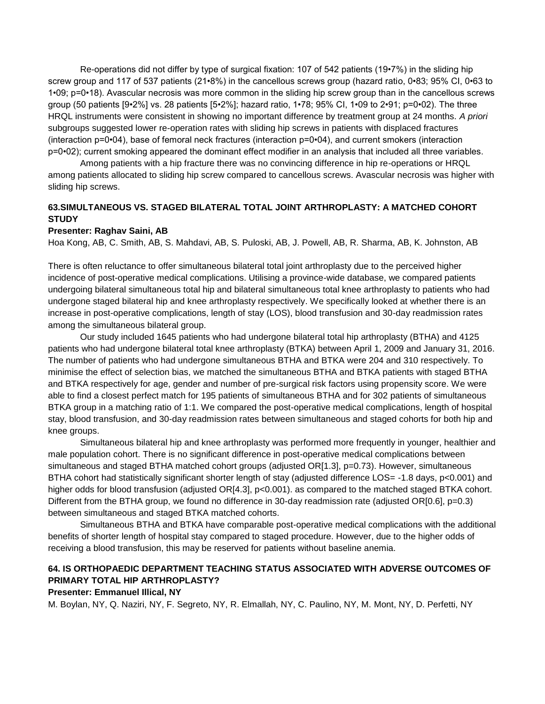Re-operations did not differ by type of surgical fixation: 107 of 542 patients (19•7%) in the sliding hip screw group and 117 of 537 patients (21•8%) in the cancellous screws group (hazard ratio, 0•83; 95% CI, 0•63 to 1•09; p=0•18). Avascular necrosis was more common in the sliding hip screw group than in the cancellous screws group (50 patients [9•2%] vs. 28 patients [5•2%]; hazard ratio, 1•78; 95% CI, 1•09 to 2•91; p=0•02). The three HRQL instruments were consistent in showing no important difference by treatment group at 24 months. *A priori* subgroups suggested lower re-operation rates with sliding hip screws in patients with displaced fractures (interaction p=0•04), base of femoral neck fractures (interaction p=0•04), and current smokers (interaction p=0•02); current smoking appeared the dominant effect modifier in an analysis that included all three variables.

Among patients with a hip fracture there was no convincing difference in hip re-operations or HRQL among patients allocated to sliding hip screw compared to cancellous screws. Avascular necrosis was higher with sliding hip screws.

## **63.SIMULTANEOUS VS. STAGED BILATERAL TOTAL JOINT ARTHROPLASTY: A MATCHED COHORT STUDY**

#### **Presenter: Raghav Saini, AB**

Hoa Kong, AB, C. Smith, AB, S. Mahdavi, AB, S. Puloski, AB, J. Powell, AB, R. Sharma, AB, K. Johnston, AB

There is often reluctance to offer simultaneous bilateral total joint arthroplasty due to the perceived higher incidence of post-operative medical complications. Utilising a province-wide database, we compared patients undergoing bilateral simultaneous total hip and bilateral simultaneous total knee arthroplasty to patients who had undergone staged bilateral hip and knee arthroplasty respectively. We specifically looked at whether there is an increase in post-operative complications, length of stay (LOS), blood transfusion and 30-day readmission rates among the simultaneous bilateral group.

Our study included 1645 patients who had undergone bilateral total hip arthroplasty (BTHA) and 4125 patients who had undergone bilateral total knee arthroplasty (BTKA) between April 1, 2009 and January 31, 2016. The number of patients who had undergone simultaneous BTHA and BTKA were 204 and 310 respectively. To minimise the effect of selection bias, we matched the simultaneous BTHA and BTKA patients with staged BTHA and BTKA respectively for age, gender and number of pre-surgical risk factors using propensity score. We were able to find a closest perfect match for 195 patients of simultaneous BTHA and for 302 patients of simultaneous BTKA group in a matching ratio of 1:1. We compared the post-operative medical complications, length of hospital stay, blood transfusion, and 30-day readmission rates between simultaneous and staged cohorts for both hip and knee groups.

Simultaneous bilateral hip and knee arthroplasty was performed more frequently in younger, healthier and male population cohort. There is no significant difference in post-operative medical complications between simultaneous and staged BTHA matched cohort groups (adjusted OR[1.3], p=0.73). However, simultaneous BTHA cohort had statistically significant shorter length of stay (adjusted difference LOS= -1.8 days, p<0.001) and higher odds for blood transfusion (adjusted OR[4.3], p<0.001). as compared to the matched staged BTKA cohort. Different from the BTHA group, we found no difference in 30-day readmission rate (adjusted OR[0.6], p=0.3) between simultaneous and staged BTKA matched cohorts.

Simultaneous BTHA and BTKA have comparable post-operative medical complications with the additional benefits of shorter length of hospital stay compared to staged procedure. However, due to the higher odds of receiving a blood transfusion, this may be reserved for patients without baseline anemia.

# **64. IS ORTHOPAEDIC DEPARTMENT TEACHING STATUS ASSOCIATED WITH ADVERSE OUTCOMES OF PRIMARY TOTAL HIP ARTHROPLASTY?**

### **Presenter: Emmanuel Illical, NY**

M. Boylan, NY, Q. Naziri, NY, F. Segreto, NY, R. Elmallah, NY, C. Paulino, NY, M. Mont, NY, D. Perfetti, NY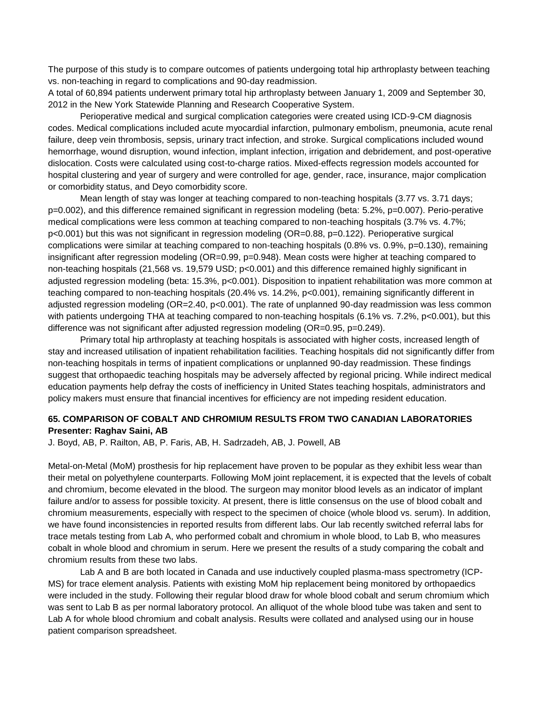The purpose of this study is to compare outcomes of patients undergoing total hip arthroplasty between teaching vs. non-teaching in regard to complications and 90-day readmission.

A total of 60,894 patients underwent primary total hip arthroplasty between January 1, 2009 and September 30, 2012 in the New York Statewide Planning and Research Cooperative System.

Perioperative medical and surgical complication categories were created using ICD-9-CM diagnosis codes. Medical complications included acute myocardial infarction, pulmonary embolism, pneumonia, acute renal failure, deep vein thrombosis, sepsis, urinary tract infection, and stroke. Surgical complications included wound hemorrhage, wound disruption, wound infection, implant infection, irrigation and debridement, and post-operative dislocation. Costs were calculated using cost-to-charge ratios. Mixed-effects regression models accounted for hospital clustering and year of surgery and were controlled for age, gender, race, insurance, major complication or comorbidity status, and Deyo comorbidity score.

Mean length of stay was longer at teaching compared to non-teaching hospitals (3.77 vs. 3.71 days; p=0.002), and this difference remained significant in regression modeling (beta: 5.2%, p=0.007). Perio-perative medical complications were less common at teaching compared to non-teaching hospitals (3.7% vs. 4.7%; p<0.001) but this was not significant in regression modeling (OR=0.88, p=0.122). Perioperative surgical complications were similar at teaching compared to non-teaching hospitals (0.8% vs. 0.9%, p=0.130), remaining insignificant after regression modeling (OR=0.99, p=0.948). Mean costs were higher at teaching compared to non-teaching hospitals (21,568 vs. 19,579 USD; p<0.001) and this difference remained highly significant in adjusted regression modeling (beta: 15.3%, p<0.001). Disposition to inpatient rehabilitation was more common at teaching compared to non-teaching hospitals (20.4% vs. 14.2%, p<0.001), remaining significantly different in adjusted regression modeling (OR=2.40, p<0.001). The rate of unplanned 90-day readmission was less common with patients undergoing THA at teaching compared to non-teaching hospitals (6.1% vs. 7.2%, p<0.001), but this difference was not significant after adjusted regression modeling (OR=0.95, p=0.249).

Primary total hip arthroplasty at teaching hospitals is associated with higher costs, increased length of stay and increased utilisation of inpatient rehabilitation facilities. Teaching hospitals did not significantly differ from non-teaching hospitals in terms of inpatient complications or unplanned 90-day readmission. These findings suggest that orthopaedic teaching hospitals may be adversely affected by regional pricing. While indirect medical education payments help defray the costs of inefficiency in United States teaching hospitals, administrators and policy makers must ensure that financial incentives for efficiency are not impeding resident education.

## **65. COMPARISON OF COBALT AND CHROMIUM RESULTS FROM TWO CANADIAN LABORATORIES Presenter: Raghav Saini, AB**

J. Boyd, AB, P. Railton, AB, P. Faris, AB, H. Sadrzadeh, AB, J. Powell, AB

Metal-on-Metal (MoM) prosthesis for hip replacement have proven to be popular as they exhibit less wear than their metal on polyethylene counterparts. Following MoM joint replacement, it is expected that the levels of cobalt and chromium, become elevated in the blood. The surgeon may monitor blood levels as an indicator of implant failure and/or to assess for possible toxicity. At present, there is little consensus on the use of blood cobalt and chromium measurements, especially with respect to the specimen of choice (whole blood vs. serum). In addition, we have found inconsistencies in reported results from different labs. Our lab recently switched referral labs for trace metals testing from Lab A, who performed cobalt and chromium in whole blood, to Lab B, who measures cobalt in whole blood and chromium in serum. Here we present the results of a study comparing the cobalt and chromium results from these two labs.

Lab A and B are both located in Canada and use inductively coupled plasma-mass spectrometry (ICP-MS) for trace element analysis. Patients with existing MoM hip replacement being monitored by orthopaedics were included in the study. Following their regular blood draw for whole blood cobalt and serum chromium which was sent to Lab B as per normal laboratory protocol. An alliquot of the whole blood tube was taken and sent to Lab A for whole blood chromium and cobalt analysis. Results were collated and analysed using our in house patient comparison spreadsheet.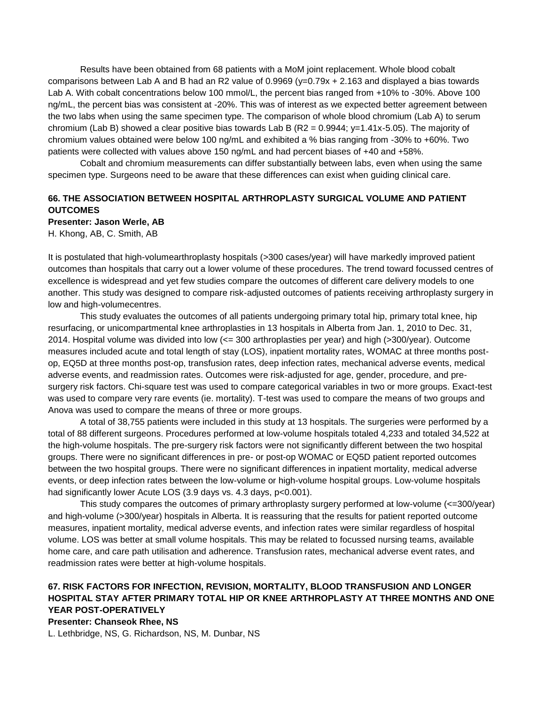Results have been obtained from 68 patients with a MoM joint replacement. Whole blood cobalt comparisons between Lab A and B had an R2 value of  $0.9969$  ( $y=0.79x + 2.163$  and displayed a bias towards Lab A. With cobalt concentrations below 100 mmol/L, the percent bias ranged from +10% to -30%. Above 100 ng/mL, the percent bias was consistent at -20%. This was of interest as we expected better agreement between the two labs when using the same specimen type. The comparison of whole blood chromium (Lab A) to serum chromium (Lab B) showed a clear positive bias towards Lab B (R2 =  $0.9944$ ; y=1.41x-5.05). The majority of chromium values obtained were below 100 ng/mL and exhibited a % bias ranging from -30% to +60%. Two patients were collected with values above 150 ng/mL and had percent biases of +40 and +58%.

Cobalt and chromium measurements can differ substantially between labs, even when using the same specimen type. Surgeons need to be aware that these differences can exist when guiding clinical care.

# **66. THE ASSOCIATION BETWEEN HOSPITAL ARTHROPLASTY SURGICAL VOLUME AND PATIENT OUTCOMES**

### **Presenter: Jason Werle, AB**

H. Khong, AB, C. Smith, AB

It is postulated that high-volumearthroplasty hospitals (>300 cases/year) will have markedly improved patient outcomes than hospitals that carry out a lower volume of these procedures. The trend toward focussed centres of excellence is widespread and yet few studies compare the outcomes of different care delivery models to one another. This study was designed to compare risk-adjusted outcomes of patients receiving arthroplasty surgery in low and high-volumecentres.

This study evaluates the outcomes of all patients undergoing primary total hip, primary total knee, hip resurfacing, or unicompartmental knee arthroplasties in 13 hospitals in Alberta from Jan. 1, 2010 to Dec. 31, 2014. Hospital volume was divided into low (<= 300 arthroplasties per year) and high (>300/year). Outcome measures included acute and total length of stay (LOS), inpatient mortality rates, WOMAC at three months postop, EQ5D at three months post-op, transfusion rates, deep infection rates, mechanical adverse events, medical adverse events, and readmission rates. Outcomes were risk-adjusted for age, gender, procedure, and presurgery risk factors. Chi-square test was used to compare categorical variables in two or more groups. Exact-test was used to compare very rare events (ie. mortality). T-test was used to compare the means of two groups and Anova was used to compare the means of three or more groups.

A total of 38,755 patients were included in this study at 13 hospitals. The surgeries were performed by a total of 88 different surgeons. Procedures performed at low-volume hospitals totaled 4,233 and totaled 34,522 at the high-volume hospitals. The pre-surgery risk factors were not significantly different between the two hospital groups. There were no significant differences in pre- or post-op WOMAC or EQ5D patient reported outcomes between the two hospital groups. There were no significant differences in inpatient mortality, medical adverse events, or deep infection rates between the low-volume or high-volume hospital groups. Low-volume hospitals had significantly lower Acute LOS (3.9 days vs. 4.3 days, p<0.001).

This study compares the outcomes of primary arthroplasty surgery performed at low-volume (<=300/year) and high-volume (>300/year) hospitals in Alberta. It is reassuring that the results for patient reported outcome measures, inpatient mortality, medical adverse events, and infection rates were similar regardless of hospital volume. LOS was better at small volume hospitals. This may be related to focussed nursing teams, available home care, and care path utilisation and adherence. Transfusion rates, mechanical adverse event rates, and readmission rates were better at high-volume hospitals.

# **67. RISK FACTORS FOR INFECTION, REVISION, MORTALITY, BLOOD TRANSFUSION AND LONGER HOSPITAL STAY AFTER PRIMARY TOTAL HIP OR KNEE ARTHROPLASTY AT THREE MONTHS AND ONE YEAR POST-OPERATIVELY**

#### **Presenter: Chanseok Rhee, NS**

L. Lethbridge, NS, G. Richardson, NS, M. Dunbar, NS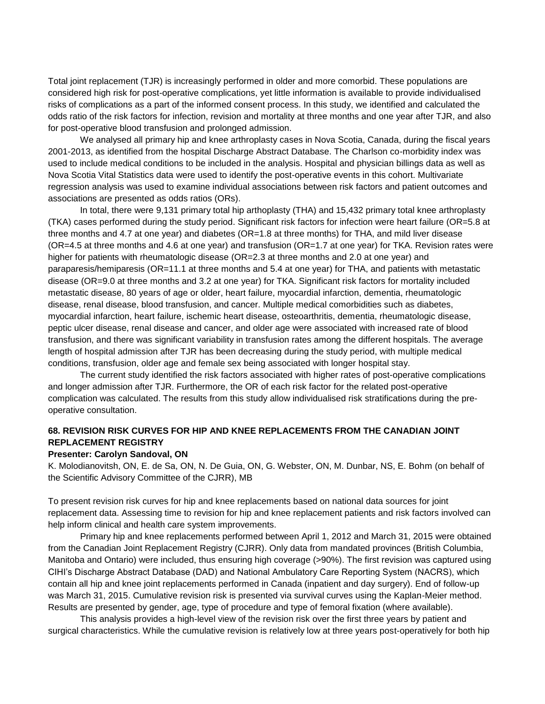Total joint replacement (TJR) is increasingly performed in older and more comorbid. These populations are considered high risk for post-operative complications, yet little information is available to provide individualised risks of complications as a part of the informed consent process. In this study, we identified and calculated the odds ratio of the risk factors for infection, revision and mortality at three months and one year after TJR, and also for post-operative blood transfusion and prolonged admission.

We analysed all primary hip and knee arthroplasty cases in Nova Scotia, Canada, during the fiscal years 2001-2013, as identified from the hospital Discharge Abstract Database. The Charlson co-morbidity index was used to include medical conditions to be included in the analysis. Hospital and physician billings data as well as Nova Scotia Vital Statistics data were used to identify the post-operative events in this cohort. Multivariate regression analysis was used to examine individual associations between risk factors and patient outcomes and associations are presented as odds ratios (ORs).

In total, there were 9,131 primary total hip arthoplasty (THA) and 15,432 primary total knee arthroplasty (TKA) cases performed during the study period. Significant risk factors for infection were heart failure (OR=5.8 at three months and 4.7 at one year) and diabetes (OR=1.8 at three months) for THA, and mild liver disease (OR=4.5 at three months and 4.6 at one year) and transfusion (OR=1.7 at one year) for TKA. Revision rates were higher for patients with rheumatologic disease (OR=2.3 at three months and 2.0 at one year) and paraparesis/hemiparesis (OR=11.1 at three months and 5.4 at one year) for THA, and patients with metastatic disease (OR=9.0 at three months and 3.2 at one year) for TKA. Significant risk factors for mortality included metastatic disease, 80 years of age or older, heart failure, myocardial infarction, dementia, rheumatologic disease, renal disease, blood transfusion, and cancer. Multiple medical comorbidities such as diabetes, myocardial infarction, heart failure, ischemic heart disease, osteoarthritis, dementia, rheumatologic disease, peptic ulcer disease, renal disease and cancer, and older age were associated with increased rate of blood transfusion, and there was significant variability in transfusion rates among the different hospitals. The average length of hospital admission after TJR has been decreasing during the study period, with multiple medical conditions, transfusion, older age and female sex being associated with longer hospital stay.

The current study identified the risk factors associated with higher rates of post-operative complications and longer admission after TJR. Furthermore, the OR of each risk factor for the related post-operative complication was calculated. The results from this study allow individualised risk stratifications during the preoperative consultation.

# **68. REVISION RISK CURVES FOR HIP AND KNEE REPLACEMENTS FROM THE CANADIAN JOINT REPLACEMENT REGISTRY**

#### **Presenter: Carolyn Sandoval, ON**

K. Molodianovitsh, ON, E. de Sa, ON, N. De Guia, ON, G. Webster, ON, M. Dunbar, NS, E. Bohm (on behalf of the Scientific Advisory Committee of the CJRR), MB

To present revision risk curves for hip and knee replacements based on national data sources for joint replacement data. Assessing time to revision for hip and knee replacement patients and risk factors involved can help inform clinical and health care system improvements.

Primary hip and knee replacements performed between April 1, 2012 and March 31, 2015 were obtained from the Canadian Joint Replacement Registry (CJRR). Only data from mandated provinces (British Columbia, Manitoba and Ontario) were included, thus ensuring high coverage (>90%). The first revision was captured using CIHI's Discharge Abstract Database (DAD) and National Ambulatory Care Reporting System (NACRS), which contain all hip and knee joint replacements performed in Canada (inpatient and day surgery). End of follow-up was March 31, 2015. Cumulative revision risk is presented via survival curves using the Kaplan-Meier method. Results are presented by gender, age, type of procedure and type of femoral fixation (where available).

This analysis provides a high-level view of the revision risk over the first three years by patient and surgical characteristics. While the cumulative revision is relatively low at three years post-operatively for both hip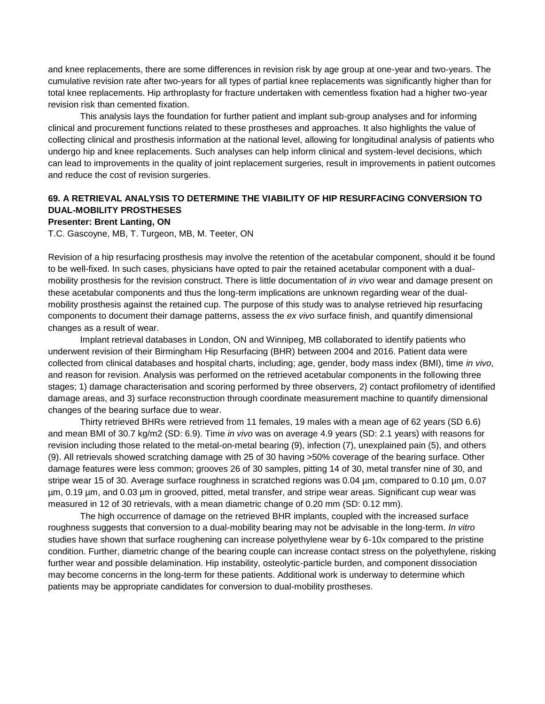and knee replacements, there are some differences in revision risk by age group at one-year and two-years. The cumulative revision rate after two-years for all types of partial knee replacements was significantly higher than for total knee replacements. Hip arthroplasty for fracture undertaken with cementless fixation had a higher two-year revision risk than cemented fixation.

This analysis lays the foundation for further patient and implant sub-group analyses and for informing clinical and procurement functions related to these prostheses and approaches. It also highlights the value of collecting clinical and prosthesis information at the national level, allowing for longitudinal analysis of patients who undergo hip and knee replacements. Such analyses can help inform clinical and system-level decisions, which can lead to improvements in the quality of joint replacement surgeries, result in improvements in patient outcomes and reduce the cost of revision surgeries.

# **69. A RETRIEVAL ANALYSIS TO DETERMINE THE VIABILITY OF HIP RESURFACING CONVERSION TO DUAL-MOBILITY PROSTHESES**

### **Presenter: Brent Lanting, ON**

T.C. Gascoyne, MB, T. Turgeon, MB, M. Teeter, ON

Revision of a hip resurfacing prosthesis may involve the retention of the acetabular component, should it be found to be well-fixed. In such cases, physicians have opted to pair the retained acetabular component with a dualmobility prosthesis for the revision construct. There is little documentation of *in vivo* wear and damage present on these acetabular components and thus the long-term implications are unknown regarding wear of the dualmobility prosthesis against the retained cup. The purpose of this study was to analyse retrieved hip resurfacing components to document their damage patterns, assess the *ex vivo* surface finish, and quantify dimensional changes as a result of wear.

Implant retrieval databases in London, ON and Winnipeg, MB collaborated to identify patients who underwent revision of their Birmingham Hip Resurfacing (BHR) between 2004 and 2016. Patient data were collected from clinical databases and hospital charts, including; age, gender, body mass index (BMI), time *in vivo*, and reason for revision. Analysis was performed on the retrieved acetabular components in the following three stages; 1) damage characterisation and scoring performed by three observers, 2) contact profilometry of identified damage areas, and 3) surface reconstruction through coordinate measurement machine to quantify dimensional changes of the bearing surface due to wear.

Thirty retrieved BHRs were retrieved from 11 females, 19 males with a mean age of 62 years (SD 6.6) and mean BMI of 30.7 kg/m2 (SD: 6.9). Time *in vivo* was on average 4.9 years (SD: 2.1 years) with reasons for revision including those related to the metal-on-metal bearing (9), infection (7), unexplained pain (5), and others (9). All retrievals showed scratching damage with 25 of 30 having >50% coverage of the bearing surface. Other damage features were less common; grooves 26 of 30 samples, pitting 14 of 30, metal transfer nine of 30, and stripe wear 15 of 30. Average surface roughness in scratched regions was 0.04 µm, compared to 0.10 µm, 0.07 µm, 0.19 µm, and 0.03 µm in grooved, pitted, metal transfer, and stripe wear areas. Significant cup wear was measured in 12 of 30 retrievals, with a mean diametric change of 0.20 mm (SD: 0.12 mm).

The high occurrence of damage on the retrieved BHR implants, coupled with the increased surface roughness suggests that conversion to a dual-mobility bearing may not be advisable in the long-term. *In vitro* studies have shown that surface roughening can increase polyethylene wear by 6-10x compared to the pristine condition. Further, diametric change of the bearing couple can increase contact stress on the polyethylene, risking further wear and possible delamination. Hip instability, osteolytic-particle burden, and component dissociation may become concerns in the long-term for these patients. Additional work is underway to determine which patients may be appropriate candidates for conversion to dual-mobility prostheses.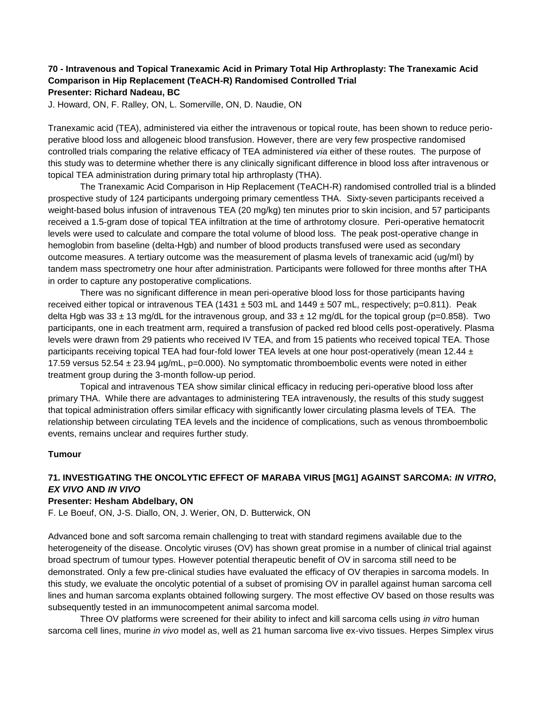# **70 - Intravenous and Topical Tranexamic Acid in Primary Total Hip Arthroplasty: The Tranexamic Acid Comparison in Hip Replacement (TeACH-R) Randomised Controlled Trial Presenter: Richard Nadeau, BC**

J. Howard, ON, F. Ralley, ON, L. Somerville, ON, D. Naudie, ON

Tranexamic acid (TEA), administered via either the intravenous or topical route, has been shown to reduce perioperative blood loss and allogeneic blood transfusion. However, there are very few prospective randomised controlled trials comparing the relative efficacy of TEA administered *via* either of these routes. The purpose of this study was to determine whether there is any clinically significant difference in blood loss after intravenous or topical TEA administration during primary total hip arthroplasty (THA).

The Tranexamic Acid Comparison in Hip Replacement (TeACH-R) randomised controlled trial is a blinded prospective study of 124 participants undergoing primary cementless THA. Sixty-seven participants received a weight-based bolus infusion of intravenous TEA (20 mg/kg) ten minutes prior to skin incision, and 57 participants received a 1.5-gram dose of topical TEA infiltration at the time of arthrotomy closure. Peri-operative hematocrit levels were used to calculate and compare the total volume of blood loss. The peak post-operative change in hemoglobin from baseline (delta-Hgb) and number of blood products transfused were used as secondary outcome measures. A tertiary outcome was the measurement of plasma levels of tranexamic acid (ug/ml) by tandem mass spectrometry one hour after administration. Participants were followed for three months after THA in order to capture any postoperative complications.

There was no significant difference in mean peri-operative blood loss for those participants having received either topical or intravenous TEA (1431  $\pm$  503 mL and 1449  $\pm$  507 mL, respectively; p=0.811). Peak delta Hgb was  $33 \pm 13$  mg/dL for the intravenous group, and  $33 \pm 12$  mg/dL for the topical group (p=0.858). Two participants, one in each treatment arm, required a transfusion of packed red blood cells post-operatively. Plasma levels were drawn from 29 patients who received IV TEA, and from 15 patients who received topical TEA. Those participants receiving topical TEA had four-fold lower TEA levels at one hour post-operatively (mean 12.44 ± 17.59 versus 52.54 ± 23.94 µg/mL, p=0.000). No symptomatic thromboembolic events were noted in either treatment group during the 3-month follow-up period.

Topical and intravenous TEA show similar clinical efficacy in reducing peri-operative blood loss after primary THA. While there are advantages to administering TEA intravenously, the results of this study suggest that topical administration offers similar efficacy with significantly lower circulating plasma levels of TEA. The relationship between circulating TEA levels and the incidence of complications, such as venous thromboembolic events, remains unclear and requires further study.

## **Tumour**

# **71. INVESTIGATING THE ONCOLYTIC EFFECT OF MARABA VIRUS [MG1] AGAINST SARCOMA:** *IN VITRO***,**  *EX VIVO* **AND** *IN VIVO*

### **Presenter: Hesham Abdelbary, ON**

F. Le Boeuf, ON, J-S. Diallo, ON, J. Werier, ON, D. Butterwick, ON

Advanced bone and soft sarcoma remain challenging to treat with standard regimens available due to the heterogeneity of the disease. Oncolytic viruses (OV) has shown great promise in a number of clinical trial against broad spectrum of tumour types. However potential therapeutic benefit of OV in sarcoma still need to be demonstrated. Only a few pre-clinical studies have evaluated the efficacy of OV therapies in sarcoma models. In this study, we evaluate the oncolytic potential of a subset of promising OV in parallel against human sarcoma cell lines and human sarcoma explants obtained following surgery. The most effective OV based on those results was subsequently tested in an immunocompetent animal sarcoma model.

Three OV platforms were screened for their ability to infect and kill sarcoma cells using *in vitro* human sarcoma cell lines, murine *in vivo* model as, well as 21 human sarcoma live ex-vivo tissues. Herpes Simplex virus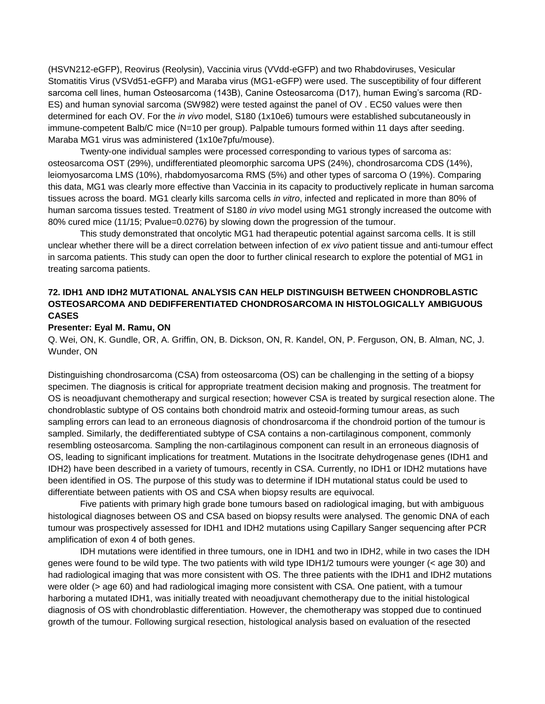(HSVN212-eGFP), Reovirus (Reolysin), Vaccinia virus (VVdd-eGFP) and two Rhabdoviruses, Vesicular Stomatitis Virus (VSVd51-eGFP) and Maraba virus (MG1-eGFP) were used. The susceptibility of four different sarcoma cell lines, human Osteosarcoma (143B), Canine Osteosarcoma (D17), human Ewing's sarcoma (RD-ES) and human synovial sarcoma (SW982) were tested against the panel of OV . EC50 values were then determined for each OV. For the *in vivo* model, S180 (1x10e6) tumours were established subcutaneously in immune-competent Balb/C mice (N=10 per group). Palpable tumours formed within 11 days after seeding. Maraba MG1 virus was administered (1x10e7pfu/mouse).

Twenty-one individual samples were processed corresponding to various types of sarcoma as: osteosarcoma OST (29%), undifferentiated pleomorphic sarcoma UPS (24%), chondrosarcoma CDS (14%), leiomyosarcoma LMS (10%), rhabdomyosarcoma RMS (5%) and other types of sarcoma O (19%). Comparing this data, MG1 was clearly more effective than Vaccinia in its capacity to productively replicate in human sarcoma tissues across the board. MG1 clearly kills sarcoma cells *in vitro*, infected and replicated in more than 80% of human sarcoma tissues tested. Treatment of S180 *in vivo* model using MG1 strongly increased the outcome with 80% cured mice (11/15; Pvalue=0.0276) by slowing down the progression of the tumour.

This study demonstrated that oncolytic MG1 had therapeutic potential against sarcoma cells. It is still unclear whether there will be a direct correlation between infection of *ex vivo* patient tissue and anti-tumour effect in sarcoma patients. This study can open the door to further clinical research to explore the potential of MG1 in treating sarcoma patients.

# **72. IDH1 AND IDH2 MUTATIONAL ANALYSIS CAN HELP DISTINGUISH BETWEEN CHONDROBLASTIC OSTEOSARCOMA AND DEDIFFERENTIATED CHONDROSARCOMA IN HISTOLOGICALLY AMBIGUOUS CASES**

### **Presenter: Eyal M. Ramu, ON**

Q. Wei, ON, K. Gundle, OR, A. Griffin, ON, B. Dickson, ON, R. Kandel, ON, P. Ferguson, ON, B. Alman, NC, J. Wunder, ON

Distinguishing chondrosarcoma (CSA) from osteosarcoma (OS) can be challenging in the setting of a biopsy specimen. The diagnosis is critical for appropriate treatment decision making and prognosis. The treatment for OS is neoadjuvant chemotherapy and surgical resection; however CSA is treated by surgical resection alone. The chondroblastic subtype of OS contains both chondroid matrix and osteoid-forming tumour areas, as such sampling errors can lead to an erroneous diagnosis of chondrosarcoma if the chondroid portion of the tumour is sampled. Similarly, the dedifferentiated subtype of CSA contains a non-cartilaginous component, commonly resembling osteosarcoma. Sampling the non-cartilaginous component can result in an erroneous diagnosis of OS, leading to significant implications for treatment. Mutations in the Isocitrate dehydrogenase genes (IDH1 and IDH2) have been described in a variety of tumours, recently in CSA. Currently, no IDH1 or IDH2 mutations have been identified in OS. The purpose of this study was to determine if IDH mutational status could be used to differentiate between patients with OS and CSA when biopsy results are equivocal.

Five patients with primary high grade bone tumours based on radiological imaging, but with ambiguous histological diagnoses between OS and CSA based on biopsy results were analysed. The genomic DNA of each tumour was prospectively assessed for IDH1 and IDH2 mutations using Capillary Sanger sequencing after PCR amplification of exon 4 of both genes.

IDH mutations were identified in three tumours, one in IDH1 and two in IDH2, while in two cases the IDH genes were found to be wild type. The two patients with wild type IDH1/2 tumours were younger (< age 30) and had radiological imaging that was more consistent with OS. The three patients with the IDH1 and IDH2 mutations were older (> age 60) and had radiological imaging more consistent with CSA. One patient, with a tumour harboring a mutated IDH1, was initially treated with neoadjuvant chemotherapy due to the initial histological diagnosis of OS with chondroblastic differentiation. However, the chemotherapy was stopped due to continued growth of the tumour. Following surgical resection, histological analysis based on evaluation of the resected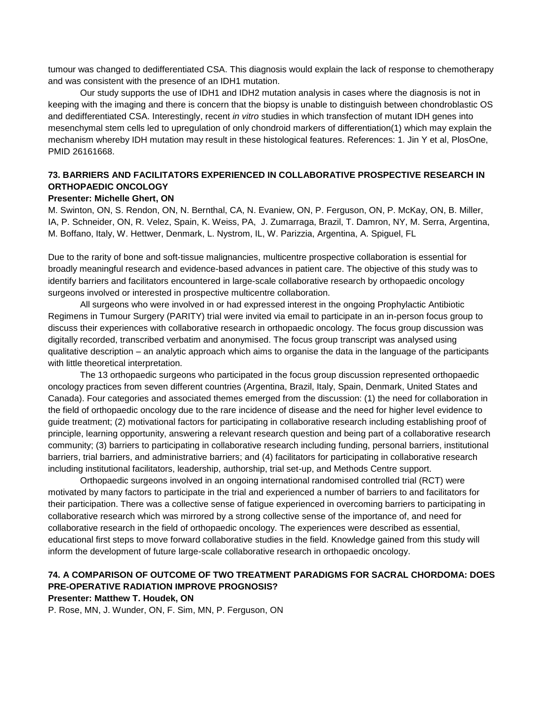tumour was changed to dedifferentiated CSA. This diagnosis would explain the lack of response to chemotherapy and was consistent with the presence of an IDH1 mutation.

Our study supports the use of IDH1 and IDH2 mutation analysis in cases where the diagnosis is not in keeping with the imaging and there is concern that the biopsy is unable to distinguish between chondroblastic OS and dedifferentiated CSA. Interestingly, recent *in vitro* studies in which transfection of mutant IDH genes into mesenchymal stem cells led to upregulation of only chondroid markers of differentiation(1) which may explain the mechanism whereby IDH mutation may result in these histological features. References: 1. Jin Y et al, PlosOne, PMID 26161668.

# **73. BARRIERS AND FACILITATORS EXPERIENCED IN COLLABORATIVE PROSPECTIVE RESEARCH IN ORTHOPAEDIC ONCOLOGY**

## **Presenter: Michelle Ghert, ON**

M. Swinton, ON, S. Rendon, ON, N. Bernthal, CA, N. Evaniew, ON, P. Ferguson, ON, P. McKay, ON, B. Miller, IA, P. Schneider, ON, R. Velez, Spain, K. Weiss, PA, J. Zumarraga, Brazil, T. Damron, NY, M. Serra, Argentina, M. Boffano, Italy, W. Hettwer, Denmark, L. Nystrom, IL, W. Parizzia, Argentina, A. Spiguel, FL

Due to the rarity of bone and soft-tissue malignancies, multicentre prospective collaboration is essential for broadly meaningful research and evidence-based advances in patient care. The objective of this study was to identify barriers and facilitators encountered in large-scale collaborative research by orthopaedic oncology surgeons involved or interested in prospective multicentre collaboration.

All surgeons who were involved in or had expressed interest in the ongoing Prophylactic Antibiotic Regimens in Tumour Surgery (PARITY) trial were invited via email to participate in an in-person focus group to discuss their experiences with collaborative research in orthopaedic oncology. The focus group discussion was digitally recorded, transcribed verbatim and anonymised. The focus group transcript was analysed using qualitative description – an analytic approach which aims to organise the data in the language of the participants with little theoretical interpretation.

The 13 orthopaedic surgeons who participated in the focus group discussion represented orthopaedic oncology practices from seven different countries (Argentina, Brazil, Italy, Spain, Denmark, United States and Canada). Four categories and associated themes emerged from the discussion: (1) the need for collaboration in the field of orthopaedic oncology due to the rare incidence of disease and the need for higher level evidence to guide treatment; (2) motivational factors for participating in collaborative research including establishing proof of principle, learning opportunity, answering a relevant research question and being part of a collaborative research community; (3) barriers to participating in collaborative research including funding, personal barriers, institutional barriers, trial barriers, and administrative barriers; and (4) facilitators for participating in collaborative research including institutional facilitators, leadership, authorship, trial set-up, and Methods Centre support.

Orthopaedic surgeons involved in an ongoing international randomised controlled trial (RCT) were motivated by many factors to participate in the trial and experienced a number of barriers to and facilitators for their participation. There was a collective sense of fatigue experienced in overcoming barriers to participating in collaborative research which was mirrored by a strong collective sense of the importance of, and need for collaborative research in the field of orthopaedic oncology. The experiences were described as essential, educational first steps to move forward collaborative studies in the field. Knowledge gained from this study will inform the development of future large-scale collaborative research in orthopaedic oncology.

# **74. A COMPARISON OF OUTCOME OF TWO TREATMENT PARADIGMS FOR SACRAL CHORDOMA: DOES PRE-OPERATIVE RADIATION IMPROVE PROGNOSIS?**

**Presenter: Matthew T. Houdek, ON**

P. Rose, MN, J. Wunder, ON, F. Sim, MN, P. Ferguson, ON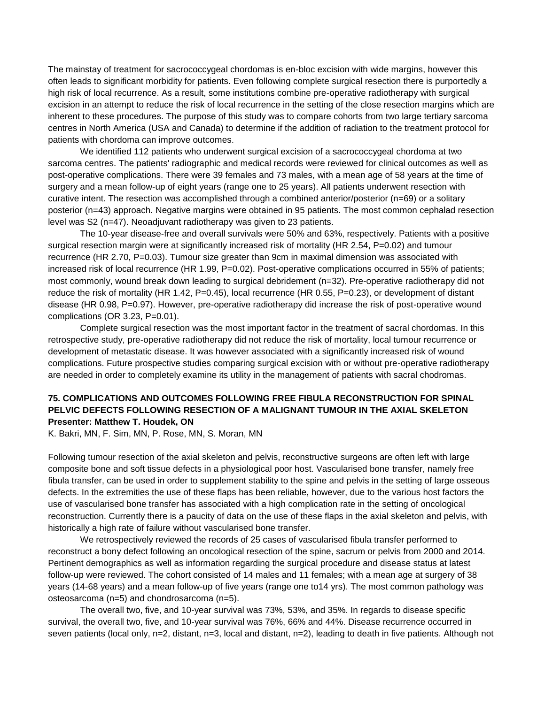The mainstay of treatment for sacrococcygeal chordomas is en-bloc excision with wide margins, however this often leads to significant morbidity for patients. Even following complete surgical resection there is purportedly a high risk of local recurrence. As a result, some institutions combine pre-operative radiotherapy with surgical excision in an attempt to reduce the risk of local recurrence in the setting of the close resection margins which are inherent to these procedures. The purpose of this study was to compare cohorts from two large tertiary sarcoma centres in North America (USA and Canada) to determine if the addition of radiation to the treatment protocol for patients with chordoma can improve outcomes.

We identified 112 patients who underwent surgical excision of a sacrococcygeal chordoma at two sarcoma centres. The patients' radiographic and medical records were reviewed for clinical outcomes as well as post-operative complications. There were 39 females and 73 males, with a mean age of 58 years at the time of surgery and a mean follow-up of eight years (range one to 25 years). All patients underwent resection with curative intent. The resection was accomplished through a combined anterior/posterior (n=69) or a solitary posterior (n=43) approach. Negative margins were obtained in 95 patients. The most common cephalad resection level was S2 (n=47). Neoadjuvant radiotherapy was given to 23 patients.

The 10-year disease-free and overall survivals were 50% and 63%, respectively. Patients with a positive surgical resection margin were at significantly increased risk of mortality (HR 2.54, P=0.02) and tumour recurrence (HR 2.70, P=0.03). Tumour size greater than 9cm in maximal dimension was associated with increased risk of local recurrence (HR 1.99, P=0.02). Post-operative complications occurred in 55% of patients; most commonly, wound break down leading to surgical debridement (n=32). Pre-operative radiotherapy did not reduce the risk of mortality (HR 1.42, P=0.45), local recurrence (HR 0.55, P=0.23), or development of distant disease (HR 0.98, P=0.97). However, pre-operative radiotherapy did increase the risk of post-operative wound complications (OR 3.23, P=0.01).

Complete surgical resection was the most important factor in the treatment of sacral chordomas. In this retrospective study, pre-operative radiotherapy did not reduce the risk of mortality, local tumour recurrence or development of metastatic disease. It was however associated with a significantly increased risk of wound complications. Future prospective studies comparing surgical excision with or without pre-operative radiotherapy are needed in order to completely examine its utility in the management of patients with sacral chodromas.

## **75. COMPLICATIONS AND OUTCOMES FOLLOWING FREE FIBULA RECONSTRUCTION FOR SPINAL PELVIC DEFECTS FOLLOWING RESECTION OF A MALIGNANT TUMOUR IN THE AXIAL SKELETON Presenter: Matthew T. Houdek, ON**

K. Bakri, MN, F. Sim, MN, P. Rose, MN, S. Moran, MN

Following tumour resection of the axial skeleton and pelvis, reconstructive surgeons are often left with large composite bone and soft tissue defects in a physiological poor host. Vascularised bone transfer, namely free fibula transfer, can be used in order to supplement stability to the spine and pelvis in the setting of large osseous defects. In the extremities the use of these flaps has been reliable, however, due to the various host factors the use of vascularised bone transfer has associated with a high complication rate in the setting of oncological reconstruction. Currently there is a paucity of data on the use of these flaps in the axial skeleton and pelvis, with historically a high rate of failure without vascularised bone transfer.

We retrospectively reviewed the records of 25 cases of vascularised fibula transfer performed to reconstruct a bony defect following an oncological resection of the spine, sacrum or pelvis from 2000 and 2014. Pertinent demographics as well as information regarding the surgical procedure and disease status at latest follow-up were reviewed. The cohort consisted of 14 males and 11 females; with a mean age at surgery of 38 years (14-68 years) and a mean follow-up of five years (range one to14 yrs). The most common pathology was osteosarcoma (n=5) and chondrosarcoma (n=5).

The overall two, five, and 10-year survival was 73%, 53%, and 35%. In regards to disease specific survival, the overall two, five, and 10-year survival was 76%, 66% and 44%. Disease recurrence occurred in seven patients (local only, n=2, distant, n=3, local and distant, n=2), leading to death in five patients. Although not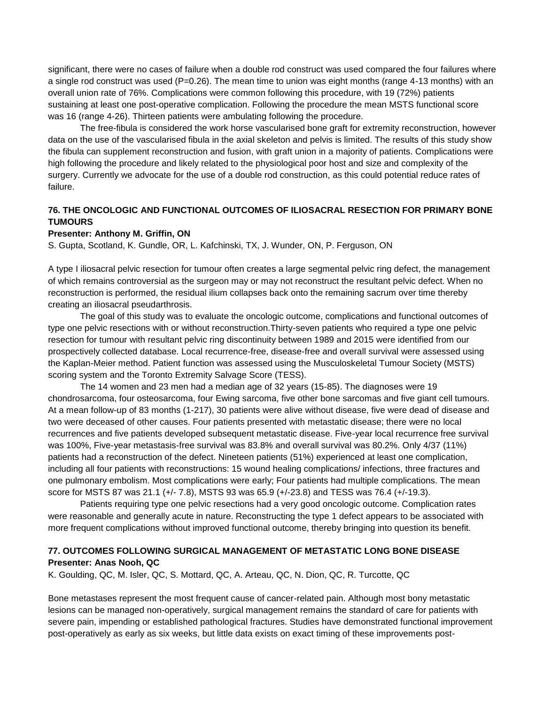significant, there were no cases of failure when a double rod construct was used compared the four failures where a single rod construct was used (P=0.26). The mean time to union was eight months (range 4-13 months) with an overall union rate of 76%. Complications were common following this procedure, with 19 (72%) patients sustaining at least one post-operative complication. Following the procedure the mean MSTS functional score was 16 (range 4-26). Thirteen patients were ambulating following the procedure.

The free-fibula is considered the work horse vascularised bone graft for extremity reconstruction, however data on the use of the vascularised fibula in the axial skeleton and pelvis is limited. The results of this study show the fibula can supplement reconstruction and fusion, with graft union in a majority of patients. Complications were high following the procedure and likely related to the physiological poor host and size and complexity of the surgery. Currently we advocate for the use of a double rod construction, as this could potential reduce rates of failure.

# **76. THE ONCOLOGIC AND FUNCTIONAL OUTCOMES OF ILIOSACRAL RESECTION FOR PRIMARY BONE TUMOURS**

### **Presenter: Anthony M. Griffin, ON**

S. Gupta, Scotland, K. Gundle, OR, L. Kafchinski, TX, J. Wunder, ON, P. Ferguson, ON

A type I iliosacral pelvic resection for tumour often creates a large segmental pelvic ring defect, the management of which remains controversial as the surgeon may or may not reconstruct the resultant pelvic defect. When no reconstruction is performed, the residual ilium collapses back onto the remaining sacrum over time thereby creating an iliosacral pseudarthrosis.

The goal of this study was to evaluate the oncologic outcome, complications and functional outcomes of type one pelvic resections with or without reconstruction.Thirty-seven patients who required a type one pelvic resection for tumour with resultant pelvic ring discontinuity between 1989 and 2015 were identified from our prospectively collected database. Local recurrence-free, disease-free and overall survival were assessed using the Kaplan-Meier method. Patient function was assessed using the Musculoskeletal Tumour Society (MSTS) scoring system and the Toronto Extremity Salvage Score (TESS).

The 14 women and 23 men had a median age of 32 years (15-85). The diagnoses were 19 chondrosarcoma, four osteosarcoma, four Ewing sarcoma, five other bone sarcomas and five giant cell tumours. At a mean follow-up of 83 months (1-217), 30 patients were alive without disease, five were dead of disease and two were deceased of other causes. Four patients presented with metastatic disease; there were no local recurrences and five patients developed subsequent metastatic disease. Five-year local recurrence free survival was 100%, Five-year metastasis-free survival was 83.8% and overall survival was 80.2%. Only 4/37 (11%) patients had a reconstruction of the defect. Nineteen patients (51%) experienced at least one complication, including all four patients with reconstructions: 15 wound healing complications/ infections, three fractures and one pulmonary embolism. Most complications were early; Four patients had multiple complications. The mean score for MSTS 87 was 21.1 (+/- 7.8), MSTS 93 was 65.9 (+/-23.8) and TESS was 76.4 (+/-19.3).

Patients requiring type one pelvic resections had a very good oncologic outcome. Complication rates were reasonable and generally acute in nature. Reconstructing the type 1 defect appears to be associated with more frequent complications without improved functional outcome, thereby bringing into question its benefit.

## **77. OUTCOMES FOLLOWING SURGICAL MANAGEMENT OF METASTATIC LONG BONE DISEASE Presenter: Anas Nooh, QC**

K. Goulding, QC, M. Isler, QC, S. Mottard, QC, A. Arteau, QC, N. Dion, QC, R. Turcotte, QC

Bone metastases represent the most frequent cause of cancer-related pain. Although most bony metastatic lesions can be managed non-operatively, surgical management remains the standard of care for patients with severe pain, impending or established pathological fractures. Studies have demonstrated functional improvement post-operatively as early as six weeks, but little data exists on exact timing of these improvements post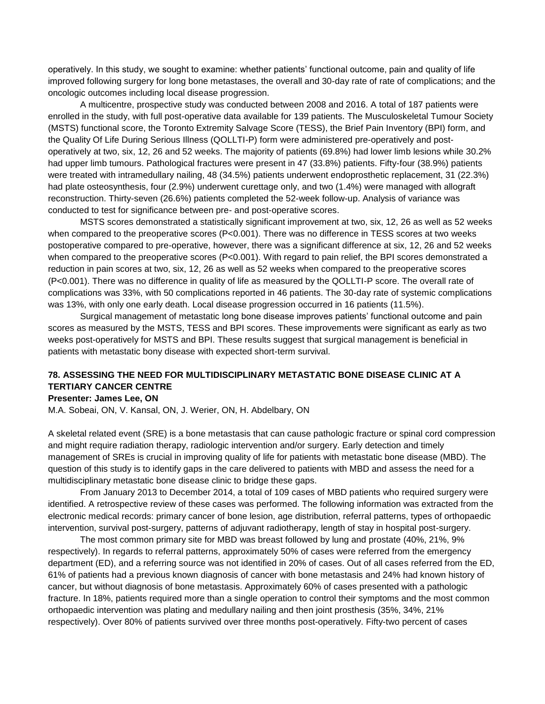operatively. In this study, we sought to examine: whether patients' functional outcome, pain and quality of life improved following surgery for long bone metastases, the overall and 30-day rate of rate of complications; and the oncologic outcomes including local disease progression.

A multicentre, prospective study was conducted between 2008 and 2016. A total of 187 patients were enrolled in the study, with full post-operative data available for 139 patients. The Musculoskeletal Tumour Society (MSTS) functional score, the Toronto Extremity Salvage Score (TESS), the Brief Pain Inventory (BPI) form, and the Quality Of Life During Serious Illness (QOLLTI-P) form were administered pre-operatively and postoperatively at two, six, 12, 26 and 52 weeks. The majority of patients (69.8%) had lower limb lesions while 30.2% had upper limb tumours. Pathological fractures were present in 47 (33.8%) patients. Fifty-four (38.9%) patients were treated with intramedullary nailing, 48 (34.5%) patients underwent endoprosthetic replacement, 31 (22.3%) had plate osteosynthesis, four (2.9%) underwent curettage only, and two (1.4%) were managed with allograft reconstruction. Thirty-seven (26.6%) patients completed the 52-week follow-up. Analysis of variance was conducted to test for significance between pre- and post-operative scores.

MSTS scores demonstrated a statistically significant improvement at two, six, 12, 26 as well as 52 weeks when compared to the preoperative scores (P<0.001). There was no difference in TESS scores at two weeks postoperative compared to pre-operative, however, there was a significant difference at six, 12, 26 and 52 weeks when compared to the preoperative scores (P<0.001). With regard to pain relief, the BPI scores demonstrated a reduction in pain scores at two, six, 12, 26 as well as 52 weeks when compared to the preoperative scores (P<0.001). There was no difference in quality of life as measured by the QOLLTI-P score. The overall rate of complications was 33%, with 50 complications reported in 46 patients. The 30-day rate of systemic complications was 13%, with only one early death. Local disease progression occurred in 16 patients (11.5%).

Surgical management of metastatic long bone disease improves patients' functional outcome and pain scores as measured by the MSTS, TESS and BPI scores. These improvements were significant as early as two weeks post-operatively for MSTS and BPI. These results suggest that surgical management is beneficial in patients with metastatic bony disease with expected short-term survival.

## **78. ASSESSING THE NEED FOR MULTIDISCIPLINARY METASTATIC BONE DISEASE CLINIC AT A TERTIARY CANCER CENTRE**

### **Presenter: James Lee, ON**

M.A. Sobeai, ON, V. Kansal, ON, J. Werier, ON, H. Abdelbary, ON

A skeletal related event (SRE) is a bone metastasis that can cause pathologic fracture or spinal cord compression and might require radiation therapy, radiologic intervention and/or surgery. Early detection and timely management of SREs is crucial in improving quality of life for patients with metastatic bone disease (MBD). The question of this study is to identify gaps in the care delivered to patients with MBD and assess the need for a multidisciplinary metastatic bone disease clinic to bridge these gaps.

From January 2013 to December 2014, a total of 109 cases of MBD patients who required surgery were identified. A retrospective review of these cases was performed. The following information was extracted from the electronic medical records: primary cancer of bone lesion, age distribution, referral patterns, types of orthopaedic intervention, survival post-surgery, patterns of adjuvant radiotherapy, length of stay in hospital post-surgery.

The most common primary site for MBD was breast followed by lung and prostate (40%, 21%, 9% respectively). In regards to referral patterns, approximately 50% of cases were referred from the emergency department (ED), and a referring source was not identified in 20% of cases. Out of all cases referred from the ED, 61% of patients had a previous known diagnosis of cancer with bone metastasis and 24% had known history of cancer, but without diagnosis of bone metastasis. Approximately 60% of cases presented with a pathologic fracture. In 18%, patients required more than a single operation to control their symptoms and the most common orthopaedic intervention was plating and medullary nailing and then joint prosthesis (35%, 34%, 21% respectively). Over 80% of patients survived over three months post-operatively. Fifty-two percent of cases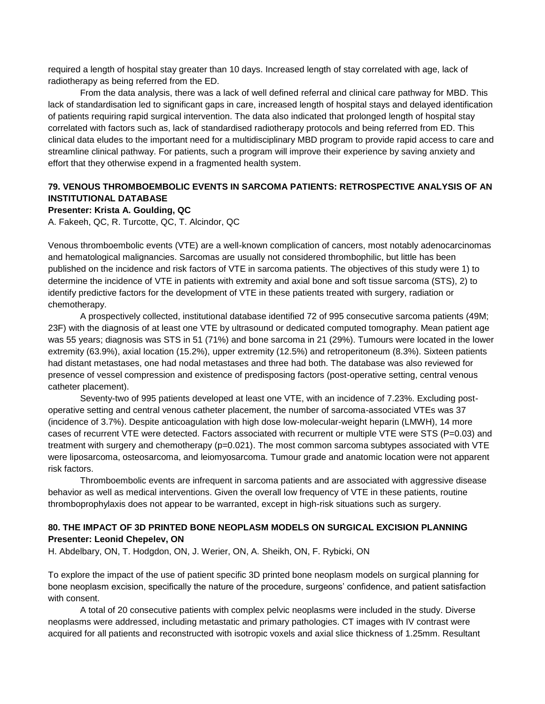required a length of hospital stay greater than 10 days. Increased length of stay correlated with age, lack of radiotherapy as being referred from the ED.

From the data analysis, there was a lack of well defined referral and clinical care pathway for MBD. This lack of standardisation led to significant gaps in care, increased length of hospital stays and delayed identification of patients requiring rapid surgical intervention. The data also indicated that prolonged length of hospital stay correlated with factors such as, lack of standardised radiotherapy protocols and being referred from ED. This clinical data eludes to the important need for a multidisciplinary MBD program to provide rapid access to care and streamline clinical pathway. For patients, such a program will improve their experience by saving anxiety and effort that they otherwise expend in a fragmented health system.

## **79. VENOUS THROMBOEMBOLIC EVENTS IN SARCOMA PATIENTS: RETROSPECTIVE ANALYSIS OF AN INSTITUTIONAL DATABASE**

### **Presenter: Krista A. Goulding, QC**

A. Fakeeh, QC, R. Turcotte, QC, T. Alcindor, QC

Venous thromboembolic events (VTE) are a well-known complication of cancers, most notably adenocarcinomas and hematological malignancies. Sarcomas are usually not considered thrombophilic, but little has been published on the incidence and risk factors of VTE in sarcoma patients. The objectives of this study were 1) to determine the incidence of VTE in patients with extremity and axial bone and soft tissue sarcoma (STS), 2) to identify predictive factors for the development of VTE in these patients treated with surgery, radiation or chemotherapy.

A prospectively collected, institutional database identified 72 of 995 consecutive sarcoma patients (49M; 23F) with the diagnosis of at least one VTE by ultrasound or dedicated computed tomography. Mean patient age was 55 years; diagnosis was STS in 51 (71%) and bone sarcoma in 21 (29%). Tumours were located in the lower extremity (63.9%), axial location (15.2%), upper extremity (12.5%) and retroperitoneum (8.3%). Sixteen patients had distant metastases, one had nodal metastases and three had both. The database was also reviewed for presence of vessel compression and existence of predisposing factors (post-operative setting, central venous catheter placement).

Seventy-two of 995 patients developed at least one VTE, with an incidence of 7.23%. Excluding postoperative setting and central venous catheter placement, the number of sarcoma-associated VTEs was 37 (incidence of 3.7%). Despite anticoagulation with high dose low-molecular-weight heparin (LMWH), 14 more cases of recurrent VTE were detected. Factors associated with recurrent or multiple VTE were STS (P=0.03) and treatment with surgery and chemotherapy (p=0.021). The most common sarcoma subtypes associated with VTE were liposarcoma, osteosarcoma, and leiomyosarcoma. Tumour grade and anatomic location were not apparent risk factors.

Thromboembolic events are infrequent in sarcoma patients and are associated with aggressive disease behavior as well as medical interventions. Given the overall low frequency of VTE in these patients, routine thromboprophylaxis does not appear to be warranted, except in high-risk situations such as surgery.

# **80. THE IMPACT OF 3D PRINTED BONE NEOPLASM MODELS ON SURGICAL EXCISION PLANNING Presenter: Leonid Chepelev, ON**

H. Abdelbary, ON, T. Hodgdon, ON, J. Werier, ON, A. Sheikh, ON, F. Rybicki, ON

To explore the impact of the use of patient specific 3D printed bone neoplasm models on surgical planning for bone neoplasm excision, specifically the nature of the procedure, surgeons' confidence, and patient satisfaction with consent.

A total of 20 consecutive patients with complex pelvic neoplasms were included in the study. Diverse neoplasms were addressed, including metastatic and primary pathologies. CT images with IV contrast were acquired for all patients and reconstructed with isotropic voxels and axial slice thickness of 1.25mm. Resultant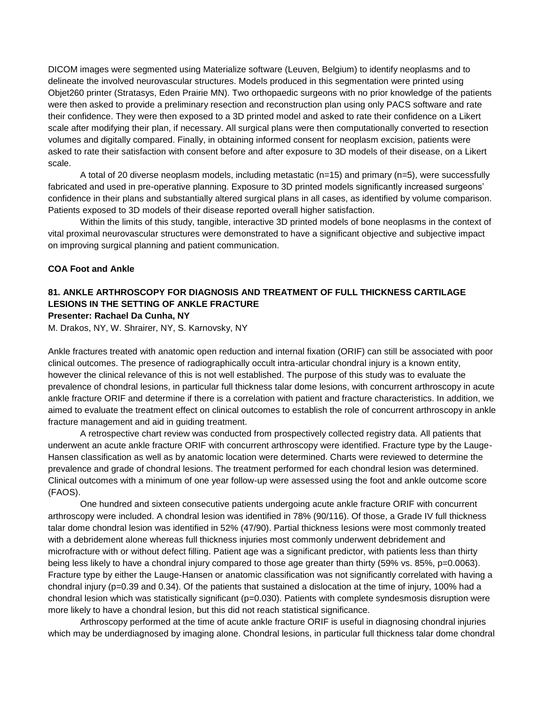DICOM images were segmented using Materialize software (Leuven, Belgium) to identify neoplasms and to delineate the involved neurovascular structures. Models produced in this segmentation were printed using Objet260 printer (Stratasys, Eden Prairie MN). Two orthopaedic surgeons with no prior knowledge of the patients were then asked to provide a preliminary resection and reconstruction plan using only PACS software and rate their confidence. They were then exposed to a 3D printed model and asked to rate their confidence on a Likert scale after modifying their plan, if necessary. All surgical plans were then computationally converted to resection volumes and digitally compared. Finally, in obtaining informed consent for neoplasm excision, patients were asked to rate their satisfaction with consent before and after exposure to 3D models of their disease, on a Likert scale.

A total of 20 diverse neoplasm models, including metastatic (n=15) and primary (n=5), were successfully fabricated and used in pre-operative planning. Exposure to 3D printed models significantly increased surgeons' confidence in their plans and substantially altered surgical plans in all cases, as identified by volume comparison. Patients exposed to 3D models of their disease reported overall higher satisfaction.

Within the limits of this study, tangible, interactive 3D printed models of bone neoplasms in the context of vital proximal neurovascular structures were demonstrated to have a significant objective and subjective impact on improving surgical planning and patient communication.

## **COA Foot and Ankle**

### **81. ANKLE ARTHROSCOPY FOR DIAGNOSIS AND TREATMENT OF FULL THICKNESS CARTILAGE LESIONS IN THE SETTING OF ANKLE FRACTURE Presenter: Rachael Da Cunha, NY**

M. Drakos, NY, W. Shrairer, NY, S. Karnovsky, NY

Ankle fractures treated with anatomic open reduction and internal fixation (ORIF) can still be associated with poor clinical outcomes. The presence of radiographically occult intra-articular chondral injury is a known entity, however the clinical relevance of this is not well established. The purpose of this study was to evaluate the prevalence of chondral lesions, in particular full thickness talar dome lesions, with concurrent arthroscopy in acute ankle fracture ORIF and determine if there is a correlation with patient and fracture characteristics. In addition, we aimed to evaluate the treatment effect on clinical outcomes to establish the role of concurrent arthroscopy in ankle fracture management and aid in guiding treatment.

A retrospective chart review was conducted from prospectively collected registry data. All patients that underwent an acute ankle fracture ORIF with concurrent arthroscopy were identified. Fracture type by the Lauge-Hansen classification as well as by anatomic location were determined. Charts were reviewed to determine the prevalence and grade of chondral lesions. The treatment performed for each chondral lesion was determined. Clinical outcomes with a minimum of one year follow-up were assessed using the foot and ankle outcome score (FAOS).

One hundred and sixteen consecutive patients undergoing acute ankle fracture ORIF with concurrent arthroscopy were included. A chondral lesion was identified in 78% (90/116). Of those, a Grade IV full thickness talar dome chondral lesion was identified in 52% (47/90). Partial thickness lesions were most commonly treated with a debridement alone whereas full thickness injuries most commonly underwent debridement and microfracture with or without defect filling. Patient age was a significant predictor, with patients less than thirty being less likely to have a chondral injury compared to those age greater than thirty (59% vs. 85%, p=0.0063). Fracture type by either the Lauge-Hansen or anatomic classification was not significantly correlated with having a chondral injury (p=0.39 and 0.34). Of the patients that sustained a dislocation at the time of injury, 100% had a chondral lesion which was statistically significant (p=0.030). Patients with complete syndesmosis disruption were more likely to have a chondral lesion, but this did not reach statistical significance.

Arthroscopy performed at the time of acute ankle fracture ORIF is useful in diagnosing chondral injuries which may be underdiagnosed by imaging alone. Chondral lesions, in particular full thickness talar dome chondral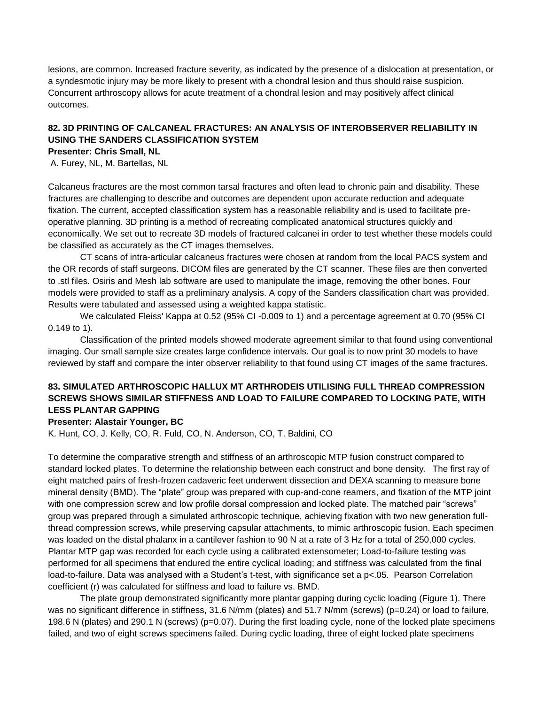lesions, are common. Increased fracture severity, as indicated by the presence of a dislocation at presentation, or a syndesmotic injury may be more likely to present with a chondral lesion and thus should raise suspicion. Concurrent arthroscopy allows for acute treatment of a chondral lesion and may positively affect clinical outcomes.

# **82. 3D PRINTING OF CALCANEAL FRACTURES: AN ANALYSIS OF INTEROBSERVER RELIABILITY IN USING THE SANDERS CLASSIFICATION SYSTEM**

**Presenter: Chris Small, NL**

A. Furey, NL, M. Bartellas, NL

Calcaneus fractures are the most common tarsal fractures and often lead to chronic pain and disability. These fractures are challenging to describe and outcomes are dependent upon accurate reduction and adequate fixation. The current, accepted classification system has a reasonable reliability and is used to facilitate preoperative planning. 3D printing is a method of recreating complicated anatomical structures quickly and economically. We set out to recreate 3D models of fractured calcanei in order to test whether these models could be classified as accurately as the CT images themselves.

CT scans of intra-articular calcaneus fractures were chosen at random from the local PACS system and the OR records of staff surgeons. DICOM files are generated by the CT scanner. These files are then converted to .stl files. Osiris and Mesh lab software are used to manipulate the image, removing the other bones. Four models were provided to staff as a preliminary analysis. A copy of the Sanders classification chart was provided. Results were tabulated and assessed using a weighted kappa statistic.

We calculated Fleiss' Kappa at 0.52 (95% CI -0.009 to 1) and a percentage agreement at 0.70 (95% CI 0.149 to 1).

Classification of the printed models showed moderate agreement similar to that found using conventional imaging. Our small sample size creates large confidence intervals. Our goal is to now print 30 models to have reviewed by staff and compare the inter observer reliability to that found using CT images of the same fractures.

# **83. SIMULATED ARTHROSCOPIC HALLUX MT ARTHRODEIS UTILISING FULL THREAD COMPRESSION SCREWS SHOWS SIMILAR STIFFNESS AND LOAD TO FAILURE COMPARED TO LOCKING PATE, WITH LESS PLANTAR GAPPING**

**Presenter: Alastair Younger, BC**

K. Hunt, CO, J. Kelly, CO, R. Fuld, CO, N. Anderson, CO, T. Baldini, CO

To determine the comparative strength and stiffness of an arthroscopic MTP fusion construct compared to standard locked plates. To determine the relationship between each construct and bone density. The first ray of eight matched pairs of fresh-frozen cadaveric feet underwent dissection and DEXA scanning to measure bone mineral density (BMD). The "plate" group was prepared with cup-and-cone reamers, and fixation of the MTP joint with one compression screw and low profile dorsal compression and locked plate. The matched pair "screws" group was prepared through a simulated arthroscopic technique, achieving fixation with two new generation fullthread compression screws, while preserving capsular attachments, to mimic arthroscopic fusion. Each specimen was loaded on the distal phalanx in a cantilever fashion to 90 N at a rate of 3 Hz for a total of 250,000 cycles. Plantar MTP gap was recorded for each cycle using a calibrated extensometer; Load-to-failure testing was performed for all specimens that endured the entire cyclical loading; and stiffness was calculated from the final load-to-failure. Data was analysed with a Student's t-test, with significance set a p<.05. Pearson Correlation coefficient (r) was calculated for stiffness and load to failure vs. BMD.

The plate group demonstrated significantly more plantar gapping during cyclic loading (Figure 1). There was no significant difference in stiffness, 31.6 N/mm (plates) and 51.7 N/mm (screws) (p=0.24) or load to failure, 198.6 N (plates) and 290.1 N (screws) (p=0.07). During the first loading cycle, none of the locked plate specimens failed, and two of eight screws specimens failed. During cyclic loading, three of eight locked plate specimens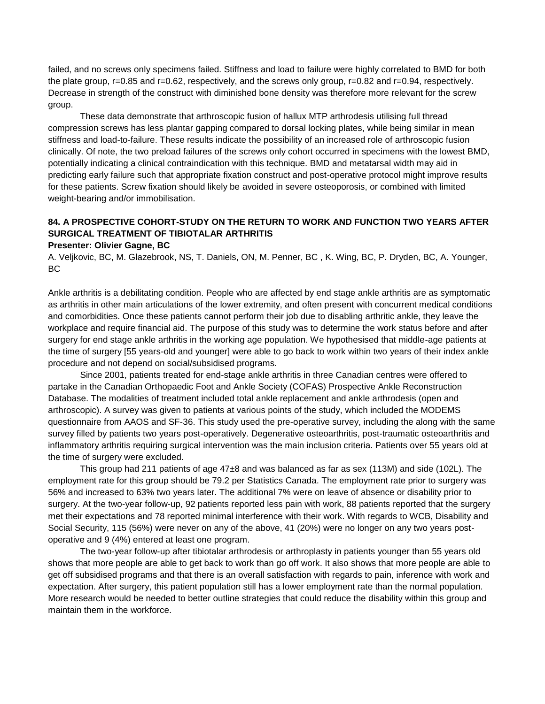failed, and no screws only specimens failed. Stiffness and load to failure were highly correlated to BMD for both the plate group, r=0.85 and r=0.62, respectively, and the screws only group, r=0.82 and r=0.94, respectively. Decrease in strength of the construct with diminished bone density was therefore more relevant for the screw group.

These data demonstrate that arthroscopic fusion of hallux MTP arthrodesis utilising full thread compression screws has less plantar gapping compared to dorsal locking plates, while being similar in mean stiffness and load-to-failure. These results indicate the possibility of an increased role of arthroscopic fusion clinically. Of note, the two preload failures of the screws only cohort occurred in specimens with the lowest BMD, potentially indicating a clinical contraindication with this technique. BMD and metatarsal width may aid in predicting early failure such that appropriate fixation construct and post-operative protocol might improve results for these patients. Screw fixation should likely be avoided in severe osteoporosis, or combined with limited weight-bearing and/or immobilisation.

# **84. A PROSPECTIVE COHORT-STUDY ON THE RETURN TO WORK AND FUNCTION TWO YEARS AFTER SURGICAL TREATMENT OF TIBIOTALAR ARTHRITIS**

### **Presenter: Olivier Gagne, BC**

A. Veljkovic, BC, M. Glazebrook, NS, T. Daniels, ON, M. Penner, BC , K. Wing, BC, P. Dryden, BC, A. Younger, BC

Ankle arthritis is a debilitating condition. People who are affected by end stage ankle arthritis are as symptomatic as arthritis in other main articulations of the lower extremity, and often present with concurrent medical conditions and comorbidities. Once these patients cannot perform their job due to disabling arthritic ankle, they leave the workplace and require financial aid. The purpose of this study was to determine the work status before and after surgery for end stage ankle arthritis in the working age population. We hypothesised that middle-age patients at the time of surgery [55 years-old and younger] were able to go back to work within two years of their index ankle procedure and not depend on social/subsidised programs.

Since 2001, patients treated for end-stage ankle arthritis in three Canadian centres were offered to partake in the Canadian Orthopaedic Foot and Ankle Society (COFAS) Prospective Ankle Reconstruction Database. The modalities of treatment included total ankle replacement and ankle arthrodesis (open and arthroscopic). A survey was given to patients at various points of the study, which included the MODEMS questionnaire from AAOS and SF-36. This study used the pre-operative survey, including the along with the same survey filled by patients two years post-operatively. Degenerative osteoarthritis, post-traumatic osteoarthritis and inflammatory arthritis requiring surgical intervention was the main inclusion criteria. Patients over 55 years old at the time of surgery were excluded.

This group had 211 patients of age 47±8 and was balanced as far as sex (113M) and side (102L). The employment rate for this group should be 79.2 per Statistics Canada. The employment rate prior to surgery was 56% and increased to 63% two years later. The additional 7% were on leave of absence or disability prior to surgery. At the two-year follow-up, 92 patients reported less pain with work, 88 patients reported that the surgery met their expectations and 78 reported minimal interference with their work. With regards to WCB, Disability and Social Security, 115 (56%) were never on any of the above, 41 (20%) were no longer on any two years postoperative and 9 (4%) entered at least one program.

The two-year follow-up after tibiotalar arthrodesis or arthroplasty in patients younger than 55 years old shows that more people are able to get back to work than go off work. It also shows that more people are able to get off subsidised programs and that there is an overall satisfaction with regards to pain, inference with work and expectation. After surgery, this patient population still has a lower employment rate than the normal population. More research would be needed to better outline strategies that could reduce the disability within this group and maintain them in the workforce.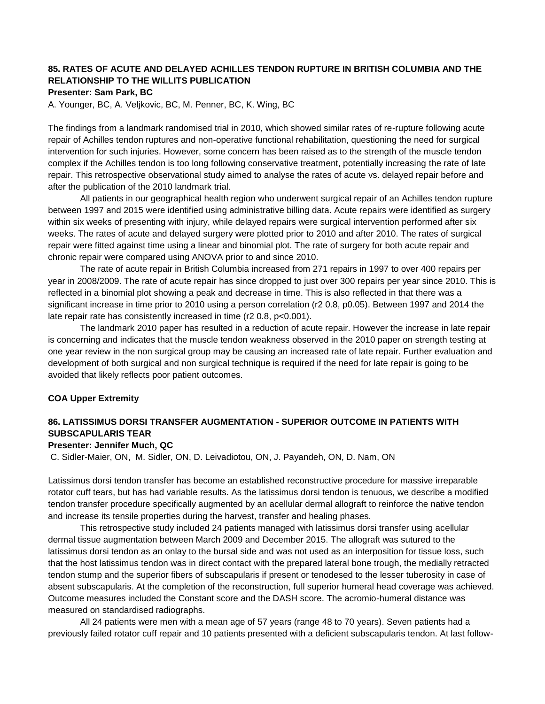# **85. RATES OF ACUTE AND DELAYED ACHILLES TENDON RUPTURE IN BRITISH COLUMBIA AND THE RELATIONSHIP TO THE WILLITS PUBLICATION**

### **Presenter: Sam Park, BC**

A. Younger, BC, A. Veljkovic, BC, M. Penner, BC, K. Wing, BC

The findings from a landmark randomised trial in 2010, which showed similar rates of re-rupture following acute repair of Achilles tendon ruptures and non-operative functional rehabilitation, questioning the need for surgical intervention for such injuries. However, some concern has been raised as to the strength of the muscle tendon complex if the Achilles tendon is too long following conservative treatment, potentially increasing the rate of late repair. This retrospective observational study aimed to analyse the rates of acute vs. delayed repair before and after the publication of the 2010 landmark trial.

All patients in our geographical health region who underwent surgical repair of an Achilles tendon rupture between 1997 and 2015 were identified using administrative billing data. Acute repairs were identified as surgery within six weeks of presenting with injury, while delayed repairs were surgical intervention performed after six weeks. The rates of acute and delayed surgery were plotted prior to 2010 and after 2010. The rates of surgical repair were fitted against time using a linear and binomial plot. The rate of surgery for both acute repair and chronic repair were compared using ANOVA prior to and since 2010.

The rate of acute repair in British Columbia increased from 271 repairs in 1997 to over 400 repairs per year in 2008/2009. The rate of acute repair has since dropped to just over 300 repairs per year since 2010. This is reflected in a binomial plot showing a peak and decrease in time. This is also reflected in that there was a significant increase in time prior to 2010 using a person correlation (r2 0.8, p0.05). Between 1997 and 2014 the late repair rate has consistently increased in time (r2 0.8, p<0.001).

The landmark 2010 paper has resulted in a reduction of acute repair. However the increase in late repair is concerning and indicates that the muscle tendon weakness observed in the 2010 paper on strength testing at one year review in the non surgical group may be causing an increased rate of late repair. Further evaluation and development of both surgical and non surgical technique is required if the need for late repair is going to be avoided that likely reflects poor patient outcomes.

## **COA Upper Extremity**

# **86. LATISSIMUS DORSI TRANSFER AUGMENTATION - SUPERIOR OUTCOME IN PATIENTS WITH SUBSCAPULARIS TEAR**

### **Presenter: Jennifer Much, QC**

C. Sidler-Maier, ON, M. Sidler, ON, D. Leivadiotou, ON, J. Payandeh, ON, D. Nam, ON

Latissimus dorsi tendon transfer has become an established reconstructive procedure for massive irreparable rotator cuff tears, but has had variable results. As the latissimus dorsi tendon is tenuous, we describe a modified tendon transfer procedure specifically augmented by an acellular dermal allograft to reinforce the native tendon and increase its tensile properties during the harvest, transfer and healing phases.

This retrospective study included 24 patients managed with latissimus dorsi transfer using acellular dermal tissue augmentation between March 2009 and December 2015. The allograft was sutured to the latissimus dorsi tendon as an onlay to the bursal side and was not used as an interposition for tissue loss, such that the host latissimus tendon was in direct contact with the prepared lateral bone trough, the medially retracted tendon stump and the superior fibers of subscapularis if present or tenodesed to the lesser tuberosity in case of absent subscapularis. At the completion of the reconstruction, full superior humeral head coverage was achieved. Outcome measures included the Constant score and the DASH score. The acromio-humeral distance was measured on standardised radiographs.

All 24 patients were men with a mean age of 57 years (range 48 to 70 years). Seven patients had a previously failed rotator cuff repair and 10 patients presented with a deficient subscapularis tendon. At last follow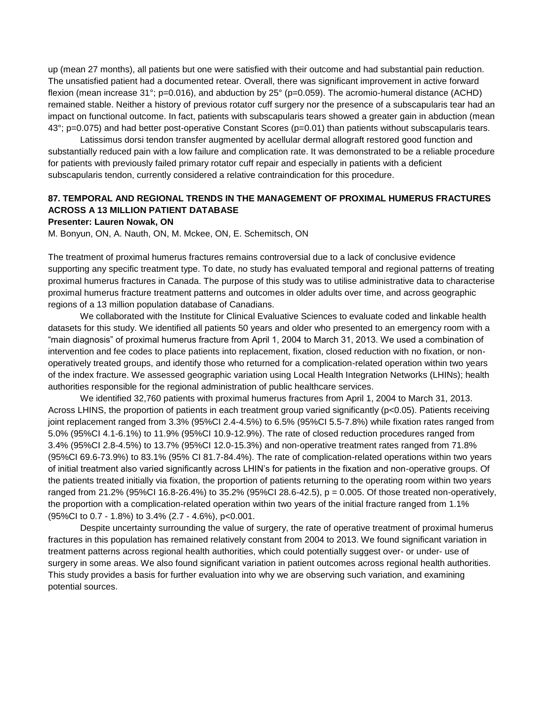up (mean 27 months), all patients but one were satisfied with their outcome and had substantial pain reduction. The unsatisfied patient had a documented retear. Overall, there was significant improvement in active forward flexion (mean increase 31°; p=0.016), and abduction by 25° (p=0.059). The acromio-humeral distance (ACHD) remained stable. Neither a history of previous rotator cuff surgery nor the presence of a subscapularis tear had an impact on functional outcome. In fact, patients with subscapularis tears showed a greater gain in abduction (mean 43°; p=0.075) and had better post-operative Constant Scores (p=0.01) than patients without subscapularis tears.

Latissimus dorsi tendon transfer augmented by acellular dermal allograft restored good function and substantially reduced pain with a low failure and complication rate. It was demonstrated to be a reliable procedure for patients with previously failed primary rotator cuff repair and especially in patients with a deficient subscapularis tendon, currently considered a relative contraindication for this procedure.

# **87. TEMPORAL AND REGIONAL TRENDS IN THE MANAGEMENT OF PROXIMAL HUMERUS FRACTURES ACROSS A 13 MILLION PATIENT DATABASE**

#### **Presenter: Lauren Nowak, ON**

M. Bonyun, ON, A. Nauth, ON, M. Mckee, ON, E. Schemitsch, ON

The treatment of proximal humerus fractures remains controversial due to a lack of conclusive evidence supporting any specific treatment type. To date, no study has evaluated temporal and regional patterns of treating proximal humerus fractures in Canada. The purpose of this study was to utilise administrative data to characterise proximal humerus fracture treatment patterns and outcomes in older adults over time, and across geographic regions of a 13 million population database of Canadians.

We collaborated with the Institute for Clinical Evaluative Sciences to evaluate coded and linkable health datasets for this study. We identified all patients 50 years and older who presented to an emergency room with a "main diagnosis" of proximal humerus fracture from April 1, 2004 to March 31, 2013. We used a combination of intervention and fee codes to place patients into replacement, fixation, closed reduction with no fixation, or nonoperatively treated groups, and identify those who returned for a complication-related operation within two years of the index fracture. We assessed geographic variation using Local Health Integration Networks (LHINs); health authorities responsible for the regional administration of public healthcare services.

We identified 32,760 patients with proximal humerus fractures from April 1, 2004 to March 31, 2013. Across LHINS, the proportion of patients in each treatment group varied significantly (p<0.05). Patients receiving joint replacement ranged from 3.3% (95%CI 2.4-4.5%) to 6.5% (95%CI 5.5-7.8%) while fixation rates ranged from 5.0% (95%CI 4.1-6.1%) to 11.9% (95%CI 10.9-12.9%). The rate of closed reduction procedures ranged from 3.4% (95%CI 2.8-4.5%) to 13.7% (95%CI 12.0-15.3%) and non-operative treatment rates ranged from 71.8% (95%CI 69.6-73.9%) to 83.1% (95% CI 81.7-84.4%). The rate of complication-related operations within two years of initial treatment also varied significantly across LHIN's for patients in the fixation and non-operative groups. Of the patients treated initially via fixation, the proportion of patients returning to the operating room within two years ranged from 21.2% (95%CI 16.8-26.4%) to 35.2% (95%CI 28.6-42.5), p = 0.005. Of those treated non-operatively, the proportion with a complication-related operation within two years of the initial fracture ranged from 1.1% (95%CI to 0.7 - 1.8%) to 3.4% (2.7 - 4.6%), p<0.001.

Despite uncertainty surrounding the value of surgery, the rate of operative treatment of proximal humerus fractures in this population has remained relatively constant from 2004 to 2013. We found significant variation in treatment patterns across regional health authorities, which could potentially suggest over- or under- use of surgery in some areas. We also found significant variation in patient outcomes across regional health authorities. This study provides a basis for further evaluation into why we are observing such variation, and examining potential sources.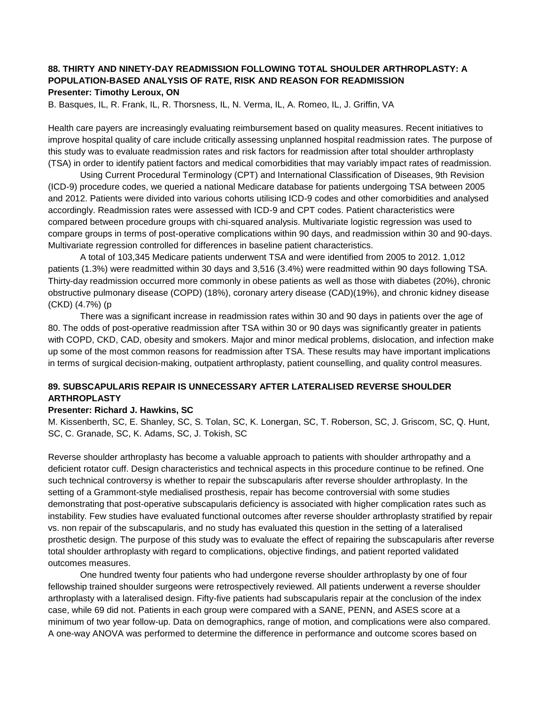# **88. THIRTY AND NINETY-DAY READMISSION FOLLOWING TOTAL SHOULDER ARTHROPLASTY: A POPULATION-BASED ANALYSIS OF RATE, RISK AND REASON FOR READMISSION Presenter: Timothy Leroux, ON**

B. Basques, IL, R. Frank, IL, R. Thorsness, IL, N. Verma, IL, A. Romeo, IL, J. Griffin, VA

Health care payers are increasingly evaluating reimbursement based on quality measures. Recent initiatives to improve hospital quality of care include critically assessing unplanned hospital readmission rates. The purpose of this study was to evaluate readmission rates and risk factors for readmission after total shoulder arthroplasty (TSA) in order to identify patient factors and medical comorbidities that may variably impact rates of readmission.

Using Current Procedural Terminology (CPT) and International Classification of Diseases, 9th Revision (ICD-9) procedure codes, we queried a national Medicare database for patients undergoing TSA between 2005 and 2012. Patients were divided into various cohorts utilising ICD-9 codes and other comorbidities and analysed accordingly. Readmission rates were assessed with ICD-9 and CPT codes. Patient characteristics were compared between procedure groups with chi-squared analysis. Multivariate logistic regression was used to compare groups in terms of post-operative complications within 90 days, and readmission within 30 and 90-days. Multivariate regression controlled for differences in baseline patient characteristics.

A total of 103,345 Medicare patients underwent TSA and were identified from 2005 to 2012. 1,012 patients (1.3%) were readmitted within 30 days and 3,516 (3.4%) were readmitted within 90 days following TSA. Thirty-day readmission occurred more commonly in obese patients as well as those with diabetes (20%), chronic obstructive pulmonary disease (COPD) (18%), coronary artery disease (CAD)(19%), and chronic kidney disease (CKD) (4.7%) (p

There was a significant increase in readmission rates within 30 and 90 days in patients over the age of 80. The odds of post-operative readmission after TSA within 30 or 90 days was significantly greater in patients with COPD, CKD, CAD, obesity and smokers. Major and minor medical problems, dislocation, and infection make up some of the most common reasons for readmission after TSA. These results may have important implications in terms of surgical decision-making, outpatient arthroplasty, patient counselling, and quality control measures.

# **89. SUBSCAPULARIS REPAIR IS UNNECESSARY AFTER LATERALISED REVERSE SHOULDER ARTHROPLASTY**

## **Presenter: Richard J. Hawkins, SC**

M. Kissenberth, SC, E. Shanley, SC, S. Tolan, SC, K. Lonergan, SC, T. Roberson, SC, J. Griscom, SC, Q. Hunt, SC, C. Granade, SC, K. Adams, SC, J. Tokish, SC

Reverse shoulder arthroplasty has become a valuable approach to patients with shoulder arthropathy and a deficient rotator cuff. Design characteristics and technical aspects in this procedure continue to be refined. One such technical controversy is whether to repair the subscapularis after reverse shoulder arthroplasty. In the setting of a Grammont-style medialised prosthesis, repair has become controversial with some studies demonstrating that post-operative subscapularis deficiency is associated with higher complication rates such as instability. Few studies have evaluated functional outcomes after reverse shoulder arthroplasty stratified by repair vs. non repair of the subscapularis, and no study has evaluated this question in the setting of a lateralised prosthetic design. The purpose of this study was to evaluate the effect of repairing the subscapularis after reverse total shoulder arthroplasty with regard to complications, objective findings, and patient reported validated outcomes measures.

One hundred twenty four patients who had undergone reverse shoulder arthroplasty by one of four fellowship trained shoulder surgeons were retrospectively reviewed. All patients underwent a reverse shoulder arthroplasty with a lateralised design. Fifty-five patients had subscapularis repair at the conclusion of the index case, while 69 did not. Patients in each group were compared with a SANE, PENN, and ASES score at a minimum of two year follow-up. Data on demographics, range of motion, and complications were also compared. A one-way ANOVA was performed to determine the difference in performance and outcome scores based on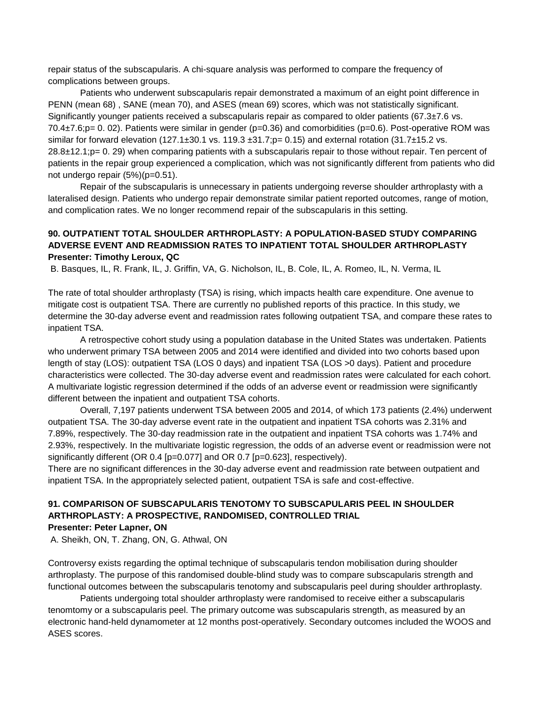repair status of the subscapularis. A chi-square analysis was performed to compare the frequency of complications between groups.

Patients who underwent subscapularis repair demonstrated a maximum of an eight point difference in PENN (mean 68) , SANE (mean 70), and ASES (mean 69) scores, which was not statistically significant. Significantly younger patients received a subscapularis repair as compared to older patients (67.3±7.6 vs. 70.4±7.6;p= 0. 02). Patients were similar in gender (p=0.36) and comorbidities (p=0.6). Post-operative ROM was similar for forward elevation (127.1±30.1 vs. 119.3 ±31.7;p= 0.15) and external rotation (31.7±15.2 vs. 28.8±12.1;p= 0. 29) when comparing patients with a subscapularis repair to those without repair. Ten percent of patients in the repair group experienced a complication, which was not significantly different from patients who did not undergo repair (5%)(p=0.51).

Repair of the subscapularis is unnecessary in patients undergoing reverse shoulder arthroplasty with a lateralised design. Patients who undergo repair demonstrate similar patient reported outcomes, range of motion, and complication rates. We no longer recommend repair of the subscapularis in this setting.

## **90. OUTPATIENT TOTAL SHOULDER ARTHROPLASTY: A POPULATION-BASED STUDY COMPARING ADVERSE EVENT AND READMISSION RATES TO INPATIENT TOTAL SHOULDER ARTHROPLASTY Presenter: Timothy Leroux, QC**

B. Basques, IL, R. Frank, IL, J. Griffin, VA, G. Nicholson, IL, B. Cole, IL, A. Romeo, IL, N. Verma, IL

The rate of total shoulder arthroplasty (TSA) is rising, which impacts health care expenditure. One avenue to mitigate cost is outpatient TSA. There are currently no published reports of this practice. In this study, we determine the 30-day adverse event and readmission rates following outpatient TSA, and compare these rates to inpatient TSA.

A retrospective cohort study using a population database in the United States was undertaken. Patients who underwent primary TSA between 2005 and 2014 were identified and divided into two cohorts based upon length of stay (LOS): outpatient TSA (LOS 0 days) and inpatient TSA (LOS >0 days). Patient and procedure characteristics were collected. The 30-day adverse event and readmission rates were calculated for each cohort. A multivariate logistic regression determined if the odds of an adverse event or readmission were significantly different between the inpatient and outpatient TSA cohorts.

Overall, 7,197 patients underwent TSA between 2005 and 2014, of which 173 patients (2.4%) underwent outpatient TSA. The 30-day adverse event rate in the outpatient and inpatient TSA cohorts was 2.31% and 7.89%, respectively. The 30-day readmission rate in the outpatient and inpatient TSA cohorts was 1.74% and 2.93%, respectively. In the multivariate logistic regression, the odds of an adverse event or readmission were not significantly different (OR 0.4 [p=0.077] and OR 0.7 [p=0.623], respectively).

There are no significant differences in the 30-day adverse event and readmission rate between outpatient and inpatient TSA. In the appropriately selected patient, outpatient TSA is safe and cost-effective.

### **91. COMPARISON OF SUBSCAPULARIS TENOTOMY TO SUBSCAPULARIS PEEL IN SHOULDER ARTHROPLASTY: A PROSPECTIVE, RANDOMISED, CONTROLLED TRIAL Presenter: Peter Lapner, ON**

A. Sheikh, ON, T. Zhang, ON, G. Athwal, ON

Controversy exists regarding the optimal technique of subscapularis tendon mobilisation during shoulder arthroplasty. The purpose of this randomised double-blind study was to compare subscapularis strength and functional outcomes between the subscapularis tenotomy and subscapularis peel during shoulder arthroplasty.

Patients undergoing total shoulder arthroplasty were randomised to receive either a subscapularis tenomtomy or a subscapularis peel. The primary outcome was subscapularis strength, as measured by an electronic hand-held dynamometer at 12 months post-operatively. Secondary outcomes included the WOOS and ASES scores.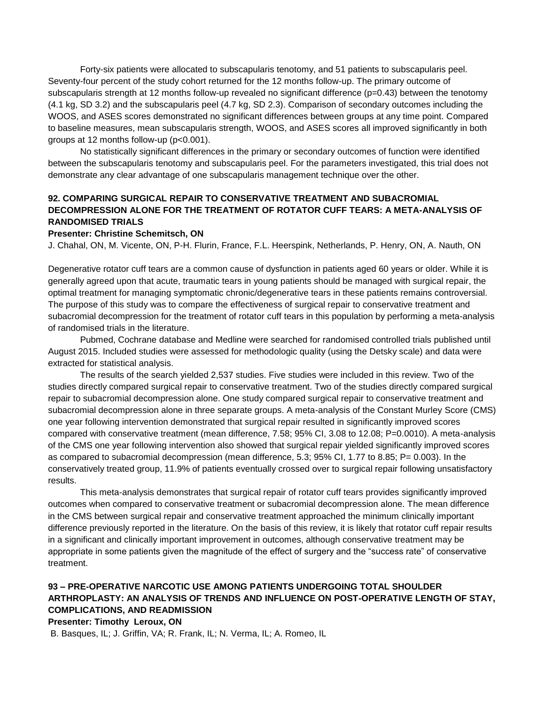Forty-six patients were allocated to subscapularis tenotomy, and 51 patients to subscapularis peel. Seventy-four percent of the study cohort returned for the 12 months follow-up. The primary outcome of subscapularis strength at 12 months follow-up revealed no significant difference (p=0.43) between the tenotomy (4.1 kg, SD 3.2) and the subscapularis peel (4.7 kg, SD 2.3). Comparison of secondary outcomes including the WOOS, and ASES scores demonstrated no significant differences between groups at any time point. Compared to baseline measures, mean subscapularis strength, WOOS, and ASES scores all improved significantly in both groups at 12 months follow-up (p<0.001).

No statistically significant differences in the primary or secondary outcomes of function were identified between the subscapularis tenotomy and subscapularis peel. For the parameters investigated, this trial does not demonstrate any clear advantage of one subscapularis management technique over the other.

# **92. COMPARING SURGICAL REPAIR TO CONSERVATIVE TREATMENT AND SUBACROMIAL DECOMPRESSION ALONE FOR THE TREATMENT OF ROTATOR CUFF TEARS: A META-ANALYSIS OF RANDOMISED TRIALS**

### **Presenter: Christine Schemitsch, ON**

J. Chahal, ON, M. Vicente, ON, P-H. Flurin, France, F.L. Heerspink, Netherlands, P. Henry, ON, A. Nauth, ON

Degenerative rotator cuff tears are a common cause of dysfunction in patients aged 60 years or older. While it is generally agreed upon that acute, traumatic tears in young patients should be managed with surgical repair, the optimal treatment for managing symptomatic chronic/degenerative tears in these patients remains controversial. The purpose of this study was to compare the effectiveness of surgical repair to conservative treatment and subacromial decompression for the treatment of rotator cuff tears in this population by performing a meta-analysis of randomised trials in the literature.

Pubmed, Cochrane database and Medline were searched for randomised controlled trials published until August 2015. Included studies were assessed for methodologic quality (using the Detsky scale) and data were extracted for statistical analysis.

The results of the search yielded 2,537 studies. Five studies were included in this review. Two of the studies directly compared surgical repair to conservative treatment. Two of the studies directly compared surgical repair to subacromial decompression alone. One study compared surgical repair to conservative treatment and subacromial decompression alone in three separate groups. A meta-analysis of the Constant Murley Score (CMS) one year following intervention demonstrated that surgical repair resulted in significantly improved scores compared with conservative treatment (mean difference, 7.58; 95% CI, 3.08 to 12.08; P=0.0010). A meta-analysis of the CMS one year following intervention also showed that surgical repair yielded significantly improved scores as compared to subacromial decompression (mean difference, 5.3; 95% CI, 1.77 to 8.85; P= 0.003). In the conservatively treated group, 11.9% of patients eventually crossed over to surgical repair following unsatisfactory results.

This meta-analysis demonstrates that surgical repair of rotator cuff tears provides significantly improved outcomes when compared to conservative treatment or subacromial decompression alone. The mean difference in the CMS between surgical repair and conservative treatment approached the minimum clinically important difference previously reported in the literature. On the basis of this review, it is likely that rotator cuff repair results in a significant and clinically important improvement in outcomes, although conservative treatment may be appropriate in some patients given the magnitude of the effect of surgery and the "success rate" of conservative treatment.

# **93 – PRE-OPERATIVE NARCOTIC USE AMONG PATIENTS UNDERGOING TOTAL SHOULDER ARTHROPLASTY: AN ANALYSIS OF TRENDS AND INFLUENCE ON POST-OPERATIVE LENGTH OF STAY, COMPLICATIONS, AND READMISSION**

## **Presenter: Timothy Leroux, ON**

B. Basques, IL; J. Griffin, VA; R. Frank, IL; N. Verma, IL; A. Romeo, IL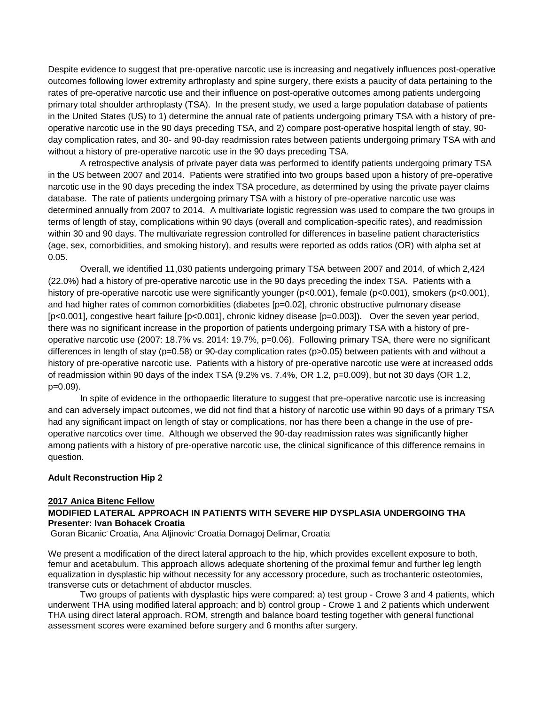Despite evidence to suggest that pre-operative narcotic use is increasing and negatively influences post-operative outcomes following lower extremity arthroplasty and spine surgery, there exists a paucity of data pertaining to the rates of pre-operative narcotic use and their influence on post-operative outcomes among patients undergoing primary total shoulder arthroplasty (TSA). In the present study, we used a large population database of patients in the United States (US) to 1) determine the annual rate of patients undergoing primary TSA with a history of preoperative narcotic use in the 90 days preceding TSA, and 2) compare post-operative hospital length of stay, 90 day complication rates, and 30- and 90-day readmission rates between patients undergoing primary TSA with and without a history of pre-operative narcotic use in the 90 days preceding TSA.

A retrospective analysis of private payer data was performed to identify patients undergoing primary TSA in the US between 2007 and 2014. Patients were stratified into two groups based upon a history of pre-operative narcotic use in the 90 days preceding the index TSA procedure, as determined by using the private payer claims database. The rate of patients undergoing primary TSA with a history of pre-operative narcotic use was determined annually from 2007 to 2014. A multivariate logistic regression was used to compare the two groups in terms of length of stay, complications within 90 days (overall and complication-specific rates), and readmission within 30 and 90 days. The multivariate regression controlled for differences in baseline patient characteristics (age, sex, comorbidities, and smoking history), and results were reported as odds ratios (OR) with alpha set at 0.05.

Overall, we identified 11,030 patients undergoing primary TSA between 2007 and 2014, of which 2,424 (22.0%) had a history of pre-operative narcotic use in the 90 days preceding the index TSA. Patients with a history of pre-operative narcotic use were significantly younger (p<0.001), female (p<0.001), smokers (p<0.001), and had higher rates of common comorbidities (diabetes [p=0.02], chronic obstructive pulmonary disease [p<0.001], congestive heart failure [p<0.001], chronic kidney disease [p=0.003]). Over the seven year period, there was no significant increase in the proportion of patients undergoing primary TSA with a history of preoperative narcotic use (2007: 18.7% vs. 2014: 19.7%, p=0.06). Following primary TSA, there were no significant differences in length of stay (p=0.58) or 90-day complication rates (p>0.05) between patients with and without a history of pre-operative narcotic use. Patients with a history of pre-operative narcotic use were at increased odds of readmission within 90 days of the index TSA (9.2% vs. 7.4%, OR 1.2, p=0.009), but not 30 days (OR 1.2, p=0.09).

In spite of evidence in the orthopaedic literature to suggest that pre-operative narcotic use is increasing and can adversely impact outcomes, we did not find that a history of narcotic use within 90 days of a primary TSA had any significant impact on length of stay or complications, nor has there been a change in the use of preoperative narcotics over time. Although we observed the 90-day readmission rates was significantly higher among patients with a history of pre-operative narcotic use, the clinical significance of this difference remains in question.

### **Adult Reconstruction Hip 2**

### **2017 Anica Bitenc Fellow**

### **MODIFIED LATERAL APPROACH IN PATIENTS WITH SEVERE HIP DYSPLASIA UNDERGOING THA Presenter: Ivan Bohacek Croatia**

Goran Bicanic<sup>,</sup> Croatia, Ana Aljinovic<sup>,</sup> Croatia Domagoj Delimar, Croatia

We present a modification of the direct lateral approach to the hip, which provides excellent exposure to both, femur and acetabulum. This approach allows adequate shortening of the proximal femur and further leg length equalization in dysplastic hip without necessity for any accessory procedure, such as trochanteric osteotomies, transverse cuts or detachment of abductor muscles.

Two groups of patients with dysplastic hips were compared: a) test group - Crowe 3 and 4 patients, which underwent THA using modified lateral approach; and b) control group - Crowe 1 and 2 patients which underwent THA using direct lateral approach. ROM, strength and balance board testing together with general functional assessment scores were examined before surgery and 6 months after surgery.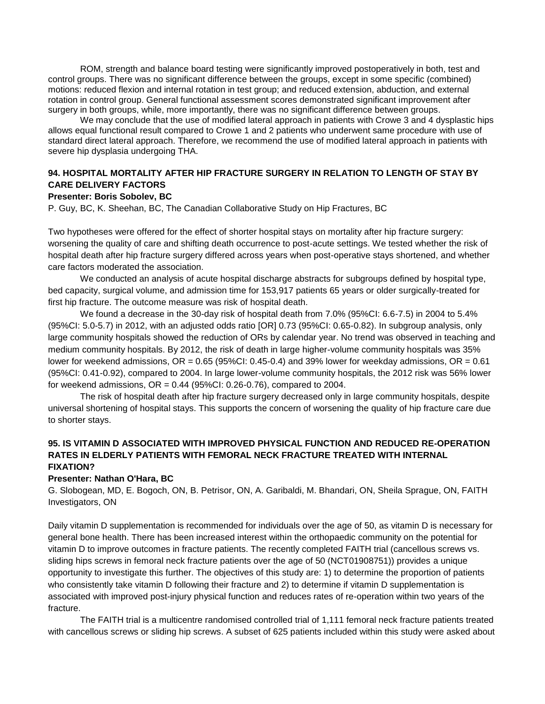ROM, strength and balance board testing were significantly improved postoperatively in both, test and control groups. There was no significant difference between the groups, except in some specific (combined) motions: reduced flexion and internal rotation in test group; and reduced extension, abduction, and external rotation in control group. General functional assessment scores demonstrated significant improvement after surgery in both groups, while, more importantly, there was no significant difference between groups.

We may conclude that the use of modified lateral approach in patients with Crowe 3 and 4 dysplastic hips allows equal functional result compared to Crowe 1 and 2 patients who underwent same procedure with use of standard direct lateral approach. Therefore, we recommend the use of modified lateral approach in patients with severe hip dysplasia undergoing THA.

## **94. HOSPITAL MORTALITY AFTER HIP FRACTURE SURGERY IN RELATION TO LENGTH OF STAY BY CARE DELIVERY FACTORS**

### **Presenter: Boris Sobolev, BC**

P. Guy, BC, K. Sheehan, BC, The Canadian Collaborative Study on Hip Fractures, BC

Two hypotheses were offered for the effect of shorter hospital stays on mortality after hip fracture surgery: worsening the quality of care and shifting death occurrence to post-acute settings. We tested whether the risk of hospital death after hip fracture surgery differed across years when post-operative stays shortened, and whether care factors moderated the association.

We conducted an analysis of acute hospital discharge abstracts for subgroups defined by hospital type, bed capacity, surgical volume, and admission time for 153,917 patients 65 years or older surgically-treated for first hip fracture. The outcome measure was risk of hospital death.

We found a decrease in the 30-day risk of hospital death from 7.0% (95%CI: 6.6-7.5) in 2004 to 5.4% (95%CI: 5.0-5.7) in 2012, with an adjusted odds ratio [OR] 0.73 (95%CI: 0.65-0.82). In subgroup analysis, only large community hospitals showed the reduction of ORs by calendar year. No trend was observed in teaching and medium community hospitals. By 2012, the risk of death in large higher-volume community hospitals was 35% lower for weekend admissions, OR = 0.65 (95%CI: 0.45-0.4) and 39% lower for weekday admissions, OR = 0.61 (95%CI: 0.41-0.92), compared to 2004. In large lower-volume community hospitals, the 2012 risk was 56% lower for weekend admissions,  $OR = 0.44$  (95%CI: 0.26-0.76), compared to 2004.

The risk of hospital death after hip fracture surgery decreased only in large community hospitals, despite universal shortening of hospital stays. This supports the concern of worsening the quality of hip fracture care due to shorter stays.

## **95. IS VITAMIN D ASSOCIATED WITH IMPROVED PHYSICAL FUNCTION AND REDUCED RE-OPERATION RATES IN ELDERLY PATIENTS WITH FEMORAL NECK FRACTURE TREATED WITH INTERNAL FIXATION?**

### **Presenter: Nathan O'Hara, BC**

G. Slobogean, MD, E. Bogoch, ON, B. Petrisor, ON, A. Garibaldi, M. Bhandari, ON, Sheila Sprague, ON, FAITH Investigators, ON

Daily vitamin D supplementation is recommended for individuals over the age of 50, as vitamin D is necessary for general bone health. There has been increased interest within the orthopaedic community on the potential for vitamin D to improve outcomes in fracture patients. The recently completed FAITH trial (cancellous screws vs. sliding hips screws in femoral neck fracture patients over the age of 50 (NCT01908751)) provides a unique opportunity to investigate this further. The objectives of this study are: 1) to determine the proportion of patients who consistently take vitamin D following their fracture and 2) to determine if vitamin D supplementation is associated with improved post-injury physical function and reduces rates of re-operation within two years of the fracture.

The FAITH trial is a multicentre randomised controlled trial of 1,111 femoral neck fracture patients treated with cancellous screws or sliding hip screws. A subset of 625 patients included within this study were asked about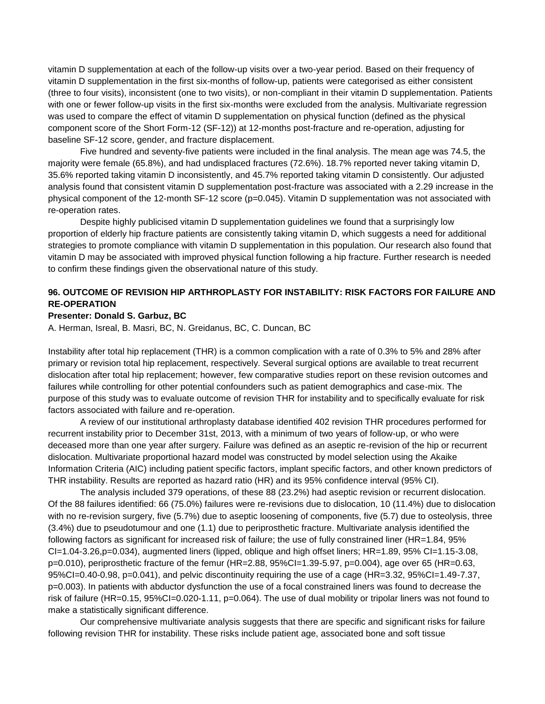vitamin D supplementation at each of the follow-up visits over a two-year period. Based on their frequency of vitamin D supplementation in the first six-months of follow-up, patients were categorised as either consistent (three to four visits), inconsistent (one to two visits), or non-compliant in their vitamin D supplementation. Patients with one or fewer follow-up visits in the first six-months were excluded from the analysis. Multivariate regression was used to compare the effect of vitamin D supplementation on physical function (defined as the physical component score of the Short Form-12 (SF-12)) at 12-months post-fracture and re-operation, adjusting for baseline SF-12 score, gender, and fracture displacement.

Five hundred and seventy-five patients were included in the final analysis. The mean age was 74.5, the majority were female (65.8%), and had undisplaced fractures (72.6%). 18.7% reported never taking vitamin D, 35.6% reported taking vitamin D inconsistently, and 45.7% reported taking vitamin D consistently. Our adjusted analysis found that consistent vitamin D supplementation post-fracture was associated with a 2.29 increase in the physical component of the 12-month SF-12 score (p=0.045). Vitamin D supplementation was not associated with re-operation rates.

Despite highly publicised vitamin D supplementation guidelines we found that a surprisingly low proportion of elderly hip fracture patients are consistently taking vitamin D, which suggests a need for additional strategies to promote compliance with vitamin D supplementation in this population. Our research also found that vitamin D may be associated with improved physical function following a hip fracture. Further research is needed to confirm these findings given the observational nature of this study.

## **96. OUTCOME OF REVISION HIP ARTHROPLASTY FOR INSTABILITY: RISK FACTORS FOR FAILURE AND RE-OPERATION**

### **Presenter: Donald S. Garbuz, BC**

A. Herman, Isreal, B. Masri, BC, N. Greidanus, BC, C. Duncan, BC

Instability after total hip replacement (THR) is a common complication with a rate of 0.3% to 5% and 28% after primary or revision total hip replacement, respectively. Several surgical options are available to treat recurrent dislocation after total hip replacement; however, few comparative studies report on these revision outcomes and failures while controlling for other potential confounders such as patient demographics and case-mix. The purpose of this study was to evaluate outcome of revision THR for instability and to specifically evaluate for risk factors associated with failure and re-operation.

A review of our institutional arthroplasty database identified 402 revision THR procedures performed for recurrent instability prior to December 31st, 2013, with a minimum of two years of follow-up, or who were deceased more than one year after surgery. Failure was defined as an aseptic re-revision of the hip or recurrent dislocation. Multivariate proportional hazard model was constructed by model selection using the Akaike Information Criteria (AIC) including patient specific factors, implant specific factors, and other known predictors of THR instability. Results are reported as hazard ratio (HR) and its 95% confidence interval (95% CI).

The analysis included 379 operations, of these 88 (23.2%) had aseptic revision or recurrent dislocation. Of the 88 failures identified: 66 (75.0%) failures were re-revisions due to dislocation, 10 (11.4%) due to dislocation with no re-revision surgery, five (5.7%) due to aseptic loosening of components, five (5.7) due to osteolysis, three (3.4%) due to pseudotumour and one (1.1) due to periprosthetic fracture. Multivariate analysis identified the following factors as significant for increased risk of failure; the use of fully constrained liner (HR=1.84, 95%  $Cl=1.04-3.26$ ,  $p=0.034$ ), augmented liners (lipped, oblique and high offset liners; HR=1.89, 95% CI=1.15-3.08, p=0.010), periprosthetic fracture of the femur (HR=2.88, 95%CI=1.39-5.97, p=0.004), age over 65 (HR=0.63, 95%CI=0.40-0.98, p=0.041), and pelvic discontinuity requiring the use of a cage (HR=3.32, 95%CI=1.49-7.37, p=0.003). In patients with abductor dysfunction the use of a focal constrained liners was found to decrease the risk of failure (HR=0.15, 95%CI=0.020-1.11, p=0.064). The use of dual mobility or tripolar liners was not found to make a statistically significant difference.

Our comprehensive multivariate analysis suggests that there are specific and significant risks for failure following revision THR for instability. These risks include patient age, associated bone and soft tissue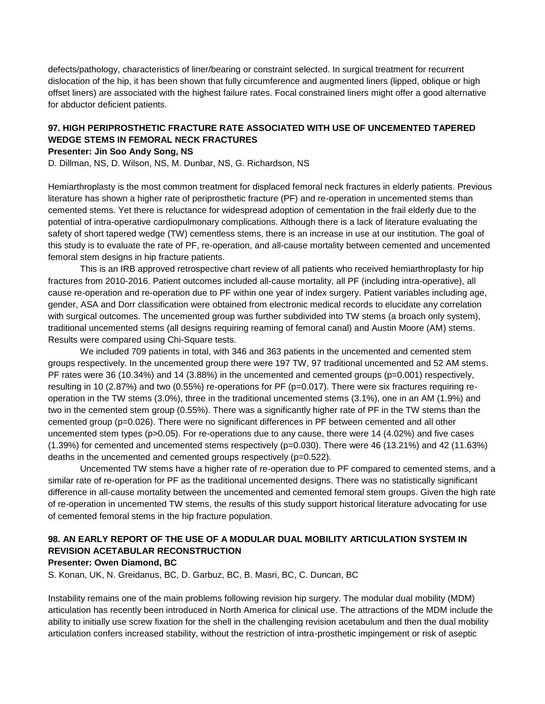defects/pathology, characteristics of liner/bearing or constraint selected. In surgical treatment for recurrent dislocation of the hip, it has been shown that fully circumference and augmented liners (lipped, oblique or high offset liners) are associated with the highest failure rates. Focal constrained liners might offer a good alternative for abductor deficient patients.

# **97. HIGH PERIPROSTHETIC FRACTURE RATE ASSOCIATED WITH USE OF UNCEMENTED TAPERED WEDGE STEMS IN FEMORAL NECK FRACTURES**

### **Presenter: Jin Soo Andy Song, NS**

D. Dillman, NS, D. Wilson, NS, M. Dunbar, NS, G. Richardson, NS

Hemiarthroplasty is the most common treatment for displaced femoral neck fractures in elderly patients. Previous literature has shown a higher rate of periprosthetic fracture (PF) and re-operation in uncemented stems than cemented stems. Yet there is reluctance for widespread adoption of cementation in the frail elderly due to the potential of intra-operative cardiopulmonary complications. Although there is a lack of literature evaluating the safety of short tapered wedge (TW) cementless stems, there is an increase in use at our institution. The goal of this study is to evaluate the rate of PF, re-operation, and all-cause mortality between cemented and uncemented femoral stem designs in hip fracture patients.

This is an IRB approved retrospective chart review of all patients who received hemiarthroplasty for hip fractures from 2010-2016. Patient outcomes included all-cause mortality, all PF (including intra-operative), all cause re-operation and re-operation due to PF within one year of index surgery. Patient variables including age, gender, ASA and Dorr classification were obtained from electronic medical records to elucidate any correlation with surgical outcomes. The uncemented group was further subdivided into TW stems (a broach only system), traditional uncemented stems (all designs requiring reaming of femoral canal) and Austin Moore (AM) stems. Results were compared using Chi-Square tests.

We included 709 patients in total, with 346 and 363 patients in the uncemented and cemented stem groups respectively. In the uncemented group there were 197 TW, 97 traditional uncemented and 52 AM stems. PF rates were 36 (10.34%) and 14 (3.88%) in the uncemented and cemented groups (p=0.001) respectively, resulting in 10 (2.87%) and two (0.55%) re-operations for PF (p=0.017). There were six fractures requiring reoperation in the TW stems (3.0%), three in the traditional uncemented stems (3.1%), one in an AM (1.9%) and two in the cemented stem group (0.55%). There was a significantly higher rate of PF in the TW stems than the cemented group (p=0.026). There were no significant differences in PF between cemented and all other uncemented stem types (p>0.05). For re-operations due to any cause, there were 14 (4.02%) and five cases (1.39%) for cemented and uncemented stems respectively (p=0.030). There were 46 (13.21%) and 42 (11.63%) deaths in the uncemented and cemented groups respectively (p=0.522).

Uncemented TW stems have a higher rate of re-operation due to PF compared to cemented stems, and a similar rate of re-operation for PF as the traditional uncemented designs. There was no statistically significant difference in all-cause mortality between the uncemented and cemented femoral stem groups. Given the high rate of re-operation in uncemented TW stems, the results of this study support historical literature advocating for use of cemented femoral stems in the hip fracture population.

## **98. AN EARLY REPORT OF THE USE OF A MODULAR DUAL MOBILITY ARTICULATION SYSTEM IN REVISION ACETABULAR RECONSTRUCTION**

#### **Presenter: Owen Diamond, BC**

S. Konan, UK, N. Greidanus, BC, D. Garbuz, BC, B. Masri, BC, C. Duncan, BC

Instability remains one of the main problems following revision hip surgery. The modular dual mobility (MDM) articulation has recently been introduced in North America for clinical use. The attractions of the MDM include the ability to initially use screw fixation for the shell in the challenging revision acetabulum and then the dual mobility articulation confers increased stability, without the restriction of intra-prosthetic impingement or risk of aseptic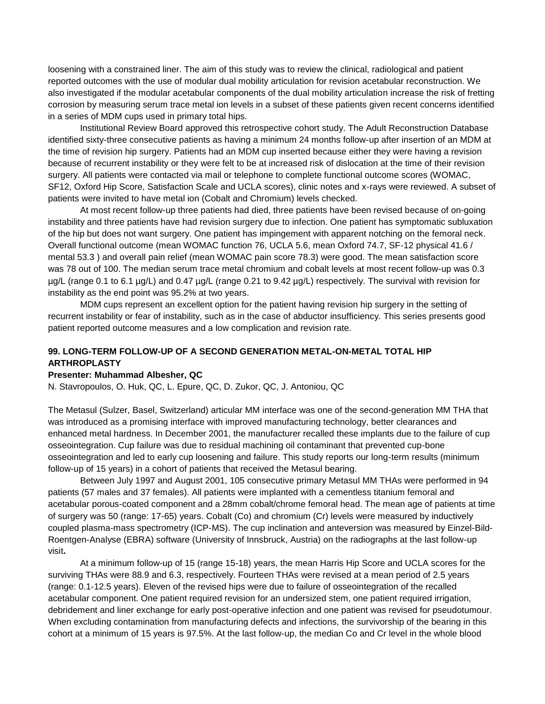loosening with a constrained liner. The aim of this study was to review the clinical, radiological and patient reported outcomes with the use of modular dual mobility articulation for revision acetabular reconstruction. We also investigated if the modular acetabular components of the dual mobility articulation increase the risk of fretting corrosion by measuring serum trace metal ion levels in a subset of these patients given recent concerns identified in a series of MDM cups used in primary total hips.

Institutional Review Board approved this retrospective cohort study. The Adult Reconstruction Database identified sixty-three consecutive patients as having a minimum 24 months follow-up after insertion of an MDM at the time of revision hip surgery. Patients had an MDM cup inserted because either they were having a revision because of recurrent instability or they were felt to be at increased risk of dislocation at the time of their revision surgery. All patients were contacted via mail or telephone to complete functional outcome scores (WOMAC, SF12, Oxford Hip Score, Satisfaction Scale and UCLA scores), clinic notes and x-rays were reviewed. A subset of patients were invited to have metal ion (Cobalt and Chromium) levels checked.

At most recent follow-up three patients had died, three patients have been revised because of on-going instability and three patients have had revision surgery due to infection. One patient has symptomatic subluxation of the hip but does not want surgery. One patient has impingement with apparent notching on the femoral neck. Overall functional outcome (mean WOMAC function 76, UCLA 5.6, mean Oxford 74.7, SF-12 physical 41.6 / mental 53.3 ) and overall pain relief (mean WOMAC pain score 78.3) were good. The mean satisfaction score was 78 out of 100. The median serum trace metal chromium and cobalt levels at most recent follow-up was 0.3 µg/L (range 0.1 to 6.1 µg/L) and 0.47 µg/L (range 0.21 to 9.42 µg/L) respectively. The survival with revision for instability as the end point was 95.2% at two years.

MDM cups represent an excellent option for the patient having revision hip surgery in the setting of recurrent instability or fear of instability, such as in the case of abductor insufficiency. This series presents good patient reported outcome measures and a low complication and revision rate.

## **99. LONG-TERM FOLLOW-UP OF A SECOND GENERATION METAL-ON-METAL TOTAL HIP ARTHROPLASTY**

### **Presenter: Muhammad Albesher, QC**

N. Stavropoulos, O. Huk, QC, L. Epure, QC, D. Zukor, QC, J. Antoniou, QC

The Metasul (Sulzer, Basel, Switzerland) articular MM interface was one of the second-generation MM THA that was introduced as a promising interface with improved manufacturing technology, better clearances and enhanced metal hardness. In December 2001, the manufacturer recalled these implants due to the failure of cup osseointegration. Cup failure was due to residual machining oil contaminant that prevented cup-bone osseointegration and led to early cup loosening and failure. This study reports our long-term results (minimum follow-up of 15 years) in a cohort of patients that received the Metasul bearing.

Between July 1997 and August 2001, 105 consecutive primary Metasul MM THAs were performed in 94 patients (57 males and 37 females). All patients were implanted with a cementless titanium femoral and acetabular porous-coated component and a 28mm cobalt/chrome femoral head. The mean age of patients at time of surgery was 50 (range: 17-65) years. Cobalt (Co) and chromium (Cr) levels were measured by inductively coupled plasma-mass spectrometry (ICP-MS). The cup inclination and anteversion was measured by Einzel-Bild-Roentgen-Analyse (EBRA) software (University of Innsbruck, Austria) on the radiographs at the last follow-up visit**.**

At a minimum follow-up of 15 (range 15-18) years, the mean Harris Hip Score and UCLA scores for the surviving THAs were 88.9 and 6.3, respectively. Fourteen THAs were revised at a mean period of 2.5 years (range: 0.1-12.5 years). Eleven of the revised hips were due to failure of osseointegration of the recalled acetabular component. One patient required revision for an undersized stem, one patient required irrigation, debridement and liner exchange for early post-operative infection and one patient was revised for pseudotumour. When excluding contamination from manufacturing defects and infections, the survivorship of the bearing in this cohort at a minimum of 15 years is 97.5%. At the last follow-up, the median Co and Cr level in the whole blood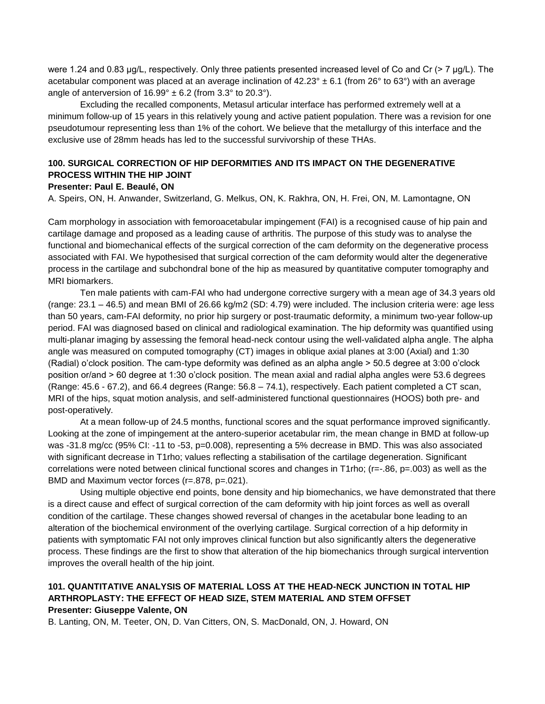were 1.24 and 0.83 μg/L, respectively. Only three patients presented increased level of Co and Cr (> 7 μg/L). The acetabular component was placed at an average inclination of  $42.23^{\circ} \pm 6.1$  (from 26° to 63°) with an average angle of anterversion of  $16.99^{\circ} \pm 6.2$  (from 3.3° to 20.3°).

Excluding the recalled components, Metasul articular interface has performed extremely well at a minimum follow-up of 15 years in this relatively young and active patient population. There was a revision for one pseudotumour representing less than 1% of the cohort. We believe that the metallurgy of this interface and the exclusive use of 28mm heads has led to the successful survivorship of these THAs.

# **100. SURGICAL CORRECTION OF HIP DEFORMITIES AND ITS IMPACT ON THE DEGENERATIVE PROCESS WITHIN THE HIP JOINT**

### **Presenter: Paul E. Beaulé, ON**

A. Speirs, ON, H. Anwander, Switzerland, G. Melkus, ON, K. Rakhra, ON, H. Frei, ON, M. Lamontagne, ON

Cam morphology in association with femoroacetabular impingement (FAI) is a recognised cause of hip pain and cartilage damage and proposed as a leading cause of arthritis. The purpose of this study was to analyse the functional and biomechanical effects of the surgical correction of the cam deformity on the degenerative process associated with FAI. We hypothesised that surgical correction of the cam deformity would alter the degenerative process in the cartilage and subchondral bone of the hip as measured by quantitative computer tomography and MRI biomarkers.

Ten male patients with cam-FAI who had undergone corrective surgery with a mean age of 34.3 years old (range: 23.1 – 46.5) and mean BMI of 26.66 kg/m2 (SD: 4.79) were included. The inclusion criteria were: age less than 50 years, cam-FAI deformity, no prior hip surgery or post-traumatic deformity, a minimum two-year follow-up period. FAI was diagnosed based on clinical and radiological examination. The hip deformity was quantified using multi-planar imaging by assessing the femoral head-neck contour using the well-validated alpha angle. The alpha angle was measured on computed tomography (CT) images in oblique axial planes at 3:00 (Axial) and 1:30 (Radial) o'clock position. The cam-type deformity was defined as an alpha angle > 50.5 degree at 3:00 o'clock position or/and > 60 degree at 1:30 o'clock position. The mean axial and radial alpha angles were 53.6 degrees (Range: 45.6 - 67.2), and 66.4 degrees (Range: 56.8 – 74.1), respectively. Each patient completed a CT scan, MRI of the hips, squat motion analysis, and self-administered functional questionnaires (HOOS) both pre- and post-operatively.

At a mean follow-up of 24.5 months, functional scores and the squat performance improved significantly. Looking at the zone of impingement at the antero-superior acetabular rim, the mean change in BMD at follow-up was -31.8 mg/cc (95% CI: -11 to -53, p=0.008), representing a 5% decrease in BMD. This was also associated with significant decrease in T1rho; values reflecting a stabilisation of the cartilage degeneration. Significant correlations were noted between clinical functional scores and changes in T1rho; (r=-.86, p=.003) as well as the BMD and Maximum vector forces (r=.878, p=.021).

Using multiple objective end points, bone density and hip biomechanics, we have demonstrated that there is a direct cause and effect of surgical correction of the cam deformity with hip joint forces as well as overall condition of the cartilage. These changes showed reversal of changes in the acetabular bone leading to an alteration of the biochemical environment of the overlying cartilage. Surgical correction of a hip deformity in patients with symptomatic FAI not only improves clinical function but also significantly alters the degenerative process. These findings are the first to show that alteration of the hip biomechanics through surgical intervention improves the overall health of the hip joint.

## **101. QUANTITATIVE ANALYSIS OF MATERIAL LOSS AT THE HEAD-NECK JUNCTION IN TOTAL HIP ARTHROPLASTY: THE EFFECT OF HEAD SIZE, STEM MATERIAL AND STEM OFFSET Presenter: Giuseppe Valente, ON**

B. Lanting, ON, M. Teeter, ON, D. Van Citters, ON, S. MacDonald, ON, J. Howard, ON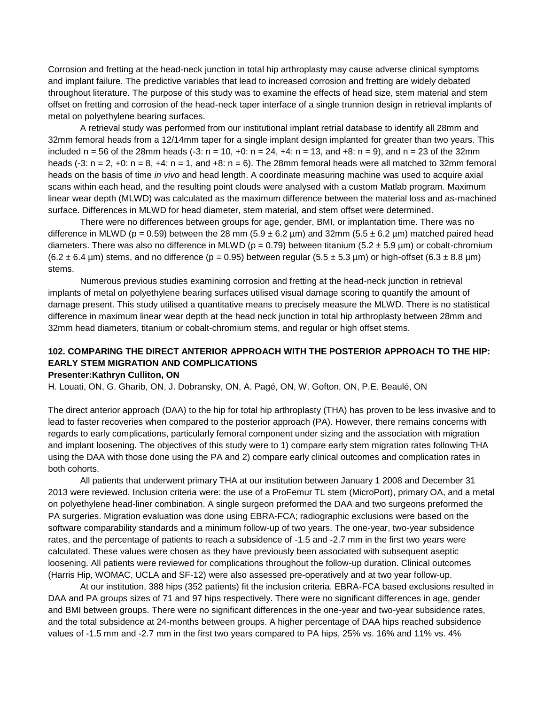Corrosion and fretting at the head-neck junction in total hip arthroplasty may cause adverse clinical symptoms and implant failure. The predictive variables that lead to increased corrosion and fretting are widely debated throughout literature. The purpose of this study was to examine the effects of head size, stem material and stem offset on fretting and corrosion of the head-neck taper interface of a single trunnion design in retrieval implants of metal on polyethylene bearing surfaces.

A retrieval study was performed from our institutional implant retrial database to identify all 28mm and 32mm femoral heads from a 12/14mm taper for a single implant design implanted for greater than two years. This included  $n = 56$  of the 28mm heads (-3:  $n = 10$ , +0:  $n = 24$ , +4:  $n = 13$ , and +8:  $n = 9$ ), and  $n = 23$  of the 32mm heads  $(-3: n = 2, +0: n = 8, +4: n = 1,$  and  $+8: n = 6$ ). The 28mm femoral heads were all matched to 32mm femoral heads on the basis of time *in vivo* and head length. A coordinate measuring machine was used to acquire axial scans within each head, and the resulting point clouds were analysed with a custom Matlab program. Maximum linear wear depth (MLWD) was calculated as the maximum difference between the material loss and as-machined surface. Differences in MLWD for head diameter, stem material, and stem offset were determined.

There were no differences between groups for age, gender, BMI, or implantation time. There was no difference in MLWD (p = 0.59) between the 28 mm (5.9  $\pm$  6.2 µm) and 32mm (5.5  $\pm$  6.2 µm) matched paired head diameters. There was also no difference in MLWD ( $p = 0.79$ ) between titanium (5.2 ± 5.9 µm) or cobalt-chromium  $(6.2 \pm 6.4 \,\mu\text{m})$  stems, and no difference (p = 0.95) between regular (5.5  $\pm$  5.3  $\mu$ m) or high-offset (6.3  $\pm$  8.8  $\mu$ m) stems.

Numerous previous studies examining corrosion and fretting at the head-neck junction in retrieval implants of metal on polyethylene bearing surfaces utilised visual damage scoring to quantify the amount of damage present. This study utilised a quantitative means to precisely measure the MLWD. There is no statistical difference in maximum linear wear depth at the head neck junction in total hip arthroplasty between 28mm and 32mm head diameters, titanium or cobalt-chromium stems, and regular or high offset stems.

# **102. COMPARING THE DIRECT ANTERIOR APPROACH WITH THE POSTERIOR APPROACH TO THE HIP: EARLY STEM MIGRATION AND COMPLICATIONS**

#### **Presenter:Kathryn Culliton, ON**

H. Louati, ON, G. Gharib, ON, J. Dobransky, ON, A. Pagé, ON, W. Gofton, ON, P.E. Beaulé, ON

The direct anterior approach (DAA) to the hip for total hip arthroplasty (THA) has proven to be less invasive and to lead to faster recoveries when compared to the posterior approach (PA). However, there remains concerns with regards to early complications, particularly femoral component under sizing and the association with migration and implant loosening. The objectives of this study were to 1) compare early stem migration rates following THA using the DAA with those done using the PA and 2) compare early clinical outcomes and complication rates in both cohorts.

All patients that underwent primary THA at our institution between January 1 2008 and December 31 2013 were reviewed. Inclusion criteria were: the use of a ProFemur TL stem (MicroPort), primary OA, and a metal on polyethylene head-liner combination. A single surgeon preformed the DAA and two surgeons preformed the PA surgeries. Migration evaluation was done using EBRA-FCA; radiographic exclusions were based on the software comparability standards and a minimum follow-up of two years. The one-year, two-year subsidence rates, and the percentage of patients to reach a subsidence of -1.5 and -2.7 mm in the first two years were calculated. These values were chosen as they have previously been associated with subsequent aseptic loosening. All patients were reviewed for complications throughout the follow-up duration. Clinical outcomes (Harris Hip, WOMAC, UCLA and SF-12) were also assessed pre-operatively and at two year follow-up.

At our institution, 388 hips (352 patients) fit the inclusion criteria. EBRA-FCA based exclusions resulted in DAA and PA groups sizes of 71 and 97 hips respectively. There were no significant differences in age, gender and BMI between groups. There were no significant differences in the one-year and two-year subsidence rates, and the total subsidence at 24-months between groups. A higher percentage of DAA hips reached subsidence values of -1.5 mm and -2.7 mm in the first two years compared to PA hips, 25% vs. 16% and 11% vs. 4%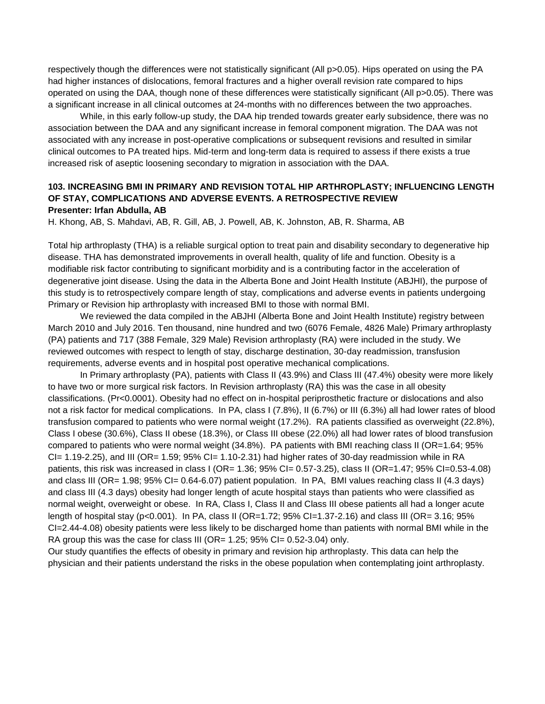respectively though the differences were not statistically significant (All p>0.05). Hips operated on using the PA had higher instances of dislocations, femoral fractures and a higher overall revision rate compared to hips operated on using the DAA, though none of these differences were statistically significant (All p>0.05). There was a significant increase in all clinical outcomes at 24-months with no differences between the two approaches.

While, in this early follow-up study, the DAA hip trended towards greater early subsidence, there was no association between the DAA and any significant increase in femoral component migration. The DAA was not associated with any increase in post-operative complications or subsequent revisions and resulted in similar clinical outcomes to PA treated hips. Mid-term and long-term data is required to assess if there exists a true increased risk of aseptic loosening secondary to migration in association with the DAA.

## **103. INCREASING BMI IN PRIMARY AND REVISION TOTAL HIP ARTHROPLASTY; INFLUENCING LENGTH OF STAY, COMPLICATIONS AND ADVERSE EVENTS. A RETROSPECTIVE REVIEW Presenter: Irfan Abdulla, AB**

H. Khong, AB, S. Mahdavi, AB, R. Gill, AB, J. Powell, AB, K. Johnston, AB, R. Sharma, AB

Total hip arthroplasty (THA) is a reliable surgical option to treat pain and disability secondary to degenerative hip disease. THA has demonstrated improvements in overall health, quality of life and function. Obesity is a modifiable risk factor contributing to significant morbidity and is a contributing factor in the acceleration of degenerative joint disease. Using the data in the Alberta Bone and Joint Health Institute (ABJHI), the purpose of this study is to retrospectively compare length of stay, complications and adverse events in patients undergoing Primary or Revision hip arthroplasty with increased BMI to those with normal BMI.

We reviewed the data compiled in the ABJHI (Alberta Bone and Joint Health Institute) registry between March 2010 and July 2016. Ten thousand, nine hundred and two (6076 Female, 4826 Male) Primary arthroplasty (PA) patients and 717 (388 Female, 329 Male) Revision arthroplasty (RA) were included in the study. We reviewed outcomes with respect to length of stay, discharge destination, 30-day readmission, transfusion requirements, adverse events and in hospital post operative mechanical complications.

In Primary arthroplasty (PA), patients with Class II (43.9%) and Class III (47.4%) obesity were more likely to have two or more surgical risk factors. In Revision arthroplasty (RA) this was the case in all obesity classifications. (Pr<0.0001). Obesity had no effect on in-hospital periprosthetic fracture or dislocations and also not a risk factor for medical complications. In PA, class I (7.8%), II (6.7%) or III (6.3%) all had lower rates of blood transfusion compared to patients who were normal weight (17.2%). RA patients classified as overweight (22.8%), Class I obese (30.6%), Class II obese (18.3%), or Class III obese (22.0%) all had lower rates of blood transfusion compared to patients who were normal weight (34.8%). PA patients with BMI reaching class II (OR=1.64; 95%  $Cl = 1.19 - 2.25$ , and III (OR= 1.59;  $95\%$  CI= 1.10-2.31) had higher rates of 30-day readmission while in RA patients, this risk was increased in class I (OR= 1.36; 95% CI= 0.57-3.25), class II (OR=1.47; 95% CI=0.53-4.08) and class III (OR= 1.98; 95% CI= 0.64-6.07) patient population. In PA, BMI values reaching class II (4.3 days) and class III (4.3 days) obesity had longer length of acute hospital stays than patients who were classified as normal weight, overweight or obese. In RA, Class I, Class II and Class III obese patients all had a longer acute length of hospital stay (p<0.001). In PA, class II (OR=1.72; 95% CI=1.37-2.16) and class III (OR= 3.16; 95% CI=2.44-4.08) obesity patients were less likely to be discharged home than patients with normal BMI while in the RA group this was the case for class III (OR= 1.25; 95% CI= 0.52-3.04) only.

Our study quantifies the effects of obesity in primary and revision hip arthroplasty. This data can help the physician and their patients understand the risks in the obese population when contemplating joint arthroplasty.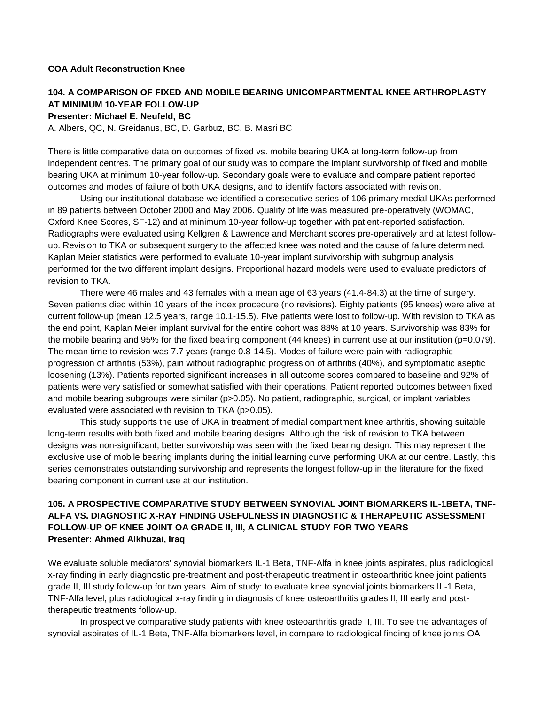## **COA Adult Reconstruction Knee**

# **104. A COMPARISON OF FIXED AND MOBILE BEARING UNICOMPARTMENTAL KNEE ARTHROPLASTY AT MINIMUM 10-YEAR FOLLOW-UP**

#### **Presenter: Michael E. Neufeld, BC**

A. Albers, QC, N. Greidanus, BC, D. Garbuz, BC, B. Masri BC

There is little comparative data on outcomes of fixed vs. mobile bearing UKA at long-term follow-up from independent centres. The primary goal of our study was to compare the implant survivorship of fixed and mobile bearing UKA at minimum 10-year follow-up. Secondary goals were to evaluate and compare patient reported outcomes and modes of failure of both UKA designs, and to identify factors associated with revision.

Using our institutional database we identified a consecutive series of 106 primary medial UKAs performed in 89 patients between October 2000 and May 2006. Quality of life was measured pre-operatively (WOMAC, Oxford Knee Scores, SF-12) and at minimum 10-year follow-up together with patient-reported satisfaction. Radiographs were evaluated using Kellgren & Lawrence and Merchant scores pre-operatively and at latest followup. Revision to TKA or subsequent surgery to the affected knee was noted and the cause of failure determined. Kaplan Meier statistics were performed to evaluate 10-year implant survivorship with subgroup analysis performed for the two different implant designs. Proportional hazard models were used to evaluate predictors of revision to TKA.

There were 46 males and 43 females with a mean age of 63 years (41.4-84.3) at the time of surgery. Seven patients died within 10 years of the index procedure (no revisions). Eighty patients (95 knees) were alive at current follow-up (mean 12.5 years, range 10.1-15.5). Five patients were lost to follow-up. With revision to TKA as the end point, Kaplan Meier implant survival for the entire cohort was 88% at 10 years. Survivorship was 83% for the mobile bearing and 95% for the fixed bearing component (44 knees) in current use at our institution (p=0.079). The mean time to revision was 7.7 years (range 0.8-14.5). Modes of failure were pain with radiographic progression of arthritis (53%), pain without radiographic progression of arthritis (40%), and symptomatic aseptic loosening (13%). Patients reported significant increases in all outcome scores compared to baseline and 92% of patients were very satisfied or somewhat satisfied with their operations. Patient reported outcomes between fixed and mobile bearing subgroups were similar (p>0.05). No patient, radiographic, surgical, or implant variables evaluated were associated with revision to TKA (p>0.05).

This study supports the use of UKA in treatment of medial compartment knee arthritis, showing suitable long-term results with both fixed and mobile bearing designs. Although the risk of revision to TKA between designs was non-significant, better survivorship was seen with the fixed bearing design. This may represent the exclusive use of mobile bearing implants during the initial learning curve performing UKA at our centre. Lastly, this series demonstrates outstanding survivorship and represents the longest follow-up in the literature for the fixed bearing component in current use at our institution.

## **105. A PROSPECTIVE COMPARATIVE STUDY BETWEEN SYNOVIAL JOINT BIOMARKERS IL-1BETA, TNF-ALFA VS. DIAGNOSTIC X-RAY FINDING USEFULNESS IN DIAGNOSTIC & THERAPEUTIC ASSESSMENT FOLLOW-UP OF KNEE JOINT OA GRADE II, III, A CLINICAL STUDY FOR TWO YEARS Presenter: Ahmed Alkhuzai, Iraq**

We evaluate soluble mediators' synovial biomarkers IL-1 Beta, TNF-Alfa in knee joints aspirates, plus radiological x-ray finding in early diagnostic pre-treatment and post-therapeutic treatment in osteoarthritic knee joint patients grade II, III study follow-up for two years. Aim of study: to evaluate knee synovial joints biomarkers IL-1 Beta, TNF-Alfa level, plus radiological x-ray finding in diagnosis of knee osteoarthritis grades II, III early and posttherapeutic treatments follow-up.

In prospective comparative study patients with knee osteoarthritis grade II, III. To see the advantages of synovial aspirates of IL-1 Beta, TNF-Alfa biomarkers level, in compare to radiological finding of knee joints OA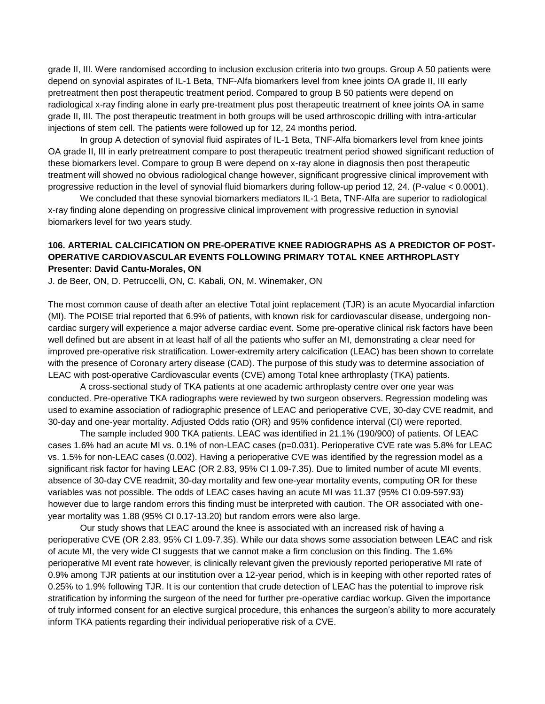grade II, III. Were randomised according to inclusion exclusion criteria into two groups. Group A 50 patients were depend on synovial aspirates of IL-1 Beta, TNF-Alfa biomarkers level from knee joints OA grade II, III early pretreatment then post therapeutic treatment period. Compared to group B 50 patients were depend on radiological x-ray finding alone in early pre-treatment plus post therapeutic treatment of knee joints OA in same grade II, III. The post therapeutic treatment in both groups will be used arthroscopic drilling with intra-articular injections of stem cell. The patients were followed up for 12, 24 months period.

In group A detection of synovial fluid aspirates of IL-1 Beta, TNF-Alfa biomarkers level from knee joints OA grade II, III in early pretreatment compare to post therapeutic treatment period showed significant reduction of these biomarkers level. Compare to group B were depend on x-ray alone in diagnosis then post therapeutic treatment will showed no obvious radiological change however, significant progressive clinical improvement with progressive reduction in the level of synovial fluid biomarkers during follow-up period 12, 24. (P-value < 0.0001).

We concluded that these synovial biomarkers mediators IL-1 Beta, TNF-Alfa are superior to radiological x-ray finding alone depending on progressive clinical improvement with progressive reduction in synovial biomarkers level for two years study.

## **106. ARTERIAL CALCIFICATION ON PRE-OPERATIVE KNEE RADIOGRAPHS AS A PREDICTOR OF POST-OPERATIVE CARDIOVASCULAR EVENTS FOLLOWING PRIMARY TOTAL KNEE ARTHROPLASTY Presenter: David Cantu-Morales, ON**

J. de Beer, ON, D. Petruccelli, ON, C. Kabali, ON, M. Winemaker, ON

The most common cause of death after an elective Total joint replacement (TJR) is an acute Myocardial infarction (MI). The POISE trial reported that 6.9% of patients, with known risk for cardiovascular disease, undergoing noncardiac surgery will experience a major adverse cardiac event. Some pre-operative clinical risk factors have been well defined but are absent in at least half of all the patients who suffer an MI, demonstrating a clear need for improved pre-operative risk stratification. Lower-extremity artery calcification (LEAC) has been shown to correlate with the presence of Coronary artery disease (CAD). The purpose of this study was to determine association of LEAC with post-operative Cardiovascular events (CVE) among Total knee arthroplasty (TKA) patients.

A cross-sectional study of TKA patients at one academic arthroplasty centre over one year was conducted. Pre-operative TKA radiographs were reviewed by two surgeon observers. Regression modeling was used to examine association of radiographic presence of LEAC and perioperative CVE, 30-day CVE readmit, and 30-day and one-year mortality. Adjusted Odds ratio (OR) and 95% confidence interval (CI) were reported.

The sample included 900 TKA patients. LEAC was identified in 21.1% (190/900) of patients. Of LEAC cases 1.6% had an acute MI vs. 0.1% of non-LEAC cases (p=0.031). Perioperative CVE rate was 5.8% for LEAC vs. 1.5% for non-LEAC cases (0.002). Having a perioperative CVE was identified by the regression model as a significant risk factor for having LEAC (OR 2.83, 95% CI 1.09-7.35). Due to limited number of acute MI events, absence of 30-day CVE readmit, 30-day mortality and few one-year mortality events, computing OR for these variables was not possible. The odds of LEAC cases having an acute MI was 11.37 (95% CI 0.09-597.93) however due to large random errors this finding must be interpreted with caution. The OR associated with oneyear mortality was 1.88 (95% CI 0.17-13.20) but random errors were also large.

Our study shows that LEAC around the knee is associated with an increased risk of having a perioperative CVE (OR 2.83, 95% CI 1.09-7.35). While our data shows some association between LEAC and risk of acute MI, the very wide CI suggests that we cannot make a firm conclusion on this finding. The 1.6% perioperative MI event rate however, is clinically relevant given the previously reported perioperative MI rate of 0.9% among TJR patients at our institution over a 12-year period, which is in keeping with other reported rates of 0.25% to 1.9% following TJR. It is our contention that crude detection of LEAC has the potential to improve risk stratification by informing the surgeon of the need for further pre-operative cardiac workup. Given the importance of truly informed consent for an elective surgical procedure, this enhances the surgeon's ability to more accurately inform TKA patients regarding their individual perioperative risk of a CVE.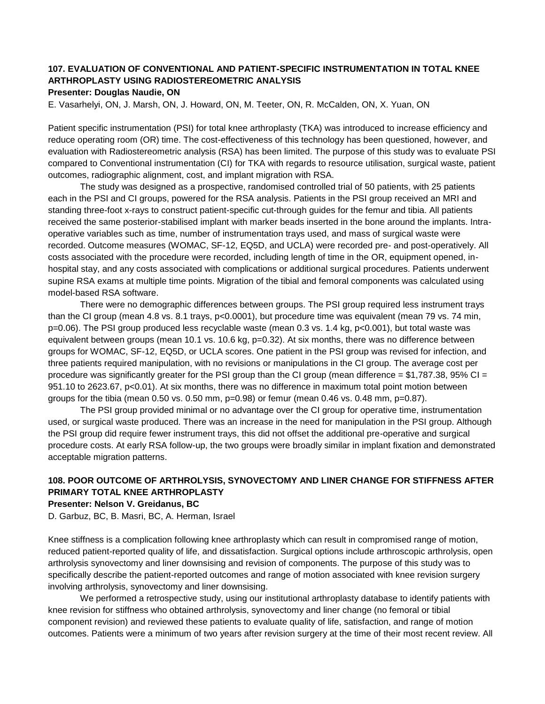# **107. EVALUATION OF CONVENTIONAL AND PATIENT-SPECIFIC INSTRUMENTATION IN TOTAL KNEE ARTHROPLASTY USING RADIOSTEREOMETRIC ANALYSIS**

## **Presenter: Douglas Naudie, ON**

E. Vasarhelyi, ON, J. Marsh, ON, J. Howard, ON, M. Teeter, ON, R. McCalden, ON, X. Yuan, ON

Patient specific instrumentation (PSI) for total knee arthroplasty (TKA) was introduced to increase efficiency and reduce operating room (OR) time. The cost-effectiveness of this technology has been questioned, however, and evaluation with Radiostereometric analysis (RSA) has been limited. The purpose of this study was to evaluate PSI compared to Conventional instrumentation (CI) for TKA with regards to resource utilisation, surgical waste, patient outcomes, radiographic alignment, cost, and implant migration with RSA.

The study was designed as a prospective, randomised controlled trial of 50 patients, with 25 patients each in the PSI and CI groups, powered for the RSA analysis. Patients in the PSI group received an MRI and standing three-foot x-rays to construct patient-specific cut-through guides for the femur and tibia. All patients received the same posterior-stabilised implant with marker beads inserted in the bone around the implants. Intraoperative variables such as time, number of instrumentation trays used, and mass of surgical waste were recorded. Outcome measures (WOMAC, SF-12, EQ5D, and UCLA) were recorded pre- and post-operatively. All costs associated with the procedure were recorded, including length of time in the OR, equipment opened, inhospital stay, and any costs associated with complications or additional surgical procedures. Patients underwent supine RSA exams at multiple time points. Migration of the tibial and femoral components was calculated using model-based RSA software.

There were no demographic differences between groups. The PSI group required less instrument trays than the CI group (mean 4.8 vs. 8.1 trays, p<0.0001), but procedure time was equivalent (mean 79 vs. 74 min, p=0.06). The PSI group produced less recyclable waste (mean 0.3 vs. 1.4 kg, p<0.001), but total waste was equivalent between groups (mean 10.1 vs. 10.6 kg, p=0.32). At six months, there was no difference between groups for WOMAC, SF-12, EQ5D, or UCLA scores. One patient in the PSI group was revised for infection, and three patients required manipulation, with no revisions or manipulations in the CI group. The average cost per procedure was significantly greater for the PSI group than the CI group (mean difference  $= $1,787.38, 95\%$  CI  $=$ 951.10 to 2623.67, p<0.01). At six months, there was no difference in maximum total point motion between groups for the tibia (mean  $0.50$  vs.  $0.50$  mm,  $p=0.98$ ) or femur (mean  $0.46$  vs.  $0.48$  mm,  $p=0.87$ ).

The PSI group provided minimal or no advantage over the CI group for operative time, instrumentation used, or surgical waste produced. There was an increase in the need for manipulation in the PSI group. Although the PSI group did require fewer instrument trays, this did not offset the additional pre-operative and surgical procedure costs. At early RSA follow-up, the two groups were broadly similar in implant fixation and demonstrated acceptable migration patterns.

# **108. POOR OUTCOME OF ARTHROLYSIS, SYNOVECTOMY AND LINER CHANGE FOR STIFFNESS AFTER PRIMARY TOTAL KNEE ARTHROPLASTY**

### **Presenter: Nelson V. Greidanus, BC**

D. Garbuz, BC, B. Masri, BC, A. Herman, Israel

Knee stiffness is a complication following knee arthroplasty which can result in compromised range of motion, reduced patient-reported quality of life, and dissatisfaction. Surgical options include arthroscopic arthrolysis, open arthrolysis synovectomy and liner downsising and revision of components. The purpose of this study was to specifically describe the patient-reported outcomes and range of motion associated with knee revision surgery involving arthrolysis, synovectomy and liner downsising.

We performed a retrospective study, using our institutional arthroplasty database to identify patients with knee revision for stiffness who obtained arthrolysis, synovectomy and liner change (no femoral or tibial component revision) and reviewed these patients to evaluate quality of life, satisfaction, and range of motion outcomes. Patients were a minimum of two years after revision surgery at the time of their most recent review. All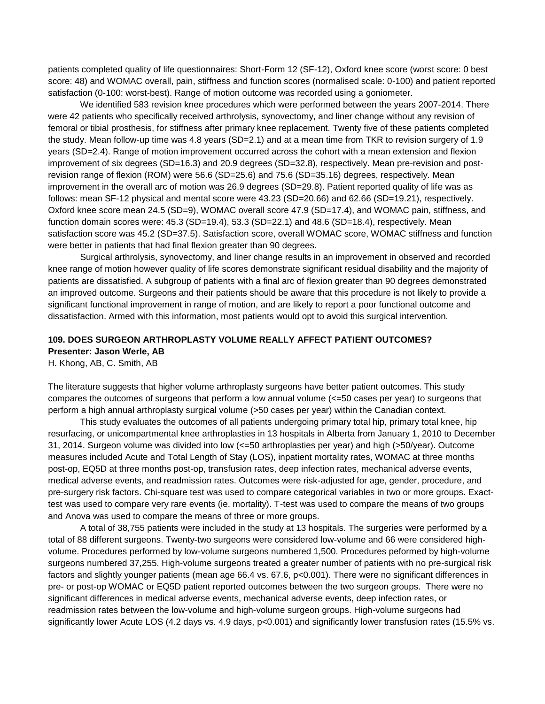patients completed quality of life questionnaires: Short-Form 12 (SF-12), Oxford knee score (worst score: 0 best score: 48) and WOMAC overall, pain, stiffness and function scores (normalised scale: 0-100) and patient reported satisfaction (0-100: worst-best). Range of motion outcome was recorded using a goniometer.

We identified 583 revision knee procedures which were performed between the years 2007-2014. There were 42 patients who specifically received arthrolysis, synovectomy, and liner change without any revision of femoral or tibial prosthesis, for stiffness after primary knee replacement. Twenty five of these patients completed the study. Mean follow-up time was 4.8 years (SD=2.1) and at a mean time from TKR to revision surgery of 1.9 years (SD=2.4). Range of motion improvement occurred across the cohort with a mean extension and flexion improvement of six degrees (SD=16.3) and 20.9 degrees (SD=32.8), respectively. Mean pre-revision and postrevision range of flexion (ROM) were 56.6 (SD=25.6) and 75.6 (SD=35.16) degrees, respectively. Mean improvement in the overall arc of motion was 26.9 degrees (SD=29.8). Patient reported quality of life was as follows: mean SF-12 physical and mental score were 43.23 (SD=20.66) and 62.66 (SD=19.21), respectively. Oxford knee score mean 24.5 (SD=9), WOMAC overall score 47.9 (SD=17.4), and WOMAC pain, stiffness, and function domain scores were: 45.3 (SD=19.4), 53.3 (SD=22.1) and 48.6 (SD=18.4), respectively. Mean satisfaction score was 45.2 (SD=37.5). Satisfaction score, overall WOMAC score, WOMAC stiffness and function were better in patients that had final flexion greater than 90 degrees.

Surgical arthrolysis, synovectomy, and liner change results in an improvement in observed and recorded knee range of motion however quality of life scores demonstrate significant residual disability and the majority of patients are dissatisfied. A subgroup of patients with a final arc of flexion greater than 90 degrees demonstrated an improved outcome. Surgeons and their patients should be aware that this procedure is not likely to provide a significant functional improvement in range of motion, and are likely to report a poor functional outcome and dissatisfaction. Armed with this information, most patients would opt to avoid this surgical intervention.

# **109. DOES SURGEON ARTHROPLASTY VOLUME REALLY AFFECT PATIENT OUTCOMES? Presenter: Jason Werle, AB**

H. Khong, AB, C. Smith, AB

The literature suggests that higher volume arthroplasty surgeons have better patient outcomes. This study compares the outcomes of surgeons that perform a low annual volume (<=50 cases per year) to surgeons that perform a high annual arthroplasty surgical volume (>50 cases per year) within the Canadian context.

This study evaluates the outcomes of all patients undergoing primary total hip, primary total knee, hip resurfacing, or unicompartmental knee arthroplasties in 13 hospitals in Alberta from January 1, 2010 to December 31, 2014. Surgeon volume was divided into low (<=50 arthroplasties per year) and high (>50/year). Outcome measures included Acute and Total Length of Stay (LOS), inpatient mortality rates, WOMAC at three months post-op, EQ5D at three months post-op, transfusion rates, deep infection rates, mechanical adverse events, medical adverse events, and readmission rates. Outcomes were risk-adjusted for age, gender, procedure, and pre-surgery risk factors. Chi-square test was used to compare categorical variables in two or more groups. Exacttest was used to compare very rare events (ie. mortality). T-test was used to compare the means of two groups and Anova was used to compare the means of three or more groups.

A total of 38,755 patients were included in the study at 13 hospitals. The surgeries were performed by a total of 88 different surgeons. Twenty-two surgeons were considered low-volume and 66 were considered highvolume. Procedures performed by low-volume surgeons numbered 1,500. Procedures peformed by high-volume surgeons numbered 37,255. High-volume surgeons treated a greater number of patients with no pre-surgical risk factors and slightly younger patients (mean age 66.4 vs. 67.6, p<0.001). There were no significant differences in pre- or post-op WOMAC or EQ5D patient reported outcomes between the two surgeon groups. There were no significant differences in medical adverse events, mechanical adverse events, deep infection rates, or readmission rates between the low-volume and high-volume surgeon groups. High-volume surgeons had significantly lower Acute LOS (4.2 days vs. 4.9 days, p<0.001) and significantly lower transfusion rates (15.5% vs.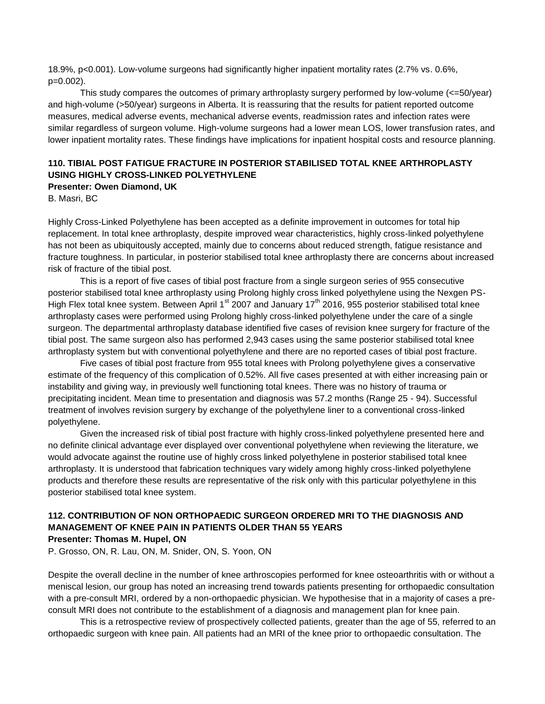18.9%, p<0.001). Low-volume surgeons had significantly higher inpatient mortality rates (2.7% vs. 0.6%, p=0.002).

This study compares the outcomes of primary arthroplasty surgery performed by low-volume (<=50/year) and high-volume (>50/year) surgeons in Alberta. It is reassuring that the results for patient reported outcome measures, medical adverse events, mechanical adverse events, readmission rates and infection rates were similar regardless of surgeon volume. High-volume surgeons had a lower mean LOS, lower transfusion rates, and lower inpatient mortality rates. These findings have implications for inpatient hospital costs and resource planning.

# **110. TIBIAL POST FATIGUE FRACTURE IN POSTERIOR STABILISED TOTAL KNEE ARTHROPLASTY USING HIGHLY CROSS-LINKED POLYETHYLENE**

## **Presenter: Owen Diamond, UK**

B. Masri, BC

Highly Cross-Linked Polyethylene has been accepted as a definite improvement in outcomes for total hip replacement. In total knee arthroplasty, despite improved wear characteristics, highly cross-linked polyethylene has not been as ubiquitously accepted, mainly due to concerns about reduced strength, fatigue resistance and fracture toughness. In particular, in posterior stabilised total knee arthroplasty there are concerns about increased risk of fracture of the tibial post.

This is a report of five cases of tibial post fracture from a single surgeon series of 955 consecutive posterior stabilised total knee arthroplasty using Prolong highly cross linked polyethylene using the Nexgen PS-High Flex total knee system. Between April 1<sup>st</sup> 2007 and January 17<sup>th</sup> 2016, 955 posterior stabilised total knee arthroplasty cases were performed using Prolong highly cross-linked polyethylene under the care of a single surgeon. The departmental arthroplasty database identified five cases of revision knee surgery for fracture of the tibial post. The same surgeon also has performed 2,943 cases using the same posterior stabilised total knee arthroplasty system but with conventional polyethylene and there are no reported cases of tibial post fracture.

Five cases of tibial post fracture from 955 total knees with Prolong polyethylene gives a conservative estimate of the frequency of this complication of 0.52%. All five cases presented at with either increasing pain or instability and giving way, in previously well functioning total knees. There was no history of trauma or precipitating incident. Mean time to presentation and diagnosis was 57.2 months (Range 25 - 94). Successful treatment of involves revision surgery by exchange of the polyethylene liner to a conventional cross-linked polyethylene.

Given the increased risk of tibial post fracture with highly cross-linked polyethylene presented here and no definite clinical advantage ever displayed over conventional polyethylene when reviewing the literature, we would advocate against the routine use of highly cross linked polyethylene in posterior stabilised total knee arthroplasty. It is understood that fabrication techniques vary widely among highly cross-linked polyethylene products and therefore these results are representative of the risk only with this particular polyethylene in this posterior stabilised total knee system.

#### **112. CONTRIBUTION OF NON ORTHOPAEDIC SURGEON ORDERED MRI TO THE DIAGNOSIS AND MANAGEMENT OF KNEE PAIN IN PATIENTS OLDER THAN 55 YEARS Presenter: Thomas M. Hupel, ON**

P. Grosso, ON, R. Lau, ON, M. Snider, ON, S. Yoon, ON

Despite the overall decline in the number of knee arthroscopies performed for knee osteoarthritis with or without a meniscal lesion, our group has noted an increasing trend towards patients presenting for orthopaedic consultation with a pre-consult MRI, ordered by a non-orthopaedic physician. We hypothesise that in a majority of cases a preconsult MRI does not contribute to the establishment of a diagnosis and management plan for knee pain.

This is a retrospective review of prospectively collected patients, greater than the age of 55, referred to an orthopaedic surgeon with knee pain. All patients had an MRI of the knee prior to orthopaedic consultation. The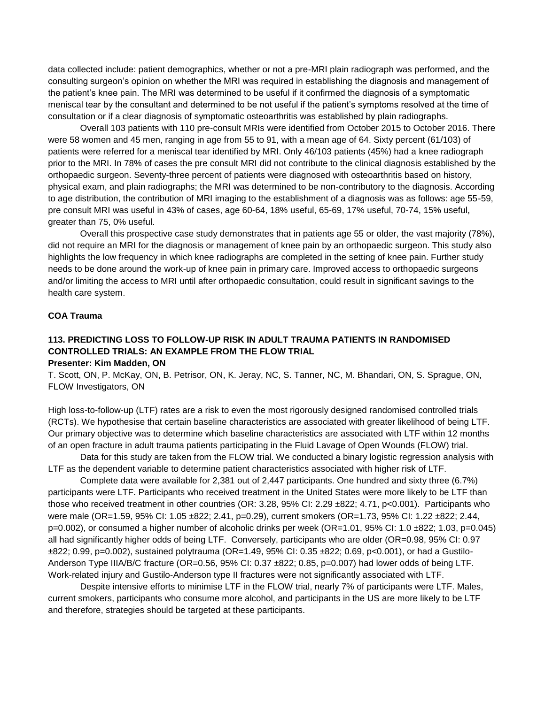data collected include: patient demographics, whether or not a pre-MRI plain radiograph was performed, and the consulting surgeon's opinion on whether the MRI was required in establishing the diagnosis and management of the patient's knee pain. The MRI was determined to be useful if it confirmed the diagnosis of a symptomatic meniscal tear by the consultant and determined to be not useful if the patient's symptoms resolved at the time of consultation or if a clear diagnosis of symptomatic osteoarthritis was established by plain radiographs.

Overall 103 patients with 110 pre-consult MRIs were identified from October 2015 to October 2016. There were 58 women and 45 men, ranging in age from 55 to 91, with a mean age of 64. Sixty percent (61/103) of patients were referred for a meniscal tear identified by MRI. Only 46/103 patients (45%) had a knee radiograph prior to the MRI. In 78% of cases the pre consult MRI did not contribute to the clinical diagnosis established by the orthopaedic surgeon. Seventy-three percent of patients were diagnosed with osteoarthritis based on history, physical exam, and plain radiographs; the MRI was determined to be non-contributory to the diagnosis. According to age distribution, the contribution of MRI imaging to the establishment of a diagnosis was as follows: age 55-59, pre consult MRI was useful in 43% of cases, age 60-64, 18% useful, 65-69, 17% useful, 70-74, 15% useful, greater than 75, 0% useful.

Overall this prospective case study demonstrates that in patients age 55 or older, the vast majority (78%), did not require an MRI for the diagnosis or management of knee pain by an orthopaedic surgeon. This study also highlights the low frequency in which knee radiographs are completed in the setting of knee pain. Further study needs to be done around the work-up of knee pain in primary care. Improved access to orthopaedic surgeons and/or limiting the access to MRI until after orthopaedic consultation, could result in significant savings to the health care system.

#### **COA Trauma**

#### **113. PREDICTING LOSS TO FOLLOW-UP RISK IN ADULT TRAUMA PATIENTS IN RANDOMISED CONTROLLED TRIALS: AN EXAMPLE FROM THE FLOW TRIAL Presenter: Kim Madden, ON**

T. Scott, ON, P. McKay, ON, B. Petrisor, ON, K. Jeray, NC, S. Tanner, NC, M. Bhandari, ON, S. Sprague, ON, FLOW Investigators, ON

High loss-to-follow-up (LTF) rates are a risk to even the most rigorously designed randomised controlled trials (RCTs). We hypothesise that certain baseline characteristics are associated with greater likelihood of being LTF. Our primary objective was to determine which baseline characteristics are associated with LTF within 12 months of an open fracture in adult trauma patients participating in the Fluid Lavage of Open Wounds (FLOW) trial.

Data for this study are taken from the FLOW trial. We conducted a binary logistic regression analysis with LTF as the dependent variable to determine patient characteristics associated with higher risk of LTF.

Complete data were available for 2,381 out of 2,447 participants. One hundred and sixty three (6.7%) participants were LTF. Participants who received treatment in the United States were more likely to be LTF than those who received treatment in other countries (OR: 3.28, 95% CI: 2.29 ±822; 4.71, p<0.001). Participants who were male (OR=1.59, 95% CI: 1.05 ±822; 2.41, p=0.29), current smokers (OR=1.73, 95% CI: 1.22 ±822; 2.44, p=0.002), or consumed a higher number of alcoholic drinks per week (OR=1.01, 95% CI: 1.0 ±822; 1.03, p=0.045) all had significantly higher odds of being LTF. Conversely, participants who are older (OR=0.98, 95% CI: 0.97 ±822; 0.99, p=0.002), sustained polytrauma (OR=1.49, 95% CI: 0.35 ±822; 0.69, p<0.001), or had a Gustilo-Anderson Type IIIA/B/C fracture (OR=0.56, 95% CI: 0.37 ±822; 0.85, p=0.007) had lower odds of being LTF. Work-related injury and Gustilo-Anderson type II fractures were not significantly associated with LTF.

Despite intensive efforts to minimise LTF in the FLOW trial, nearly 7% of participants were LTF. Males, current smokers, participants who consume more alcohol, and participants in the US are more likely to be LTF and therefore, strategies should be targeted at these participants.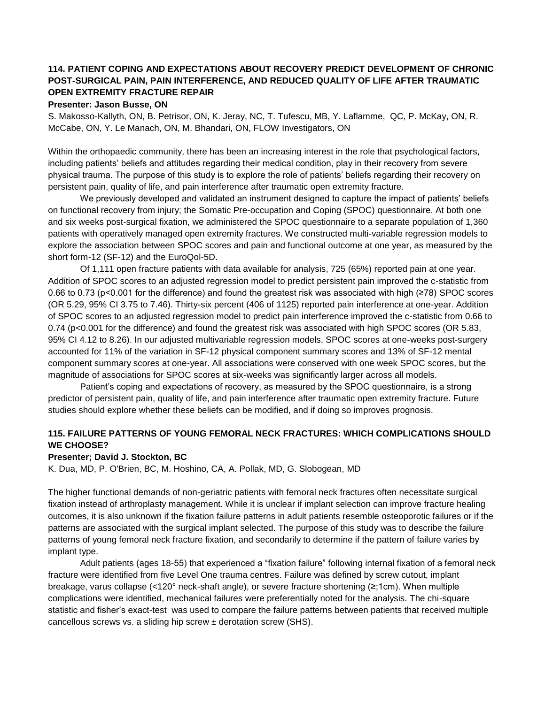# **114. PATIENT COPING AND EXPECTATIONS ABOUT RECOVERY PREDICT DEVELOPMENT OF CHRONIC POST-SURGICAL PAIN, PAIN INTERFERENCE, AND REDUCED QUALITY OF LIFE AFTER TRAUMATIC OPEN EXTREMITY FRACTURE REPAIR**

**Presenter: Jason Busse, ON**

S. Makosso-Kallyth, ON, B. Petrisor, ON, K. Jeray, NC, T. Tufescu, MB, Y. Laflamme, QC, P. McKay, ON, R. McCabe, ON, Y. Le Manach, ON, M. Bhandari, ON, FLOW Investigators, ON

Within the orthopaedic community, there has been an increasing interest in the role that psychological factors, including patients' beliefs and attitudes regarding their medical condition, play in their recovery from severe physical trauma. The purpose of this study is to explore the role of patients' beliefs regarding their recovery on persistent pain, quality of life, and pain interference after traumatic open extremity fracture.

We previously developed and validated an instrument designed to capture the impact of patients' beliefs on functional recovery from injury; the Somatic Pre-occupation and Coping (SPOC) questionnaire. At both one and six weeks post-surgical fixation, we administered the SPOC questionnaire to a separate population of 1,360 patients with operatively managed open extremity fractures. We constructed multi-variable regression models to explore the association between SPOC scores and pain and functional outcome at one year, as measured by the short form-12 (SF-12) and the EuroQol-5D.

Of 1,111 open fracture patients with data available for analysis, 725 (65%) reported pain at one year. Addition of SPOC scores to an adjusted regression model to predict persistent pain improved the c-statistic from 0.66 to 0.73 (p<0.001 for the difference) and found the greatest risk was associated with high (≥78) SPOC scores (OR 5.29, 95% CI 3.75 to 7.46). Thirty-six percent (406 of 1125) reported pain interference at one-year. Addition of SPOC scores to an adjusted regression model to predict pain interference improved the c-statistic from 0.66 to 0.74 (p<0.001 for the difference) and found the greatest risk was associated with high SPOC scores (OR 5.83, 95% CI 4.12 to 8.26). In our adjusted multivariable regression models, SPOC scores at one-weeks post-surgery accounted for 11% of the variation in SF-12 physical component summary scores and 13% of SF-12 mental component summary scores at one-year. All associations were conserved with one week SPOC scores, but the magnitude of associations for SPOC scores at six-weeks was significantly larger across all models.

Patient's coping and expectations of recovery, as measured by the SPOC questionnaire, is a strong predictor of persistent pain, quality of life, and pain interference after traumatic open extremity fracture. Future studies should explore whether these beliefs can be modified, and if doing so improves prognosis.

## **115. FAILURE PATTERNS OF YOUNG FEMORAL NECK FRACTURES: WHICH COMPLICATIONS SHOULD WE CHOOSE?**

#### **Presenter; David J. Stockton, BC**

K. Dua, MD, P. O'Brien, BC, M. Hoshino, CA, A. Pollak, MD, G. Slobogean, MD

The higher functional demands of non-geriatric patients with femoral neck fractures often necessitate surgical fixation instead of arthroplasty management. While it is unclear if implant selection can improve fracture healing outcomes, it is also unknown if the fixation failure patterns in adult patients resemble osteoporotic failures or if the patterns are associated with the surgical implant selected. The purpose of this study was to describe the failure patterns of young femoral neck fracture fixation, and secondarily to determine if the pattern of failure varies by implant type.

Adult patients (ages 18-55) that experienced a "fixation failure" following internal fixation of a femoral neck fracture were identified from five Level One trauma centres. Failure was defined by screw cutout, implant breakage, varus collapse (<120° neck-shaft angle), or severe fracture shortening (≥;1cm). When multiple complications were identified, mechanical failures were preferentially noted for the analysis. The chi-square statistic and fisher's exact-test was used to compare the failure patterns between patients that received multiple cancellous screws vs. a sliding hip screw ± derotation screw (SHS).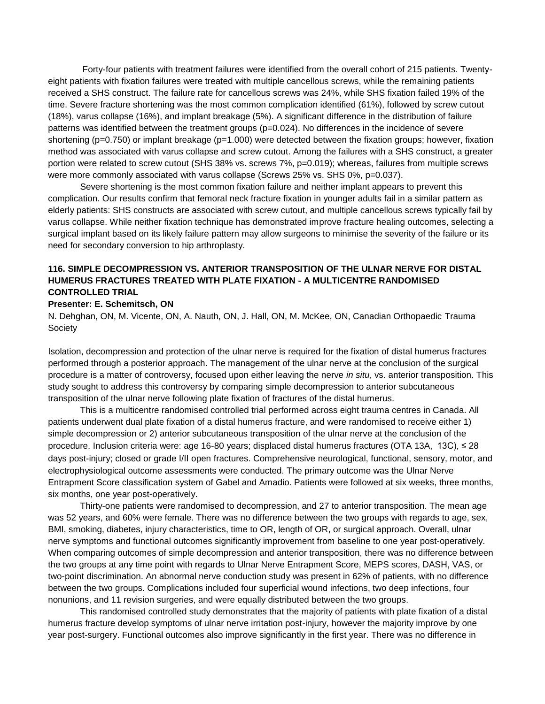Forty-four patients with treatment failures were identified from the overall cohort of 215 patients. Twentyeight patients with fixation failures were treated with multiple cancellous screws, while the remaining patients received a SHS construct. The failure rate for cancellous screws was 24%, while SHS fixation failed 19% of the time. Severe fracture shortening was the most common complication identified (61%), followed by screw cutout (18%), varus collapse (16%), and implant breakage (5%). A significant difference in the distribution of failure patterns was identified between the treatment groups (p=0.024). No differences in the incidence of severe shortening (p=0.750) or implant breakage (p=1.000) were detected between the fixation groups; however, fixation method was associated with varus collapse and screw cutout. Among the failures with a SHS construct, a greater portion were related to screw cutout (SHS 38% vs. screws 7%, p=0.019); whereas, failures from multiple screws were more commonly associated with varus collapse (Screws 25% vs. SHS 0%, p=0.037).

Severe shortening is the most common fixation failure and neither implant appears to prevent this complication. Our results confirm that femoral neck fracture fixation in younger adults fail in a similar pattern as elderly patients: SHS constructs are associated with screw cutout, and multiple cancellous screws typically fail by varus collapse. While neither fixation technique has demonstrated improve fracture healing outcomes, selecting a surgical implant based on its likely failure pattern may allow surgeons to minimise the severity of the failure or its need for secondary conversion to hip arthroplasty.

## **116. SIMPLE DECOMPRESSION VS. ANTERIOR TRANSPOSITION OF THE ULNAR NERVE FOR DISTAL HUMERUS FRACTURES TREATED WITH PLATE FIXATION - A MULTICENTRE RANDOMISED CONTROLLED TRIAL**

#### **Presenter: E. Schemitsch, ON**

N. Dehghan, ON, M. Vicente, ON, A. Nauth, ON, J. Hall, ON, M. McKee, ON, Canadian Orthopaedic Trauma **Society** 

Isolation, decompression and protection of the ulnar nerve is required for the fixation of distal humerus fractures performed through a posterior approach. The management of the ulnar nerve at the conclusion of the surgical procedure is a matter of controversy, focused upon either leaving the nerve *in situ*, vs. anterior transposition. This study sought to address this controversy by comparing simple decompression to anterior subcutaneous transposition of the ulnar nerve following plate fixation of fractures of the distal humerus.

This is a multicentre randomised controlled trial performed across eight trauma centres in Canada. All patients underwent dual plate fixation of a distal humerus fracture, and were randomised to receive either 1) simple decompression or 2) anterior subcutaneous transposition of the ulnar nerve at the conclusion of the procedure. Inclusion criteria were: age 16-80 years; displaced distal humerus fractures (OTA 13A, 13C), ≤ 28 days post-injury; closed or grade I/II open fractures. Comprehensive neurological, functional, sensory, motor, and electrophysiological outcome assessments were conducted. The primary outcome was the Ulnar Nerve Entrapment Score classification system of Gabel and Amadio. Patients were followed at six weeks, three months, six months, one year post-operatively.

Thirty-one patients were randomised to decompression, and 27 to anterior transposition. The mean age was 52 years, and 60% were female. There was no difference between the two groups with regards to age, sex, BMI, smoking, diabetes, injury characteristics, time to OR, length of OR, or surgical approach. Overall, ulnar nerve symptoms and functional outcomes significantly improvement from baseline to one year post-operatively. When comparing outcomes of simple decompression and anterior transposition, there was no difference between the two groups at any time point with regards to Ulnar Nerve Entrapment Score, MEPS scores, DASH, VAS, or two-point discrimination. An abnormal nerve conduction study was present in 62% of patients, with no difference between the two groups. Complications included four superficial wound infections, two deep infections, four nonunions, and 11 revision surgeries, and were equally distributed between the two groups.

This randomised controlled study demonstrates that the majority of patients with plate fixation of a distal humerus fracture develop symptoms of ulnar nerve irritation post-injury, however the majority improve by one year post-surgery. Functional outcomes also improve significantly in the first year. There was no difference in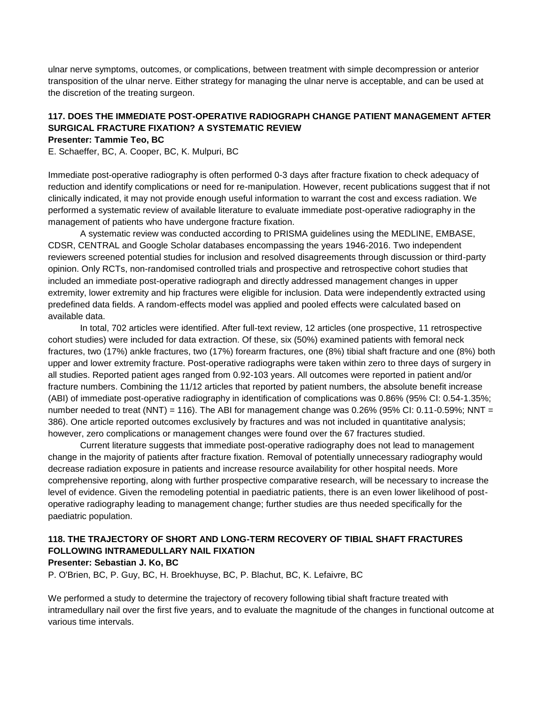ulnar nerve symptoms, outcomes, or complications, between treatment with simple decompression or anterior transposition of the ulnar nerve. Either strategy for managing the ulnar nerve is acceptable, and can be used at the discretion of the treating surgeon.

# **117. DOES THE IMMEDIATE POST-OPERATIVE RADIOGRAPH CHANGE PATIENT MANAGEMENT AFTER SURGICAL FRACTURE FIXATION? A SYSTEMATIC REVIEW**

## **Presenter: Tammie Teo, BC**

E. Schaeffer, BC, A. Cooper, BC, K. Mulpuri, BC

Immediate post-operative radiography is often performed 0-3 days after fracture fixation to check adequacy of reduction and identify complications or need for re-manipulation. However, recent publications suggest that if not clinically indicated, it may not provide enough useful information to warrant the cost and excess radiation. We performed a systematic review of available literature to evaluate immediate post-operative radiography in the management of patients who have undergone fracture fixation.

A systematic review was conducted according to PRISMA guidelines using the MEDLINE, EMBASE, CDSR, CENTRAL and Google Scholar databases encompassing the years 1946-2016. Two independent reviewers screened potential studies for inclusion and resolved disagreements through discussion or third-party opinion. Only RCTs, non-randomised controlled trials and prospective and retrospective cohort studies that included an immediate post-operative radiograph and directly addressed management changes in upper extremity, lower extremity and hip fractures were eligible for inclusion. Data were independently extracted using predefined data fields. A random-effects model was applied and pooled effects were calculated based on available data.

In total, 702 articles were identified. After full-text review, 12 articles (one prospective, 11 retrospective cohort studies) were included for data extraction. Of these, six (50%) examined patients with femoral neck fractures, two (17%) ankle fractures, two (17%) forearm fractures, one (8%) tibial shaft fracture and one (8%) both upper and lower extremity fracture. Post-operative radiographs were taken within zero to three days of surgery in all studies. Reported patient ages ranged from 0.92-103 years. All outcomes were reported in patient and/or fracture numbers. Combining the 11/12 articles that reported by patient numbers, the absolute benefit increase (ABI) of immediate post-operative radiography in identification of complications was 0.86% (95% CI: 0.54-1.35%; number needed to treat (NNT) = 116). The ABI for management change was 0.26% (95% CI: 0.11-0.59%; NNT = 386). One article reported outcomes exclusively by fractures and was not included in quantitative analysis; however, zero complications or management changes were found over the 67 fractures studied.

Current literature suggests that immediate post-operative radiography does not lead to management change in the majority of patients after fracture fixation. Removal of potentially unnecessary radiography would decrease radiation exposure in patients and increase resource availability for other hospital needs. More comprehensive reporting, along with further prospective comparative research, will be necessary to increase the level of evidence. Given the remodeling potential in paediatric patients, there is an even lower likelihood of postoperative radiography leading to management change; further studies are thus needed specifically for the paediatric population.

## **118. THE TRAJECTORY OF SHORT AND LONG-TERM RECOVERY OF TIBIAL SHAFT FRACTURES FOLLOWING INTRAMEDULLARY NAIL FIXATION**

#### **Presenter: Sebastian J. Ko, BC**

P. O'Brien, BC, P. Guy, BC, H. Broekhuyse, BC, P. Blachut, BC, K. Lefaivre, BC

We performed a study to determine the trajectory of recovery following tibial shaft fracture treated with intramedullary nail over the first five years, and to evaluate the magnitude of the changes in functional outcome at various time intervals.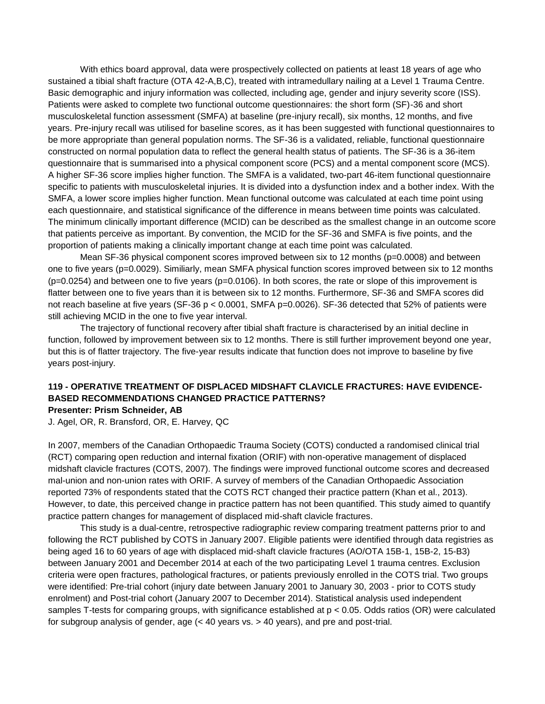With ethics board approval, data were prospectively collected on patients at least 18 years of age who sustained a tibial shaft fracture (OTA 42-A,B,C), treated with intramedullary nailing at a Level 1 Trauma Centre. Basic demographic and injury information was collected, including age, gender and injury severity score (ISS). Patients were asked to complete two functional outcome questionnaires: the short form (SF)-36 and short musculoskeletal function assessment (SMFA) at baseline (pre-injury recall), six months, 12 months, and five years. Pre-injury recall was utilised for baseline scores, as it has been suggested with functional questionnaires to be more appropriate than general population norms. The SF-36 is a validated, reliable, functional questionnaire constructed on normal population data to reflect the general health status of patients. The SF-36 is a 36-item questionnaire that is summarised into a physical component score (PCS) and a mental component score (MCS). A higher SF-36 score implies higher function. The SMFA is a validated, two-part 46-item functional questionnaire specific to patients with musculoskeletal injuries. It is divided into a dysfunction index and a bother index. With the SMFA, a lower score implies higher function. Mean functional outcome was calculated at each time point using each questionnaire, and statistical significance of the difference in means between time points was calculated. The minimum clinically important difference (MCID) can be described as the smallest change in an outcome score that patients perceive as important. By convention, the MCID for the SF-36 and SMFA is five points, and the proportion of patients making a clinically important change at each time point was calculated.

Mean SF-36 physical component scores improved between six to 12 months (p=0.0008) and between one to five years (p=0.0029). Similiarly, mean SMFA physical function scores improved between six to 12 months (p=0.0254) and between one to five years (p=0.0106). In both scores, the rate or slope of this improvement is flatter between one to five years than it is between six to 12 months. Furthermore, SF-36 and SMFA scores did not reach baseline at five years (SF-36  $p < 0.0001$ , SMFA  $p=0.0026$ ). SF-36 detected that 52% of patients were still achieving MCID in the one to five year interval.

The trajectory of functional recovery after tibial shaft fracture is characterised by an initial decline in function, followed by improvement between six to 12 months. There is still further improvement beyond one year, but this is of flatter trajectory. The five-year results indicate that function does not improve to baseline by five years post-injury.

# **119 - OPERATIVE TREATMENT OF DISPLACED MIDSHAFT CLAVICLE FRACTURES: HAVE EVIDENCE-BASED RECOMMENDATIONS CHANGED PRACTICE PATTERNS?**

**Presenter: Prism Schneider, AB** 

J. Agel, OR, R. Bransford, OR, E. Harvey, QC

In 2007, members of the Canadian Orthopaedic Trauma Society (COTS) conducted a randomised clinical trial (RCT) comparing open reduction and internal fixation (ORIF) with non-operative management of displaced midshaft clavicle fractures (COTS, 2007). The findings were improved functional outcome scores and decreased mal-union and non-union rates with ORIF. A survey of members of the Canadian Orthopaedic Association reported 73% of respondents stated that the COTS RCT changed their practice pattern (Khan et al., 2013). However, to date, this perceived change in practice pattern has not been quantified. This study aimed to quantify practice pattern changes for management of displaced mid-shaft clavicle fractures.

This study is a dual-centre, retrospective radiographic review comparing treatment patterns prior to and following the RCT published by COTS in January 2007. Eligible patients were identified through data registries as being aged 16 to 60 years of age with displaced mid-shaft clavicle fractures (AO/OTA 15B-1, 15B-2, 15-B3) between January 2001 and December 2014 at each of the two participating Level 1 trauma centres. Exclusion criteria were open fractures, pathological fractures, or patients previously enrolled in the COTS trial. Two groups were identified: Pre-trial cohort (injury date between January 2001 to January 30, 2003 - prior to COTS study enrolment) and Post-trial cohort (January 2007 to December 2014). Statistical analysis used independent samples T-tests for comparing groups, with significance established at p < 0.05. Odds ratios (OR) were calculated for subgroup analysis of gender, age  $\left($  < 40 years vs.  $>$  40 years), and pre and post-trial.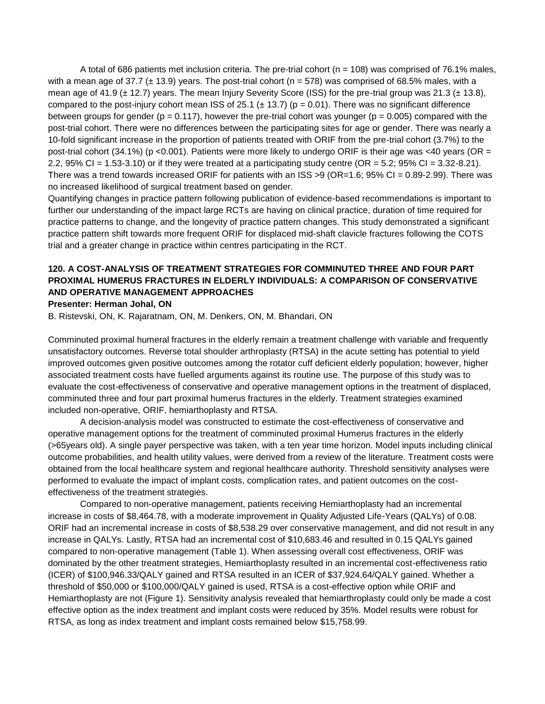A total of 686 patients met inclusion criteria. The pre-trial cohort (n = 108) was comprised of 76.1% males, with a mean age of 37.7 ( $\pm$  13.9) years. The post-trial cohort (n = 578) was comprised of 68.5% males, with a mean age of 41.9 ( $\pm$  12.7) years. The mean Injury Severity Score (ISS) for the pre-trial group was 21.3 ( $\pm$  13.8), compared to the post-injury cohort mean ISS of 25.1 ( $\pm$  13.7) ( $p = 0.01$ ). There was no significant difference between groups for gender ( $p = 0.117$ ), however the pre-trial cohort was younger ( $p = 0.005$ ) compared with the post-trial cohort. There were no differences between the participating sites for age or gender. There was nearly a 10-fold significant increase in the proportion of patients treated with ORIF from the pre-trial cohort (3.7%) to the post-trial cohort (34.1%) (p <0.001). Patients were more likely to undergo ORIF is their age was <40 years (OR = 2.2,  $95\%$  CI = 1.53-3.10) or if they were treated at a participating study centre (OR = 5.2;  $95\%$  CI = 3.32-8.21). There was a trend towards increased ORIF for patients with an ISS >9 (OR=1.6; 95% CI = 0.89-2.99). There was no increased likelihood of surgical treatment based on gender.

Quantifying changes in practice pattern following publication of evidence-based recommendations is important to further our understanding of the impact large RCTs are having on clinical practice, duration of time required for practice patterns to change, and the longevity of practice pattern changes. This study demonstrated a significant practice pattern shift towards more frequent ORIF for displaced mid-shaft clavicle fractures following the COTS trial and a greater change in practice within centres participating in the RCT.

# **120. A COST-ANALYSIS OF TREATMENT STRATEGIES FOR COMMINUTED THREE AND FOUR PART PROXIMAL HUMERUS FRACTURES IN ELDERLY INDIVIDUALS: A COMPARISON OF CONSERVATIVE AND OPERATIVE MANAGEMENT APPROACHES**

#### **Presenter: Herman Johal, ON**

B. Ristevski, ON, K. Rajaratnam, ON, M. Denkers, ON, M. Bhandari, ON

Comminuted proximal humeral fractures in the elderly remain a treatment challenge with variable and frequently unsatisfactory outcomes. Reverse total shoulder arthroplasty (RTSA) in the acute setting has potential to yield improved outcomes given positive outcomes among the rotator cuff deficient elderly population; however, higher associated treatment costs have fuelled arguments against its routine use. The purpose of this study was to evaluate the cost-effectiveness of conservative and operative management options in the treatment of displaced, comminuted three and four part proximal humerus fractures in the elderly. Treatment strategies examined included non-operative, ORIF, hemiarthoplasty and RTSA.

A decision-analysis model was constructed to estimate the cost-effectiveness of conservative and operative management options for the treatment of comminuted proximal Humerus fractures in the elderly (>65years old). A single payer perspective was taken, with a ten year time horizon. Model inputs including clinical outcome probabilities, and health utility values, were derived from a review of the literature. Treatment costs were obtained from the local healthcare system and regional healthcare authority. Threshold sensitivity analyses were performed to evaluate the impact of implant costs, complication rates, and patient outcomes on the costeffectiveness of the treatment strategies.

Compared to non-operative management, patients receiving Hemiarthoplasty had an incremental increase in costs of \$8,464.78, with a moderate improvement in Quality Adjusted Life-Years (QALYs) of 0.08. ORIF had an incremental increase in costs of \$8,538.29 over conservative management, and did not result in any increase in QALYs. Lastly, RTSA had an incremental cost of \$10,683.46 and resulted in 0.15 QALYs gained compared to non-operative management (Table 1). When assessing overall cost effectiveness, ORIF was dominated by the other treatment strategies, Hemiarthoplasty resulted in an incremental cost-effectiveness ratio (ICER) of \$100,946.33/QALY gained and RTSA resulted in an ICER of \$37,924.64/QALY gained. Whether a threshold of \$50,000 or \$100,000/QALY gained is used, RTSA is a cost-effective option while ORIF and Hemiarthoplasty are not (Figure 1). Sensitivity analysis revealed that hemiarthroplasty could only be made a cost effective option as the index treatment and implant costs were reduced by 35%. Model results were robust for RTSA, as long as index treatment and implant costs remained below \$15,758.99.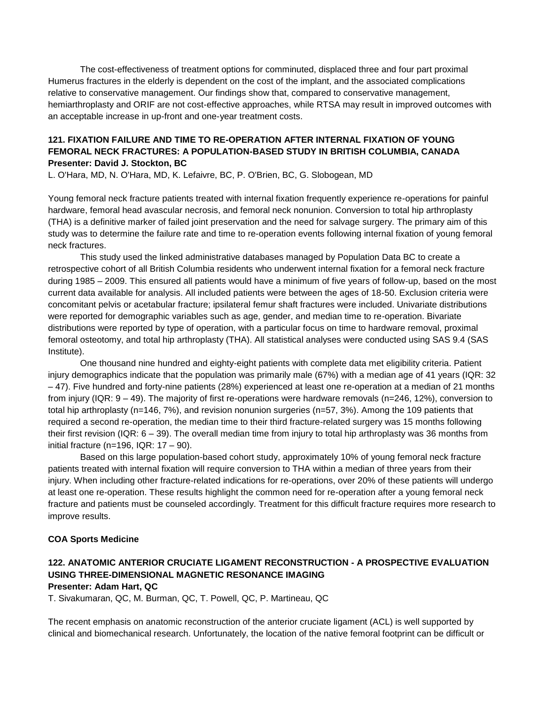The cost-effectiveness of treatment options for comminuted, displaced three and four part proximal Humerus fractures in the elderly is dependent on the cost of the implant, and the associated complications relative to conservative management. Our findings show that, compared to conservative management, hemiarthroplasty and ORIF are not cost-effective approaches, while RTSA may result in improved outcomes with an acceptable increase in up-front and one-year treatment costs.

# **121. FIXATION FAILURE AND TIME TO RE-OPERATION AFTER INTERNAL FIXATION OF YOUNG FEMORAL NECK FRACTURES: A POPULATION-BASED STUDY IN BRITISH COLUMBIA, CANADA Presenter: David J. Stockton, BC**

L. O'Hara, MD, N. O'Hara, MD, K. Lefaivre, BC, P. O'Brien, BC, G. Slobogean, MD

Young femoral neck fracture patients treated with internal fixation frequently experience re-operations for painful hardware, femoral head avascular necrosis, and femoral neck nonunion. Conversion to total hip arthroplasty (THA) is a definitive marker of failed joint preservation and the need for salvage surgery. The primary aim of this study was to determine the failure rate and time to re-operation events following internal fixation of young femoral neck fractures.

This study used the linked administrative databases managed by Population Data BC to create a retrospective cohort of all British Columbia residents who underwent internal fixation for a femoral neck fracture during 1985 – 2009. This ensured all patients would have a minimum of five years of follow-up, based on the most current data available for analysis. All included patients were between the ages of 18-50. Exclusion criteria were concomitant pelvis or acetabular fracture; ipsilateral femur shaft fractures were included. Univariate distributions were reported for demographic variables such as age, gender, and median time to re-operation. Bivariate distributions were reported by type of operation, with a particular focus on time to hardware removal, proximal femoral osteotomy, and total hip arthroplasty (THA). All statistical analyses were conducted using SAS 9.4 (SAS Institute).

One thousand nine hundred and eighty-eight patients with complete data met eligibility criteria. Patient injury demographics indicate that the population was primarily male (67%) with a median age of 41 years (IQR: 32 – 47). Five hundred and forty-nine patients (28%) experienced at least one re-operation at a median of 21 months from injury (IQR: 9 – 49). The majority of first re-operations were hardware removals (n=246, 12%), conversion to total hip arthroplasty (n=146, 7%), and revision nonunion surgeries (n=57, 3%). Among the 109 patients that required a second re-operation, the median time to their third fracture-related surgery was 15 months following their first revision (IQR: 6 – 39). The overall median time from injury to total hip arthroplasty was 36 months from initial fracture (n=196, IQR:  $17 - 90$ ).

Based on this large population-based cohort study, approximately 10% of young femoral neck fracture patients treated with internal fixation will require conversion to THA within a median of three years from their injury. When including other fracture-related indications for re-operations, over 20% of these patients will undergo at least one re-operation. These results highlight the common need for re-operation after a young femoral neck fracture and patients must be counseled accordingly. Treatment for this difficult fracture requires more research to improve results.

## **COA Sports Medicine**

# **122. ANATOMIC ANTERIOR CRUCIATE LIGAMENT RECONSTRUCTION - A PROSPECTIVE EVALUATION USING THREE-DIMENSIONAL MAGNETIC RESONANCE IMAGING**

**Presenter: Adam Hart, QC**

T. Sivakumaran, QC, M. Burman, QC, T. Powell, QC, P. Martineau, QC

The recent emphasis on anatomic reconstruction of the anterior cruciate ligament (ACL) is well supported by clinical and biomechanical research. Unfortunately, the location of the native femoral footprint can be difficult or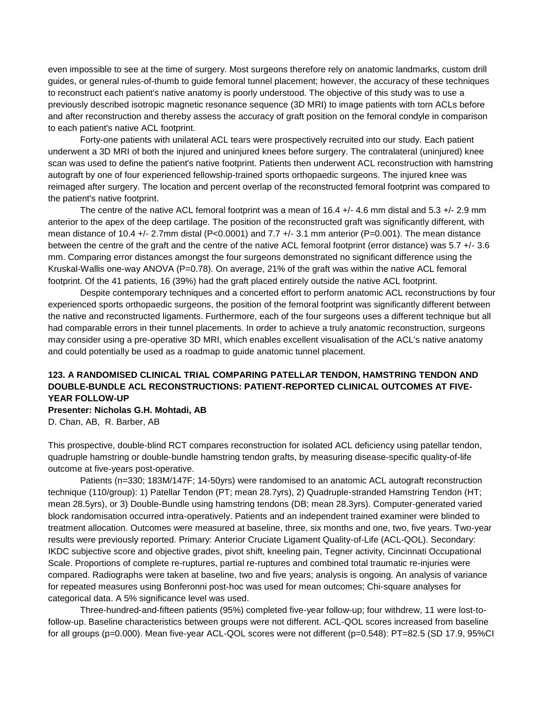even impossible to see at the time of surgery. Most surgeons therefore rely on anatomic landmarks, custom drill guides, or general rules-of-thumb to guide femoral tunnel placement; however, the accuracy of these techniques to reconstruct each patient's native anatomy is poorly understood. The objective of this study was to use a previously described isotropic magnetic resonance sequence (3D MRI) to image patients with torn ACLs before and after reconstruction and thereby assess the accuracy of graft position on the femoral condyle in comparison to each patient's native ACL footprint.

Forty-one patients with unilateral ACL tears were prospectively recruited into our study. Each patient underwent a 3D MRI of both the injured and uninjured knees before surgery. The contralateral (uninjured) knee scan was used to define the patient's native footprint. Patients then underwent ACL reconstruction with hamstring autograft by one of four experienced fellowship-trained sports orthopaedic surgeons. The injured knee was reimaged after surgery. The location and percent overlap of the reconstructed femoral footprint was compared to the patient's native footprint.

The centre of the native ACL femoral footprint was a mean of 16.4 +/- 4.6 mm distal and 5.3 +/- 2.9 mm anterior to the apex of the deep cartilage. The position of the reconstructed graft was significantly different, with mean distance of 10.4 +/- 2.7mm distal (P<0.0001) and 7.7 +/- 3.1 mm anterior (P=0.001). The mean distance between the centre of the graft and the centre of the native ACL femoral footprint (error distance) was 5.7 +/- 3.6 mm. Comparing error distances amongst the four surgeons demonstrated no significant difference using the Kruskal-Wallis one-way ANOVA (P=0.78). On average, 21% of the graft was within the native ACL femoral footprint. Of the 41 patients, 16 (39%) had the graft placed entirely outside the native ACL footprint.

Despite contemporary techniques and a concerted effort to perform anatomic ACL reconstructions by four experienced sports orthopaedic surgeons, the position of the femoral footprint was significantly different between the native and reconstructed ligaments. Furthermore, each of the four surgeons uses a different technique but all had comparable errors in their tunnel placements. In order to achieve a truly anatomic reconstruction, surgeons may consider using a pre-operative 3D MRI, which enables excellent visualisation of the ACL's native anatomy and could potentially be used as a roadmap to guide anatomic tunnel placement.

## **123. A RANDOMISED CLINICAL TRIAL COMPARING PATELLAR TENDON, HAMSTRING TENDON AND DOUBLE-BUNDLE ACL RECONSTRUCTIONS: PATIENT-REPORTED CLINICAL OUTCOMES AT FIVE-YEAR FOLLOW-UP Presenter: Nicholas G.H. Mohtadi, AB**

D. Chan, AB, R. Barber, AB

This prospective, double-blind RCT compares reconstruction for isolated ACL deficiency using patellar tendon, quadruple hamstring or double-bundle hamstring tendon grafts, by measuring disease-specific quality-of-life outcome at five-years post-operative.

Patients (n=330; 183M/147F; 14-50yrs) were randomised to an anatomic ACL autograft reconstruction technique (110/group): 1) Patellar Tendon (PT; mean 28.7yrs), 2) Quadruple-stranded Hamstring Tendon (HT; mean 28.5yrs), or 3) Double-Bundle using hamstring tendons (DB; mean 28.3yrs). Computer-generated varied block randomisation occurred intra-operatively. Patients and an independent trained examiner were blinded to treatment allocation. Outcomes were measured at baseline, three, six months and one, two, five years. Two-year results were previously reported. Primary: Anterior Cruciate Ligament Quality-of-Life (ACL-QOL). Secondary: IKDC subjective score and objective grades, pivot shift, kneeling pain, Tegner activity, Cincinnati Occupational Scale. Proportions of complete re-ruptures, partial re-ruptures and combined total traumatic re-injuries were compared. Radiographs were taken at baseline, two and five years; analysis is ongoing. An analysis of variance for repeated measures using Bonferonni post-hoc was used for mean outcomes; Chi-square analyses for categorical data. A 5% significance level was used.

Three-hundred-and-fifteen patients (95%) completed five-year follow-up; four withdrew, 11 were lost-tofollow-up. Baseline characteristics between groups were not different. ACL-QOL scores increased from baseline for all groups (p=0.000). Mean five-year ACL-QOL scores were not different (p=0.548): PT=82.5 (SD 17.9, 95%CI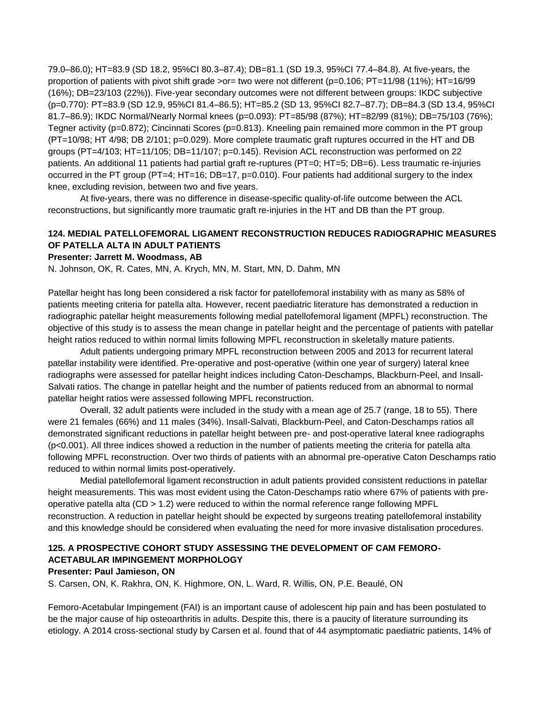79.0–86.0); HT=83.9 (SD 18.2, 95%CI 80.3–87.4); DB=81.1 (SD 19.3, 95%CI 77.4–84.8). At five-years, the proportion of patients with pivot shift grade >or= two were not different (p=0.106; PT=11/98 (11%); HT=16/99 (16%); DB=23/103 (22%)). Five-year secondary outcomes were not different between groups: IKDC subjective (p=0.770): PT=83.9 (SD 12.9, 95%CI 81.4–86.5); HT=85.2 (SD 13, 95%CI 82.7–87.7); DB=84.3 (SD 13.4, 95%CI 81.7–86.9); IKDC Normal/Nearly Normal knees (p=0.093): PT=85/98 (87%); HT=82/99 (81%); DB=75/103 (76%); Tegner activity (p=0.872); Cincinnati Scores (p=0.813). Kneeling pain remained more common in the PT group (PT=10/98; HT 4/98; DB 2/101; p=0.029). More complete traumatic graft ruptures occurred in the HT and DB groups (PT=4/103; HT=11/105; DB=11/107; p=0.145). Revision ACL reconstruction was performed on 22 patients. An additional 11 patients had partial graft re-ruptures (PT=0; HT=5; DB=6). Less traumatic re-injuries occurred in the PT group (PT=4; HT=16; DB=17, p=0.010). Four patients had additional surgery to the index knee, excluding revision, between two and five years.

At five-years, there was no difference in disease-specific quality-of-life outcome between the ACL reconstructions, but significantly more traumatic graft re-injuries in the HT and DB than the PT group.

# **124. MEDIAL PATELLOFEMORAL LIGAMENT RECONSTRUCTION REDUCES RADIOGRAPHIC MEASURES OF PATELLA ALTA IN ADULT PATIENTS**

#### **Presenter: Jarrett M. Woodmass, AB**

N. Johnson, OK, R. Cates, MN, A. Krych, MN, M. Start, MN, D. Dahm, MN

Patellar height has long been considered a risk factor for patellofemoral instability with as many as 58% of patients meeting criteria for patella alta. However, recent paediatric literature has demonstrated a reduction in radiographic patellar height measurements following medial patellofemoral ligament (MPFL) reconstruction. The objective of this study is to assess the mean change in patellar height and the percentage of patients with patellar height ratios reduced to within normal limits following MPFL reconstruction in skeletally mature patients.

Adult patients undergoing primary MPFL reconstruction between 2005 and 2013 for recurrent lateral patellar instability were identified. Pre-operative and post-operative (within one year of surgery) lateral knee radiographs were assessed for patellar height indices including Caton-Deschamps, Blackburn-Peel, and Insall-Salvati ratios. The change in patellar height and the number of patients reduced from an abnormal to normal patellar height ratios were assessed following MPFL reconstruction.

Overall, 32 adult patients were included in the study with a mean age of 25.7 (range, 18 to 55). There were 21 females (66%) and 11 males (34%). Insall-Salvati, Blackburn-Peel, and Caton-Deschamps ratios all demonstrated significant reductions in patellar height between pre- and post-operative lateral knee radiographs (p<0.001). All three indices showed a reduction in the number of patients meeting the criteria for patella alta following MPFL reconstruction. Over two thirds of patients with an abnormal pre-operative Caton Deschamps ratio reduced to within normal limits post-operatively.

Medial patellofemoral ligament reconstruction in adult patients provided consistent reductions in patellar height measurements. This was most evident using the Caton-Deschamps ratio where 67% of patients with preoperative patella alta ( $CD > 1.2$ ) were reduced to within the normal reference range following MPFL reconstruction. A reduction in patellar height should be expected by surgeons treating patellofemoral instability and this knowledge should be considered when evaluating the need for more invasive distalisation procedures.

# **125. A PROSPECTIVE COHORT STUDY ASSESSING THE DEVELOPMENT OF CAM FEMORO-ACETABULAR IMPINGEMENT MORPHOLOGY**

### **Presenter: Paul Jamieson, ON**

S. Carsen, ON, K. Rakhra, ON, K. Highmore, ON, L. Ward, R. Willis, ON, P.E. Beaulé, ON

Femoro-Acetabular Impingement (FAI) is an important cause of adolescent hip pain and has been postulated to be the major cause of hip osteoarthritis in adults. Despite this, there is a paucity of literature surrounding its etiology. A 2014 cross-sectional study by Carsen et al. found that of 44 asymptomatic paediatric patients, 14% of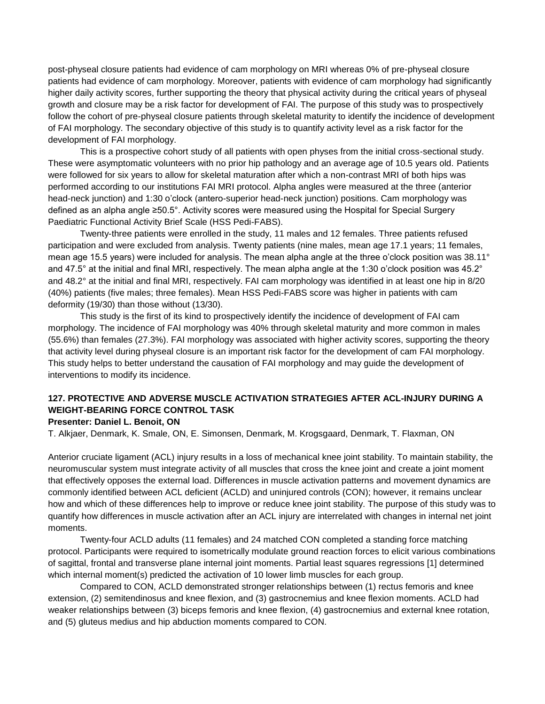post-physeal closure patients had evidence of cam morphology on MRI whereas 0% of pre-physeal closure patients had evidence of cam morphology. Moreover, patients with evidence of cam morphology had significantly higher daily activity scores, further supporting the theory that physical activity during the critical years of physeal growth and closure may be a risk factor for development of FAI. The purpose of this study was to prospectively follow the cohort of pre-physeal closure patients through skeletal maturity to identify the incidence of development of FAI morphology. The secondary objective of this study is to quantify activity level as a risk factor for the development of FAI morphology.

This is a prospective cohort study of all patients with open physes from the initial cross-sectional study. These were asymptomatic volunteers with no prior hip pathology and an average age of 10.5 years old. Patients were followed for six years to allow for skeletal maturation after which a non-contrast MRI of both hips was performed according to our institutions FAI MRI protocol. Alpha angles were measured at the three (anterior head-neck junction) and 1:30 o'clock (antero-superior head-neck junction) positions. Cam morphology was defined as an alpha angle ≥50.5°. Activity scores were measured using the Hospital for Special Surgery Paediatric Functional Activity Brief Scale (HSS Pedi-FABS).

Twenty-three patients were enrolled in the study, 11 males and 12 females. Three patients refused participation and were excluded from analysis. Twenty patients (nine males, mean age 17.1 years; 11 females, mean age 15.5 years) were included for analysis. The mean alpha angle at the three o'clock position was 38.11° and 47.5° at the initial and final MRI, respectively. The mean alpha angle at the 1:30 o'clock position was 45.2° and 48.2° at the initial and final MRI, respectively. FAI cam morphology was identified in at least one hip in 8/20 (40%) patients (five males; three females). Mean HSS Pedi-FABS score was higher in patients with cam deformity (19/30) than those without (13/30).

This study is the first of its kind to prospectively identify the incidence of development of FAI cam morphology. The incidence of FAI morphology was 40% through skeletal maturity and more common in males (55.6%) than females (27.3%). FAI morphology was associated with higher activity scores, supporting the theory that activity level during physeal closure is an important risk factor for the development of cam FAI morphology. This study helps to better understand the causation of FAI morphology and may guide the development of interventions to modify its incidence.

# **127. PROTECTIVE AND ADVERSE MUSCLE ACTIVATION STRATEGIES AFTER ACL-INJURY DURING A WEIGHT-BEARING FORCE CONTROL TASK**

## **Presenter: Daniel L. Benoit, ON**

T. Alkjaer, Denmark, K. Smale, ON, E. Simonsen, Denmark, M. Krogsgaard, Denmark, T. Flaxman, ON

Anterior cruciate ligament (ACL) injury results in a loss of mechanical knee joint stability. To maintain stability, the neuromuscular system must integrate activity of all muscles that cross the knee joint and create a joint moment that effectively opposes the external load. Differences in muscle activation patterns and movement dynamics are commonly identified between ACL deficient (ACLD) and uninjured controls (CON); however, it remains unclear how and which of these differences help to improve or reduce knee joint stability. The purpose of this study was to quantify how differences in muscle activation after an ACL injury are interrelated with changes in internal net joint moments.

Twenty-four ACLD adults (11 females) and 24 matched CON completed a standing force matching protocol. Participants were required to isometrically modulate ground reaction forces to elicit various combinations of sagittal, frontal and transverse plane internal joint moments. Partial least squares regressions [1] determined which internal moment(s) predicted the activation of 10 lower limb muscles for each group.

Compared to CON, ACLD demonstrated stronger relationships between (1) rectus femoris and knee extension, (2) semitendinosus and knee flexion, and (3) gastrocnemius and knee flexion moments. ACLD had weaker relationships between (3) biceps femoris and knee flexion, (4) gastrocnemius and external knee rotation, and (5) gluteus medius and hip abduction moments compared to CON.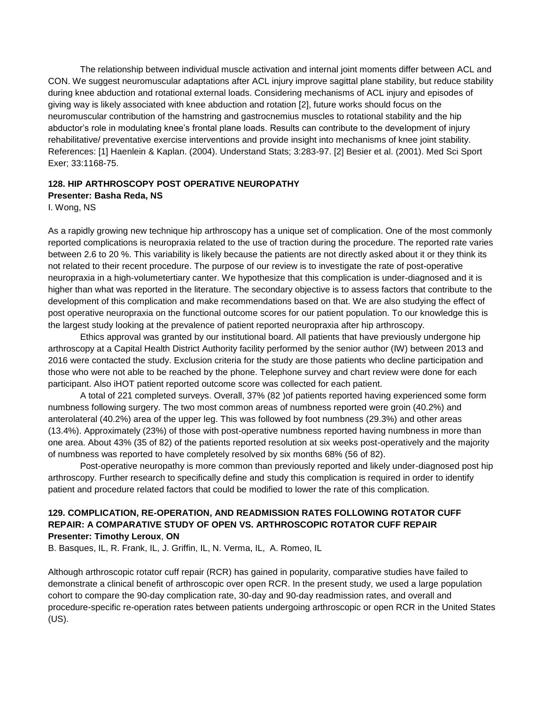The relationship between individual muscle activation and internal joint moments differ between ACL and CON. We suggest neuromuscular adaptations after ACL injury improve sagittal plane stability, but reduce stability during knee abduction and rotational external loads. Considering mechanisms of ACL injury and episodes of giving way is likely associated with knee abduction and rotation [2], future works should focus on the neuromuscular contribution of the hamstring and gastrocnemius muscles to rotational stability and the hip abductor's role in modulating knee's frontal plane loads. Results can contribute to the development of injury rehabilitative/ preventative exercise interventions and provide insight into mechanisms of knee joint stability. References: [1] Haenlein & Kaplan. (2004). Understand Stats; 3:283-97. [2] Besier et al. (2001). Med Sci Sport Exer; 33:1168-75.

# **128. HIP ARTHROSCOPY POST OPERATIVE NEUROPATHY Presenter: Basha Reda, NS**

I. Wong, NS

As a rapidly growing new technique hip arthroscopy has a unique set of complication. One of the most commonly reported complications is neuropraxia related to the use of traction during the procedure. The reported rate varies between 2.6 to 20 %. This variability is likely because the patients are not directly asked about it or they think its not related to their recent procedure. The purpose of our review is to investigate the rate of post-operative neuropraxia in a high-volumetertiary canter. We hypothesize that this complication is under-diagnosed and it is higher than what was reported in the literature. The secondary objective is to assess factors that contribute to the development of this complication and make recommendations based on that. We are also studying the effect of post operative neuropraxia on the functional outcome scores for our patient population. To our knowledge this is the largest study looking at the prevalence of patient reported neuropraxia after hip arthroscopy.

Ethics approval was granted by our institutional board. All patients that have previously undergone hip arthroscopy at a Capital Health District Authority facility performed by the senior author (IW) between 2013 and 2016 were contacted the study. Exclusion criteria for the study are those patients who decline participation and those who were not able to be reached by the phone. Telephone survey and chart review were done for each participant. Also iHOT patient reported outcome score was collected for each patient.

A total of 221 completed surveys. Overall, 37% (82 )of patients reported having experienced some form numbness following surgery. The two most common areas of numbness reported were groin (40.2%) and anterolateral (40.2%) area of the upper leg. This was followed by foot numbness (29.3%) and other areas (13.4%). Approximately (23%) of those with post-operative numbness reported having numbness in more than one area. About 43% (35 of 82) of the patients reported resolution at six weeks post-operatively and the majority of numbness was reported to have completely resolved by six months 68% (56 of 82).

Post-operative neuropathy is more common than previously reported and likely under-diagnosed post hip arthroscopy. Further research to specifically define and study this complication is required in order to identify patient and procedure related factors that could be modified to lower the rate of this complication.

## **129. COMPLICATION, RE-OPERATION, AND READMISSION RATES FOLLOWING ROTATOR CUFF REPAIR: A COMPARATIVE STUDY OF OPEN VS. ARTHROSCOPIC ROTATOR CUFF REPAIR Presenter: Timothy Leroux**, **ON**

B. Basques, IL, R. Frank, IL, J. Griffin, IL, N. Verma, IL, A. Romeo, IL

Although arthroscopic rotator cuff repair (RCR) has gained in popularity, comparative studies have failed to demonstrate a clinical benefit of arthroscopic over open RCR. In the present study, we used a large population cohort to compare the 90-day complication rate, 30-day and 90-day readmission rates, and overall and procedure-specific re-operation rates between patients undergoing arthroscopic or open RCR in the United States (US).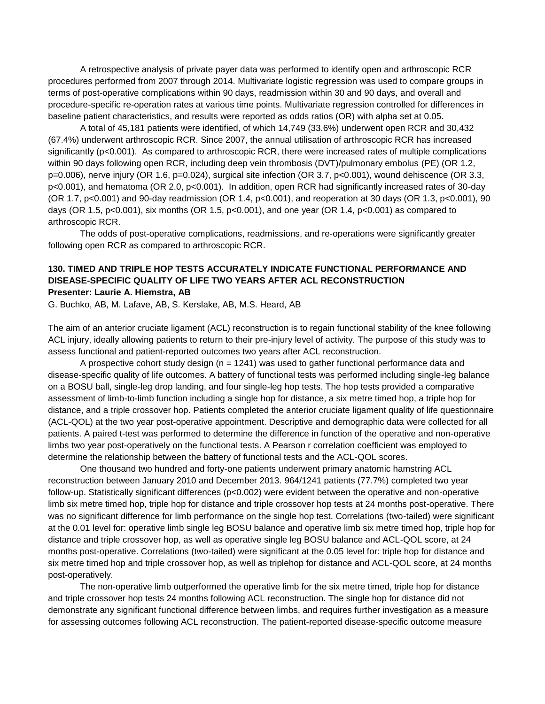A retrospective analysis of private payer data was performed to identify open and arthroscopic RCR procedures performed from 2007 through 2014. Multivariate logistic regression was used to compare groups in terms of post-operative complications within 90 days, readmission within 30 and 90 days, and overall and procedure-specific re-operation rates at various time points. Multivariate regression controlled for differences in baseline patient characteristics, and results were reported as odds ratios (OR) with alpha set at 0.05.

A total of 45,181 patients were identified, of which 14,749 (33.6%) underwent open RCR and 30,432 (67.4%) underwent arthroscopic RCR. Since 2007, the annual utilisation of arthroscopic RCR has increased significantly (p<0.001). As compared to arthroscopic RCR, there were increased rates of multiple complications within 90 days following open RCR, including deep vein thrombosis (DVT)/pulmonary embolus (PE) (OR 1.2, p=0.006), nerve injury (OR 1.6, p=0.024), surgical site infection (OR 3.7, p<0.001), wound dehiscence (OR 3.3, p<0.001), and hematoma (OR 2.0, p<0.001). In addition, open RCR had significantly increased rates of 30-day (OR 1.7, p<0.001) and 90-day readmission (OR 1.4, p<0.001), and reoperation at 30 days (OR 1.3, p<0.001), 90 days (OR 1.5, p<0.001), six months (OR 1.5, p<0.001), and one year (OR 1.4, p<0.001) as compared to arthroscopic RCR.

The odds of post-operative complications, readmissions, and re-operations were significantly greater following open RCR as compared to arthroscopic RCR.

## **130. TIMED AND TRIPLE HOP TESTS ACCURATELY INDICATE FUNCTIONAL PERFORMANCE AND DISEASE-SPECIFIC QUALITY OF LIFE TWO YEARS AFTER ACL RECONSTRUCTION Presenter: Laurie A. Hiemstra, AB**

G. Buchko, AB, M. Lafave, AB, S. Kerslake, AB, M.S. Heard, AB

The aim of an anterior cruciate ligament (ACL) reconstruction is to regain functional stability of the knee following ACL injury, ideally allowing patients to return to their pre-injury level of activity. The purpose of this study was to assess functional and patient-reported outcomes two years after ACL reconstruction.

A prospective cohort study design ( $n = 1241$ ) was used to gather functional performance data and disease-specific quality of life outcomes. A battery of functional tests was performed including single-leg balance on a BOSU ball, single-leg drop landing, and four single-leg hop tests. The hop tests provided a comparative assessment of limb-to-limb function including a single hop for distance, a six metre timed hop, a triple hop for distance, and a triple crossover hop. Patients completed the anterior cruciate ligament quality of life questionnaire (ACL-QOL) at the two year post-operative appointment. Descriptive and demographic data were collected for all patients. A paired t-test was performed to determine the difference in function of the operative and non-operative limbs two year post-operatively on the functional tests. A Pearson r correlation coefficient was employed to determine the relationship between the battery of functional tests and the ACL-QOL scores.

One thousand two hundred and forty-one patients underwent primary anatomic hamstring ACL reconstruction between January 2010 and December 2013. 964/1241 patients (77.7%) completed two year follow-up. Statistically significant differences (p<0.002) were evident between the operative and non-operative limb six metre timed hop, triple hop for distance and triple crossover hop tests at 24 months post-operative. There was no significant difference for limb performance on the single hop test. Correlations (two-tailed) were significant at the 0.01 level for: operative limb single leg BOSU balance and operative limb six metre timed hop, triple hop for distance and triple crossover hop, as well as operative single leg BOSU balance and ACL-QOL score, at 24 months post-operative. Correlations (two-tailed) were significant at the 0.05 level for: triple hop for distance and six metre timed hop and triple crossover hop, as well as triplehop for distance and ACL-QOL score, at 24 months post-operatively.

The non-operative limb outperformed the operative limb for the six metre timed, triple hop for distance and triple crossover hop tests 24 months following ACL reconstruction. The single hop for distance did not demonstrate any significant functional difference between limbs, and requires further investigation as a measure for assessing outcomes following ACL reconstruction. The patient-reported disease-specific outcome measure